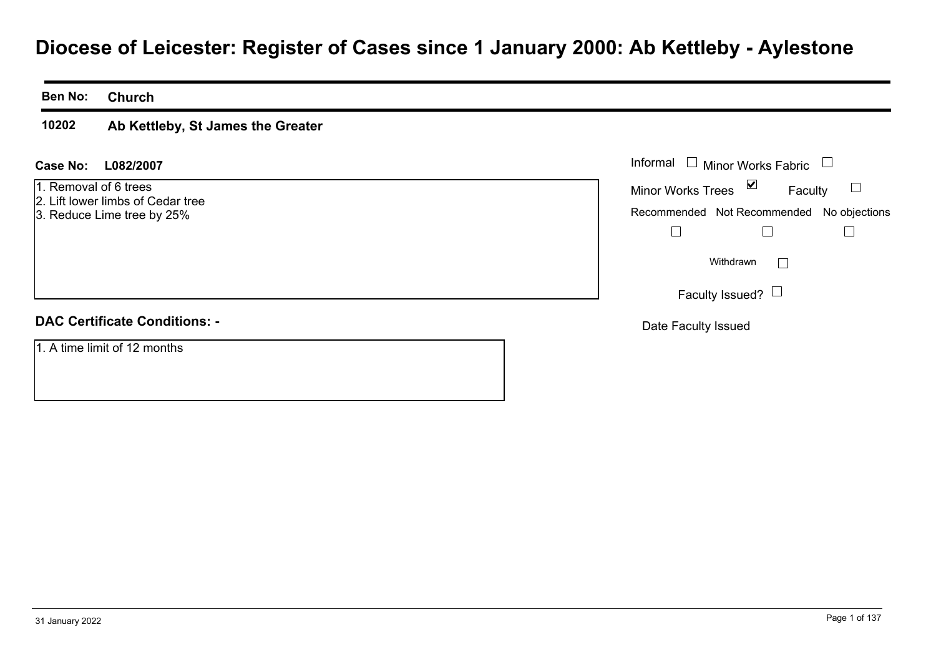# **Diocese of Leicester: Register of Cases since 1 January 2000: Ab Kettleby - Aylestone**

**Ben No: Church**

#### **10202Ab Kettleby, St James the Greater**

#### **L082/2007Case No:** Informal

- 1. Removal of 6 trees2. Lift lower limbs of Cedar tree
- 3. Reduce Lime tree by 25%

| <b>DAC Certificate Conditions: -</b> |  |
|--------------------------------------|--|
|                                      |  |

1. A time limit of 12 months

| Informal                                  | $\Box$ Minor Works Fabric |         |  |
|-------------------------------------------|---------------------------|---------|--|
| <b>Minor Works Trees</b>                  | ⊻                         | Faculty |  |
| Recommended Not Recommended No objections |                           |         |  |
|                                           |                           |         |  |
|                                           | Withdrawn                 |         |  |
|                                           | Faculty Issued? $\Box$    |         |  |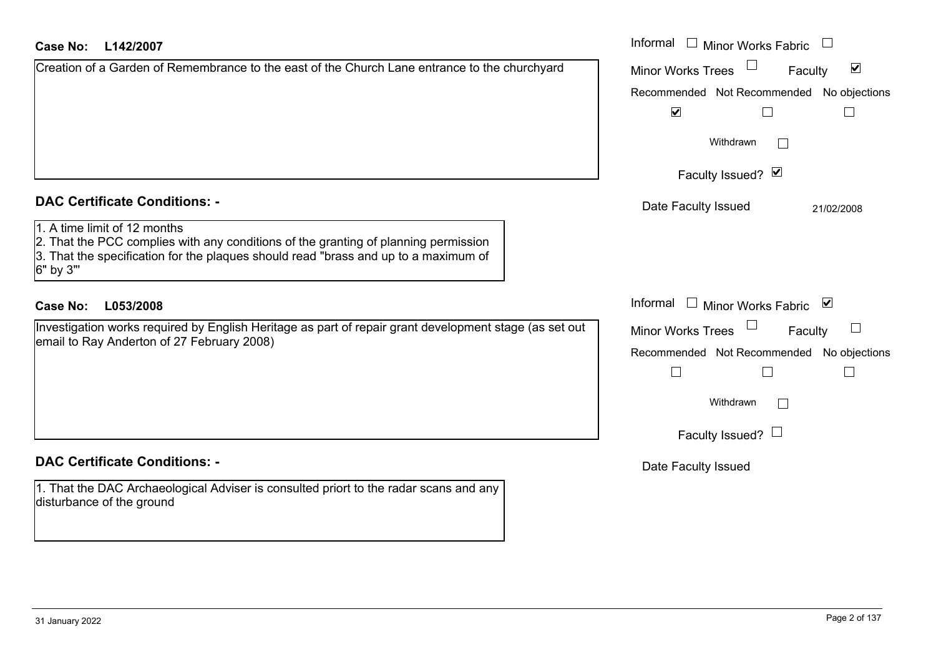| L142/2007<br>Case No:                                                                                                                                                                                                   | Informal $\square$<br><b>Minor Works Fabric</b>                                                           |
|-------------------------------------------------------------------------------------------------------------------------------------------------------------------------------------------------------------------------|-----------------------------------------------------------------------------------------------------------|
| Creation of a Garden of Remembrance to the east of the Church Lane entrance to the churchyard                                                                                                                           | $\blacktriangledown$<br><b>Minor Works Trees</b><br>Faculty                                               |
|                                                                                                                                                                                                                         | Recommended Not Recommended No objections<br>$\blacktriangledown$<br>$\Box$                               |
|                                                                                                                                                                                                                         | Withdrawn                                                                                                 |
|                                                                                                                                                                                                                         | Faculty Issued? Ø                                                                                         |
| <b>DAC Certificate Conditions: -</b>                                                                                                                                                                                    | Date Faculty Issued<br>21/02/2008                                                                         |
| 1. A time limit of 12 months<br>2. That the PCC complies with any conditions of the granting of planning permission<br>3. That the specification for the plaques should read "brass and up to a maximum of<br>6" by 3"" |                                                                                                           |
| <b>Case No:</b><br>L053/2008                                                                                                                                                                                            | Informal<br>Minor Works Fabric ⊠<br>$\Box$                                                                |
| Investigation works required by English Heritage as part of repair grant development stage (as set out<br>email to Ray Anderton of 27 February 2008)                                                                    | Minor Works Trees<br>$\sqcup$<br>Faculty<br>Recommended Not Recommended No objections<br>$\Box$<br>$\Box$ |
|                                                                                                                                                                                                                         | Withdrawn                                                                                                 |
|                                                                                                                                                                                                                         | Faculty Issued? $\Box$                                                                                    |
| <b>DAC Certificate Conditions: -</b>                                                                                                                                                                                    | Date Faculty Issued                                                                                       |
| 1. That the DAC Archaeological Adviser is consulted priort to the radar scans and any<br>disturbance of the ground                                                                                                      |                                                                                                           |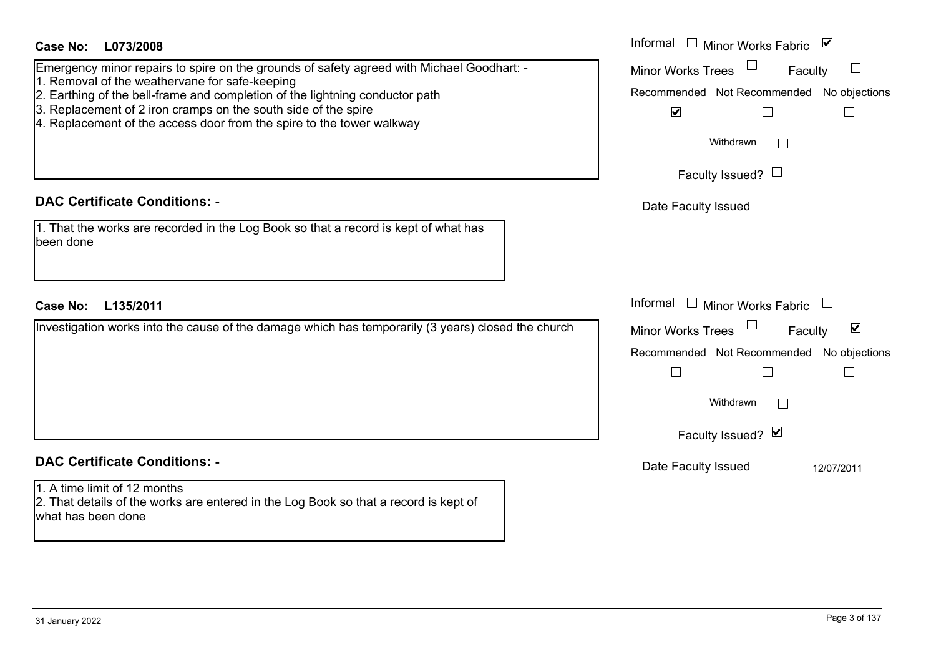| Case No:<br>L073/2008                                                                                                                                                                                                                                                                                                                                                  | Informal<br>$\Box$ Minor Works Fabric $\mathbf \nabla$                                                                          |
|------------------------------------------------------------------------------------------------------------------------------------------------------------------------------------------------------------------------------------------------------------------------------------------------------------------------------------------------------------------------|---------------------------------------------------------------------------------------------------------------------------------|
| Emergency minor repairs to spire on the grounds of safety agreed with Michael Goodhart: -<br>1. Removal of the weathervane for safe-keeping<br>2. Earthing of the bell-frame and completion of the lightning conductor path<br>3. Replacement of 2 iron cramps on the south side of the spire<br>4. Replacement of the access door from the spire to the tower walkway | <b>Minor Works Trees</b><br>Faculty<br>Recommended Not Recommended No objections<br>$\blacktriangledown$<br>Withdrawn           |
|                                                                                                                                                                                                                                                                                                                                                                        | Faculty Issued? $\Box$                                                                                                          |
| <b>DAC Certificate Conditions: -</b>                                                                                                                                                                                                                                                                                                                                   | Date Faculty Issued                                                                                                             |
| 1. That the works are recorded in the Log Book so that a record is kept of what has<br>been done                                                                                                                                                                                                                                                                       |                                                                                                                                 |
| <b>Case No:</b><br>L135/2011                                                                                                                                                                                                                                                                                                                                           | Informal<br>$\Box$ Minor Works Fabric                                                                                           |
| Investigation works into the cause of the damage which has temporarily (3 years) closed the church                                                                                                                                                                                                                                                                     | $\blacktriangledown$<br><b>Minor Works Trees</b><br>Faculty<br>Recommended Not Recommended No objections<br>$\Box$<br>Withdrawn |
|                                                                                                                                                                                                                                                                                                                                                                        | Faculty Issued? Ø                                                                                                               |
| <b>DAC Certificate Conditions: -</b>                                                                                                                                                                                                                                                                                                                                   | Date Faculty Issued<br>12/07/2011                                                                                               |
| 1. A time limit of 12 months<br>2. That details of the works are entered in the Log Book so that a record is kept of<br>what has been done                                                                                                                                                                                                                             |                                                                                                                                 |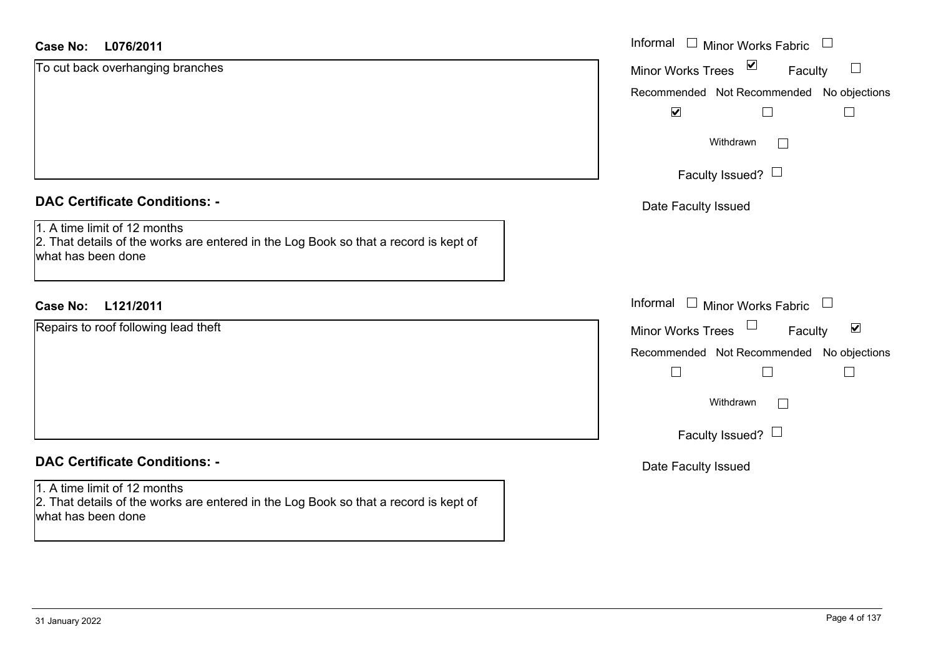| <b>Case No:</b><br>L076/2011                                                                                                               | Informal $\Box$ Minor Works Fabric $\Box$                             |
|--------------------------------------------------------------------------------------------------------------------------------------------|-----------------------------------------------------------------------|
| To cut back overhanging branches                                                                                                           | $\blacktriangledown$<br><b>Minor Works Trees</b><br>$\Box$<br>Faculty |
|                                                                                                                                            | Recommended Not Recommended No objections                             |
|                                                                                                                                            | $\blacktriangledown$                                                  |
|                                                                                                                                            | Withdrawn<br>$\Box$                                                   |
|                                                                                                                                            | Faculty Issued? $\Box$                                                |
| <b>DAC Certificate Conditions: -</b>                                                                                                       | Date Faculty Issued                                                   |
| 1. A time limit of 12 months<br>2. That details of the works are entered in the Log Book so that a record is kept of<br>what has been done |                                                                       |
| Case No: L121/2011                                                                                                                         | Informal $\Box$ Minor Works Fabric $\Box$                             |
| Repairs to roof following lead theft                                                                                                       | Minor Works Trees<br>$\blacktriangledown$<br>Faculty                  |
|                                                                                                                                            | Recommended Not Recommended No objections                             |
|                                                                                                                                            | ⊔<br>$\Box$                                                           |
|                                                                                                                                            | Withdrawn<br>П                                                        |
|                                                                                                                                            | Faculty Issued? $\Box$                                                |
| <b>DAC Certificate Conditions: -</b>                                                                                                       | Date Faculty Issued                                                   |
| 1. A time limit of 12 months<br>2. That details of the works are entered in the Log Book so that a record is kept of<br>what has been done |                                                                       |
|                                                                                                                                            |                                                                       |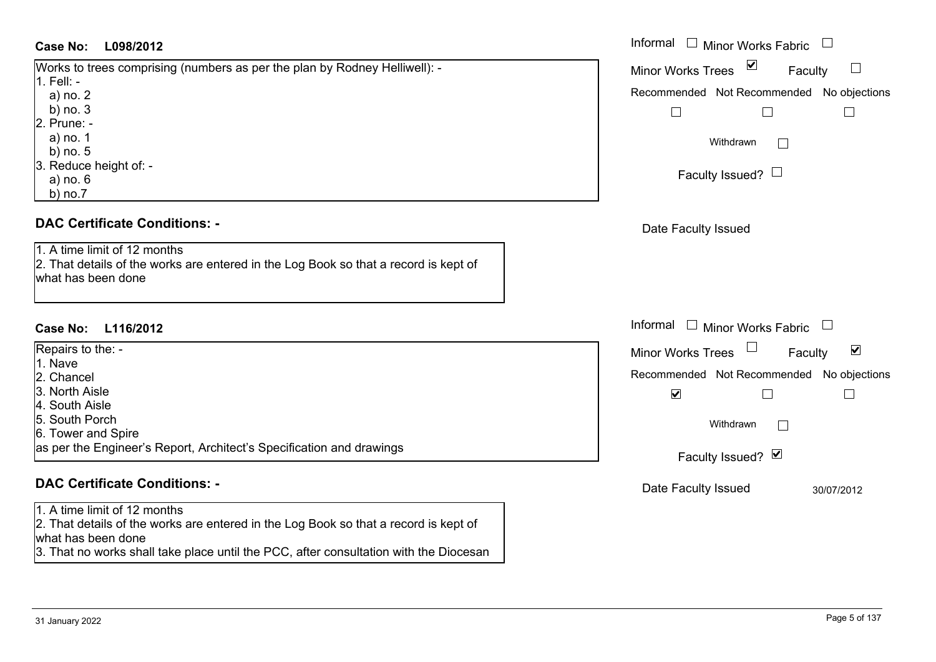#### **DAC Certificate Conditions: -**

#### 1. A time limit of 12 months2. That details of the works are entered in the Log Book so that a record is kept of what has been done

## **DAC Certificate Conditions: -**

1. A time limit of 12 months

2. That details of the works are entered in the Log Book so that a record is kept of what has been done

3. That no works shall take place until the PCC, after consultation with the Diocesan

| <b>Case No:</b><br>L098/2012                                                         | Informal $\Box$ Minor Works Fabric $\Box$                         |
|--------------------------------------------------------------------------------------|-------------------------------------------------------------------|
| Works to trees comprising (numbers as per the plan by Rodney Helliwell): -           | $\vee$<br>$\Box$<br><b>Minor Works Trees</b><br>Faculty           |
| 1. Fell: -<br>a) no. 2                                                               | Recommended Not Recommended No objections                         |
| b) $no.3$                                                                            |                                                                   |
| 2. Prune: -                                                                          |                                                                   |
| a) no. 1                                                                             | Withdrawn                                                         |
| b) $no.5$                                                                            |                                                                   |
| 3. Reduce height of: -                                                               | Faculty Issued? $\Box$                                            |
| a) no. 6                                                                             |                                                                   |
| $b)$ no.7                                                                            |                                                                   |
| <b>DAC Certificate Conditions: -</b>                                                 | Date Faculty Issued                                               |
| 1. A time limit of 12 months                                                         |                                                                   |
| 2. That details of the works are entered in the Log Book so that a record is kept of |                                                                   |
| what has been done                                                                   |                                                                   |
|                                                                                      |                                                                   |
|                                                                                      | Informal $\Box$ Minor Works Fabric<br>$\mathcal{L}_{\mathcal{A}}$ |
| Case No:<br>L116/2012                                                                |                                                                   |
| Repairs to the: -                                                                    | $\blacktriangledown$<br><b>Minor Works Trees</b><br>Faculty       |
| 1. Nave                                                                              | Recommended Not Recommended No objections                         |
| 2. Chancel<br>3. North Aisle                                                         |                                                                   |
| 4. South Aisle                                                                       | $\blacktriangledown$                                              |
| 5. South Porch                                                                       |                                                                   |
| 6. Tower and Spire                                                                   | Withdrawn                                                         |
| as per the Engineer's Report, Architect's Specification and drawings                 | Faculty Issued? Ø                                                 |
| <b>DAC Certificate Conditions: -</b>                                                 | Date Faculty Issued<br>30/07/2012                                 |
| $\frac{1}{2}$ A time limit of 10 months                                              |                                                                   |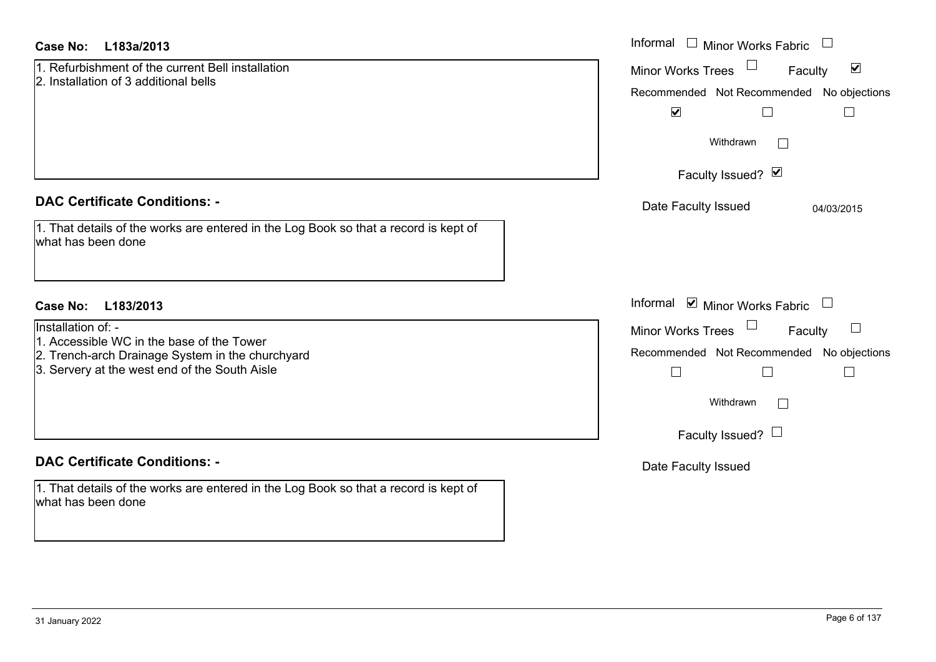| <b>Case No:</b><br>L183a/2013                                                                              | Informal<br>$\Box$<br><b>Minor Works Fabric</b>      |
|------------------------------------------------------------------------------------------------------------|------------------------------------------------------|
| 1. Refurbishment of the current Bell installation<br>2. Installation of 3 additional bells                 | $\blacktriangledown$<br>Minor Works Trees<br>Faculty |
|                                                                                                            | Recommended Not Recommended No objections            |
|                                                                                                            | $\blacktriangledown$                                 |
|                                                                                                            | Withdrawn<br>$\mathbb{R}^n$                          |
|                                                                                                            | Faculty Issued? Ø                                    |
| <b>DAC Certificate Conditions: -</b>                                                                       | Date Faculty Issued<br>04/03/2015                    |
| 1. That details of the works are entered in the Log Book so that a record is kept of<br>what has been done |                                                      |
|                                                                                                            |                                                      |
| Case No:<br>L183/2013                                                                                      | Informal ☑ Minor Works Fabric                        |
| Installation of: -<br>1. Accessible WC in the base of the Tower                                            | Minor Works Trees<br>Faculty                         |
| 2. Trench-arch Drainage System in the churchyard                                                           | Recommended Not Recommended No objections            |
| 3. Servery at the west end of the South Aisle                                                              | $\Box$<br>$\Box$                                     |
|                                                                                                            | Withdrawn<br>$\sim$                                  |
|                                                                                                            | Faculty Issued? $\Box$                               |
| <b>DAC Certificate Conditions: -</b>                                                                       | Date Faculty Issued                                  |
| 1. That details of the works are entered in the Log Book so that a record is kept of<br>what has been done |                                                      |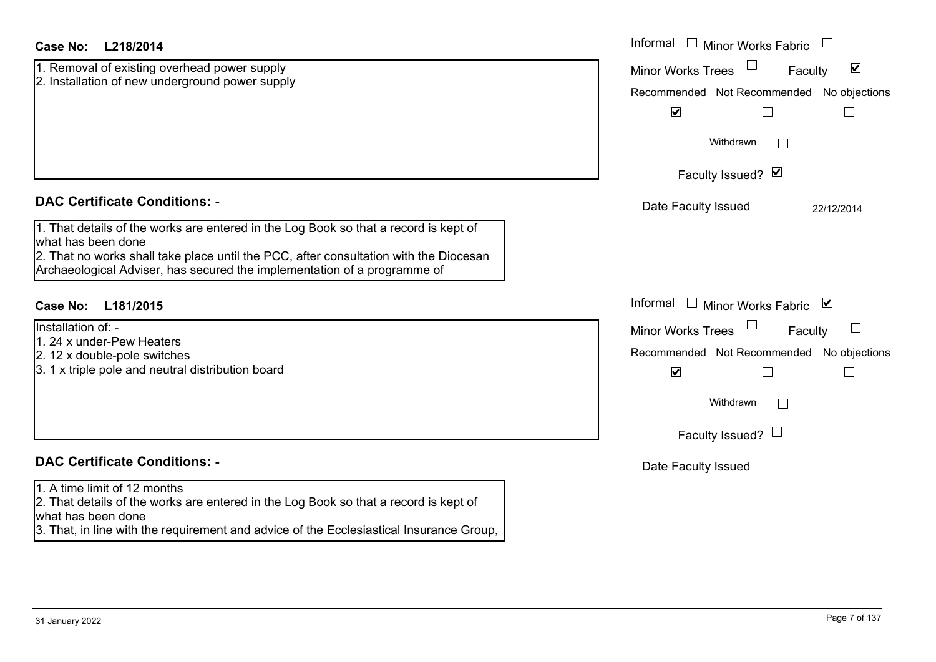| <b>Case No:</b><br>L218/2014                                                                                                                                      | Informal<br>Minor Works Fabric                              |
|-------------------------------------------------------------------------------------------------------------------------------------------------------------------|-------------------------------------------------------------|
| 1. Removal of existing overhead power supply<br>2. Installation of new underground power supply                                                                   | $\blacktriangledown$<br><b>Minor Works Trees</b><br>Faculty |
|                                                                                                                                                                   | Recommended Not Recommended No objections                   |
|                                                                                                                                                                   | $\blacktriangledown$                                        |
|                                                                                                                                                                   | Withdrawn                                                   |
|                                                                                                                                                                   | Faculty Issued? Ø                                           |
| <b>DAC Certificate Conditions: -</b>                                                                                                                              | Date Faculty Issued<br>22/12/2014                           |
| 1. That details of the works are entered in the Log Book so that a record is kept of                                                                              |                                                             |
| what has been done                                                                                                                                                |                                                             |
| 2. That no works shall take place until the PCC, after consultation with the Diocesan<br>Archaeological Adviser, has secured the implementation of a programme of |                                                             |
|                                                                                                                                                                   |                                                             |
| <b>Case No:</b><br>L181/2015                                                                                                                                      | Informal<br>Minor Works Fabric ⊠                            |
| Installation of: -                                                                                                                                                | $\Box$<br><b>Minor Works Trees</b><br>Faculty               |
| 1. 24 x under-Pew Heaters                                                                                                                                         | Recommended Not Recommended No objections                   |
| 2. 12 x double-pole switches<br>3. 1 x triple pole and neutral distribution board                                                                                 |                                                             |
|                                                                                                                                                                   | $\blacktriangledown$                                        |
|                                                                                                                                                                   | Withdrawn<br>$\overline{a}$                                 |
|                                                                                                                                                                   | Faculty Issued? $\Box$                                      |
| <b>DAC Certificate Conditions: -</b>                                                                                                                              | Date Faculty Issued                                         |
| 1. A time limit of 12 months                                                                                                                                      |                                                             |
| 2. That details of the works are entered in the Log Book so that a record is kept of<br>what has been done                                                        |                                                             |
|                                                                                                                                                                   |                                                             |

3. That, in line with the requirement and advice of the Ecclesiastical Insurance Group,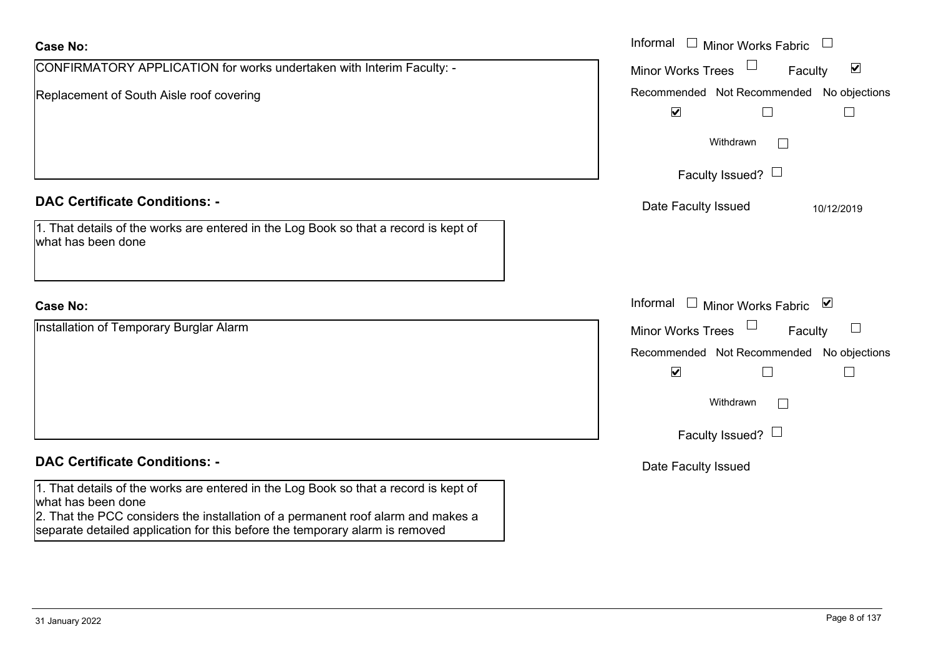| <b>Case No:</b>                                                                                                                                                                                | Informal $\Box$ Minor Works Fabric                             |
|------------------------------------------------------------------------------------------------------------------------------------------------------------------------------------------------|----------------------------------------------------------------|
| CONFIRMATORY APPLICATION for works undertaken with Interim Faculty: -                                                                                                                          | $\Box$<br>$\blacktriangledown$<br>Minor Works Trees<br>Faculty |
| Replacement of South Aisle roof covering                                                                                                                                                       | Recommended Not Recommended No objections                      |
|                                                                                                                                                                                                | $\blacktriangledown$                                           |
|                                                                                                                                                                                                | Withdrawn<br>$\vert \ \ \vert$                                 |
|                                                                                                                                                                                                | Faculty Issued? $\Box$                                         |
| <b>DAC Certificate Conditions: -</b>                                                                                                                                                           | Date Faculty Issued<br>10/12/2019                              |
| 1. That details of the works are entered in the Log Book so that a record is kept of<br>what has been done                                                                                     |                                                                |
| <b>Case No:</b>                                                                                                                                                                                | Informal □ Minor Works Fabric ⊠                                |
| Installation of Temporary Burglar Alarm                                                                                                                                                        | $\Box$<br><b>Minor Works Trees</b><br>$\Box$<br>Faculty        |
|                                                                                                                                                                                                | Recommended Not Recommended No objections                      |
|                                                                                                                                                                                                | $\blacktriangledown$<br>$\perp$                                |
|                                                                                                                                                                                                | Withdrawn<br>П                                                 |
|                                                                                                                                                                                                | Faculty Issued? $\Box$                                         |
| <b>DAC Certificate Conditions: -</b>                                                                                                                                                           | Date Faculty Issued                                            |
| 1. That details of the works are entered in the Log Book so that a record is kept of<br>what has been done<br>2. That the PCC considers the installation of a permanent roof alarm and makes a |                                                                |

separate detailed application for this before the temporary alarm is removed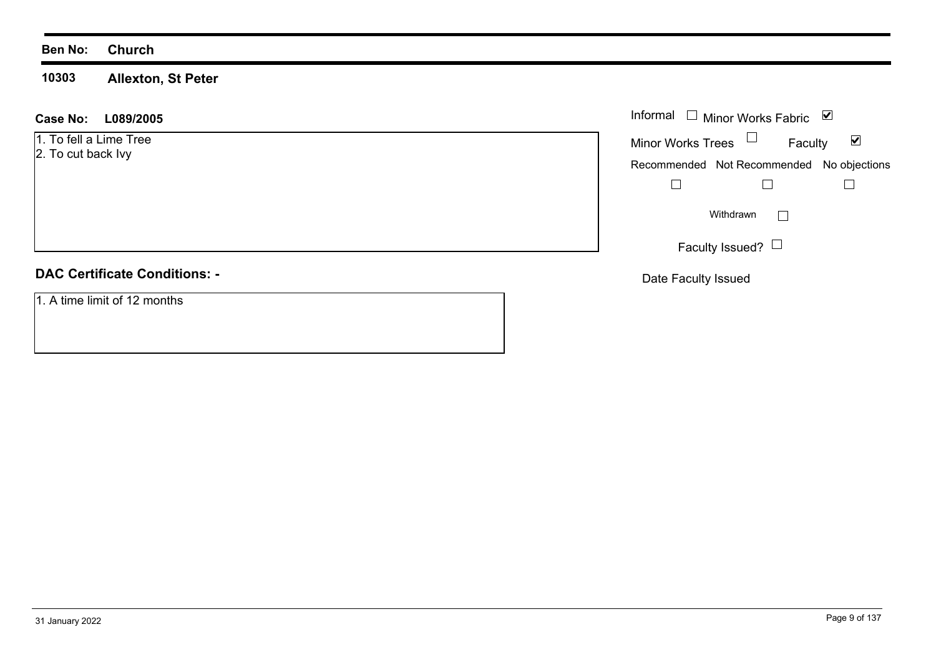#### **Ben No: Church**

**10303Allexton, St Peter**

#### **L089/2005 Case No:** Informal Minor Works Fabric  $\blacktriangledown$ Faculty 1. To fell a Lime Tree Minor Works Trees 2. To cut back Ivy Recommended Not Recommended No objections  $\Box$  $\Box$  $\Box$  $\Box$ Withdrawn Faculty Issued?  $\Box$ **DAC Certificate Conditions: -**Date Faculty Issued

1. A time limit of 12 months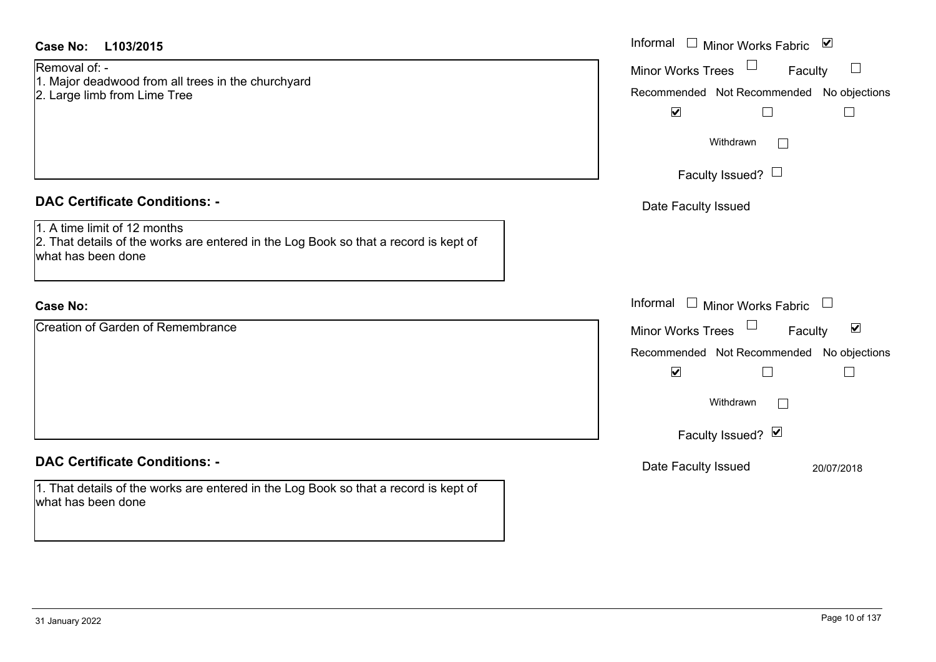| <b>Case No:</b><br>L103/2015                                                                                                               | Informal □ Minor Works Fabric ☑                                                                                                        |
|--------------------------------------------------------------------------------------------------------------------------------------------|----------------------------------------------------------------------------------------------------------------------------------------|
| Removal of: -<br>1. Major deadwood from all trees in the churchyard<br>2. Large limb from Lime Tree                                        | $\Box$<br><b>Minor Works Trees</b><br>Faculty<br>Recommended Not Recommended No objections<br>$\blacktriangledown$<br>$\Box$<br>$\Box$ |
|                                                                                                                                            | Withdrawn<br>$\overline{\phantom{a}}$                                                                                                  |
|                                                                                                                                            | Faculty Issued? $\Box$                                                                                                                 |
| <b>DAC Certificate Conditions: -</b>                                                                                                       | Date Faculty Issued                                                                                                                    |
| 1. A time limit of 12 months<br>2. That details of the works are entered in the Log Book so that a record is kept of<br>what has been done |                                                                                                                                        |
| <b>Case No:</b>                                                                                                                            | Informal $\square$<br>Minor Works Fabric<br>$\begin{array}{c} \hline \end{array}$                                                      |
| <b>Creation of Garden of Remembrance</b>                                                                                                   | Minor Works Trees<br>$\blacktriangledown$<br>Faculty<br>Recommended Not Recommended No objections<br>$\blacktriangledown$<br>$\Box$    |
|                                                                                                                                            | Withdrawn<br>$\sqrt{2}$                                                                                                                |
|                                                                                                                                            | Faculty Issued? Ø                                                                                                                      |
| <b>DAC Certificate Conditions: -</b>                                                                                                       | Date Faculty Issued<br>20/07/2018                                                                                                      |
| 1. That details of the works are entered in the Log Book so that a record is kept of<br>what has been done                                 |                                                                                                                                        |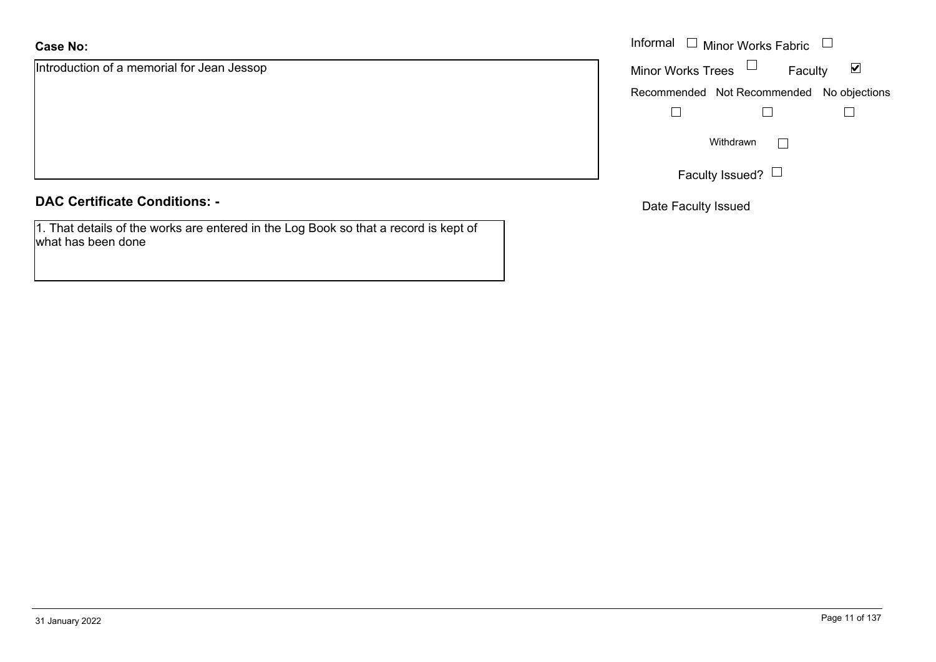## **Case No:**

Introduction of a memorial for Jean Jessop

#### **DAC Certificate Conditions: -**

1. That details of the works are entered in the Log Book so that a record is kept of what has been done

|                                   | Informal $\Box$ Minor Works Fabric $\Box$                   |
|-----------------------------------|-------------------------------------------------------------|
| ion of a memorial for Jean Jessop | Minor Works Trees $\Box$<br>$\blacktriangledown$<br>Faculty |
|                                   | Recommended Not Recommended No objections                   |
|                                   |                                                             |
|                                   | Withdrawn                                                   |
|                                   | Faculty Issued? $\Box$                                      |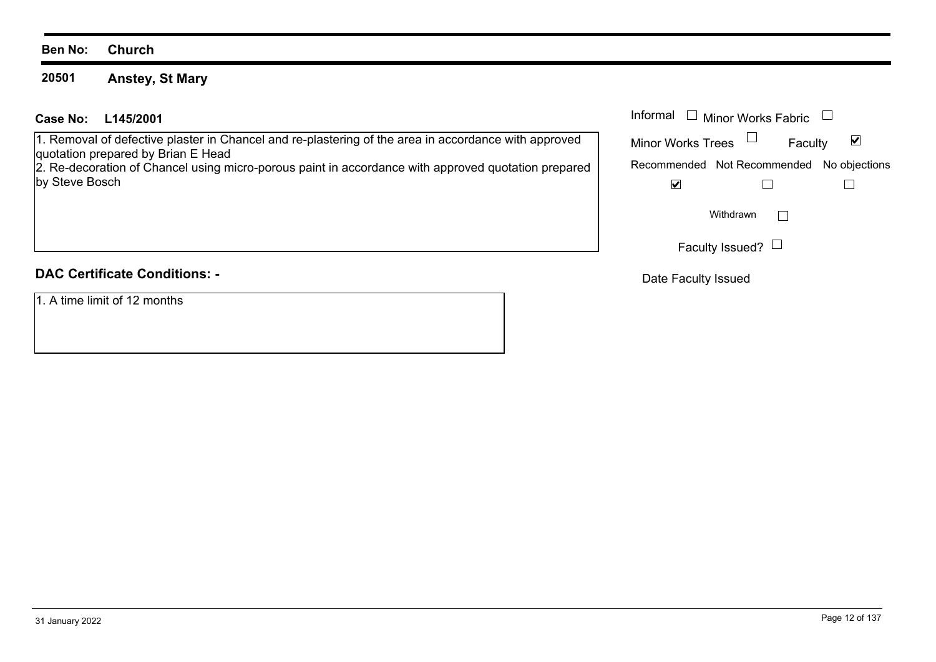#### **Ben No: Church**

#### **20501Anstey, St Mary**

### **L145/2001Case No:** Informal

1. Removal of defective plaster in Chancel and re-plastering of the area in accordance with approved quotation prepared by Brian E Head

2. Re-decoration of Chancel using micro-porous paint in accordance with approved quotation prepared by Steve Bosch

# **DAC Certificate Conditions: -**

1. A time limit of 12 months

| Informal<br><b>Minor Works Fabric</b> |                                           |   |  |
|---------------------------------------|-------------------------------------------|---|--|
| <b>Minor Works Trees</b>              | Faculty                                   | V |  |
|                                       | Recommended Not Recommended No objections |   |  |
|                                       |                                           |   |  |
|                                       | Withdrawn                                 |   |  |
|                                       | Faculty Issued?                           |   |  |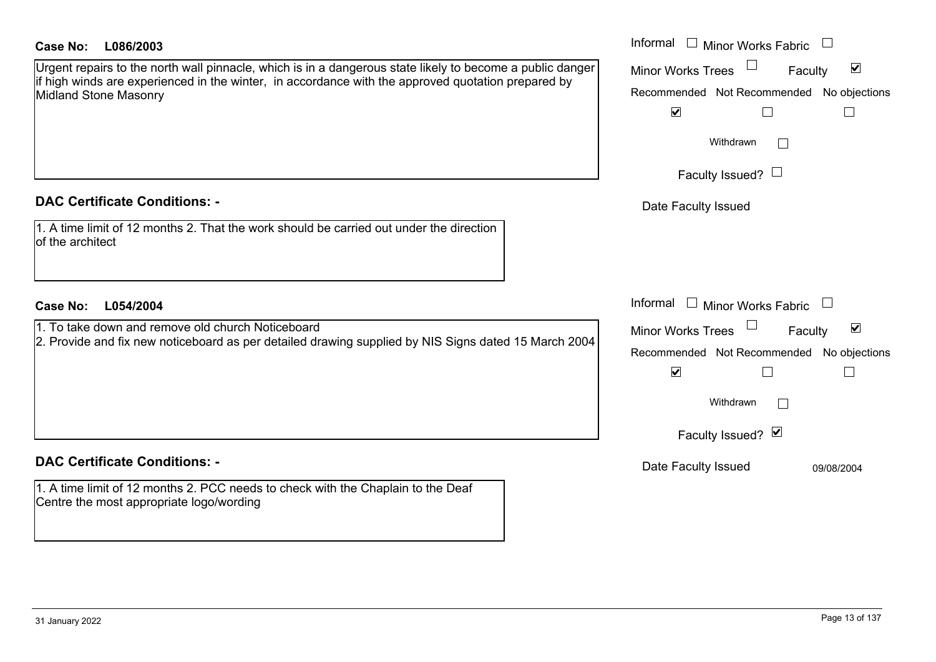#### **DAC Certificate Conditions: -**

## **DAC Certificate Conditions: -**

1. A time limit of 12 months 2. PCC needs to check with the Chaplain to the Deaf Centre the most appropriate logo/wording

| Case No:<br>L086/2003                                                                                                                                                                                                                           | Informal $\Box$ Minor Works Fabric                                                                                                            |
|-------------------------------------------------------------------------------------------------------------------------------------------------------------------------------------------------------------------------------------------------|-----------------------------------------------------------------------------------------------------------------------------------------------|
| Urgent repairs to the north wall pinnacle, which is in a dangerous state likely to become a public danger<br>if high winds are experienced in the winter, in accordance with the approved quotation prepared by<br><b>Midland Stone Masonry</b> | $\blacktriangledown$<br><b>Minor Works Trees</b><br>Faculty<br>Recommended Not Recommended No objections<br>$\blacktriangledown$              |
|                                                                                                                                                                                                                                                 | Withdrawn<br>Faculty Issued? $\Box$                                                                                                           |
| <b>DAC Certificate Conditions: -</b>                                                                                                                                                                                                            | Date Faculty Issued                                                                                                                           |
| 1. A time limit of 12 months 2. That the work should be carried out under the direction<br>of the architect                                                                                                                                     |                                                                                                                                               |
| <b>Case No:</b><br>L054/2004                                                                                                                                                                                                                    | Informal<br>$\Box$ Minor Works Fabric                                                                                                         |
| 1. To take down and remove old church Noticeboard<br>2. Provide and fix new noticeboard as per detailed drawing supplied by NIS Signs dated 15 March 2004                                                                                       | $\blacktriangledown$<br><b>Minor Works Trees</b><br>Faculty<br>Recommended Not Recommended No objections<br>$\blacktriangledown$<br>Withdrawn |
|                                                                                                                                                                                                                                                 | Faculty Issued? Ø                                                                                                                             |
| <b>DAC Certificate Conditions: -</b>                                                                                                                                                                                                            | Date Faculty Issued<br>09/08/2004                                                                                                             |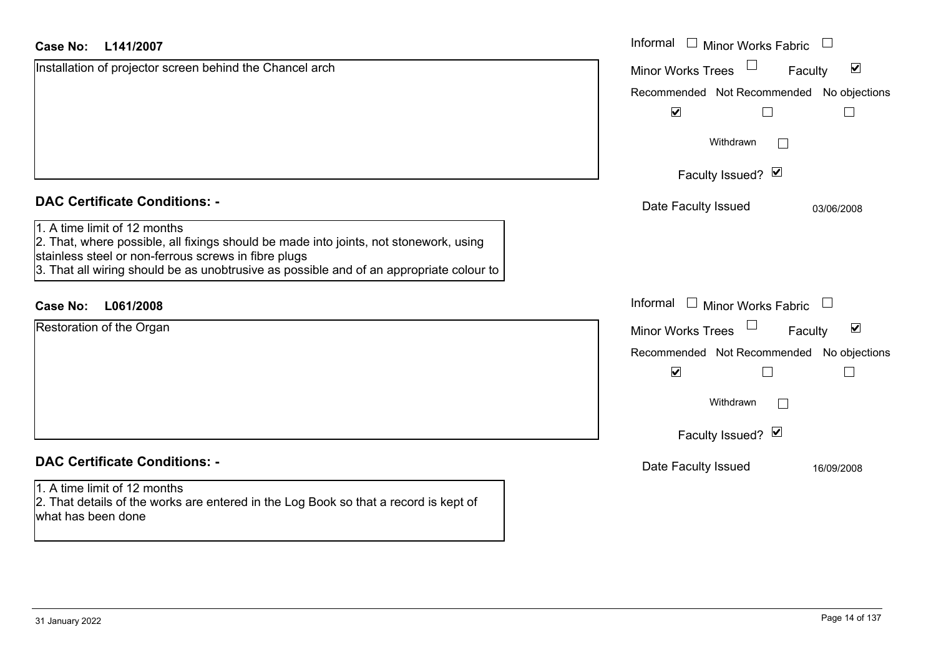| <b>Case No:</b><br>L141/2007                                                                                                                                                                                                                                             | Informal<br>$\Box$ Minor Works Fabric                       |
|--------------------------------------------------------------------------------------------------------------------------------------------------------------------------------------------------------------------------------------------------------------------------|-------------------------------------------------------------|
| Installation of projector screen behind the Chancel arch                                                                                                                                                                                                                 | $\blacktriangledown$<br><b>Minor Works Trees</b><br>Faculty |
|                                                                                                                                                                                                                                                                          | Recommended Not Recommended No objections                   |
|                                                                                                                                                                                                                                                                          | $\blacktriangledown$                                        |
|                                                                                                                                                                                                                                                                          | Withdrawn<br>$\mathbf{L}$                                   |
|                                                                                                                                                                                                                                                                          | Faculty Issued? Ø                                           |
| <b>DAC Certificate Conditions: -</b>                                                                                                                                                                                                                                     | Date Faculty Issued<br>03/06/2008                           |
| 1. A time limit of 12 months<br>2. That, where possible, all fixings should be made into joints, not stonework, using<br>stainless steel or non-ferrous screws in fibre plugs<br>3. That all wiring should be as unobtrusive as possible and of an appropriate colour to |                                                             |
| L061/2008<br><b>Case No:</b>                                                                                                                                                                                                                                             | Informal $\Box$ Minor Works Fabric $\Box$                   |
| Restoration of the Organ                                                                                                                                                                                                                                                 | $\blacktriangledown$<br><b>Minor Works Trees</b><br>Faculty |
|                                                                                                                                                                                                                                                                          | Recommended Not Recommended No objections                   |
|                                                                                                                                                                                                                                                                          | $\blacktriangledown$<br>$\mathbb{R}^n$                      |
|                                                                                                                                                                                                                                                                          | Withdrawn<br>$\Box$                                         |
|                                                                                                                                                                                                                                                                          | Faculty Issued? Ø                                           |
| <b>DAC Certificate Conditions: -</b>                                                                                                                                                                                                                                     | Date Faculty Issued<br>16/09/2008                           |
| 1. A time limit of 12 months<br>2. That details of the works are entered in the Log Book so that a record is kept of<br>what has been done                                                                                                                               |                                                             |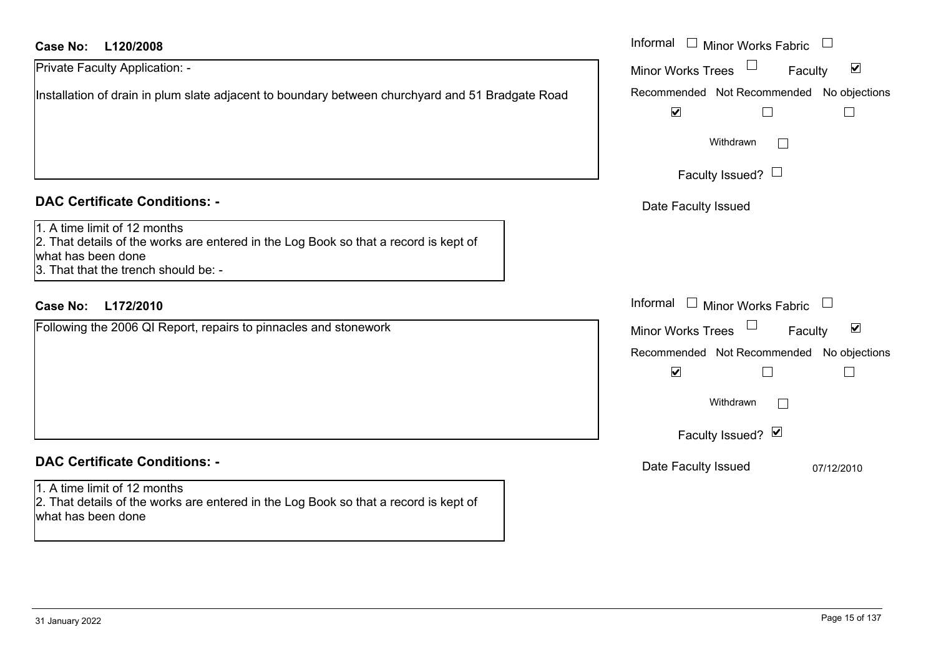#### **L120/2008Case No:** Informal

| Private Faculty Application: -                                                                   |
|--------------------------------------------------------------------------------------------------|
| Installation of drain in plum slate adjacent to boundary between churchyard and 51 Bradgate Road |
|                                                                                                  |
|                                                                                                  |
|                                                                                                  |

#### **DAC Certificate Conditions: -**

| 1. A time limit of 12 months |  |
|------------------------------|--|
|------------------------------|--|

2. That details of the works are entered in the Log Book so that a record is kept of what has been done 3. That that the trench should be: -

### **L172/2010Case No:** Informal

Following the 2006 QI Report, repairs to pinnacles and stonework

# **DAC Certificate Conditions: -**

1. A time limit of 12 months 2. That details of the works are entered in the Log Book so that a record is kept of what has been done

| Informal<br>Minor Works Fabric                                 |
|----------------------------------------------------------------|
| $\overline{\mathbf{v}}$<br><b>Minor Works Trees</b><br>Faculty |
| Recommended Not Recommended No objections                      |
| V                                                              |
| Withdrawn                                                      |
| Faculty Issued? $\Box$                                         |
| Date Faculty Issued                                            |
|                                                                |
|                                                                |
|                                                                |
| Informal<br>$\Box$<br><b>Minor Works Fabric</b>                |
| ⊻<br><b>Minor Works Trees</b><br>Faculty                       |
| Recommended Not Recommended No objections                      |
| $\blacktriangledown$                                           |
| Withdrawn                                                      |
| Faculty Issued? Ø                                              |
| Date Faculty Issued<br>07/12/2010                              |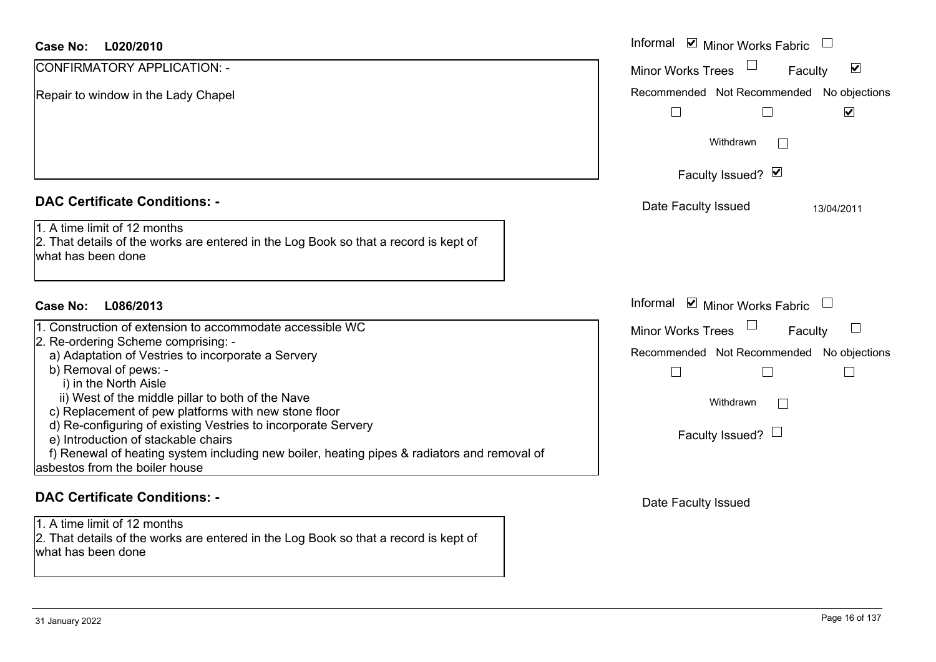### **DAC Certificate Conditions: -**

| 1. Construction of extension to accommodate accessible WC                                   |  |
|---------------------------------------------------------------------------------------------|--|
| 2. Re-ordering Scheme comprising: -                                                         |  |
| a) Adaptation of Vestries to incorporate a Servery                                          |  |
| b) Removal of pews: -                                                                       |  |
| i) in the North Aisle                                                                       |  |
| ii) West of the middle pillar to both of the Nave                                           |  |
| c) Replacement of pew platforms with new stone floor                                        |  |
| d) Re-configuring of existing Vestries to incorporate Servery                               |  |
| e) Introduction of stackable chairs                                                         |  |
| f) Renewal of heating system including new boiler, heating pipes & radiators and removal of |  |
| asbestos from the boiler house                                                              |  |

#### **DAC Certificate Conditions: -**

1. A time limit of 12 months

2. That details of the works are entered in the Log Book so that a record is kept of what has been done

| Case No:<br>L020/2010                                                                                                                      | Informal ☑ Minor Works Fabric                                     |
|--------------------------------------------------------------------------------------------------------------------------------------------|-------------------------------------------------------------------|
| CONFIRMATORY APPLICATION: -                                                                                                                | $\blacktriangledown$<br><b>Minor Works Trees</b><br>Faculty       |
| Repair to window in the Lady Chapel                                                                                                        | Recommended Not Recommended No objections<br>$\blacktriangledown$ |
|                                                                                                                                            | Withdrawn                                                         |
|                                                                                                                                            | Faculty Issued? Ø                                                 |
| <b>DAC Certificate Conditions: -</b>                                                                                                       | Date Faculty Issued<br>13/04/2011                                 |
| 1. A time limit of 12 months<br>2. That details of the works are entered in the Log Book so that a record is kept of<br>what has been done |                                                                   |
| L086/2013<br>Case No:                                                                                                                      | Informal <b>v</b> Minor Works Fabric                              |
| 1. Construction of extension to accommodate accessible WC                                                                                  | Minor Works Trees<br>$\Box$<br>Faculty                            |
| 2. Re-ordering Scheme comprising: -                                                                                                        | Recommended Not Recommended No objections                         |
| a) Adaptation of Vestries to incorporate a Servery<br>b) Removal of pews: -<br>i) in the North Aisle                                       |                                                                   |
| ii) West of the middle pillar to both of the Nave<br>c) Replacement of pew platforms with new stone floor                                  | Withdrawn                                                         |
| d) Re-configuring of existing Vestries to incorporate Servery<br>e) Introduction of stackable chairs                                       | Faculty Issued? $\Box$                                            |
| f) Renewal of heating system including new boiler, heating pipes & radiators and removal of<br>asbestos from the boiler house              |                                                                   |
|                                                                                                                                            |                                                                   |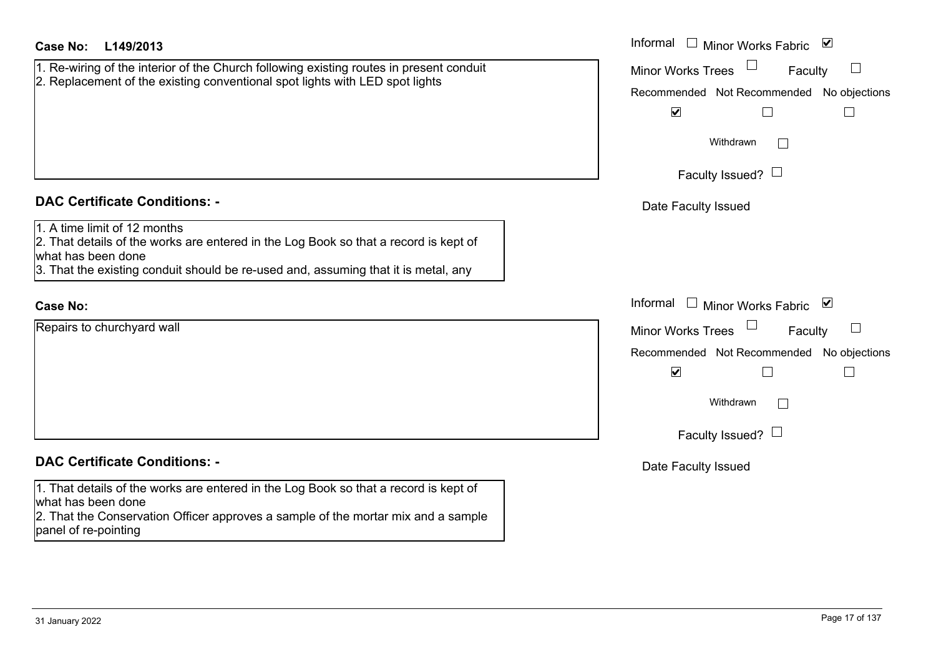| Case No: | L149/2013 |
|----------|-----------|
|----------|-----------|

| 1. Re-wiring of the interior of the Church following existing routes in present conduit<br>2. Replacement of the existing conventional spot lights with LED spot lights |  |
|-------------------------------------------------------------------------------------------------------------------------------------------------------------------------|--|
|                                                                                                                                                                         |  |
|                                                                                                                                                                         |  |
|                                                                                                                                                                         |  |
|                                                                                                                                                                         |  |
|                                                                                                                                                                         |  |

#### **DAC Certificate Conditions: -**

1. A time limit of 12 months

2. That details of the works are entered in the Log Book so that a record is kept of what has been done

3. That the existing conduit should be re-used and, assuming that it is metal, any

### **Case No:**

Repairs to churchyard wall

## **DAC Certificate Conditions: -**

1. That details of the works are entered in the Log Book so that a record is kept of what has been done

2. That the Conservation Officer approves a sample of the mortar mix and a sample panel of re-pointing

| L149/2013                                                                                                                                              | Informal $\square$<br>$\blacktriangledown$<br><b>Minor Works Fabric</b> |
|--------------------------------------------------------------------------------------------------------------------------------------------------------|-------------------------------------------------------------------------|
| ing of the interior of the Church following existing routes in present conduit<br>cement of the existing conventional spot lights with LED spot lights | Minor Works Trees<br>Faculty                                            |
|                                                                                                                                                        | No objections<br>Recommended Not Recommended                            |
|                                                                                                                                                        | $\blacktriangledown$                                                    |
|                                                                                                                                                        | Withdrawn                                                               |
|                                                                                                                                                        | Faculty Issued? $\Box$                                                  |
| rtificate Conditions: -                                                                                                                                | Date Faculty Issued                                                     |
| limit of 12 months<br>etails of the works are entered in the Log Book so that a record is kept of<br>been done                                         |                                                                         |
| e existing conduit should be re-used and, assuming that it is metal, any                                                                               |                                                                         |
|                                                                                                                                                        | Informal $\square$<br>Minor Works Fabric<br>⊻                           |
| o churchyard wall                                                                                                                                      | Minor Works Trees<br>Faculty                                            |
|                                                                                                                                                        | Recommended Not Recommended No objections                               |
|                                                                                                                                                        | $\blacktriangledown$                                                    |
|                                                                                                                                                        | Withdrawn                                                               |
|                                                                                                                                                        | Faculty Issued? $\Box$                                                  |
| rtificate Conditions: -                                                                                                                                | Date Faculty Issued                                                     |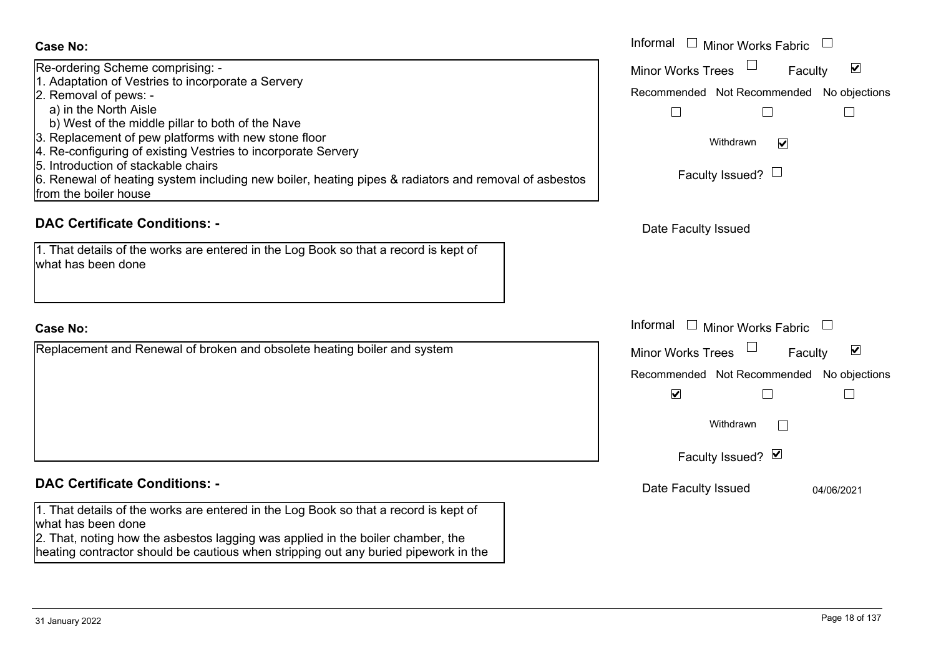| <b>Case No:</b>                                                                                                                                                                                                                                                                                                                                                                                                                                                                               | Informal □ Minor Works Fabric                                                                                                                                                              |
|-----------------------------------------------------------------------------------------------------------------------------------------------------------------------------------------------------------------------------------------------------------------------------------------------------------------------------------------------------------------------------------------------------------------------------------------------------------------------------------------------|--------------------------------------------------------------------------------------------------------------------------------------------------------------------------------------------|
| Re-ordering Scheme comprising: -<br>1. Adaptation of Vestries to incorporate a Servery<br>2. Removal of pews: -<br>a) in the North Aisle<br>b) West of the middle pillar to both of the Nave<br>3. Replacement of pew platforms with new stone floor<br>4. Re-configuring of existing Vestries to incorporate Servery<br>5. Introduction of stackable chairs<br>6. Renewal of heating system including new boiler, heating pipes & radiators and removal of asbestos<br>from the boiler house | $\blacktriangledown$<br><b>Minor Works Trees</b><br>Faculty<br>Recommended Not Recommended<br>No objections<br>$\mathbf{L}$<br>Withdrawn<br>$\blacktriangledown$<br>Faculty Issued? $\Box$ |
| <b>DAC Certificate Conditions: -</b>                                                                                                                                                                                                                                                                                                                                                                                                                                                          | Date Faculty Issued                                                                                                                                                                        |
| 1. That details of the works are entered in the Log Book so that a record is kept of<br>what has been done                                                                                                                                                                                                                                                                                                                                                                                    |                                                                                                                                                                                            |
| <b>Case No:</b>                                                                                                                                                                                                                                                                                                                                                                                                                                                                               | Informal $\Box$ Minor Works Fabric $\Box$                                                                                                                                                  |
| Replacement and Renewal of broken and obsolete heating boiler and system                                                                                                                                                                                                                                                                                                                                                                                                                      | ☑<br><b>Minor Works Trees</b><br>Faculty<br>Recommended Not Recommended No objections<br>$\overline{\mathbf{v}}$<br>Withdrawn<br>Faculty Issued? Ø                                         |
| <b>DAC Certificate Conditions: -</b>                                                                                                                                                                                                                                                                                                                                                                                                                                                          | Date Faculty Issued<br>04/06/2021                                                                                                                                                          |
| 1. That details of the works are entered in the Log Book so that a record is kept of<br>what has been done<br>2. That, noting how the asbestos lagging was applied in the boiler chamber, the                                                                                                                                                                                                                                                                                                 |                                                                                                                                                                                            |

heating contractor should be cautious when stripping out any buried pipework in the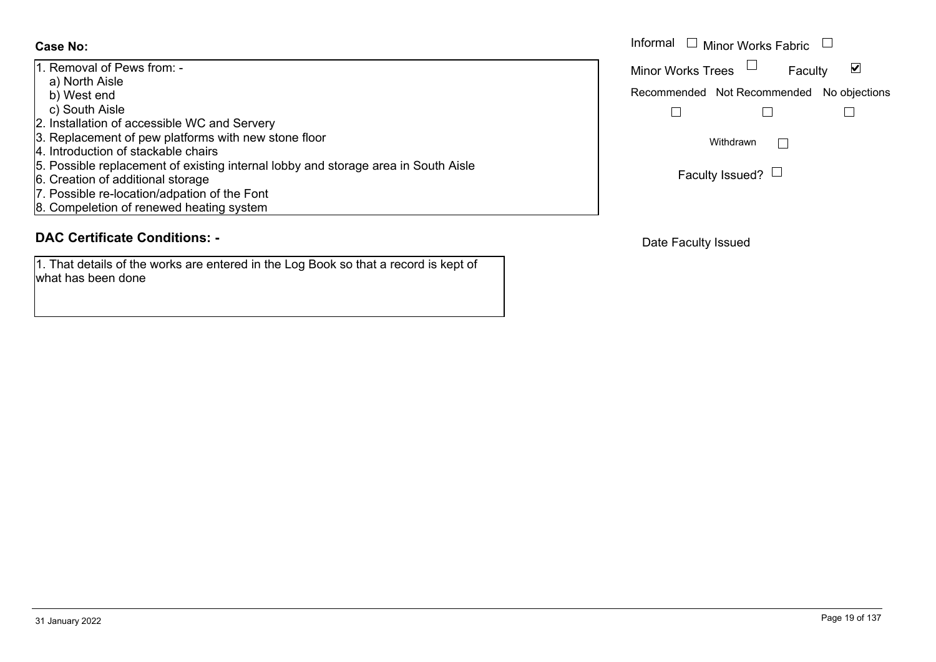1. Removal of Pews from: a) North Aisle b) West end c) South Aisle 2. Installation of accessible WC and Servery 3. Replacement of pew platforms with new stone floor 4. Introduction of stackable chairs 5. Possible replacement of existing internal lobby and storage area in South Aisle 6. Creation of additional storage 7. Possible re-location/adpation of the Font 8. Compeletion of renewed heating system

# **DAC Certificate Conditions: -**

1. That details of the works are entered in the Log Book so that a record is kept of what has been done

|                                                                                                        | Informal $\Box$ Minor Works Fabric $\Box$ |
|--------------------------------------------------------------------------------------------------------|-------------------------------------------|
| val of Pews from: -                                                                                    | Minor Works Trees $\quad \Box$<br>Faculty |
| th Aisle<br>st end                                                                                     | Recommended Not Recommended No objections |
| th Aisle                                                                                               |                                           |
| ation of accessible WC and Servery<br>cement of pew platforms with new stone floor                     | Withdrawn                                 |
| uction of stackable chairs                                                                             |                                           |
| le replacement of existing internal lobby and storage area in South Aisle<br>on of additional storage. | Faculty Issued? $\Box$                    |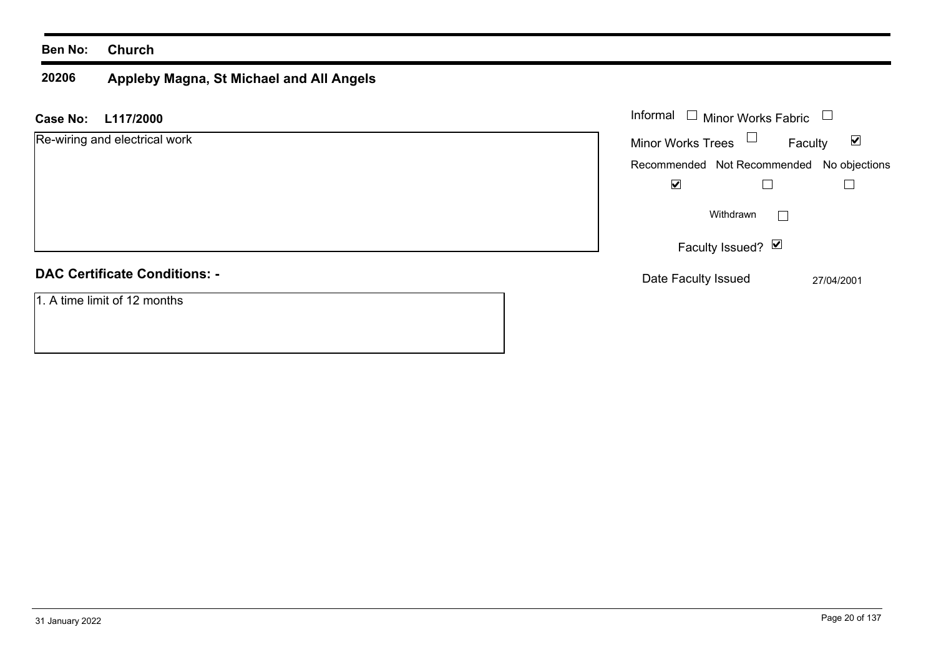#### **Ben No: Church**

#### **20206 Appleby Magna, St Michael and All Angels**

| <b>Case No:</b><br>L117/2000         | Informal □ Minor Works Fabric             |                                 |
|--------------------------------------|-------------------------------------------|---------------------------------|
| Re-wiring and electrical work        | $\Box$<br><b>Minor Works Trees</b>        | $\blacktriangledown$<br>Faculty |
|                                      | Recommended Not Recommended No objections |                                 |
|                                      | ☑                                         |                                 |
|                                      | Withdrawn                                 |                                 |
|                                      | Faculty Issued? Ø                         |                                 |
| <b>DAC Certificate Conditions: -</b> | Date Faculty Issued                       | 27/04/2001                      |
| 1. A time limit of 12 months         |                                           |                                 |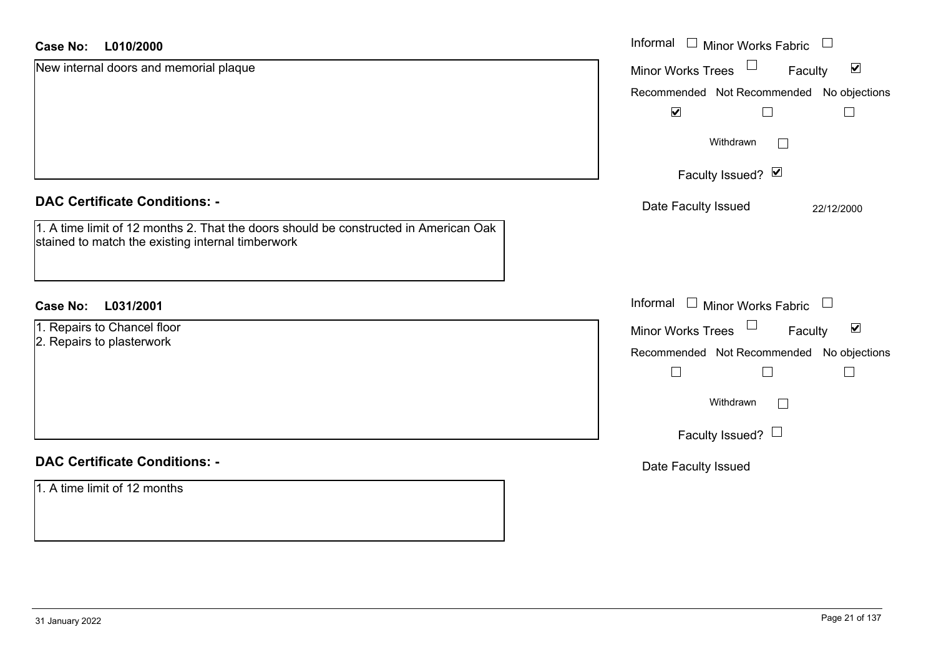| <b>Case No:</b><br>L010/2000                                                                                                              | Informal □ Minor Works Fabric<br>$\Box$                           |
|-------------------------------------------------------------------------------------------------------------------------------------------|-------------------------------------------------------------------|
| New internal doors and memorial plaque                                                                                                    | $\blacktriangledown$<br>Minor Works Trees<br>Faculty              |
|                                                                                                                                           | Recommended Not Recommended No objections<br>$\blacktriangledown$ |
|                                                                                                                                           | Withdrawn<br>$\vert \ \ \vert$                                    |
|                                                                                                                                           | Faculty Issued? Ø                                                 |
| <b>DAC Certificate Conditions: -</b>                                                                                                      | Date Faculty Issued<br>22/12/2000                                 |
| 1. A time limit of 12 months 2. That the doors should be constructed in American Oak<br>stained to match the existing internal timberwork |                                                                   |
| L031/2001<br><b>Case No:</b>                                                                                                              | Informal<br>$\Box$ Minor Works Fabric $\Box$                      |
| 1. Repairs to Chancel floor                                                                                                               | Minor Works Trees<br>$\blacktriangledown$<br>Faculty              |
| 2. Repairs to plasterwork                                                                                                                 | Recommended Not Recommended No objections                         |
|                                                                                                                                           | $\vert \ \ \vert$                                                 |
|                                                                                                                                           | Withdrawn<br>$\Box$                                               |
|                                                                                                                                           | Faculty Issued? $\Box$                                            |
| <b>DAC Certificate Conditions: -</b>                                                                                                      | Date Faculty Issued                                               |
| 1. A time limit of 12 months                                                                                                              |                                                                   |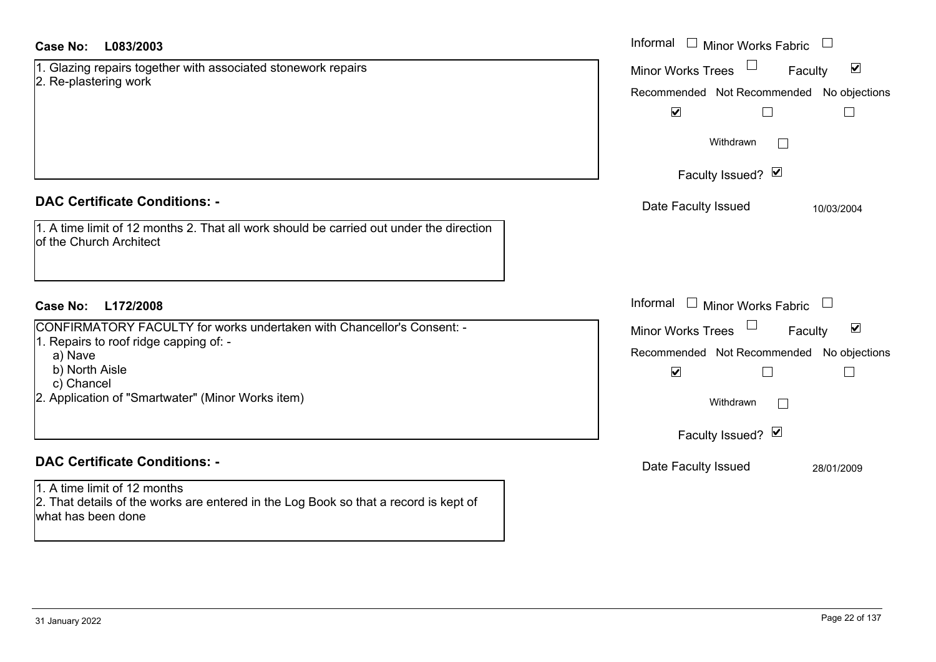| 1. Glazing repairs together with associated stonework repairs<br>$\blacktriangledown$<br><b>Minor Works Trees</b><br>Faculty<br>2. Re-plastering work<br>$\blacktriangledown$<br>$\Box$<br>$\Box$<br>Withdrawn<br>$\sim$<br>Faculty Issued? Ø<br><b>DAC Certificate Conditions: -</b><br>Date Faculty Issued<br>10/03/2004<br>1. A time limit of 12 months 2. That all work should be carried out under the direction<br><b>lof the Church Architect</b><br>Informal<br>$\perp$<br><b>Minor Works Fabric</b><br>L172/2008<br>Case No:<br>CONFIRMATORY FACULTY for works undertaken with Chancellor's Consent: -<br>$\blacktriangledown$<br><b>Minor Works Trees</b><br>Faculty<br>1. Repairs to roof ridge capping of: -<br>a) Nave<br>b) North Aisle<br>$\blacktriangledown$<br>$\Box$<br>c) Chancel<br>2. Application of "Smartwater" (Minor Works item)<br>Withdrawn<br>$\mathbb{R}^n$<br>Faculty Issued? Ø<br><b>DAC Certificate Conditions: -</b><br>Date Faculty Issued<br>28/01/2009<br>1. A time limit of 12 months<br>2. That details of the works are entered in the Log Book so that a record is kept of | Case No:<br>L083/2003 | Informal $\Box$ Minor Works Fabric        |
|---------------------------------------------------------------------------------------------------------------------------------------------------------------------------------------------------------------------------------------------------------------------------------------------------------------------------------------------------------------------------------------------------------------------------------------------------------------------------------------------------------------------------------------------------------------------------------------------------------------------------------------------------------------------------------------------------------------------------------------------------------------------------------------------------------------------------------------------------------------------------------------------------------------------------------------------------------------------------------------------------------------------------------------------------------------------------------------------------------------------|-----------------------|-------------------------------------------|
|                                                                                                                                                                                                                                                                                                                                                                                                                                                                                                                                                                                                                                                                                                                                                                                                                                                                                                                                                                                                                                                                                                                     |                       |                                           |
|                                                                                                                                                                                                                                                                                                                                                                                                                                                                                                                                                                                                                                                                                                                                                                                                                                                                                                                                                                                                                                                                                                                     |                       | Recommended Not Recommended No objections |
|                                                                                                                                                                                                                                                                                                                                                                                                                                                                                                                                                                                                                                                                                                                                                                                                                                                                                                                                                                                                                                                                                                                     |                       |                                           |
|                                                                                                                                                                                                                                                                                                                                                                                                                                                                                                                                                                                                                                                                                                                                                                                                                                                                                                                                                                                                                                                                                                                     |                       |                                           |
|                                                                                                                                                                                                                                                                                                                                                                                                                                                                                                                                                                                                                                                                                                                                                                                                                                                                                                                                                                                                                                                                                                                     |                       |                                           |
|                                                                                                                                                                                                                                                                                                                                                                                                                                                                                                                                                                                                                                                                                                                                                                                                                                                                                                                                                                                                                                                                                                                     |                       |                                           |
|                                                                                                                                                                                                                                                                                                                                                                                                                                                                                                                                                                                                                                                                                                                                                                                                                                                                                                                                                                                                                                                                                                                     |                       |                                           |
|                                                                                                                                                                                                                                                                                                                                                                                                                                                                                                                                                                                                                                                                                                                                                                                                                                                                                                                                                                                                                                                                                                                     |                       |                                           |
|                                                                                                                                                                                                                                                                                                                                                                                                                                                                                                                                                                                                                                                                                                                                                                                                                                                                                                                                                                                                                                                                                                                     |                       |                                           |
|                                                                                                                                                                                                                                                                                                                                                                                                                                                                                                                                                                                                                                                                                                                                                                                                                                                                                                                                                                                                                                                                                                                     |                       | Recommended Not Recommended No objections |
|                                                                                                                                                                                                                                                                                                                                                                                                                                                                                                                                                                                                                                                                                                                                                                                                                                                                                                                                                                                                                                                                                                                     |                       |                                           |
|                                                                                                                                                                                                                                                                                                                                                                                                                                                                                                                                                                                                                                                                                                                                                                                                                                                                                                                                                                                                                                                                                                                     |                       |                                           |
|                                                                                                                                                                                                                                                                                                                                                                                                                                                                                                                                                                                                                                                                                                                                                                                                                                                                                                                                                                                                                                                                                                                     |                       |                                           |
|                                                                                                                                                                                                                                                                                                                                                                                                                                                                                                                                                                                                                                                                                                                                                                                                                                                                                                                                                                                                                                                                                                                     |                       |                                           |
|                                                                                                                                                                                                                                                                                                                                                                                                                                                                                                                                                                                                                                                                                                                                                                                                                                                                                                                                                                                                                                                                                                                     | what has been done    |                                           |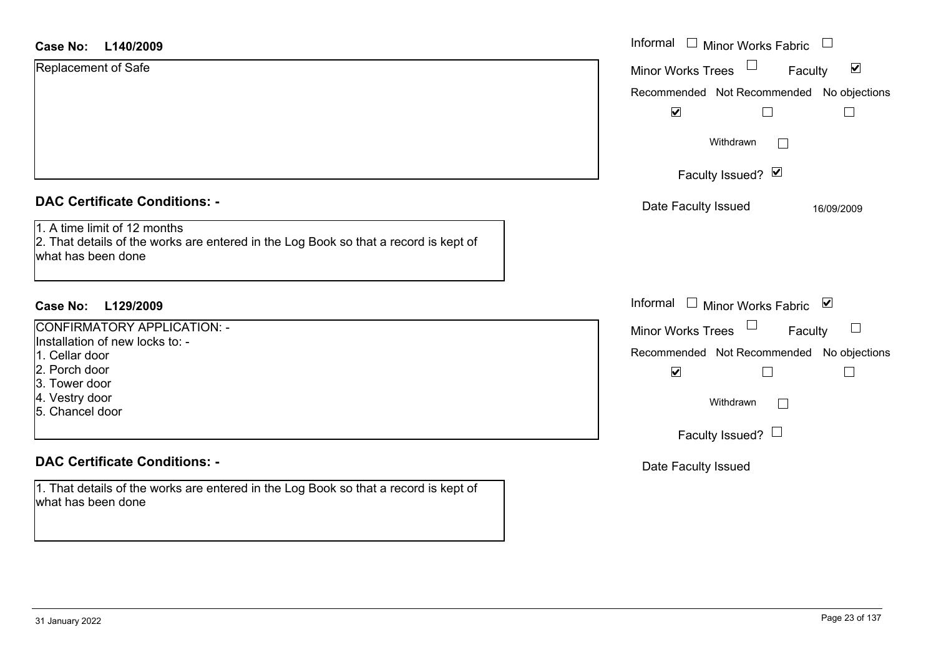| Case No: |  |  | L140/2009 |
|----------|--|--|-----------|
|----------|--|--|-----------|

| <b>Case No:</b><br>L140/2009                                                                                                               | Informal $\Box$ Minor Works Fabric $\Box$                             |
|--------------------------------------------------------------------------------------------------------------------------------------------|-----------------------------------------------------------------------|
| Replacement of Safe                                                                                                                        | $\Box$<br>$\blacktriangledown$<br><b>Minor Works Trees</b><br>Faculty |
|                                                                                                                                            | Recommended Not Recommended No objections                             |
|                                                                                                                                            | $\blacktriangledown$                                                  |
|                                                                                                                                            | Withdrawn<br>$\sim$                                                   |
|                                                                                                                                            | Faculty Issued? Ø                                                     |
| <b>DAC Certificate Conditions: -</b>                                                                                                       | Date Faculty Issued<br>16/09/2009                                     |
| 1. A time limit of 12 months<br>2. That details of the works are entered in the Log Book so that a record is kept of<br>what has been done |                                                                       |
| Case No:<br>L129/2009                                                                                                                      | Informal □ Minor Works Fabric ⊠                                       |
| CONFIRMATORY APPLICATION: -                                                                                                                | Minor Works Trees<br>$\mathcal{L}_{\mathcal{A}}$<br>Faculty           |
| Installation of new locks to: -                                                                                                            | Recommended Not Recommended No objections                             |
| 1. Cellar door<br>2. Porch door<br>3. Tower door                                                                                           | $\blacktriangledown$<br>$\Box$<br>$\Box$                              |
| 4. Vestry door<br>5. Chancel door                                                                                                          | Withdrawn<br>$\Box$                                                   |
|                                                                                                                                            | Faculty Issued? $\Box$                                                |
| <b>DAC Certificate Conditions: -</b>                                                                                                       | Date Faculty Issued                                                   |
| 1. That details of the works are entered in the Log Book so that a record is kept of<br>what has been done                                 |                                                                       |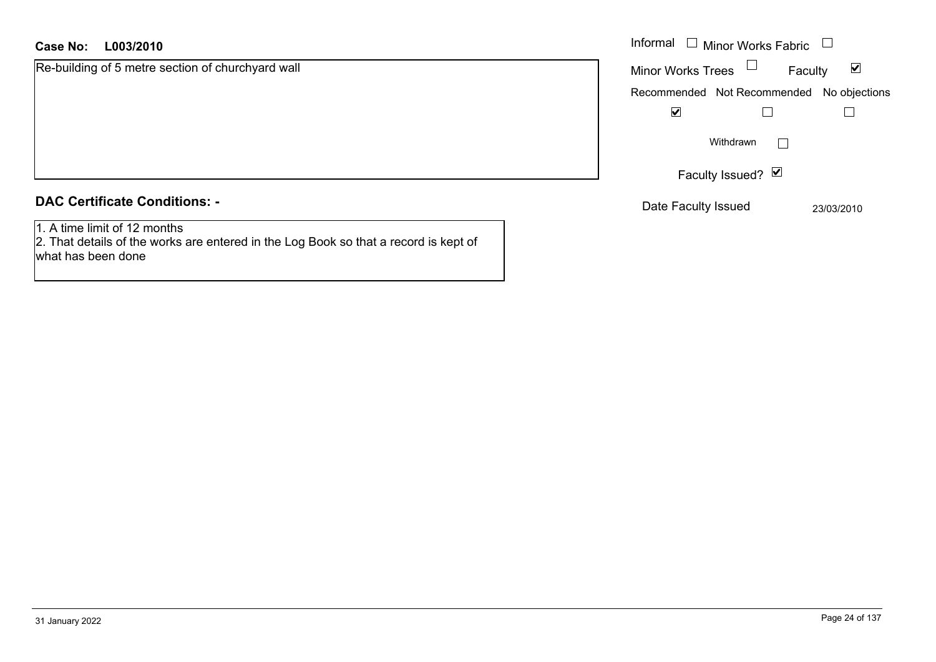#### **L003/2010Case No:** Informal

Re-building of 5 metre section of churchyard wall

#### **DAC Certificate Conditions: -**

1. A time limit of 12 months

 2. That details of the works are entered in the Log Book so that a record is kept of what has been done

| Informal                    | $\Box$ Minor Works Fabric |            |               |
|-----------------------------|---------------------------|------------|---------------|
| <b>Minor Works Trees</b>    |                           | Faculty    |               |
| Recommended Not Recommended |                           |            | No objections |
| V                           |                           |            |               |
|                             | Withdrawn                 |            |               |
|                             | Faculty Issued? Ø         |            |               |
| Date Faculty Issued         |                           | 23/03/2010 |               |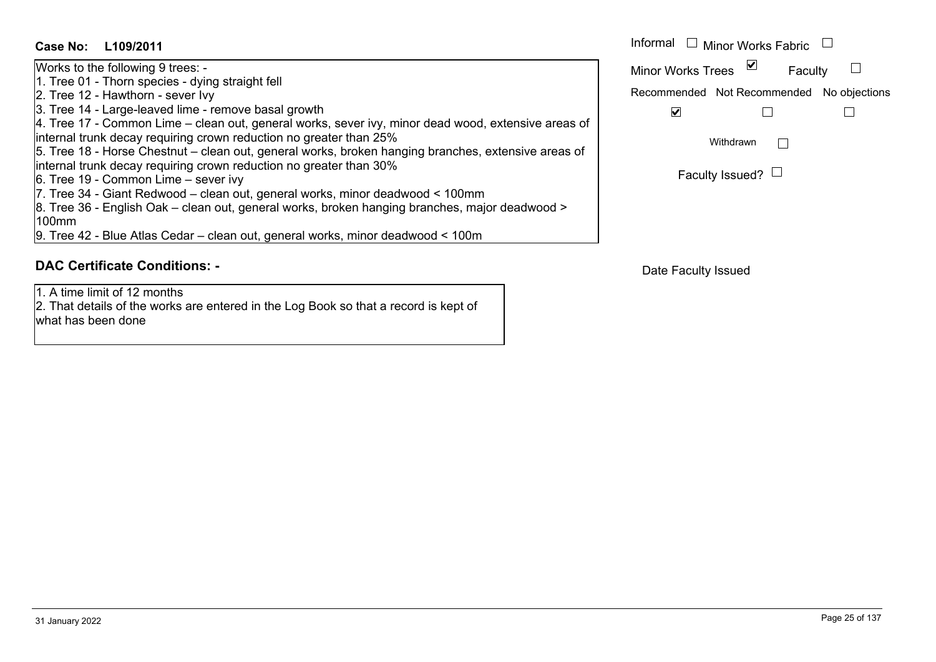**L109/2011Case No:** Informal Works to the following 9 trees: - 1. Tree 01 - Thorn species - dying straight fell 2. Tree 12 - Hawthorn - sever Ivy 3. Tree 14 - Large-leaved lime - remove basal growth 4. Tree 17 - Common Lime – clean out, general works, sever ivy, minor dead wood, extensive areas of internal trunk decay requiring crown reduction no greater than 25% 5. Tree 18 - Horse Chestnut – clean out, general works, broken hanging branches, extensive areas of internal trunk decay requiring crown reduction no greater than 30% 6. Tree 19 - Common Lime – sever ivy 7. Tree 34 - Giant Redwood – clean out, general works, minor deadwood < 100mm 8. Tree 36 - English Oak – clean out, general works, broken hanging branches, major deadwood > 100mm9. Tree 42 - Blue Atlas Cedar – clean out, general works, minor deadwood < 100m

# **DAC Certificate Conditions: -**

1. A time limit of 12 months

2. That details of the works are entered in the Log Book so that a record is kept of what has been done

Informal  $\Box$  Minor Works Fabric  $\Box$  $\Box$ Faculty Minor Works Trees Recommended Not Recommended No objections  $\overline{\mathbf{v}}$  $\Box$  $\Box$ Withdrawn $\Box$ Faculty Issued?  $\Box$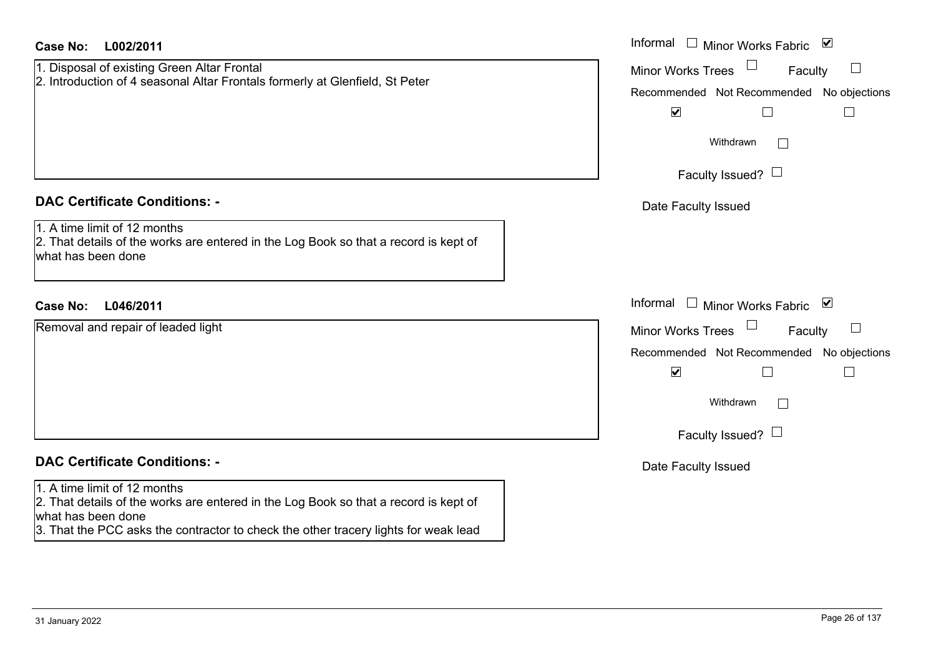| <b>Case No:</b><br>L002/2011                                                                                                                                                                                                      | Informal<br>$\Box$ Minor Works Fabric $\Box$                                                                 |
|-----------------------------------------------------------------------------------------------------------------------------------------------------------------------------------------------------------------------------------|--------------------------------------------------------------------------------------------------------------|
| 1. Disposal of existing Green Altar Frontal<br>2. Introduction of 4 seasonal Altar Frontals formerly at Glenfield, St Peter                                                                                                       | $\overline{\phantom{a}}$<br><b>Minor Works Trees</b><br>Faculty<br>Recommended Not Recommended No objections |
|                                                                                                                                                                                                                                   | $\blacktriangledown$<br>$\Box$<br>$\Box$                                                                     |
|                                                                                                                                                                                                                                   | Withdrawn                                                                                                    |
|                                                                                                                                                                                                                                   | Faculty Issued? $\Box$                                                                                       |
| <b>DAC Certificate Conditions: -</b>                                                                                                                                                                                              | Date Faculty Issued                                                                                          |
| 1. A time limit of 12 months<br>2. That details of the works are entered in the Log Book so that a record is kept of<br>what has been done                                                                                        |                                                                                                              |
| <b>Case No:</b><br>L046/2011                                                                                                                                                                                                      | Informal<br>Minor Works Fabric ⊠                                                                             |
| Removal and repair of leaded light                                                                                                                                                                                                | <b>Minor Works Trees</b><br>$\sqcup$<br>Faculty                                                              |
|                                                                                                                                                                                                                                   | Recommended Not Recommended No objections                                                                    |
|                                                                                                                                                                                                                                   | $\blacktriangledown$<br>$\Box$<br>$\Box$                                                                     |
|                                                                                                                                                                                                                                   | Withdrawn<br>$\mathbf{L}$                                                                                    |
|                                                                                                                                                                                                                                   | Faculty Issued? $\Box$                                                                                       |
| <b>DAC Certificate Conditions: -</b>                                                                                                                                                                                              | Date Faculty Issued                                                                                          |
| 1. A time limit of 12 months<br>2. That details of the works are entered in the Log Book so that a record is kept of<br>what has been done<br>3. That the PCC asks the contractor to check the other tracery lights for weak lead |                                                                                                              |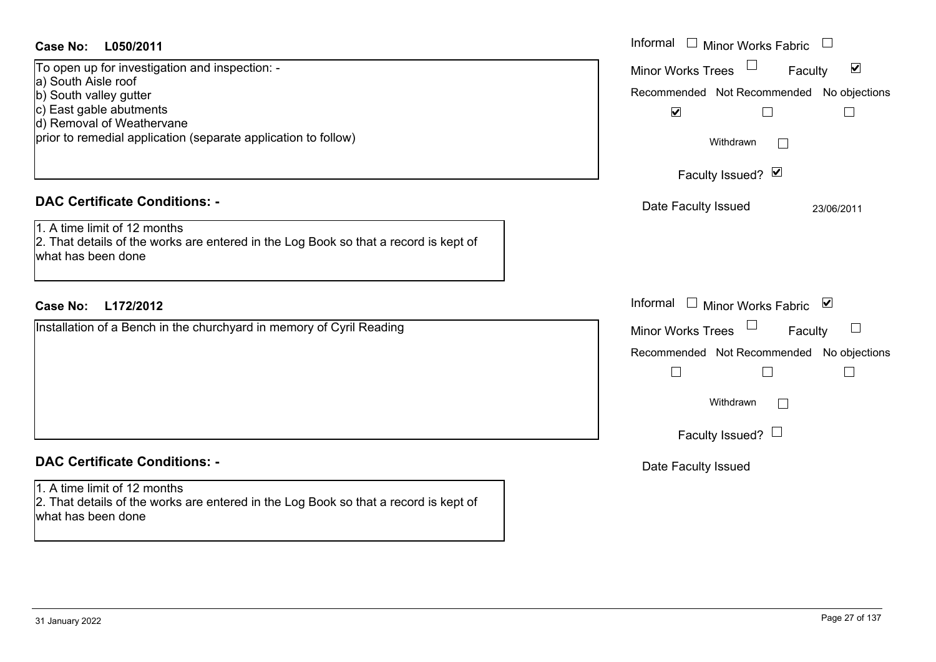#### **L050/2011Case No:** Informal

To open up for investigation and inspection: a) South Aisle roof b) South valley gutter c) East gable abutments d) Removal of Weathervane prior to remedial application (separate application to follow)

## **DAC Certificate Conditions: -**

1. A time limit of 12 months2. That details of the works are entered in the Log Book so that a record is kept of what has been done

### **L172/2012Case No:** Informal

Installation of a Bench in the churchyard in memory of Cyril Reading

# **DAC Certificate Conditions: -**

1. A time limit of 12 months2. That details of the works are entered in the Log Book so that a record is kept of what has been done

| Informal<br><b>Minor Works Fabric</b>                       |
|-------------------------------------------------------------|
| $\blacktriangledown$<br><b>Minor Works Trees</b><br>Faculty |
| Recommended Not Recommended No objections<br>☑              |
| Withdrawn                                                   |
| Faculty Issued? Ø                                           |
| Date Faculty Issued<br>23/06/2011                           |
|                                                             |
|                                                             |
| Informal<br>$\vee$<br>$\Box$ Minor Works Fabric             |
| <b>Minor Works Trees</b><br>Faculty                         |
| Recommended Not Recommended No objections                   |
| Withdrawn                                                   |
| Faculty Issued?                                             |
| Date Faculty Issued                                         |
|                                                             |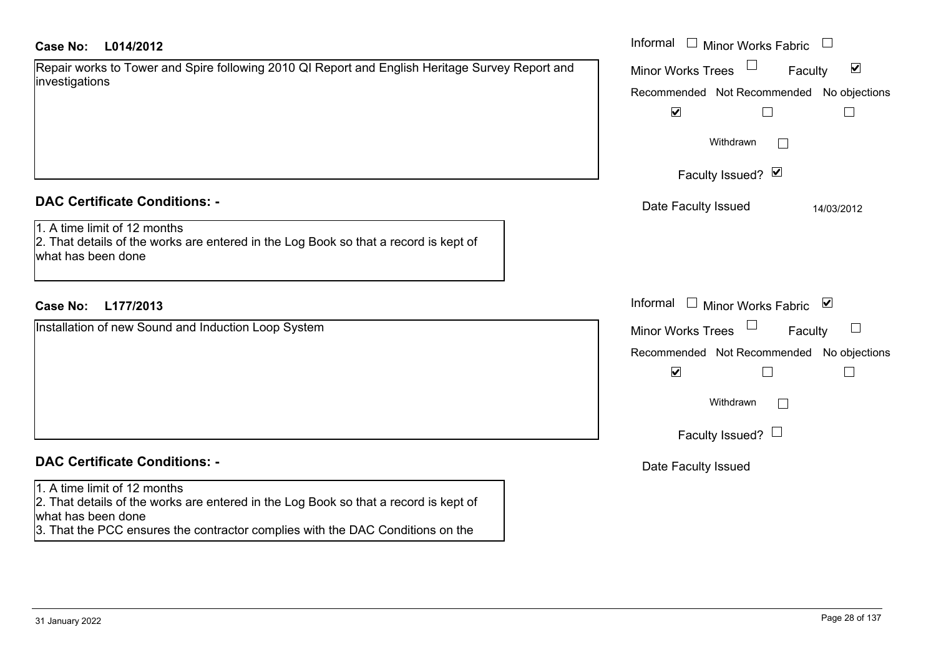| <b>Case No:</b> |  | L014/2012 |
|-----------------|--|-----------|
|-----------------|--|-----------|

| Repair works to Tower and Spire following 2010 QI Report and English Heritage Survey Report and |  |  |  |  |
|-------------------------------------------------------------------------------------------------|--|--|--|--|
| investigations                                                                                  |  |  |  |  |

#### **DAC Certificate Conditions: -**

1. A time limit of 12 months

2. That details of the works are entered in the Log Book so that a record is kept of what has been done

## **L177/2013Case No:** Informal

Installation of new Sound and Induction Loop System

# **DAC Certificate Conditions: -**

#### 1. A time limit of 12 months

2. That details of the works are entered in the Log Book so that a record is kept of what has been done

3. That the PCC ensures the contractor complies with the DAC Conditions on the

| L014/2012                                                                                                      | Informal $\Box$ Minor Works Fabric                                                                                                                              |
|----------------------------------------------------------------------------------------------------------------|-----------------------------------------------------------------------------------------------------------------------------------------------------------------|
| orks to Tower and Spire following 2010 QI Report and English Heritage Survey Report and<br>tions               | Minor Works Trees<br>$\blacktriangledown$<br>Faculty<br>Recommended Not Recommended No objections<br>$\blacktriangledown$<br>Withdrawn<br><b>Contract</b>       |
|                                                                                                                | Faculty Issued? Ø                                                                                                                                               |
| rtificate Conditions: -                                                                                        | Date Faculty Issued<br>14/03/2012                                                                                                                               |
| limit of 12 months<br>etails of the works are entered in the Log Book so that a record is kept of<br>been done |                                                                                                                                                                 |
| L177/2013                                                                                                      | Informal □ Minor Works Fabric<br>⊻                                                                                                                              |
| on of new Sound and Induction Loop System                                                                      | Minor Works Trees<br>Faculty<br>ப<br>Recommended Not Recommended No objections<br>$\blacktriangledown$<br>Withdrawn<br>$\overline{a}$<br>Faculty Issued? $\Box$ |
| rtificate Conditions: -                                                                                        | Date Faculty Issued                                                                                                                                             |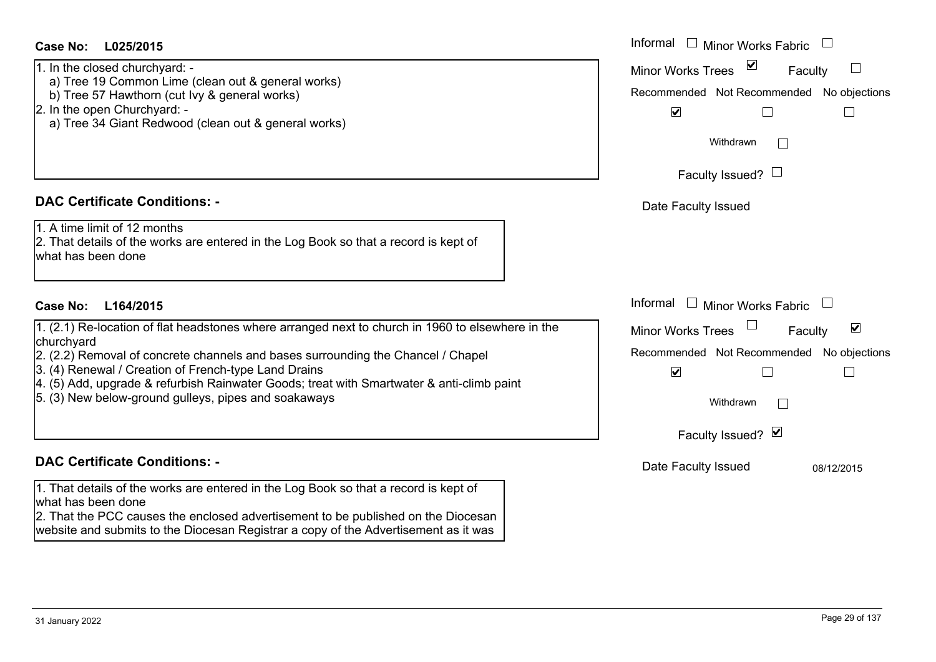| a) Tree 19 Common Lime (clean out & general works)<br>b) Tree 57 Hawthorn (cut Ivy & general works)<br>2. In the open Churchyard: -<br>a) Tree 34 Giant Redwood (clean out & general works)                                                                                                                                                                                                                      | Recomm            |
|------------------------------------------------------------------------------------------------------------------------------------------------------------------------------------------------------------------------------------------------------------------------------------------------------------------------------------------------------------------------------------------------------------------|-------------------|
| <b>DAC Certificate Conditions: -</b>                                                                                                                                                                                                                                                                                                                                                                             | Date I            |
| 1. A time limit of 12 months<br>2. That details of the works are entered in the Log Book so that a record is kept of<br>what has been done                                                                                                                                                                                                                                                                       |                   |
| Case No:<br>L164/2015                                                                                                                                                                                                                                                                                                                                                                                            | Informal          |
| 1. (2.1) Re-location of flat headstones where arranged next to church in 1960 to elsewhere in the<br>churchyard<br>2. (2.2) Removal of concrete channels and bases surrounding the Chancel / Chapel<br>3. (4) Renewal / Creation of French-type Land Drains<br>4. (5) Add, upgrade & refurbish Rainwater Goods; treat with Smartwater & anti-climb paint<br>5. (3) New below-ground gulleys, pipes and soakaways | Minor W<br>Recomm |
| <b>DAC Certificate Conditions: -</b>                                                                                                                                                                                                                                                                                                                                                                             | Date I            |
| 1. That details of the works are entered in the Log Book so that a record is kept of                                                                                                                                                                                                                                                                                                                             |                   |

2. That the PCC causes the enclosed advertisement to be published on the Diocesan website and submits to the Diocesan Registrar a copy of the Advertisement as it was

| 3.00.00 |  |  |
|---------|--|--|
|         |  |  |
|         |  |  |
|         |  |  |
|         |  |  |
|         |  |  |
|         |  |  |
|         |  |  |
|         |  |  |

| Withdrawn              |  |  |
|------------------------|--|--|
| Faculty Issued? $\Box$ |  |  |
| Date Faculty Issued    |  |  |

Informal  $\Box$  Minor Works Fabric  $\Box$ 

Recommended Not Recommended No objections

Faculty

 $\Box$ 

 $\Box$ 

Minor Works Trees

# **L025/2015Case No:** Informal

1. In the closed churchyard: -

- a) Tree 19 Common Lime (clean out & general works)
- b) Tree 57 Hawthorn (cut Ivy & general works)
- 2. In the open Churchyard: -
- a) Tree 34 Giant Redwood (clean out & general works)

# **DAC Certificate Conditions: -**

# **Cε**

# **DAC Certificate Conditions: -**

what has been done

 $\blacktriangledown$  $\Box$  $\Box$ Withdrawn

Minor Works Trees

Faculty Issued? Ø

Informal  $\Box$  Minor Works Fabric  $\Box$ 

Recommended Not Recommended No objections

Faculty

Date Faculty Issued 08/12/2015

 $\blacktriangledown$ 

 $\Box$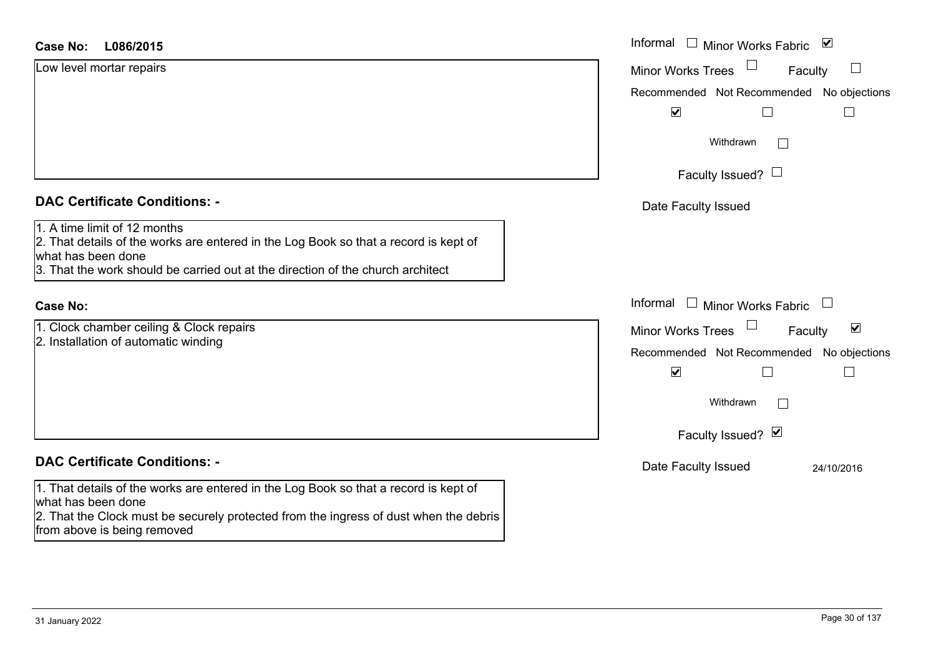#### **L086/2015Case No:** Informal

| Low level mortar repairs                                                                                                                                                                                                      | <b>Minor Works Trees</b><br>Faculty                         |
|-------------------------------------------------------------------------------------------------------------------------------------------------------------------------------------------------------------------------------|-------------------------------------------------------------|
|                                                                                                                                                                                                                               | Recommended Not Recommended No objections                   |
|                                                                                                                                                                                                                               | $\blacktriangledown$                                        |
|                                                                                                                                                                                                                               | Withdrawn<br>I.                                             |
|                                                                                                                                                                                                                               | Faculty Issued? $\Box$                                      |
| <b>DAC Certificate Conditions: -</b>                                                                                                                                                                                          | Date Faculty Issued                                         |
| 1. A time limit of 12 months<br>2. That details of the works are entered in the Log Book so that a record is kept of<br>what has been done<br>3. That the work should be carried out at the direction of the church architect |                                                             |
| <b>Case No:</b>                                                                                                                                                                                                               | Informal $\Box$ Minor Works Fabric                          |
| 1. Clock chamber ceiling & Clock repairs                                                                                                                                                                                      | $\blacktriangledown$<br><b>Minor Works Trees</b><br>Faculty |
| 2. Installation of automatic winding                                                                                                                                                                                          | Recommended Not Recommended No objections                   |
|                                                                                                                                                                                                                               | $\blacktriangledown$                                        |
|                                                                                                                                                                                                                               | Withdrawn<br>$\mathbf{L}$                                   |

#### **DAC Certificate Conditions: -**

1. That details of the works are entered in the Log Book so that a record is kept of what has been done

2. That the Clock must be securely protected from the ingress of dust when the debris from above is being removed

| <u>VVIUJUI AWII</u> |            |
|---------------------|------------|
| Faculty Issued? Ø   |            |
| Date Faculty Issued | 24/10/2016 |

Minor Works Fabric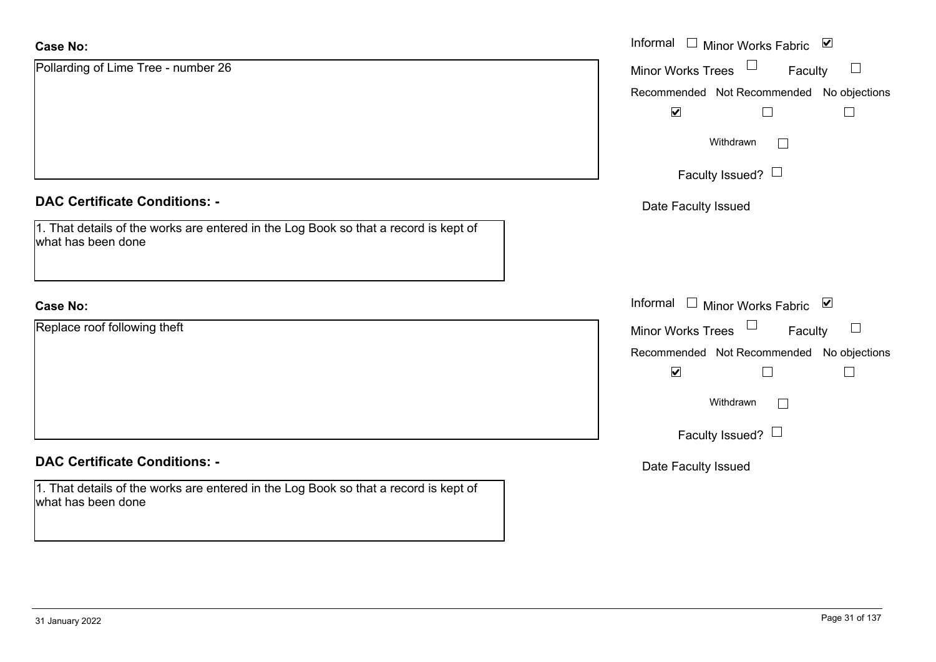| <b>Case No:</b>                                                                                            | Informal □ Minor Works Fabric ⊠               |
|------------------------------------------------------------------------------------------------------------|-----------------------------------------------|
| Pollarding of Lime Tree - number 26                                                                        | $\Box$<br>Minor Works Trees<br>Faculty        |
|                                                                                                            | Recommended Not Recommended No objections     |
|                                                                                                            | $\blacktriangledown$                          |
|                                                                                                            | Withdrawn<br>$\Box$                           |
|                                                                                                            | Faculty Issued? $\Box$                        |
| <b>DAC Certificate Conditions: -</b>                                                                       | Date Faculty Issued                           |
| 1. That details of the works are entered in the Log Book so that a record is kept of<br>what has been done |                                               |
| <b>Case No:</b>                                                                                            | Informal □ Minor Works Fabric ⊠               |
| Replace roof following theft                                                                               | Minor Works Trees $\Box$<br>Faculty<br>$\Box$ |
|                                                                                                            | Recommended Not Recommended No objections     |
|                                                                                                            | $\blacktriangledown$                          |
|                                                                                                            | Withdrawn<br>$\Box$                           |
|                                                                                                            | Faculty Issued? $\Box$                        |
| <b>DAC Certificate Conditions: -</b>                                                                       | Date Faculty Issued                           |
| 1. That details of the works are entered in the Log Book so that a record is kept of<br>what has been done |                                               |
|                                                                                                            |                                               |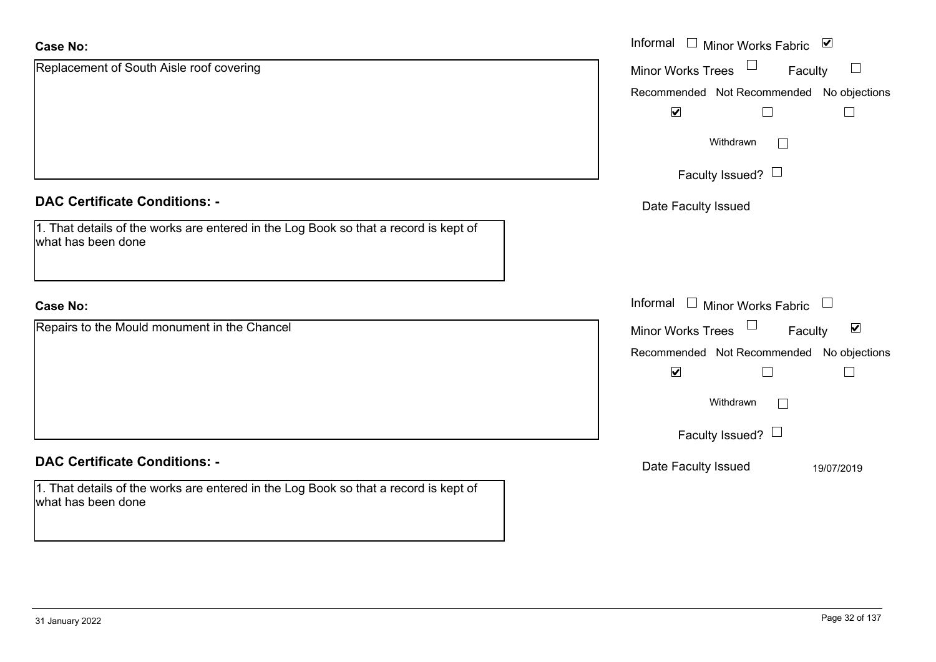| <b>Case No:</b>                                                                                            | Informal $\square$<br>Minor Works Fabric ⊠                  |
|------------------------------------------------------------------------------------------------------------|-------------------------------------------------------------|
| Replacement of South Aisle roof covering                                                                   | Minor Works Trees<br>$\Box$<br>Faculty                      |
|                                                                                                            | Recommended Not Recommended No objections                   |
|                                                                                                            | $\blacktriangledown$<br>Г                                   |
|                                                                                                            | Withdrawn<br>$\vert \ \ \vert$                              |
|                                                                                                            | Faculty Issued? $\Box$                                      |
| <b>DAC Certificate Conditions: -</b>                                                                       | Date Faculty Issued                                         |
| 1. That details of the works are entered in the Log Book so that a record is kept of<br>what has been done |                                                             |
| <b>Case No:</b>                                                                                            | Informal<br>Minor Works Fabric L<br>$\Box$                  |
| Repairs to the Mould monument in the Chancel                                                               | $\blacktriangledown$<br><b>Minor Works Trees</b><br>Faculty |
|                                                                                                            | Recommended Not Recommended No objections                   |
|                                                                                                            | $\blacktriangledown$<br>Г                                   |
|                                                                                                            | Withdrawn<br>$\mathbb{R}^n$                                 |
|                                                                                                            | Faculty Issued? $\Box$                                      |
| <b>DAC Certificate Conditions: -</b>                                                                       | Date Faculty Issued<br>19/07/2019                           |
| 1. That details of the works are entered in the Log Book so that a record is kept of<br>what has been done |                                                             |

ш.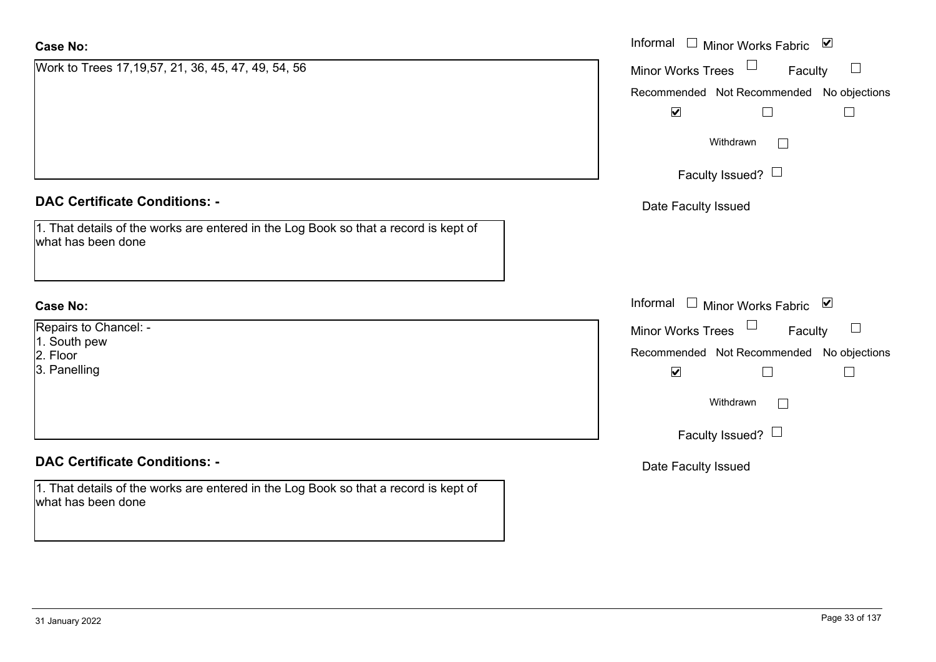| <b>Case No:</b>                                                                                            | Informal $\Box$<br>Minor Works Fabric ⊠          |
|------------------------------------------------------------------------------------------------------------|--------------------------------------------------|
| Work to Trees 17,19,57, 21, 36, 45, 47, 49, 54, 56                                                         | $\Box$<br>Minor Works Trees<br>Faculty           |
|                                                                                                            | Recommended Not Recommended No objections        |
|                                                                                                            | $\blacktriangledown$                             |
|                                                                                                            | Withdrawn<br>$\Box$                              |
|                                                                                                            | Faculty Issued? $\Box$                           |
| <b>DAC Certificate Conditions: -</b>                                                                       | Date Faculty Issued                              |
| 1. That details of the works are entered in the Log Book so that a record is kept of<br>what has been done |                                                  |
| <b>Case No:</b>                                                                                            | Informal<br>$\mathbf{1}$<br>Minor Works Fabric ⊠ |
| Repairs to Chancel: -                                                                                      | $\Box$<br>Minor Works Trees<br>Faculty           |
| 1. South pew<br>2. Floor                                                                                   | Recommended Not Recommended No objections        |
| 3. Panelling                                                                                               | $\blacktriangledown$<br>П                        |
|                                                                                                            | Withdrawn<br>$\Box$                              |
|                                                                                                            | Faculty Issued? $\Box$                           |
| <b>DAC Certificate Conditions: -</b>                                                                       | Date Faculty Issued                              |
| 1. That details of the works are entered in the Log Book so that a record is kept of<br>what has been done |                                                  |
|                                                                                                            |                                                  |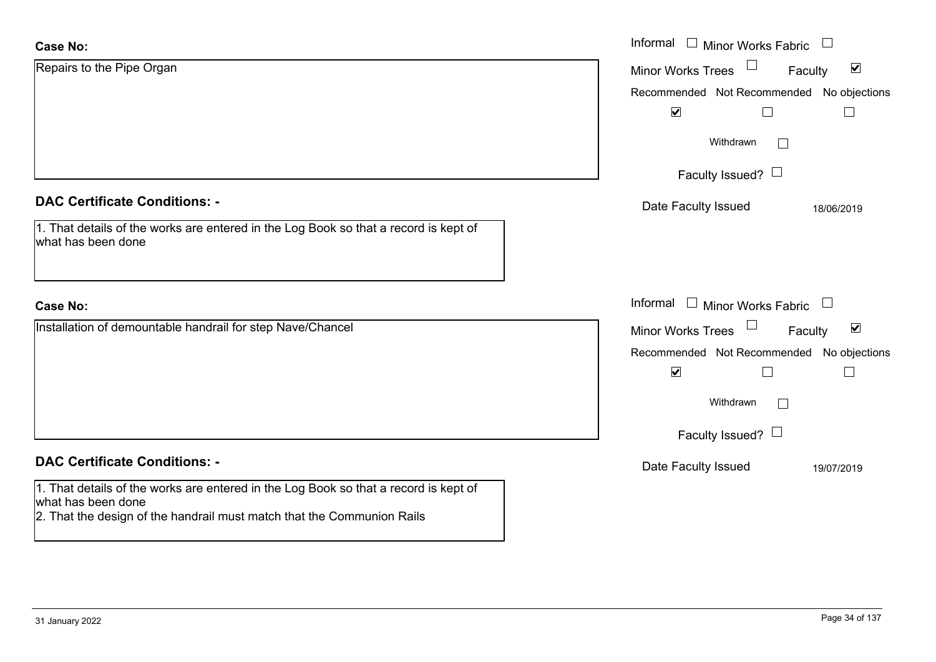| <b>Case No:</b>                                                                                                                                                                      | Informal<br>$\Box$<br>Minor Works Fabric             |
|--------------------------------------------------------------------------------------------------------------------------------------------------------------------------------------|------------------------------------------------------|
| Repairs to the Pipe Organ                                                                                                                                                            | $\blacktriangledown$<br>Minor Works Trees<br>Faculty |
|                                                                                                                                                                                      | No objections<br>Recommended Not Recommended         |
|                                                                                                                                                                                      | $\blacktriangledown$                                 |
|                                                                                                                                                                                      | Withdrawn<br>$\mathbf{I}$                            |
|                                                                                                                                                                                      | Faculty Issued? $\Box$                               |
| <b>DAC Certificate Conditions: -</b>                                                                                                                                                 | Date Faculty Issued<br>18/06/2019                    |
| 1. That details of the works are entered in the Log Book so that a record is kept of<br>what has been done                                                                           |                                                      |
|                                                                                                                                                                                      |                                                      |
| <b>Case No:</b>                                                                                                                                                                      | Informal<br>$\Box$ Minor Works Fabric                |
| Installation of demountable handrail for step Nave/Chancel                                                                                                                           | $\blacktriangledown$<br>Minor Works Trees<br>Faculty |
|                                                                                                                                                                                      | Recommended Not Recommended No objections            |
|                                                                                                                                                                                      | $\blacktriangledown$<br>L                            |
|                                                                                                                                                                                      | Withdrawn                                            |
|                                                                                                                                                                                      | Faculty Issued? $\Box$                               |
| <b>DAC Certificate Conditions: -</b>                                                                                                                                                 | Date Faculty Issued<br>19/07/2019                    |
| 1. That details of the works are entered in the Log Book so that a record is kept of<br>what has been done<br>2. That the design of the handrail must match that the Communion Rails |                                                      |

 $\sim$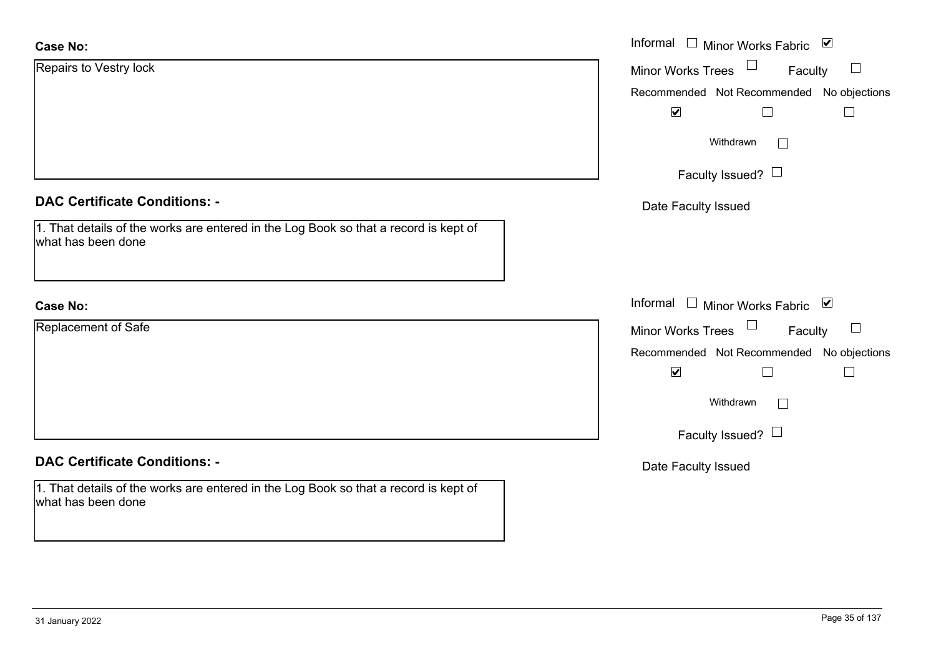| <b>Case No:</b>                                                                                            | Informal <u>I</u> Minor Works Fabric <b>⊻</b> |
|------------------------------------------------------------------------------------------------------------|-----------------------------------------------|
| Repairs to Vestry lock                                                                                     | $\Box$<br>Minor Works Trees<br>Faculty        |
|                                                                                                            | Recommended Not Recommended No objections     |
|                                                                                                            | $\blacktriangledown$<br>$\vert \ \ \vert$     |
|                                                                                                            | Withdrawn                                     |
|                                                                                                            | Faculty Issued? $\Box$                        |
| <b>DAC Certificate Conditions: -</b>                                                                       | Date Faculty Issued                           |
| 1. That details of the works are entered in the Log Book so that a record is kept of<br>what has been done |                                               |
| <b>Case No:</b>                                                                                            | Informal $\Box$ Minor Works Fabric $\Box$     |
| Replacement of Safe                                                                                        | Minor Works Trees<br>$\Box$<br>Faculty        |
|                                                                                                            | Recommended Not Recommended No objections     |
|                                                                                                            | $\blacktriangledown$<br>$\Box$<br>$\Box$      |
|                                                                                                            | Withdrawn                                     |
|                                                                                                            | Faculty Issued? $\Box$                        |
| <b>DAC Certificate Conditions: -</b>                                                                       | Date Faculty Issued                           |
| 1. That details of the works are entered in the Log Book so that a record is kept of<br>what has been done |                                               |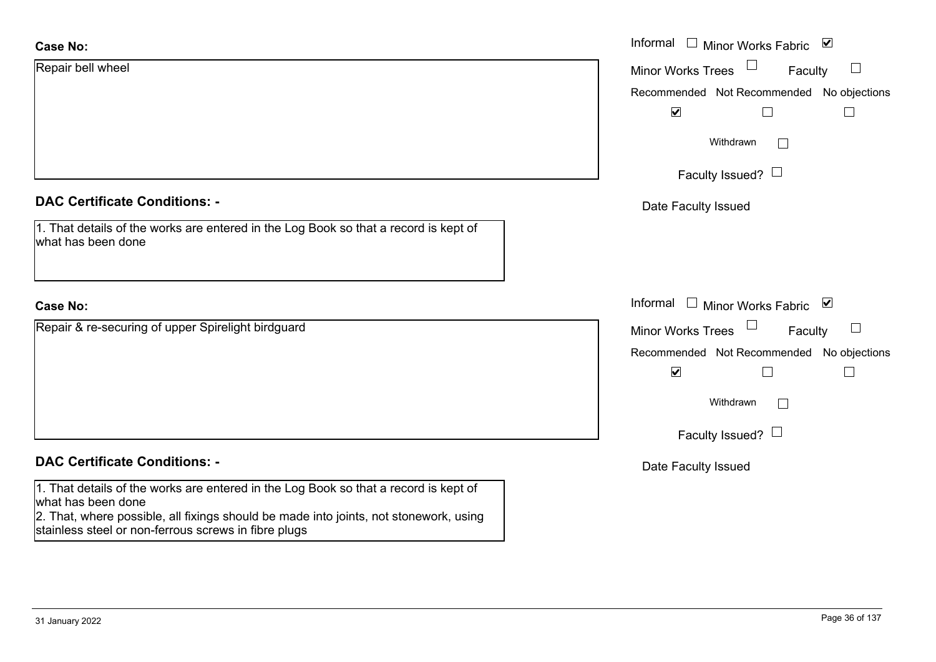| <b>Case No:</b>                                                                                                                                                                                     | Informal $\square$<br>Minor Works Fabric ⊠ |
|-----------------------------------------------------------------------------------------------------------------------------------------------------------------------------------------------------|--------------------------------------------|
| Repair bell wheel                                                                                                                                                                                   | Minor Works Trees<br>$\Box$<br>Faculty     |
|                                                                                                                                                                                                     | Recommended Not Recommended No objections  |
|                                                                                                                                                                                                     | $\blacktriangledown$<br>$\Box$             |
|                                                                                                                                                                                                     | Withdrawn<br>$\Box$                        |
|                                                                                                                                                                                                     | Faculty Issued? $\Box$                     |
| <b>DAC Certificate Conditions: -</b>                                                                                                                                                                | Date Faculty Issued                        |
| 1. That details of the works are entered in the Log Book so that a record is kept of<br>what has been done                                                                                          |                                            |
| <b>Case No:</b>                                                                                                                                                                                     | Informal □ Minor Works Fabric ⊠            |
| Repair & re-securing of upper Spirelight birdguard                                                                                                                                                  | Minor Works Trees<br>$\Box$<br>Faculty     |
|                                                                                                                                                                                                     | Recommended Not Recommended No objections  |
|                                                                                                                                                                                                     | $\blacktriangledown$<br>$\Box$<br>$\Box$   |
|                                                                                                                                                                                                     | Withdrawn<br>$\Box$                        |
|                                                                                                                                                                                                     | Faculty Issued? $\Box$                     |
| <b>DAC Certificate Conditions: -</b>                                                                                                                                                                | Date Faculty Issued                        |
| 1. That details of the works are entered in the Log Book so that a record is kept of<br>what has been done<br>2. That, where possible, all fixings should be made into joints, not stonework, using |                                            |

stainless steel or non-ferrous screws in fibre plugs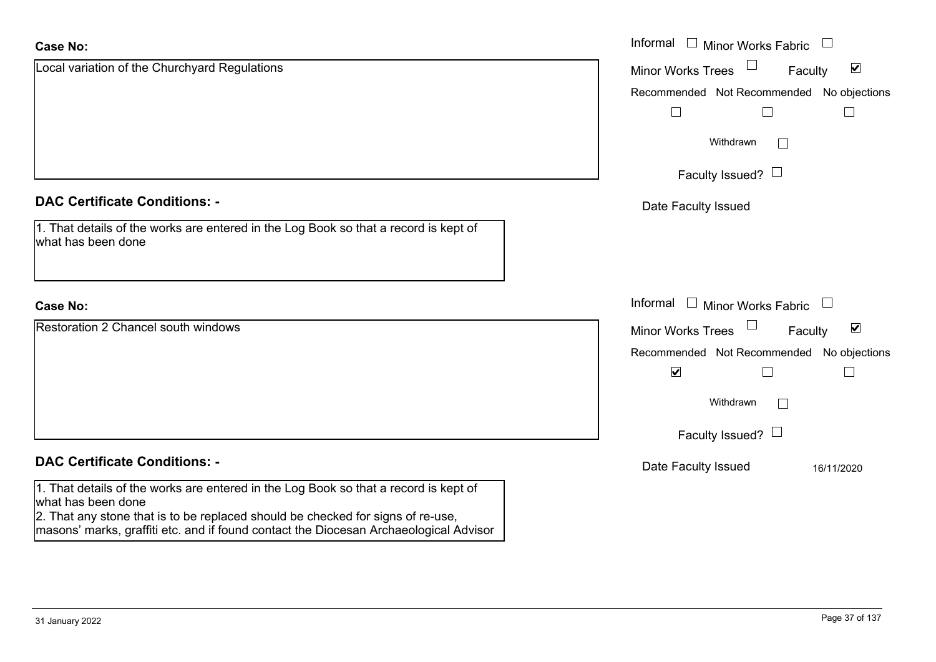| <b>Case No:</b>                                                                                                                                                                               | Informal $\Box$ Minor Works Fabric                          |
|-----------------------------------------------------------------------------------------------------------------------------------------------------------------------------------------------|-------------------------------------------------------------|
| Local variation of the Churchyard Regulations                                                                                                                                                 | $\blacktriangledown$<br><b>Minor Works Trees</b><br>Faculty |
|                                                                                                                                                                                               | No objections<br>Recommended Not Recommended                |
|                                                                                                                                                                                               |                                                             |
|                                                                                                                                                                                               | Withdrawn<br>$\perp$                                        |
|                                                                                                                                                                                               | Faculty Issued? $\Box$                                      |
| <b>DAC Certificate Conditions: -</b>                                                                                                                                                          | Date Faculty Issued                                         |
| 1. That details of the works are entered in the Log Book so that a record is kept of<br>what has been done                                                                                    |                                                             |
| <b>Case No:</b>                                                                                                                                                                               | Informal<br>$\Box$ Minor Works Fabric $\Box$                |
| <b>Restoration 2 Chancel south windows</b>                                                                                                                                                    | $\blacktriangledown$<br><b>Minor Works Trees</b><br>Faculty |
|                                                                                                                                                                                               | Recommended Not Recommended<br>No objections                |
|                                                                                                                                                                                               | $\blacktriangledown$<br>$\mathbb{R}$                        |
|                                                                                                                                                                                               | Withdrawn                                                   |
|                                                                                                                                                                                               | Faculty Issued? $\Box$                                      |
| <b>DAC Certificate Conditions: -</b>                                                                                                                                                          | Date Faculty Issued<br>16/11/2020                           |
| 1. That details of the works are entered in the Log Book so that a record is kept of<br>what has been done<br>2. That any stone that is to be replaced should be checked for signs of re-use, |                                                             |
| masons' marks, graffiti etc. and if found contact the Diocesan Archaeological Advisor                                                                                                         |                                                             |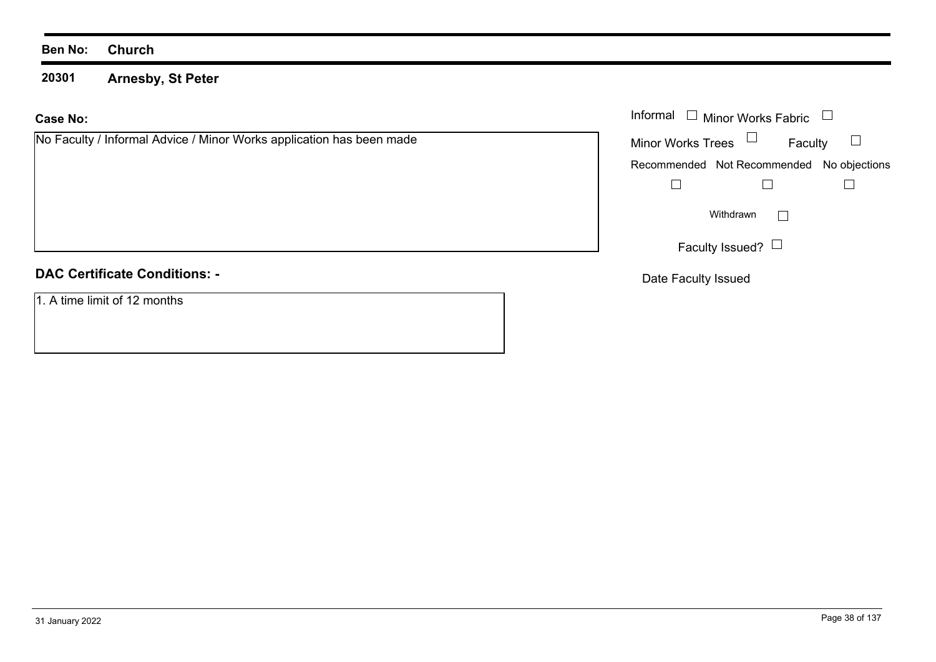**20301 Arnesby, St Peter**

#### **Case No:**

| No Faculty / Informal Advice / Minor Works application has been made | Min |
|----------------------------------------------------------------------|-----|
|                                                                      |     |
|                                                                      | Rec |
|                                                                      |     |
|                                                                      |     |
|                                                                      |     |
|                                                                      |     |
|                                                                      |     |
|                                                                      |     |
|                                                                      |     |
| ---------<br>.                                                       |     |

#### **DAC Certificate Conditions: -**

1. A time limit of 12 months

|                                                              |                   | Informal $\Box$ Minor Works Fabric $\Box$ |  |
|--------------------------------------------------------------|-------------------|-------------------------------------------|--|
| ty / Informal Advice / Minor Works application has been made | Minor Works Trees | Faculty                                   |  |
|                                                              |                   | Recommended Not Recommended No objections |  |
|                                                              |                   |                                           |  |
|                                                              |                   | Withdrawn                                 |  |
|                                                              |                   | Faculty Issued? $\Box$                    |  |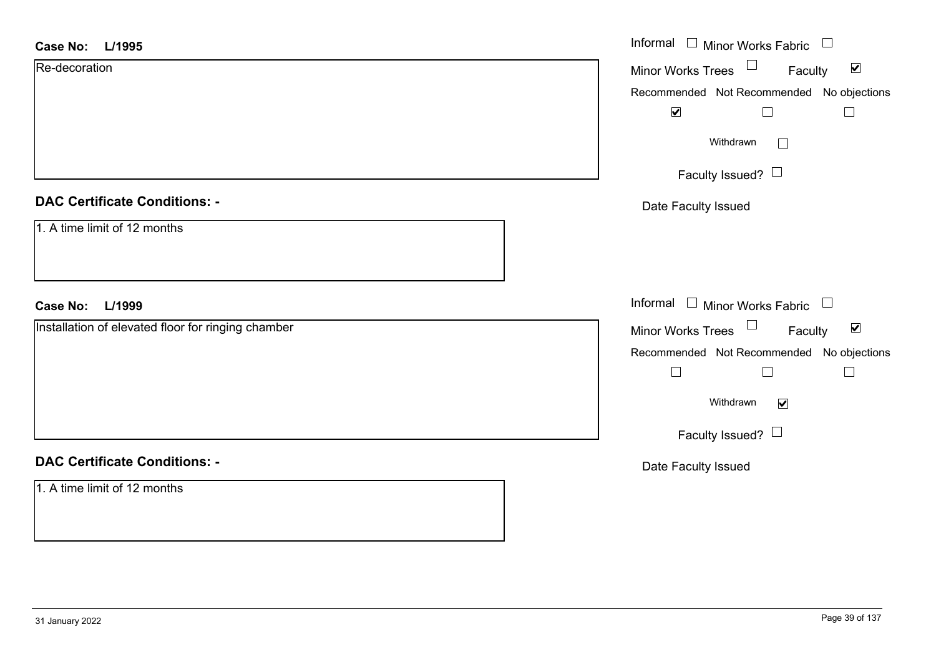| Case No: L/1995                                    | Informal $\Box$ Minor Works Fabric $\Box$                      |
|----------------------------------------------------|----------------------------------------------------------------|
| Re-decoration                                      | $\Box$<br>$\blacktriangledown$<br>Minor Works Trees<br>Faculty |
|                                                    | Recommended Not Recommended No objections                      |
|                                                    | $\blacktriangledown$<br>$\perp$                                |
|                                                    | Withdrawn<br>$\Box$                                            |
|                                                    | Faculty Issued? □                                              |
| <b>DAC Certificate Conditions: -</b>               | Date Faculty Issued                                            |
| 1. A time limit of 12 months                       |                                                                |
| <b>Case No:</b><br>L/1999                          | Informal $\Box$ Minor Works Fabric $\Box$                      |
| Installation of elevated floor for ringing chamber | Minor Works Trees $\Box$<br>$\blacktriangledown$<br>Faculty    |
|                                                    | Recommended Not Recommended No objections                      |
|                                                    | $\Box$<br>$\Box$                                               |
|                                                    | Withdrawn<br>$\blacktriangledown$                              |
|                                                    | Faculty Issued?                                                |
| <b>DAC Certificate Conditions: -</b>               | Date Faculty Issued                                            |
| 1. A time limit of 12 months                       |                                                                |
|                                                    |                                                                |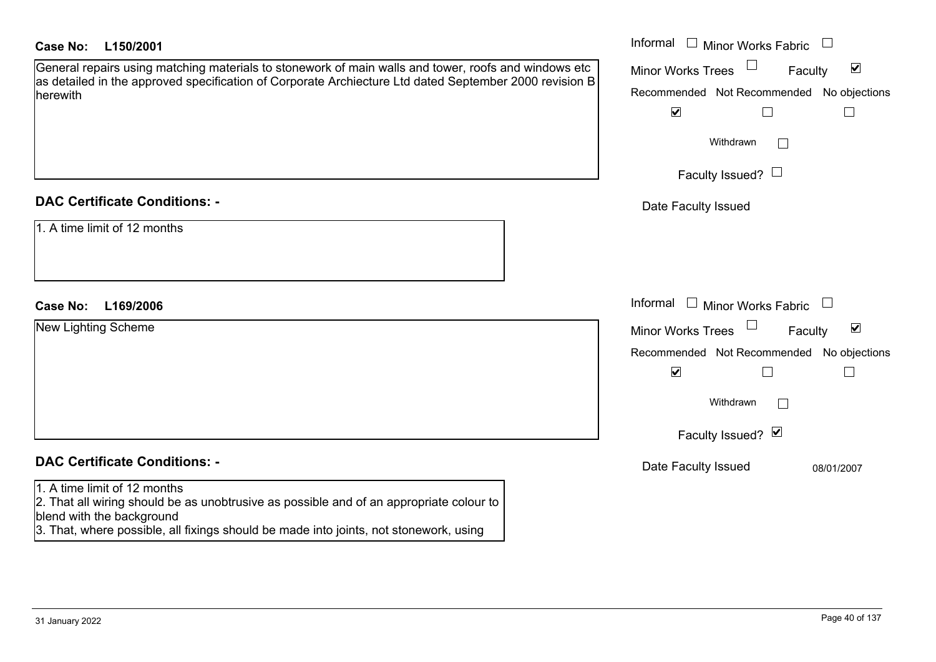| <b>Case No:</b><br>L150/2001                                                                                                                                                                                                                  | Informal □ Minor Works Fabric<br>$\overline{\phantom{a}}$   |
|-----------------------------------------------------------------------------------------------------------------------------------------------------------------------------------------------------------------------------------------------|-------------------------------------------------------------|
| General repairs using matching materials to stonework of main walls and tower, roofs and windows etc                                                                                                                                          | $\blacktriangledown$<br><b>Minor Works Trees</b><br>Faculty |
| as detailed in the approved specification of Corporate Archiecture Ltd dated September 2000 revision B<br>herewith                                                                                                                            | Recommended Not Recommended No objections                   |
|                                                                                                                                                                                                                                               | $\blacktriangledown$<br>$\Box$                              |
|                                                                                                                                                                                                                                               | Withdrawn                                                   |
|                                                                                                                                                                                                                                               | Faculty Issued? $\Box$                                      |
| <b>DAC Certificate Conditions: -</b>                                                                                                                                                                                                          | Date Faculty Issued                                         |
| 1. A time limit of 12 months                                                                                                                                                                                                                  |                                                             |
| L169/2006<br><b>Case No:</b>                                                                                                                                                                                                                  | Informal $\Box$ Minor Works Fabric<br>$\mathcal{L}$         |
| <b>New Lighting Scheme</b>                                                                                                                                                                                                                    | $\blacktriangledown$<br><b>Minor Works Trees</b><br>Faculty |
|                                                                                                                                                                                                                                               | Recommended Not Recommended No objections                   |
|                                                                                                                                                                                                                                               | $\blacktriangledown$<br>$\Box$                              |
|                                                                                                                                                                                                                                               | Withdrawn                                                   |
|                                                                                                                                                                                                                                               | Faculty Issued? Ø                                           |
| <b>DAC Certificate Conditions: -</b>                                                                                                                                                                                                          | Date Faculty Issued<br>08/01/2007                           |
| 1. A time limit of 12 months<br>2. That all wiring should be as unobtrusive as possible and of an appropriate colour to<br>blend with the background<br>3. That, where possible, all fixings should be made into joints, not stonework, using |                                                             |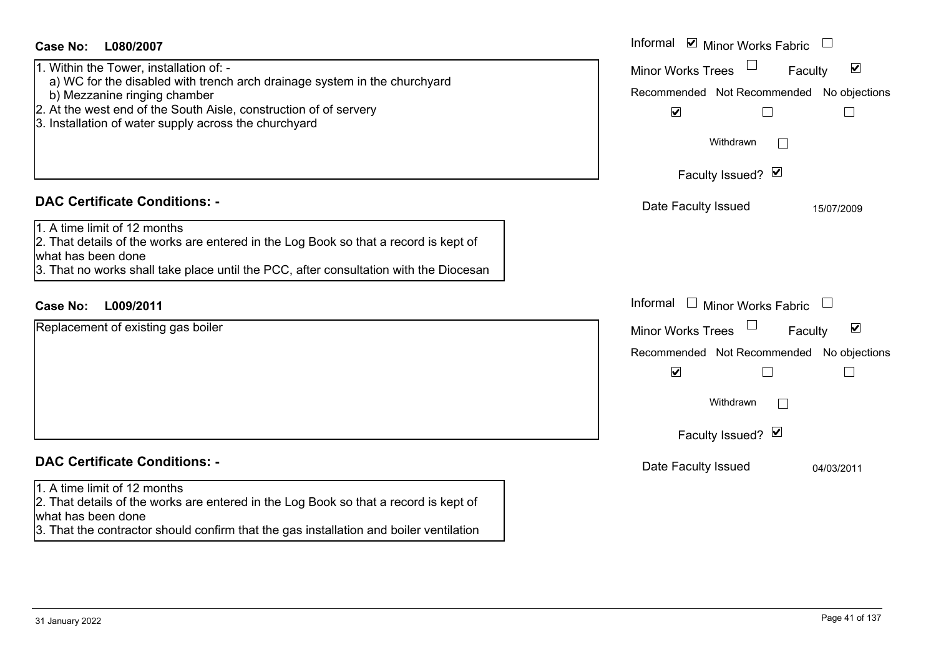| <b>Case No:</b><br>L080/2007                                                                                 | Informal ⊠ Minor Works Fabric $\Box$                        |
|--------------------------------------------------------------------------------------------------------------|-------------------------------------------------------------|
| 1. Within the Tower, installation of: -                                                                      | $\blacktriangledown$<br><b>Minor Works Trees</b><br>Faculty |
| a) WC for the disabled with trench arch drainage system in the churchyard<br>b) Mezzanine ringing chamber    | Recommended Not Recommended No objections                   |
| 2. At the west end of the South Aisle, construction of of servery                                            | $\blacktriangledown$                                        |
| 3. Installation of water supply across the churchyard                                                        |                                                             |
|                                                                                                              | Withdrawn                                                   |
|                                                                                                              | Faculty Issued? Ø                                           |
| <b>DAC Certificate Conditions: -</b>                                                                         | Date Faculty Issued<br>15/07/2009                           |
| 1. A time limit of 12 months                                                                                 |                                                             |
| 2. That details of the works are entered in the Log Book so that a record is kept of<br>what has been done   |                                                             |
| 3. That no works shall take place until the PCC, after consultation with the Diocesan                        |                                                             |
|                                                                                                              |                                                             |
| L009/2011<br><b>Case No:</b>                                                                                 | Informal $\Box$ Minor Works Fabric                          |
| Replacement of existing gas boiler                                                                           | Minor Works Trees<br>$\blacktriangledown$<br>Faculty        |
|                                                                                                              | Recommended Not Recommended No objections                   |
|                                                                                                              | $\blacktriangledown$                                        |
|                                                                                                              | Withdrawn                                                   |
|                                                                                                              | Faculty Issued? Ø                                           |
| <b>DAC Certificate Conditions: -</b>                                                                         | Date Faculty Issued<br>04/03/2011                           |
| 1. A time limit of 12 months                                                                                 |                                                             |
| 2. That details of the works are entered in the Log Book so that a record is kept of                         |                                                             |
| what has been done<br>3. That the contractor should confirm that the gas installation and boiler ventilation |                                                             |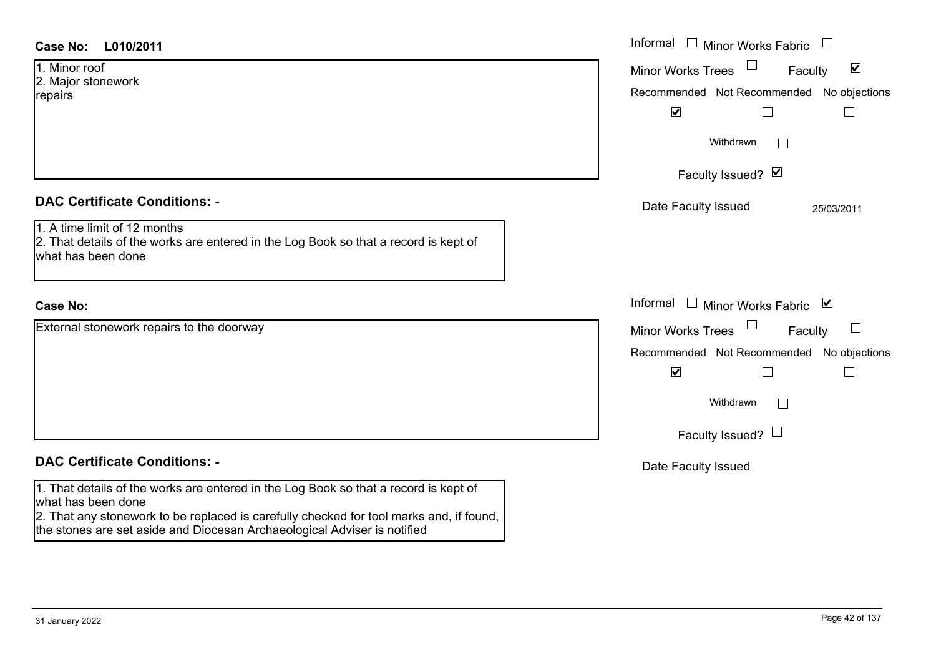| <b>Case No:</b><br>L010/2011                                                                                                                                                                                                                                                      | Informal □ Minor Works Fabric<br>$\begin{array}{c} \hline \end{array}$                                                                                                                        |
|-----------------------------------------------------------------------------------------------------------------------------------------------------------------------------------------------------------------------------------------------------------------------------------|-----------------------------------------------------------------------------------------------------------------------------------------------------------------------------------------------|
| 1. Minor roof<br>2. Major stonework<br>repairs                                                                                                                                                                                                                                    | Minor Works Trees<br>$\blacktriangledown$<br>Faculty<br>Recommended Not Recommended No objections<br>$\blacktriangledown$<br>$\perp$<br>$\mathbb{R}^n$                                        |
|                                                                                                                                                                                                                                                                                   | Withdrawn<br>Faculty Issued? Ø                                                                                                                                                                |
| <b>DAC Certificate Conditions: -</b><br>1. A time limit of 12 months<br>2. That details of the works are entered in the Log Book so that a record is kept of<br>what has been done                                                                                                | Date Faculty Issued<br>25/03/2011                                                                                                                                                             |
| <b>Case No:</b>                                                                                                                                                                                                                                                                   | Informal $\Box$ Minor Works Fabric $\Box$                                                                                                                                                     |
| External stonework repairs to the doorway                                                                                                                                                                                                                                         | <b>Minor Works Trees</b><br>$\Box$<br>Faculty<br>Recommended Not Recommended No objections<br>$\blacktriangledown$<br>$\Box$<br>$\Box$<br>Withdrawn<br>$\mathbf{I}$<br>Faculty Issued? $\Box$ |
| <b>DAC Certificate Conditions: -</b>                                                                                                                                                                                                                                              | Date Faculty Issued                                                                                                                                                                           |
| 1. That details of the works are entered in the Log Book so that a record is kept of<br>what has been done<br>2. That any stonework to be replaced is carefully checked for tool marks and, if found,<br>the stones are set aside and Diocesan Archaeological Adviser is notified |                                                                                                                                                                                               |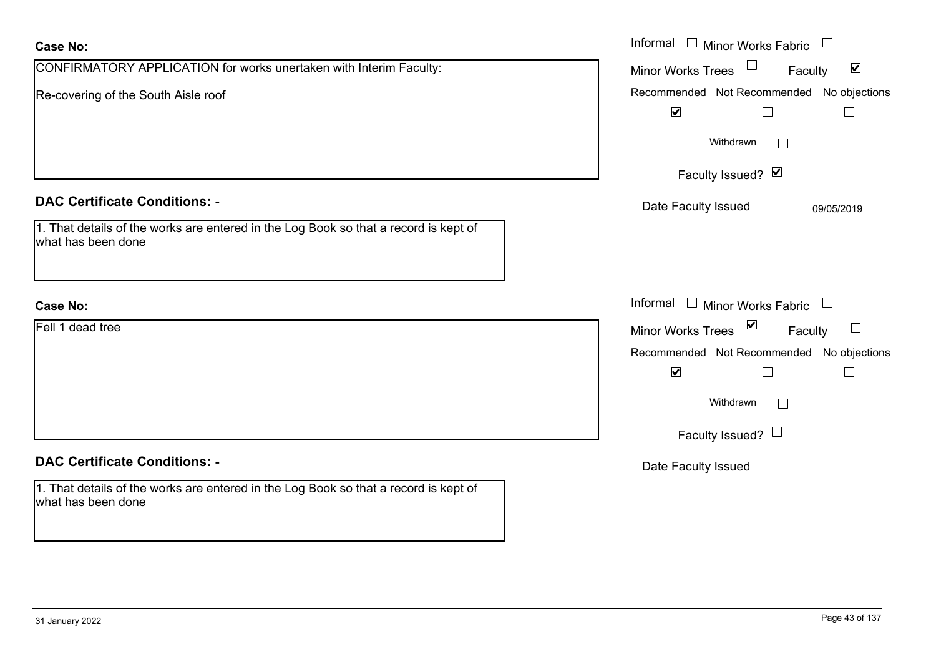| <b>Case No:</b>                                                                                            | Informal<br>$\Box$ Minor Works Fabric<br>$\Box$                                |
|------------------------------------------------------------------------------------------------------------|--------------------------------------------------------------------------------|
| CONFIRMATORY APPLICATION for works unertaken with Interim Faculty:                                         | $\blacktriangledown$<br>Minor Works Trees<br>Faculty                           |
| Re-covering of the South Aisle roof                                                                        | Recommended Not Recommended No objections                                      |
|                                                                                                            | $\blacktriangleright$                                                          |
|                                                                                                            | Withdrawn<br>$\sim$                                                            |
|                                                                                                            | Faculty Issued? Ø                                                              |
| <b>DAC Certificate Conditions: -</b>                                                                       | Date Faculty Issued<br>09/05/2019                                              |
| 1. That details of the works are entered in the Log Book so that a record is kept of<br>what has been done |                                                                                |
| <b>Case No:</b>                                                                                            | Informal<br>$\Box$ Minor Works Fabric<br>$\begin{array}{c} \hline \end{array}$ |
| Fell 1 dead tree                                                                                           | Minor Works Trees ⊠<br>$\Box$<br>Faculty                                       |
|                                                                                                            | Recommended Not Recommended No objections                                      |
|                                                                                                            | $\blacktriangledown$                                                           |
|                                                                                                            | Withdrawn                                                                      |
|                                                                                                            | Faculty Issued? $\Box$                                                         |
| <b>DAC Certificate Conditions: -</b>                                                                       | Date Faculty Issued                                                            |
| 1. That details of the works are entered in the Log Book so that a record is kept of<br>what has been done |                                                                                |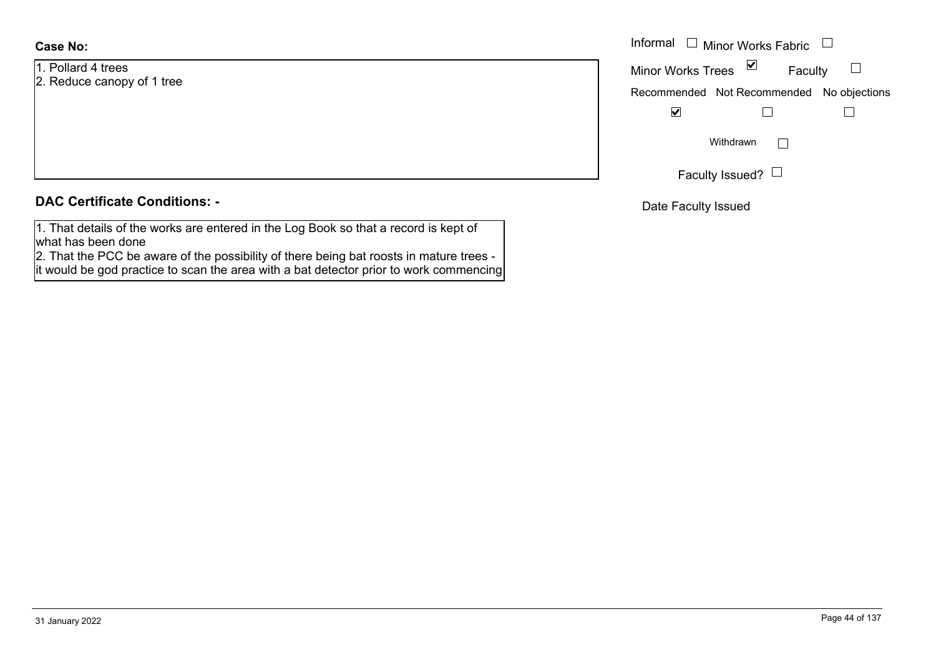**Case No:**

1. Pollard 4 trees2. Reduce canopy of 1 tree

| <b>DAC Certificate Conditions: -</b> |  |
|--------------------------------------|--|
|--------------------------------------|--|

1. That details of the works are entered in the Log Book so that a record is kept of what has been done

 2. That the PCC be aware of the possibility of there being bat roosts in mature trees it would be god practice to scan the area with a bat detector prior to work commencing

|                    | Informal $\Box$ Minor Works Fabric $\Box$             |
|--------------------|-------------------------------------------------------|
| d 4 trees          | Minor Works Trees $\boxed{\triangleright}$<br>Faculty |
| e canopy of 1 tree | Recommended Not Recommended No objections             |
|                    | $\blacktriangledown$                                  |
|                    | Withdrawn                                             |
|                    | Faculty Issued? $\Box$                                |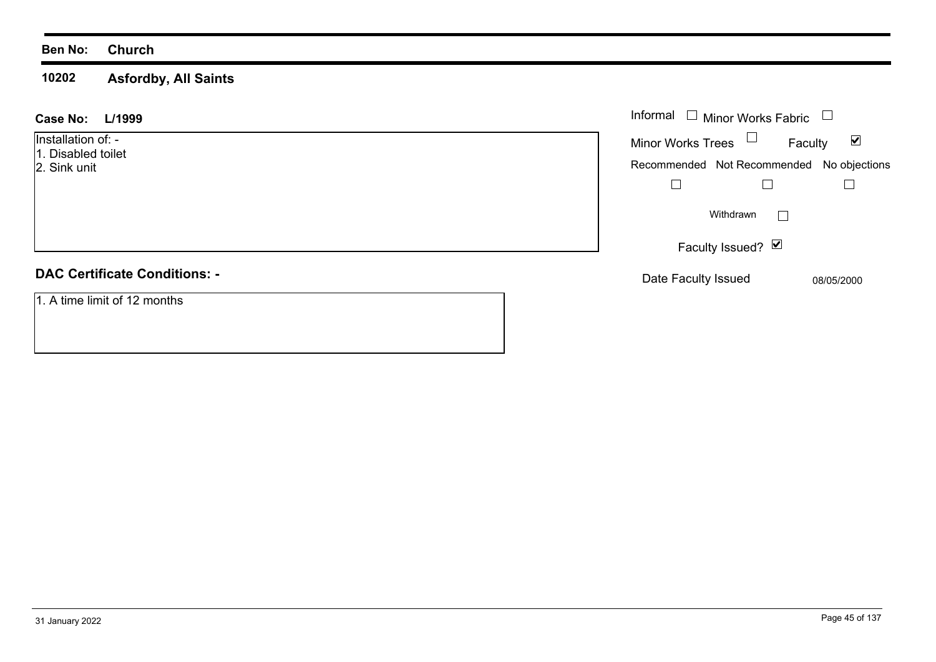**10202 Asfordby, All Saints**

| L/1999<br><b>Case No:</b>                                | Informal $\Box$ Minor Works Fabric                      |                                                  |
|----------------------------------------------------------|---------------------------------------------------------|--------------------------------------------------|
| Installation of: -<br>1. Disabled toilet<br>2. Sink unit | Minor Works Trees $\Box$<br>Recommended Not Recommended | $\blacktriangledown$<br>Faculty<br>No objections |
|                                                          | Withdrawn                                               |                                                  |
|                                                          | Faculty Issued? Ø                                       |                                                  |
| <b>DAC Certificate Conditions: -</b>                     | Date Faculty Issued                                     | 08/05/2000                                       |
| 1. A time limit of 12 months                             |                                                         |                                                  |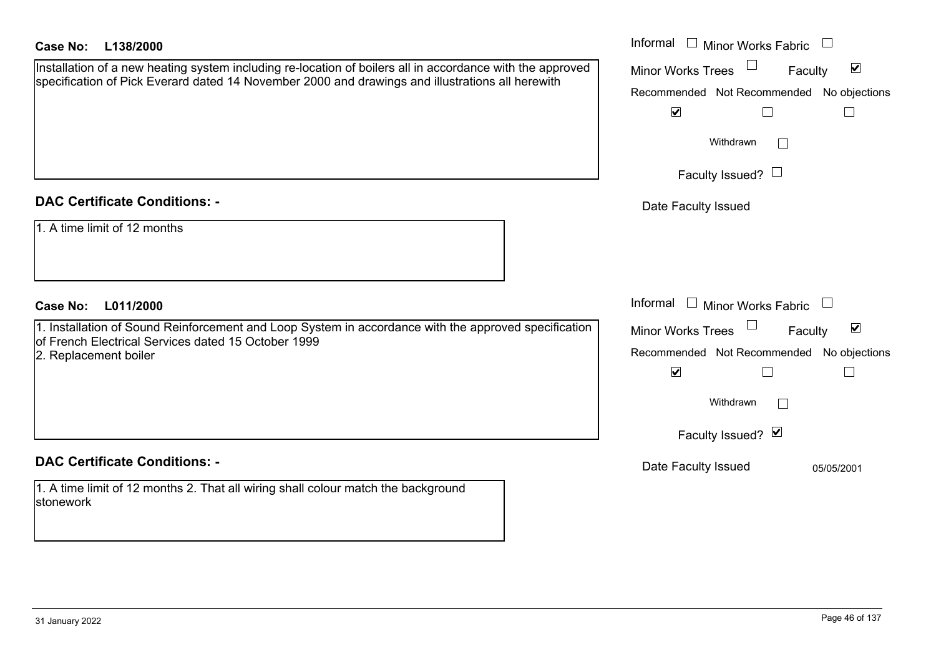| <b>Case No:</b><br>L138/2000                                                                                                                                                                                  | Informal $\square$<br>Minor Works Fabric                                                                                                                                       |
|---------------------------------------------------------------------------------------------------------------------------------------------------------------------------------------------------------------|--------------------------------------------------------------------------------------------------------------------------------------------------------------------------------|
| Installation of a new heating system including re-location of boilers all in accordance with the approved<br>specification of Pick Everard dated 14 November 2000 and drawings and illustrations all herewith | $\blacktriangledown$<br><b>Minor Works Trees</b><br>Faculty<br>Recommended Not Recommended No objections<br>$\blacktriangledown$<br>Withdrawn                                  |
|                                                                                                                                                                                                               | Faculty Issued? $\Box$                                                                                                                                                         |
| <b>DAC Certificate Conditions: -</b>                                                                                                                                                                          | Date Faculty Issued                                                                                                                                                            |
| 1. A time limit of 12 months                                                                                                                                                                                  |                                                                                                                                                                                |
| <b>Case No:</b><br>L011/2000                                                                                                                                                                                  | Informal $\square$<br>Minor Works Fabric                                                                                                                                       |
| 1. Installation of Sound Reinforcement and Loop System in accordance with the approved specification<br>of French Electrical Services dated 15 October 1999<br>2. Replacement boiler                          | $\blacktriangledown$<br>Minor Works Trees<br>Faculty<br>Recommended Not Recommended No objections<br>$\blacktriangledown$<br>Withdrawn<br>$\vert$ $\vert$<br>Faculty Issued? Ø |
| <b>DAC Certificate Conditions: -</b>                                                                                                                                                                          | Date Faculty Issued<br>05/05/2001                                                                                                                                              |
| 1. A time limit of 12 months 2. That all wiring shall colour match the background<br>stonework                                                                                                                |                                                                                                                                                                                |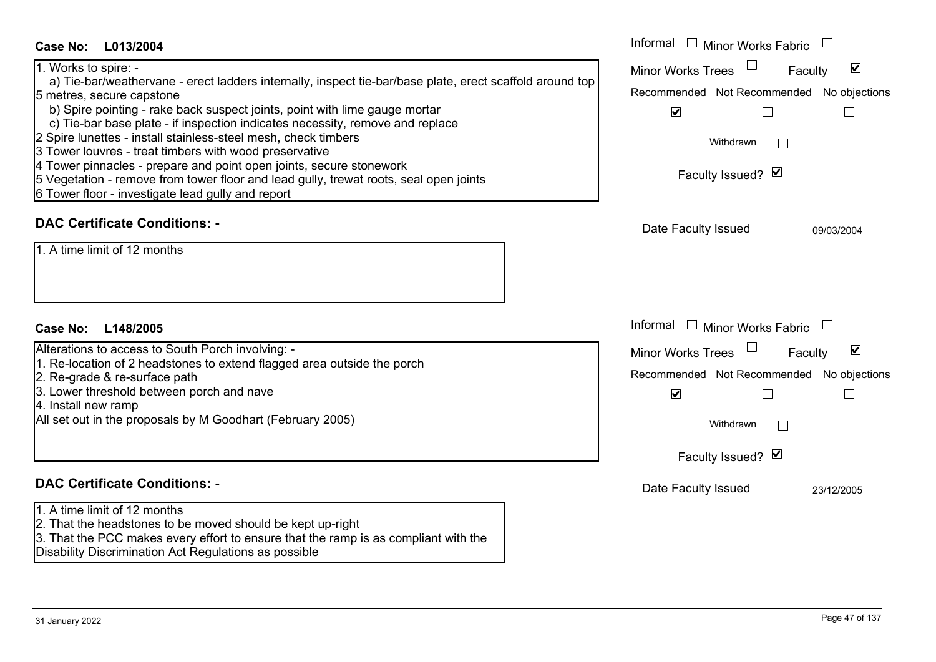| <b>Case No:</b>                                                                                          | Informal $\Box$ Minor Works Fabric                          |
|----------------------------------------------------------------------------------------------------------|-------------------------------------------------------------|
| L013/2004<br>1. Works to spire: -                                                                        | $\blacktriangledown$<br><b>Minor Works Trees</b><br>Faculty |
| a) Tie-bar/weathervane - erect ladders internally, inspect tie-bar/base plate, erect scaffold around top |                                                             |
| 5 metres, secure capstone                                                                                | Recommended Not Recommended No objections                   |
| b) Spire pointing - rake back suspect joints, point with lime gauge mortar                               | $\blacktriangledown$                                        |
| c) Tie-bar base plate - if inspection indicates necessity, remove and replace                            |                                                             |
| 2 Spire lunettes - install stainless-steel mesh, check timbers                                           | Withdrawn<br>$\mathbb{R}^n$                                 |
| 3 Tower louvres - treat timbers with wood preservative                                                   |                                                             |
| 4 Tower pinnacles - prepare and point open joints, secure stonework                                      |                                                             |
| 5 Vegetation - remove from tower floor and lead gully, trewat roots, seal open joints                    | Faculty Issued? Ø                                           |
| 6 Tower floor - investigate lead gully and report                                                        |                                                             |
| <b>DAC Certificate Conditions: -</b>                                                                     |                                                             |
|                                                                                                          | Date Faculty Issued<br>09/03/2004                           |
| 1. A time limit of 12 months                                                                             |                                                             |
|                                                                                                          |                                                             |
|                                                                                                          |                                                             |
|                                                                                                          |                                                             |
|                                                                                                          |                                                             |
| <b>Case No:</b><br>L148/2005                                                                             | Informal<br>$\Box$ Minor Works Fabric                       |
| Alterations to access to South Porch involving: -                                                        | $\blacktriangledown$<br><b>Minor Works Trees</b><br>Faculty |
| 1. Re-location of 2 headstones to extend flagged area outside the porch                                  |                                                             |
| 2. Re-grade & re-surface path                                                                            | Recommended Not Recommended No objections                   |
| 3. Lower threshold between porch and nave                                                                | $\blacktriangledown$                                        |
| 4. Install new ramp                                                                                      |                                                             |
| All set out in the proposals by M Goodhart (February 2005)                                               | Withdrawn<br>$\mathbb{R}$                                   |
|                                                                                                          |                                                             |
|                                                                                                          | Faculty Issued? Ø                                           |
|                                                                                                          |                                                             |
| <b>DAC Certificate Conditions: -</b>                                                                     | Date Faculty Issued<br>23/12/2005                           |
| 1. A time limit of 12 months                                                                             |                                                             |
| 2. That the headstones to be moved should be kept up-right                                               |                                                             |
| 3. That the PCC makes every effort to ensure that the ramp is as compliant with the                      |                                                             |
| Disability Discrimination Act Regulations as possible                                                    |                                                             |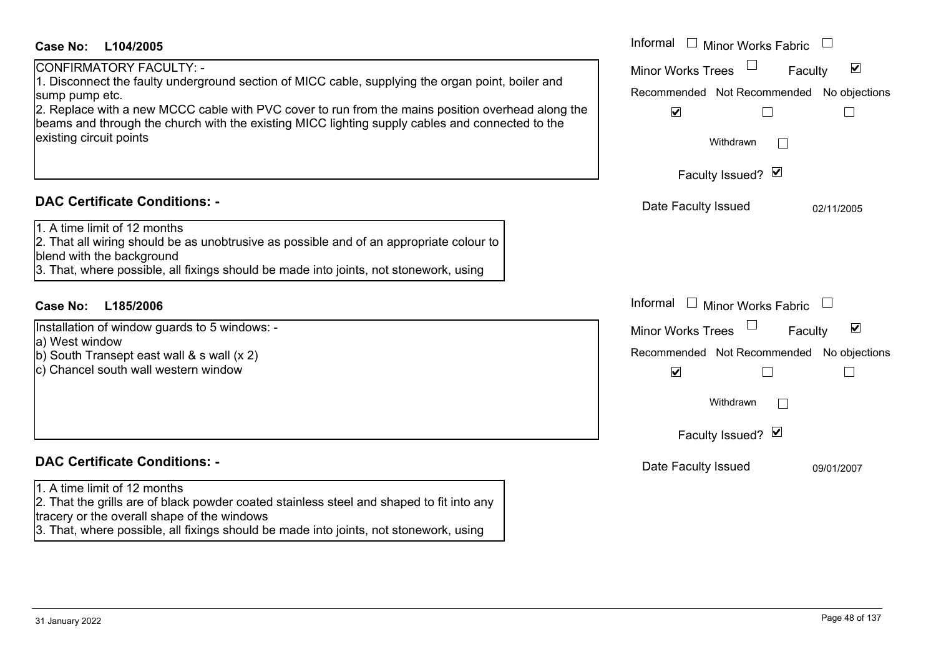| <b>Case No:</b><br>L104/2005                                                                                                                                                                                                                                                                                                                                                      | Informal<br>$\mathbf{L}$<br><b>Minor Works Fabric</b>                                                                                                                        |
|-----------------------------------------------------------------------------------------------------------------------------------------------------------------------------------------------------------------------------------------------------------------------------------------------------------------------------------------------------------------------------------|------------------------------------------------------------------------------------------------------------------------------------------------------------------------------|
| CONFIRMATORY FACULTY: -<br>1. Disconnect the faulty underground section of MICC cable, supplying the organ point, boiler and<br>sump pump etc.<br>2. Replace with a new MCCC cable with PVC cover to run from the mains position overhead along the<br>beams and through the church with the existing MICC lighting supply cables and connected to the<br>existing circuit points | $\blacktriangledown$<br><b>Minor Works Trees</b><br>Faculty<br>Recommended Not Recommended No objections<br>$\blacktriangledown$<br>Withdrawn<br>$\perp$                     |
|                                                                                                                                                                                                                                                                                                                                                                                   | Faculty Issued? Ø                                                                                                                                                            |
| <b>DAC Certificate Conditions: -</b><br>1. A time limit of 12 months<br>2. That all wiring should be as unobtrusive as possible and of an appropriate colour to<br>blend with the background<br>3. That, where possible, all fixings should be made into joints, not stonework, using                                                                                             | Date Faculty Issued<br>02/11/2005                                                                                                                                            |
| <b>Case No:</b><br>L185/2006                                                                                                                                                                                                                                                                                                                                                      | Informal<br>$\mathbf{I}$<br>Minor Works Fabric                                                                                                                               |
| Installation of window guards to 5 windows: -<br>a) West window<br>b) South Transept east wall $\&$ s wall $(x 2)$<br>c) Chancel south wall western window                                                                                                                                                                                                                        | $\blacktriangledown$<br><b>Minor Works Trees</b><br>Faculty<br>Recommended Not Recommended No objections<br>$\blacktriangledown$<br>Withdrawn<br>$\sim$<br>Faculty Issued? Ø |
| <b>DAC Certificate Conditions: -</b>                                                                                                                                                                                                                                                                                                                                              | Date Faculty Issued<br>09/01/2007                                                                                                                                            |
| 1. A time limit of 12 months<br>2. That the grills are of black powder coated stainless steel and shaped to fit into any<br>tracery or the overall shape of the windows<br>3. That, where possible, all fixings should be made into joints, not stonework, using                                                                                                                  |                                                                                                                                                                              |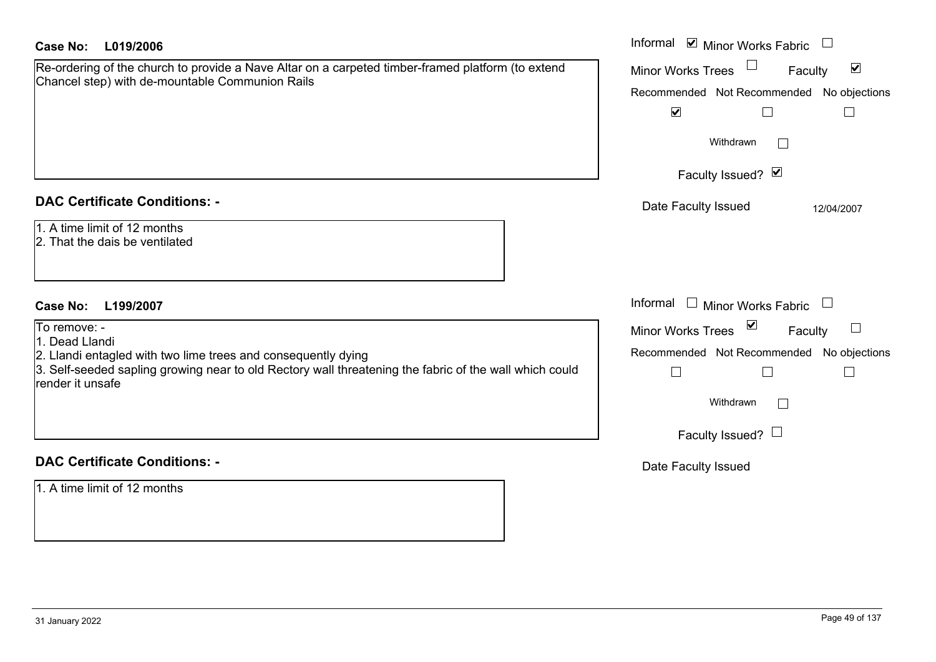| <b>Case No:</b><br>L019/2006                                                                                                                                            | Informal ⊠ Minor Works Fabric                               |
|-------------------------------------------------------------------------------------------------------------------------------------------------------------------------|-------------------------------------------------------------|
| Re-ordering of the church to provide a Nave Altar on a carpeted timber-framed platform (to extend<br>Chancel step) with de-mountable Communion Rails                    | $\blacktriangledown$<br><b>Minor Works Trees</b><br>Faculty |
|                                                                                                                                                                         | Recommended Not Recommended No objections                   |
|                                                                                                                                                                         | $\blacktriangledown$                                        |
|                                                                                                                                                                         | Withdrawn<br>$\mathbb{R}^n$                                 |
|                                                                                                                                                                         | Faculty Issued? Ø                                           |
| <b>DAC Certificate Conditions: -</b>                                                                                                                                    | Date Faculty Issued<br>12/04/2007                           |
| 1. A time limit of 12 months                                                                                                                                            |                                                             |
| 2. That the dais be ventilated                                                                                                                                          |                                                             |
|                                                                                                                                                                         |                                                             |
| <b>Case No:</b><br>L199/2007                                                                                                                                            | Informal<br>$\perp$<br><b>Minor Works Fabric</b>            |
| To remove: -                                                                                                                                                            | Minor Works Trees<br>Faculty                                |
| 1. Dead Llandi                                                                                                                                                          | Recommended Not Recommended No objections                   |
| 2. Llandi entagled with two lime trees and consequently dying<br>3. Self-seeded sapling growing near to old Rectory wall threatening the fabric of the wall which could |                                                             |
| render it unsafe                                                                                                                                                        | $\Box$<br>$\Box$                                            |
|                                                                                                                                                                         | Withdrawn<br>$\mathbb{R}^n$                                 |
|                                                                                                                                                                         | Faculty Issued? $\Box$                                      |
| <b>DAC Certificate Conditions: -</b>                                                                                                                                    | Date Faculty Issued                                         |
| 1. A time limit of 12 months                                                                                                                                            |                                                             |
|                                                                                                                                                                         |                                                             |
|                                                                                                                                                                         |                                                             |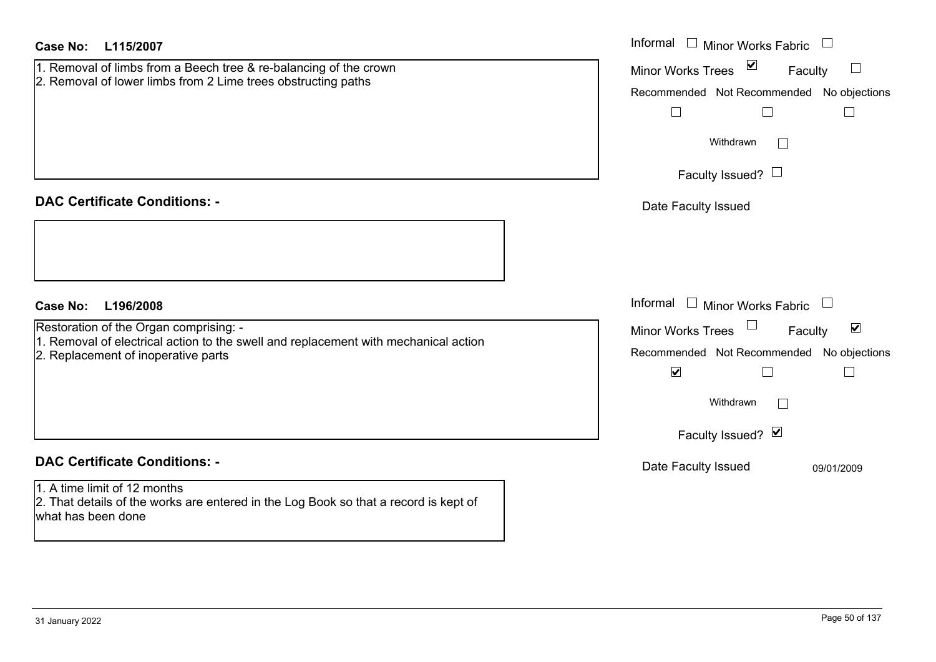| <b>Case No:</b><br>L115/2007                                                                                                               | Informal □ Minor Works Fabric                                    |
|--------------------------------------------------------------------------------------------------------------------------------------------|------------------------------------------------------------------|
| 1. Removal of limbs from a Beech tree & re-balancing of the crown<br>2. Removal of lower limbs from 2 Lime trees obstructing paths         | $\blacktriangledown$<br>Minor Works Trees<br>$\sqcup$<br>Faculty |
|                                                                                                                                            | Recommended Not Recommended No objections                        |
|                                                                                                                                            | $\Box$<br>$\Box$<br>$\Box$                                       |
|                                                                                                                                            | Withdrawn<br>$\perp$                                             |
|                                                                                                                                            | Faculty Issued? $\Box$                                           |
| <b>DAC Certificate Conditions: -</b>                                                                                                       | Date Faculty Issued                                              |
|                                                                                                                                            |                                                                  |
| <b>Case No:</b><br>L196/2008                                                                                                               | Informal<br>$\Box$ Minor Works Fabric                            |
| Restoration of the Organ comprising: -                                                                                                     | $\blacktriangledown$<br>Minor Works Trees<br>Faculty             |
| 1. Removal of electrical action to the swell and replacement with mechanical action<br>2. Replacement of inoperative parts                 | Recommended Not Recommended No objections                        |
|                                                                                                                                            | $\blacktriangledown$<br>$\Box$<br>П                              |
|                                                                                                                                            | Withdrawn                                                        |
|                                                                                                                                            | Faculty Issued? Ø                                                |
| <b>DAC Certificate Conditions: -</b>                                                                                                       | Date Faculty Issued<br>09/01/2009                                |
| 1. A time limit of 12 months<br>2. That details of the works are entered in the Log Book so that a record is kept of<br>what has been done |                                                                  |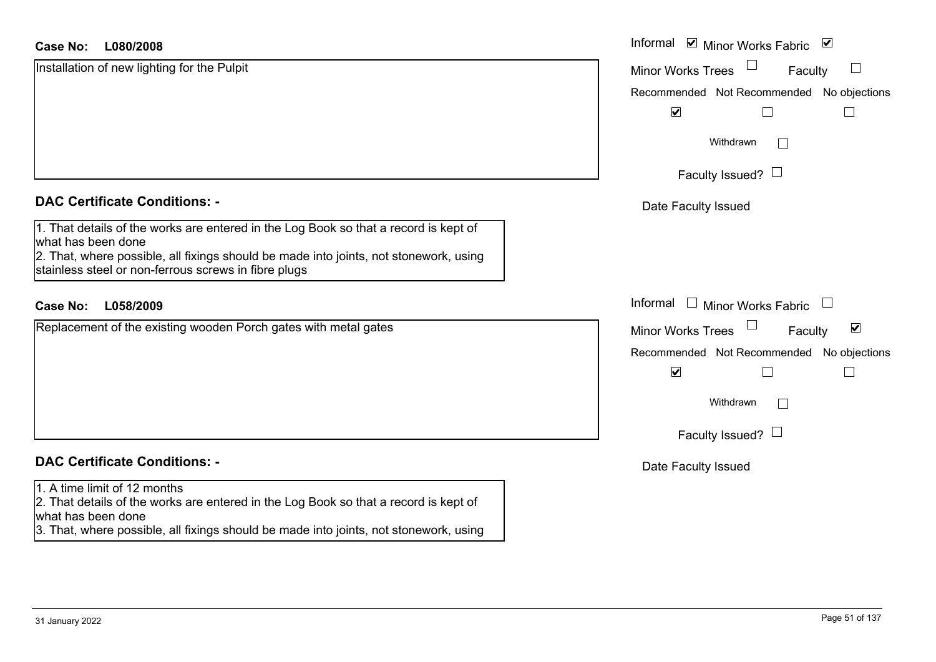| <b>Case No:</b><br>L080/2008                                                                                                                                                                        | Informal ⊠ Minor Works Fabric ⊠                                                |
|-----------------------------------------------------------------------------------------------------------------------------------------------------------------------------------------------------|--------------------------------------------------------------------------------|
| Installation of new lighting for the Pulpit                                                                                                                                                         | $\perp$<br><b>Minor Works Trees</b><br>Faculty                                 |
|                                                                                                                                                                                                     | Recommended Not Recommended No objections                                      |
|                                                                                                                                                                                                     | $\blacktriangledown$                                                           |
|                                                                                                                                                                                                     | Withdrawn<br>$\Box$                                                            |
|                                                                                                                                                                                                     | Faculty Issued? $\Box$                                                         |
| <b>DAC Certificate Conditions: -</b>                                                                                                                                                                | Date Faculty Issued                                                            |
| 1. That details of the works are entered in the Log Book so that a record is kept of<br>what has been done<br>2. That, where possible, all fixings should be made into joints, not stonework, using |                                                                                |
| stainless steel or non-ferrous screws in fibre plugs                                                                                                                                                |                                                                                |
| L058/2009<br><b>Case No:</b>                                                                                                                                                                        | Informal<br>$\Box$ Minor Works Fabric<br>$\begin{array}{c} \hline \end{array}$ |
| Replacement of the existing wooden Porch gates with metal gates                                                                                                                                     | $\blacktriangledown$<br><b>Minor Works Trees</b><br>Faculty                    |
|                                                                                                                                                                                                     | Recommended Not Recommended No objections                                      |
|                                                                                                                                                                                                     | $\blacktriangledown$                                                           |
|                                                                                                                                                                                                     | Withdrawn<br>$\mathbb{R}^n$                                                    |
|                                                                                                                                                                                                     | Faculty Issued? $\Box$                                                         |
| <b>DAC Certificate Conditions: -</b>                                                                                                                                                                | Date Faculty Issued                                                            |
| 1. A time limit of 12 months                                                                                                                                                                        |                                                                                |
| 2. That details of the works are entered in the Log Book so that a record is kept of<br>what has been done                                                                                          |                                                                                |
| 3. That, where possible, all fixings should be made into joints, not stonework, using                                                                                                               |                                                                                |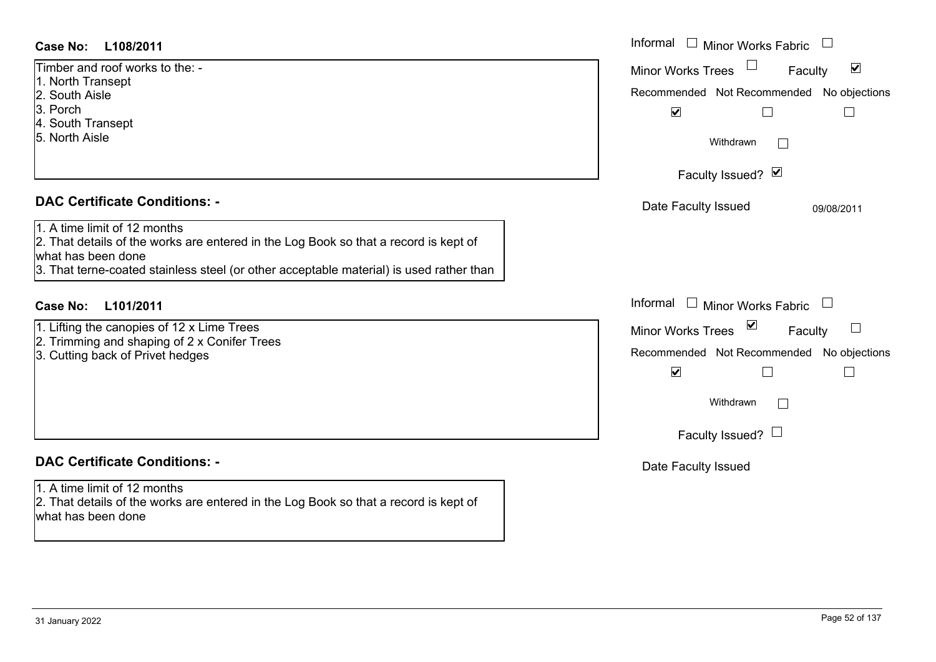- 1. North Transept
- 2. South Aisle
- 3. Porch
- 4. South Transept
- 5. North Aisle

### **DAC Certificate Conditions: -**

- 1. Lifting the canopies of 12 x Lime Trees
- 2. Trimming and shaping of 2 x Conifer Trees
- 3. Cutting back of Privet hedges

## **DAC Certificate Conditions: -**

1. A time limit of 12 months

2. That details of the works are entered in the Log Book so that a record is kept of what has been done

| Case No:<br>L108/2011                                                                                                                                                                                                                                                         | Informal $\Box$ Minor Works Fabric                                                                                                                                                                                        |
|-------------------------------------------------------------------------------------------------------------------------------------------------------------------------------------------------------------------------------------------------------------------------------|---------------------------------------------------------------------------------------------------------------------------------------------------------------------------------------------------------------------------|
| Timber and roof works to the: -<br>1. North Transept<br>2. South Aisle<br>3. Porch<br>4. South Transept<br>5. North Aisle                                                                                                                                                     | $\blacktriangledown$<br><b>Minor Works Trees</b><br>Faculty<br>Recommended Not Recommended No objections<br>$\blacktriangledown$<br>Withdrawn<br>$\mathbb{R}^n$<br>Faculty Issued? $\Box$                                 |
| <b>DAC Certificate Conditions: -</b><br>1. A time limit of 12 months<br>2. That details of the works are entered in the Log Book so that a record is kept of<br>what has been done<br>3. That terne-coated stainless steel (or other acceptable material) is used rather than | Date Faculty Issued<br>09/08/2011                                                                                                                                                                                         |
| Case No:<br>L101/2011<br>1. Lifting the canopies of 12 x Lime Trees<br>2. Trimming and shaping of 2 x Conifer Trees<br>3. Cutting back of Privet hedges                                                                                                                       | Informal $\Box$ Minor Works Fabric $\Box$<br>$\overline{\mathbf{v}}$<br>$\Box$<br>Faculty<br><b>Minor Works Trees</b><br>Recommended Not Recommended No objections<br>$\blacktriangledown$<br>Withdrawn<br>$\mathbb{R}^n$ |
| <b>DAC Certificate Conditions: -</b>                                                                                                                                                                                                                                          | Faculty Issued? $\Box$<br>Date Faculty Issued                                                                                                                                                                             |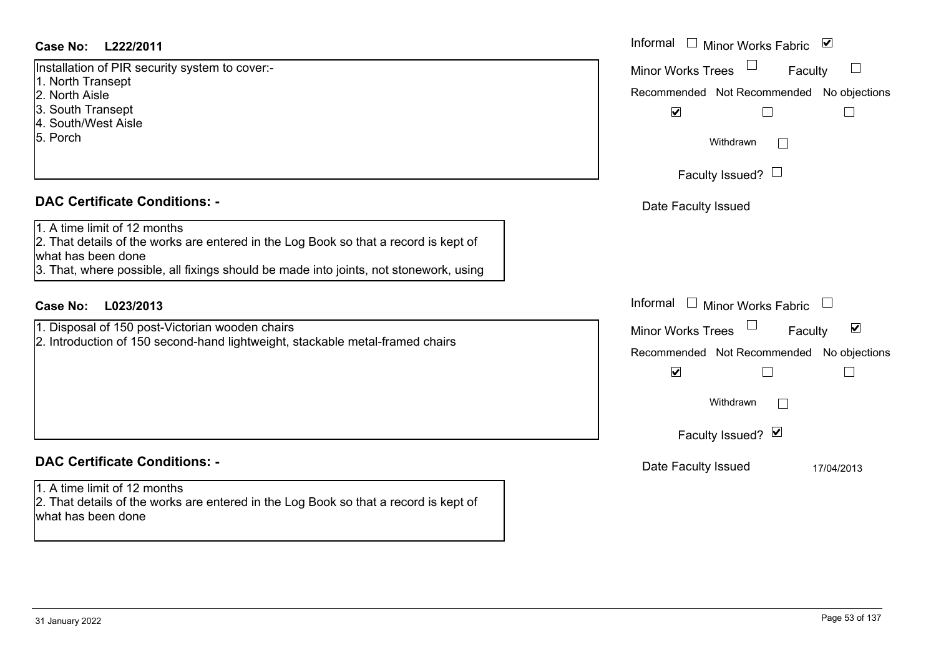#### **L222/2011Case No:** Informal

Installation of PIR security system to cover:-

- 1. North Transept
- 2. North Aisle
- 3. South Transept
- 4. South/West Aisle
- 5. Porch

#### **DAC Certificate Conditions: -**

|  |  |  | 1. A time limit of 12 months |
|--|--|--|------------------------------|
|--|--|--|------------------------------|

2. That details of the works are entered in the Log Book so that a record is kept of what has been done

3. That, where possible, all fixings should be made into joints, not stonework, using

### **L023/2013Case No:** Informal

1. Disposal of 150 post-Victorian wooden chairs 2. Introduction of 150 second-hand lightweight, stackable metal-framed chairs

## **DAC Certificate Conditions: -**

1. A time limit of 12 months2. That details of the works are entered in the Log Book so that a record is kept of what has been done

| Informal<br>Minor Works Fabric ⊠                                                                                      |
|-----------------------------------------------------------------------------------------------------------------------|
| <b>Minor Works Trees</b><br>Faculty<br>Recommended Not Recommended No objections<br>$\blacktriangledown$<br>Withdrawn |
| Faculty Issued? L                                                                                                     |
| Date Faculty Issued                                                                                                   |
| Informal<br>$\Box$<br><b>Minor Works Fabric</b>                                                                       |
| ☑<br><b>Minor Works Trees</b><br>Faculty                                                                              |
| Recommended Not Recommended No objections<br>$\blacktriangledown$<br>Withdrawn                                        |
| Faculty Issued? Ø                                                                                                     |
| Date Faculty Issued<br>17/04/2013                                                                                     |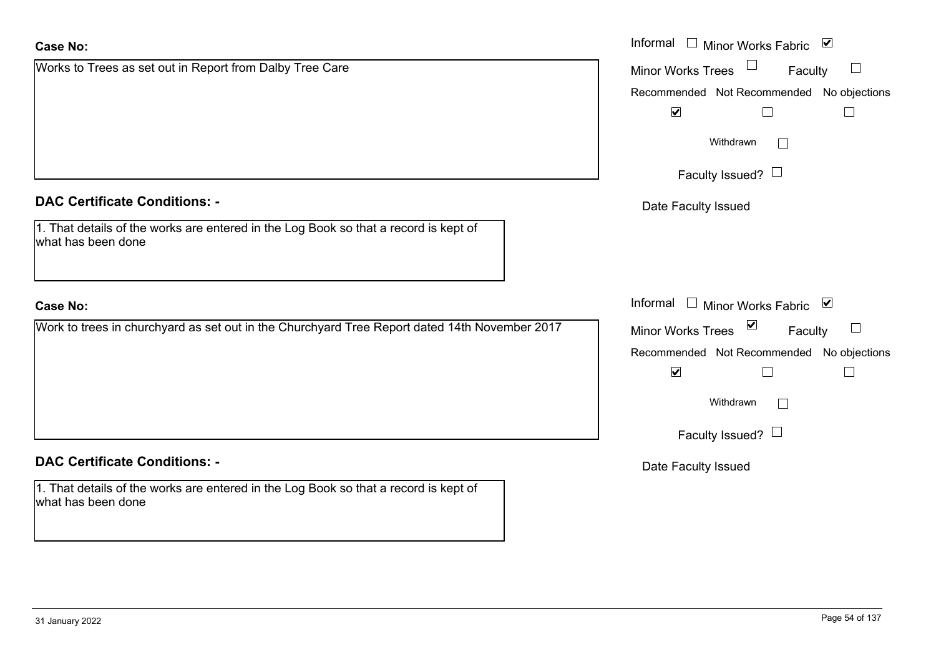| <b>Case No:</b>                                                                                            | Informal □ Minor Works Fabric ⊠           |
|------------------------------------------------------------------------------------------------------------|-------------------------------------------|
| Works to Trees as set out in Report from Dalby Tree Care                                                   | Minor Works Trees<br>Faculty              |
|                                                                                                            | Recommended Not Recommended No objections |
|                                                                                                            | $\blacktriangledown$                      |
|                                                                                                            | Withdrawn<br>$\Box$                       |
|                                                                                                            | Faculty Issued? $\Box$                    |
| <b>DAC Certificate Conditions: -</b>                                                                       | Date Faculty Issued                       |
| 1. That details of the works are entered in the Log Book so that a record is kept of<br>what has been done |                                           |
| <b>Case No:</b>                                                                                            | Informal □ Minor Works Fabric ⊠           |
| Work to trees in churchyard as set out in the Churchyard Tree Report dated 14th November 2017              | Minor Works Trees ⊠<br>$\Box$<br>Faculty  |
|                                                                                                            | Recommended Not Recommended No objections |
|                                                                                                            | $\blacktriangledown$                      |
|                                                                                                            | Withdrawn<br>$\mathbb{R}^n$               |
|                                                                                                            | Faculty Issued? $\Box$                    |
| <b>DAC Certificate Conditions: -</b>                                                                       | Date Faculty Issued                       |
| 1. That details of the works are entered in the Log Book so that a record is kept of<br>what has been done |                                           |
|                                                                                                            |                                           |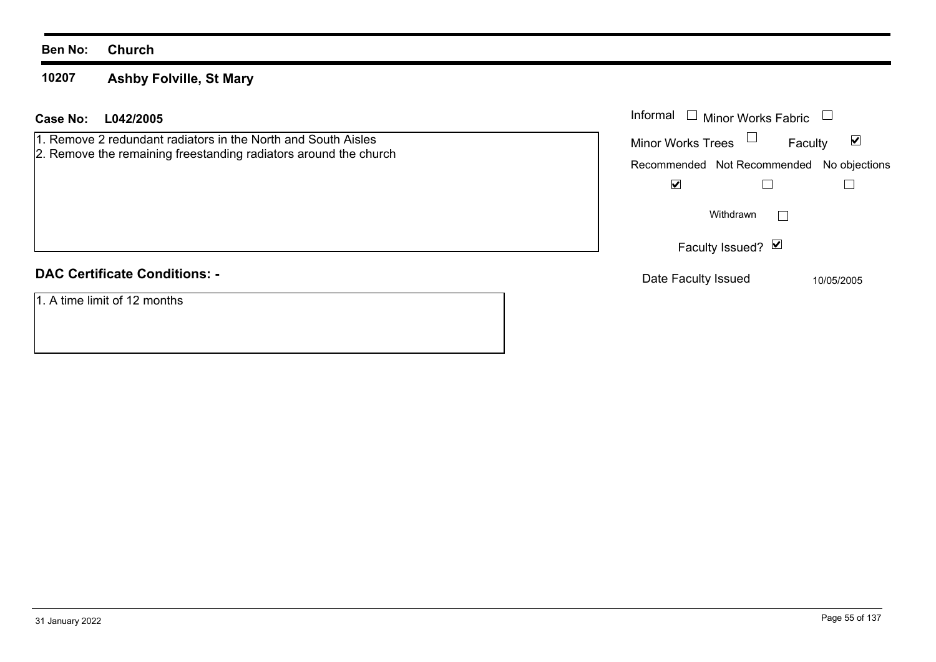**10207Ashby Folville, St Mary**

#### **L042/2005 Case No:** Informal

1. Remove 2 redundant radiators in the North and South Aisles 2. Remove the remaining freestanding radiators around the church

## **DAC Certificate Conditions: -**

1. A time limit of 12 months

| Informal<br>Minor Works Fabric            |            |
|-------------------------------------------|------------|
| Minor Works Trees<br>Faculty              |            |
| Recommended Not Recommended No objections |            |
|                                           |            |
| Withdrawn                                 |            |
| Faculty Issued? Ø                         |            |
| Date Faculty Issued                       | 10/05/2005 |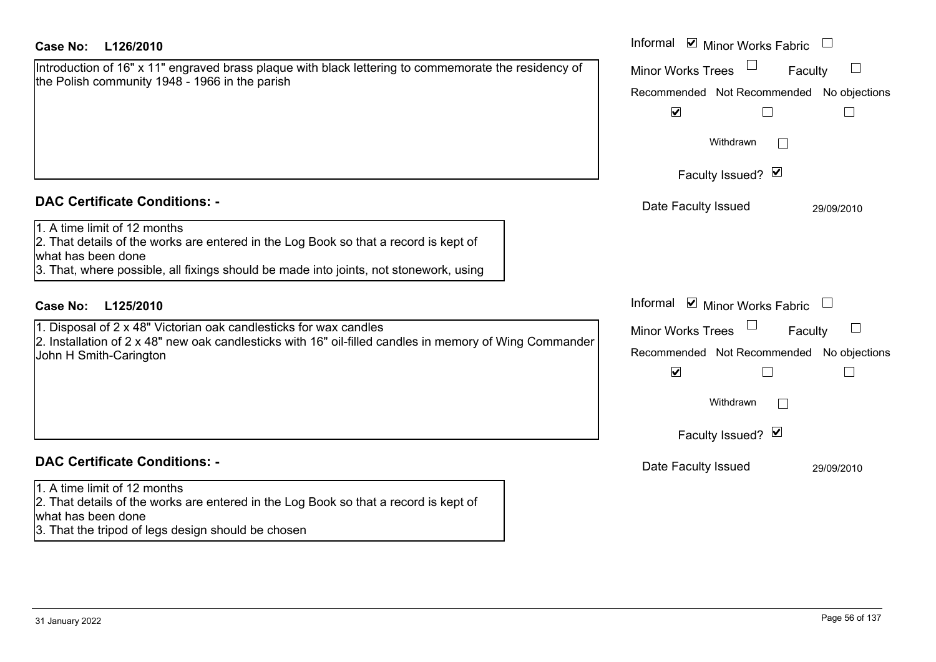| <b>Case No:</b><br>L126/2010                                                                                                                                                                                                                                                | Informal ⊠ Minor Works Fabric                                                                                                 |
|-----------------------------------------------------------------------------------------------------------------------------------------------------------------------------------------------------------------------------------------------------------------------------|-------------------------------------------------------------------------------------------------------------------------------|
| Introduction of 16" x 11" engraved brass plaque with black lettering to commemorate the residency of<br>the Polish community 1948 - 1966 in the parish                                                                                                                      | <b>Minor Works Trees</b><br>Faculty<br>Recommended Not Recommended No objections<br>$\blacktriangledown$<br>$\mathbb{R}^n$    |
|                                                                                                                                                                                                                                                                             | Withdrawn                                                                                                                     |
|                                                                                                                                                                                                                                                                             | Faculty Issued? Ø                                                                                                             |
| <b>DAC Certificate Conditions: -</b><br>1. A time limit of 12 months<br>2. That details of the works are entered in the Log Book so that a record is kept of<br>what has been done<br>3. That, where possible, all fixings should be made into joints, not stonework, using | Date Faculty Issued<br>29/09/2010                                                                                             |
| <b>Case No:</b><br>L125/2010                                                                                                                                                                                                                                                | Informal $\blacksquare$ Minor Works Fabric $\Box$                                                                             |
| 1. Disposal of 2 x 48" Victorian oak candlesticks for wax candles<br>2. Installation of 2 x 48" new oak candlesticks with 16" oil-filled candles in memory of Wing Commander<br>John H Smith-Carington                                                                      | <b>Minor Works Trees</b><br>Faculty<br>Recommended Not Recommended No objections<br>$\blacktriangledown$<br>H<br>$\mathbf{L}$ |
|                                                                                                                                                                                                                                                                             | Withdrawn<br>Faculty Issued? Ø                                                                                                |
| <b>DAC Certificate Conditions: -</b>                                                                                                                                                                                                                                        | Date Faculty Issued<br>29/09/2010                                                                                             |
| 1. A time limit of 12 months<br>2. That details of the works are entered in the Log Book so that a record is kept of<br>lwhat has been done<br>3. That the tripod of legs design should be chosen                                                                           |                                                                                                                               |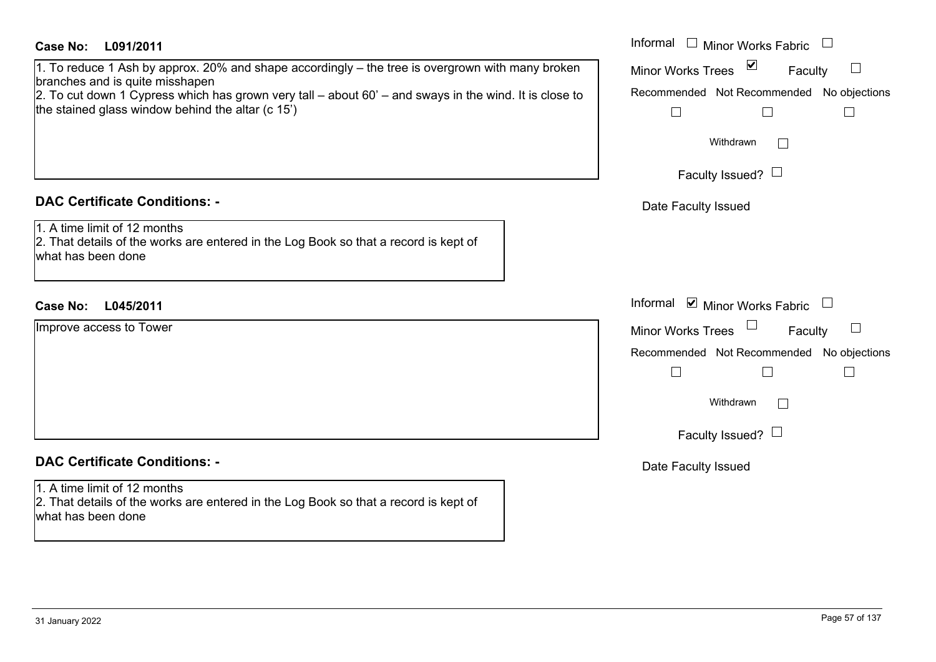| <b>Case No:</b><br>L091/2011<br>1. To reduce 1 Ash by approx. 20% and shape accordingly – the tree is overgrown with many broken<br>branches and is quite misshapen<br>$2.$ To cut down 1 Cypress which has grown very tall – about 60' – and sways in the wind. It is close to<br>the stained glass window behind the altar (c 15') | Informal $\Box$ Minor Works Fabric $\Box$<br>$\blacktriangledown$<br><b>Minor Works Trees</b><br>Faculty<br>Recommended Not Recommended No objections<br>$\Box$<br>$\mathbb{L}$<br>$\mathbf{L}$<br>Withdrawn<br>$\Box$ |
|--------------------------------------------------------------------------------------------------------------------------------------------------------------------------------------------------------------------------------------------------------------------------------------------------------------------------------------|------------------------------------------------------------------------------------------------------------------------------------------------------------------------------------------------------------------------|
|                                                                                                                                                                                                                                                                                                                                      | Faculty Issued? $\Box$                                                                                                                                                                                                 |
| <b>DAC Certificate Conditions: -</b>                                                                                                                                                                                                                                                                                                 | Date Faculty Issued                                                                                                                                                                                                    |
| 1. A time limit of 12 months<br>2. That details of the works are entered in the Log Book so that a record is kept of<br>what has been done                                                                                                                                                                                           |                                                                                                                                                                                                                        |
| <b>Case No:</b><br>L045/2011                                                                                                                                                                                                                                                                                                         | Informal $\Box$ Minor Works Fabric $\Box$                                                                                                                                                                              |
| Improve access to Tower                                                                                                                                                                                                                                                                                                              | <b>Minor Works Trees</b><br>Faculty                                                                                                                                                                                    |
|                                                                                                                                                                                                                                                                                                                                      | Recommended Not Recommended No objections                                                                                                                                                                              |
|                                                                                                                                                                                                                                                                                                                                      | $\Box$<br>$\Box$                                                                                                                                                                                                       |
|                                                                                                                                                                                                                                                                                                                                      | Withdrawn<br>$\Box$                                                                                                                                                                                                    |
|                                                                                                                                                                                                                                                                                                                                      | Faculty Issued? $\Box$                                                                                                                                                                                                 |
| <b>DAC Certificate Conditions: -</b>                                                                                                                                                                                                                                                                                                 | Date Faculty Issued                                                                                                                                                                                                    |
| 1. A time limit of 12 months<br>2. That details of the works are entered in the Log Book so that a record is kept of<br>what has been done                                                                                                                                                                                           |                                                                                                                                                                                                                        |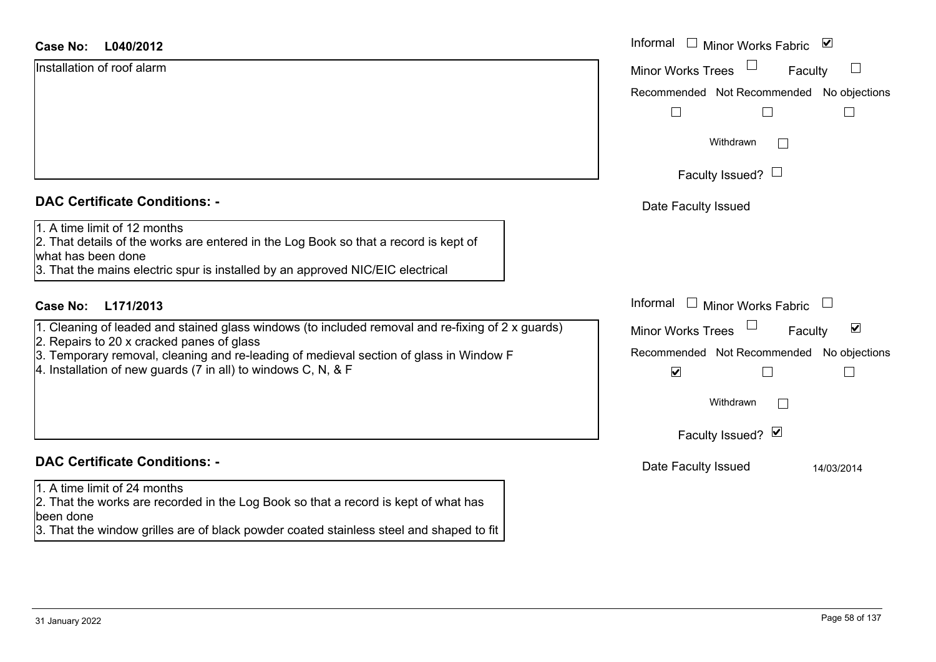# Installation of roof alarm

| <u>IIIIStaliation on Iool alamn</u>  |  |  |
|--------------------------------------|--|--|
|                                      |  |  |
|                                      |  |  |
|                                      |  |  |
|                                      |  |  |
|                                      |  |  |
|                                      |  |  |
|                                      |  |  |
| <b>DAC Certificate Conditions: -</b> |  |  |
| 1. A time limit of 12 months         |  |  |

- 2. Repairs to 20 x cracked panes of glass
- 3. Temporary removal, cleaning and re-leading of medieval section of glass in Window
- 4. Installation of new guards (7 in all) to windows C, N, & F

### **DAC Certificate Conditions: -**

#### 1. A time limit of 24 months

2. That the works are recorded in the Log Book so that a record is kept of what has been done

3. That the window grilles are of black powder coated stainless steel and shaped to fit

| <b>Case No:</b><br>L040/2012                                                                                                                                                                                                                                                                                                              | Informal □ Minor Works Fabric<br>⊻                                                                                                                                     |
|-------------------------------------------------------------------------------------------------------------------------------------------------------------------------------------------------------------------------------------------------------------------------------------------------------------------------------------------|------------------------------------------------------------------------------------------------------------------------------------------------------------------------|
| Installation of roof alarm                                                                                                                                                                                                                                                                                                                | <b>Minor Works Trees</b><br>$\Box$<br>Faculty<br>Recommended Not Recommended No objections                                                                             |
|                                                                                                                                                                                                                                                                                                                                           | Withdrawn<br>Faculty Issued? $\Box$                                                                                                                                    |
| <b>DAC Certificate Conditions: -</b><br>1. A time limit of 12 months<br>2. That details of the works are entered in the Log Book so that a record is kept of<br>what has been done<br>3. That the mains electric spur is installed by an approved NIC/EIC electrical                                                                      | Date Faculty Issued                                                                                                                                                    |
| <b>Case No:</b><br>L171/2013<br>1. Cleaning of leaded and stained glass windows (to included removal and re-fixing of 2 x guards)<br>2. Repairs to 20 x cracked panes of glass<br>3. Temporary removal, cleaning and re-leading of medieval section of glass in Window F<br>4. Installation of new guards (7 in all) to windows C, N, & F | Informal $\Box$ Minor Works Fabric<br>$\blacktriangledown$<br><b>Minor Works Trees</b><br>Faculty<br>Recommended Not Recommended No objections<br>$\blacktriangledown$ |
|                                                                                                                                                                                                                                                                                                                                           | Withdrawn<br>Faculty Issued? Ø                                                                                                                                         |
| <b>DAC Certificate Conditions: -</b>                                                                                                                                                                                                                                                                                                      | Date Faculty Issued<br>14/03/2014                                                                                                                                      |
| 1. A time limit of 24 months                                                                                                                                                                                                                                                                                                              |                                                                                                                                                                        |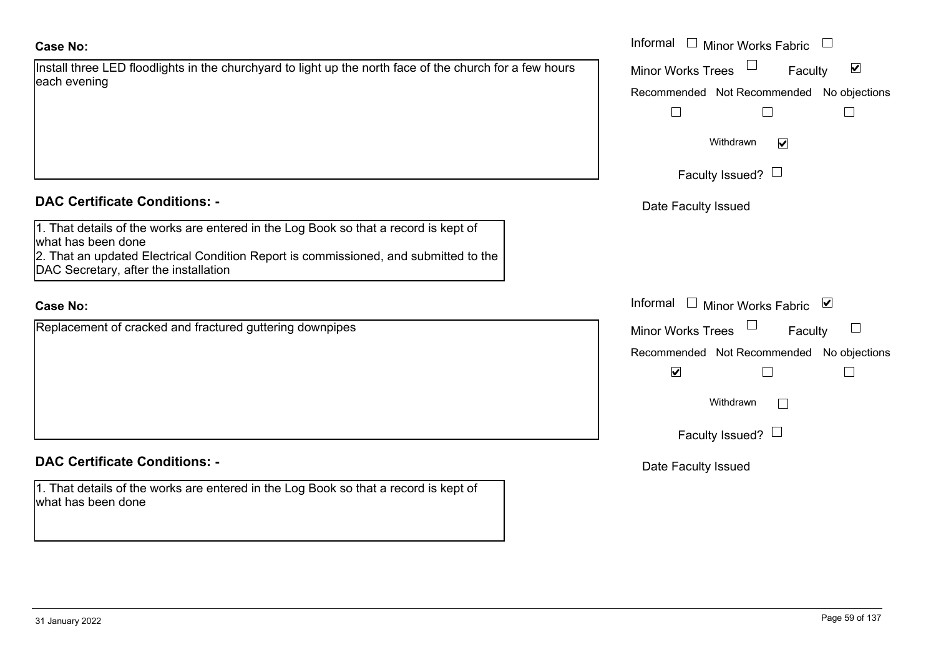#### **Case No:**

| Install three LED floodlights in the churchyard to light up the north face of the church for a few hours |  |
|----------------------------------------------------------------------------------------------------------|--|
| each evening                                                                                             |  |

#### **DAC Certificate Conditions: -**

| 1. That details of the works are entered in the Log Book so that a record is kept of |
|--------------------------------------------------------------------------------------|
| lwhat has been done                                                                  |
| 2. That an updated Electrical Condition Report is commissioned, and submitted to the |
| DAC Secretary, after the installation                                                |

#### **Case No:**

Replacement of cracked and fractured guttering downpipes

#### **DAC Certificate Conditions: -**

1. That details of the works are entered in the Log Book so that a record is kept of what has been done

|                                                                                                                                                                                                           | Informal $\Box$ Minor Works Fabric $\Box$                                                         |
|-----------------------------------------------------------------------------------------------------------------------------------------------------------------------------------------------------------|---------------------------------------------------------------------------------------------------|
| ee LED floodlights in the churchyard to light up the north face of the church for a few hours<br>ning                                                                                                     | $\blacktriangledown$<br>Minor Works Trees<br>Faculty<br>Recommended Not Recommended No objections |
|                                                                                                                                                                                                           | Withdrawn<br>$\blacktriangledown$                                                                 |
|                                                                                                                                                                                                           | Faculty Issued? $\Box$                                                                            |
| rtificate Conditions: -                                                                                                                                                                                   | Date Faculty Issued                                                                               |
| etails of the works are entered in the Log Book so that a record is kept of<br>been done<br>n updated Electrical Condition Report is commissioned, and submitted to the<br>retary, after the installation |                                                                                                   |
|                                                                                                                                                                                                           | Informal □ Minor Works Fabric<br>⊻                                                                |
| nent of cracked and fractured guttering downpipes                                                                                                                                                         | Minor Works Trees<br>$\Box$<br>Faculty                                                            |
|                                                                                                                                                                                                           | Recommended Not Recommended No objections<br>$\blacktriangledown$                                 |
|                                                                                                                                                                                                           | Withdrawn                                                                                         |
|                                                                                                                                                                                                           | Faculty Issued? $\Box$                                                                            |
| rtificate Conditions: -                                                                                                                                                                                   | Date Faculty Issued                                                                               |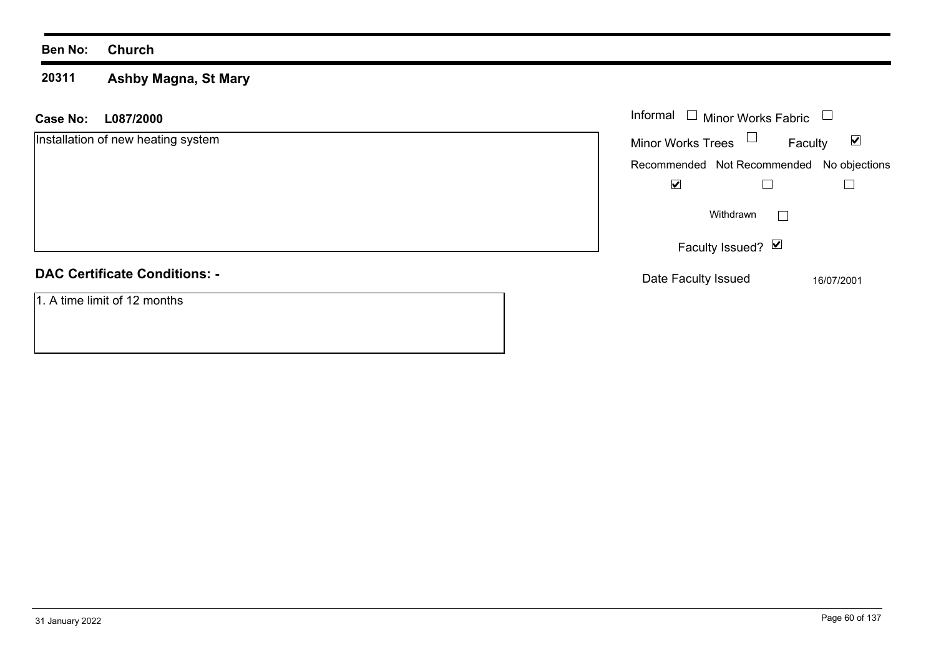#### **20311 Ashby Magna, St Mary**

| <b>Case No:</b><br>L087/2000         | Informal $\Box$ Minor Works Fabric | $\Box$                                    |
|--------------------------------------|------------------------------------|-------------------------------------------|
| Installation of new heating system   | <b>Minor Works Trees</b>           | $\blacktriangledown$<br>Faculty           |
|                                      |                                    | Recommended Not Recommended No objections |
|                                      | $\blacktriangledown$               |                                           |
|                                      | Withdrawn                          |                                           |
|                                      | Faculty Issued? $\blacksquare$     |                                           |
| <b>DAC Certificate Conditions: -</b> | Date Faculty Issued                | 16/07/2001                                |
| 1. A time limit of 12 months         |                                    |                                           |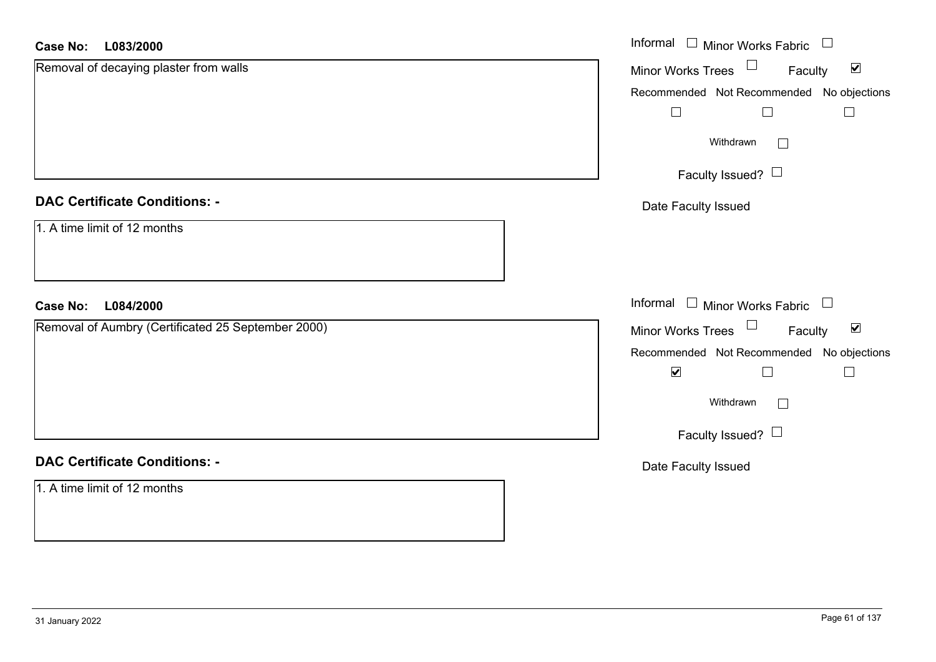#### **L083/2000Case No:**

| <b>Case No:</b><br>L083/2000                       | Informal $\Box$ Minor Works Fabric $\Box$                   |
|----------------------------------------------------|-------------------------------------------------------------|
| Removal of decaying plaster from walls             | Minor Works Trees $\Box$<br>$\blacktriangledown$<br>Faculty |
|                                                    | Recommended Not Recommended No objections                   |
|                                                    | $\Box$<br>$\Box$<br>$\Box$                                  |
|                                                    | Withdrawn<br>$\Box$                                         |
|                                                    | Faculty Issued? $\Box$                                      |
| <b>DAC Certificate Conditions: -</b>               | Date Faculty Issued                                         |
| 1. A time limit of 12 months                       |                                                             |
| L084/2000<br><b>Case No:</b>                       | Informal $\Box$ Minor Works Fabric $\Box$                   |
| Removal of Aumbry (Certificated 25 September 2000) | Minor Works Trees $\Box$ Faculty<br>$\blacktriangledown$    |
|                                                    | Recommended Not Recommended No objections                   |
|                                                    | $\blacktriangledown$<br>П                                   |
|                                                    | Withdrawn                                                   |
|                                                    | Faculty Issued? $\Box$                                      |
| <b>DAC Certificate Conditions: -</b>               | Date Faculty Issued                                         |
| 1. A time limit of 12 months                       |                                                             |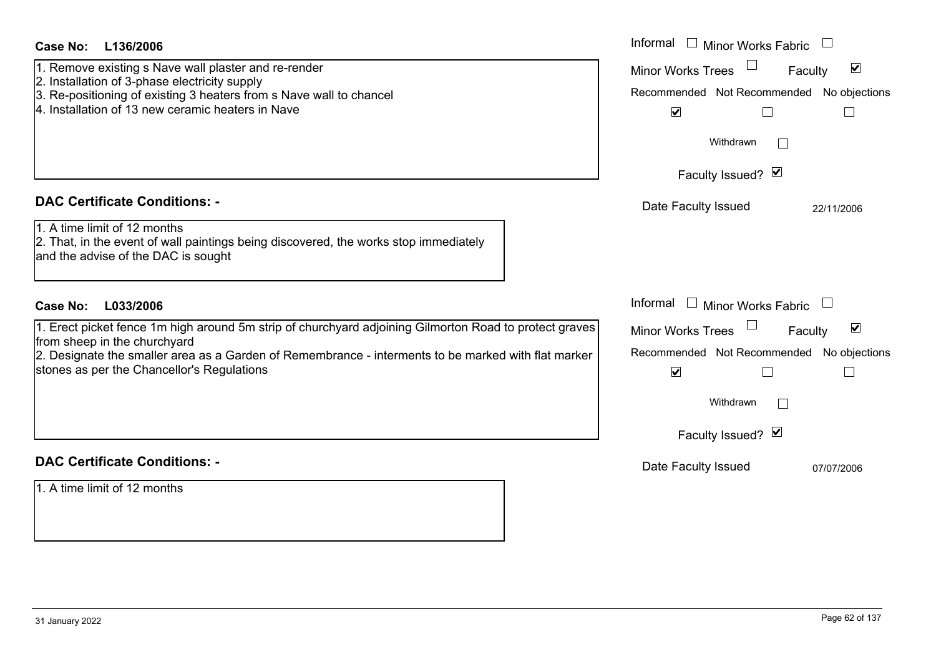| <b>Case No:</b><br>L136/2006                                                                                                                                                                                                                                                                | Informal<br>$\Box$ Minor Works Fabric $\;\cup\;$                                                                                                             |
|---------------------------------------------------------------------------------------------------------------------------------------------------------------------------------------------------------------------------------------------------------------------------------------------|--------------------------------------------------------------------------------------------------------------------------------------------------------------|
| 1. Remove existing s Nave wall plaster and re-render<br>2. Installation of 3-phase electricity supply<br>3. Re-positioning of existing 3 heaters from s Nave wall to chancel<br>4. Installation of 13 new ceramic heaters in Nave                                                           | $\blacktriangledown$<br><b>Minor Works Trees</b><br>Faculty<br>Recommended Not Recommended No objections<br>$\blacktriangledown$<br>$\Box$<br>$\mathbb{R}^n$ |
|                                                                                                                                                                                                                                                                                             | Withdrawn                                                                                                                                                    |
|                                                                                                                                                                                                                                                                                             | Faculty Issued? Ø                                                                                                                                            |
| <b>DAC Certificate Conditions: -</b>                                                                                                                                                                                                                                                        | Date Faculty Issued<br>22/11/2006                                                                                                                            |
| 1. A time limit of 12 months<br>2. That, in the event of wall paintings being discovered, the works stop immediately<br>and the advise of the DAC is sought                                                                                                                                 |                                                                                                                                                              |
| <b>Case No:</b><br>L033/2006                                                                                                                                                                                                                                                                | Informal<br>$\Box$ Minor Works Fabric                                                                                                                        |
| 1. Erect picket fence 1m high around 5m strip of churchyard adjoining Gilmorton Road to protect graves<br>from sheep in the churchyard<br>2. Designate the smaller area as a Garden of Remembrance - interments to be marked with flat marker<br>stones as per the Chancellor's Regulations | $\blacktriangledown$<br><b>Minor Works Trees</b><br>Faculty<br>Recommended Not Recommended No objections<br>$\blacktriangledown$<br>$\Box$<br>$\mathbb{R}^n$ |
|                                                                                                                                                                                                                                                                                             | Withdrawn                                                                                                                                                    |
|                                                                                                                                                                                                                                                                                             | Faculty Issued? Ø                                                                                                                                            |
| <b>DAC Certificate Conditions: -</b>                                                                                                                                                                                                                                                        | Date Faculty Issued<br>07/07/2006                                                                                                                            |
| 1. A time limit of 12 months                                                                                                                                                                                                                                                                |                                                                                                                                                              |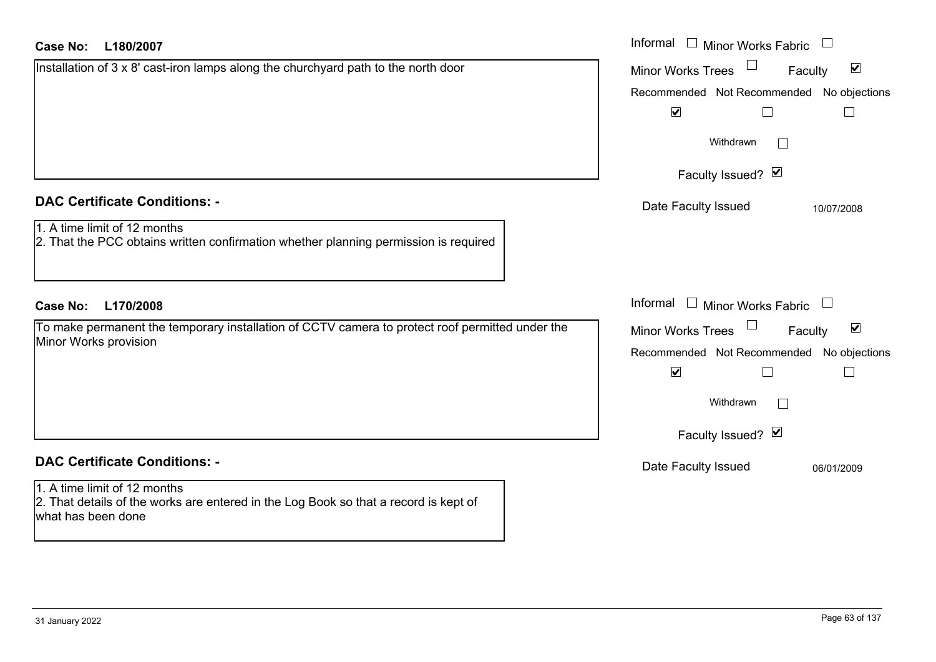| <b>Case No:</b><br>L180/2007                                                                                                               | Informal $\Box$ Minor Works Fabric $\Box$                                                                                      |
|--------------------------------------------------------------------------------------------------------------------------------------------|--------------------------------------------------------------------------------------------------------------------------------|
| Installation of 3 x 8' cast-iron lamps along the churchyard path to the north door                                                         | $\blacktriangledown$<br><b>Minor Works Trees</b><br>Faculty                                                                    |
|                                                                                                                                            | Recommended Not Recommended No objections                                                                                      |
|                                                                                                                                            | $\blacktriangledown$<br>$\Box$<br>$\overline{\phantom{a}}$                                                                     |
|                                                                                                                                            | Withdrawn<br>$\mathbb{R}^n$                                                                                                    |
|                                                                                                                                            | Faculty Issued? Ø                                                                                                              |
| <b>DAC Certificate Conditions: -</b>                                                                                                       | Date Faculty Issued<br>10/07/2008                                                                                              |
| 1. A time limit of 12 months<br>2. That the PCC obtains written confirmation whether planning permission is required                       |                                                                                                                                |
| L170/2008<br><b>Case No:</b>                                                                                                               | Informal $\Box$ Minor Works Fabric                                                                                             |
| To make permanent the temporary installation of CCTV camera to protect roof permitted under the<br>Minor Works provision                   | $\blacktriangledown$<br>Minor Works Trees<br>Faculty<br>Recommended Not Recommended No objections<br>$\blacktriangledown$<br>Г |
|                                                                                                                                            | Withdrawn<br>$\mathbb{R}^n$                                                                                                    |
|                                                                                                                                            | Faculty Issued? Ø                                                                                                              |
| <b>DAC Certificate Conditions: -</b>                                                                                                       | Date Faculty Issued<br>06/01/2009                                                                                              |
| 1. A time limit of 12 months<br>2. That details of the works are entered in the Log Book so that a record is kept of<br>what has been done |                                                                                                                                |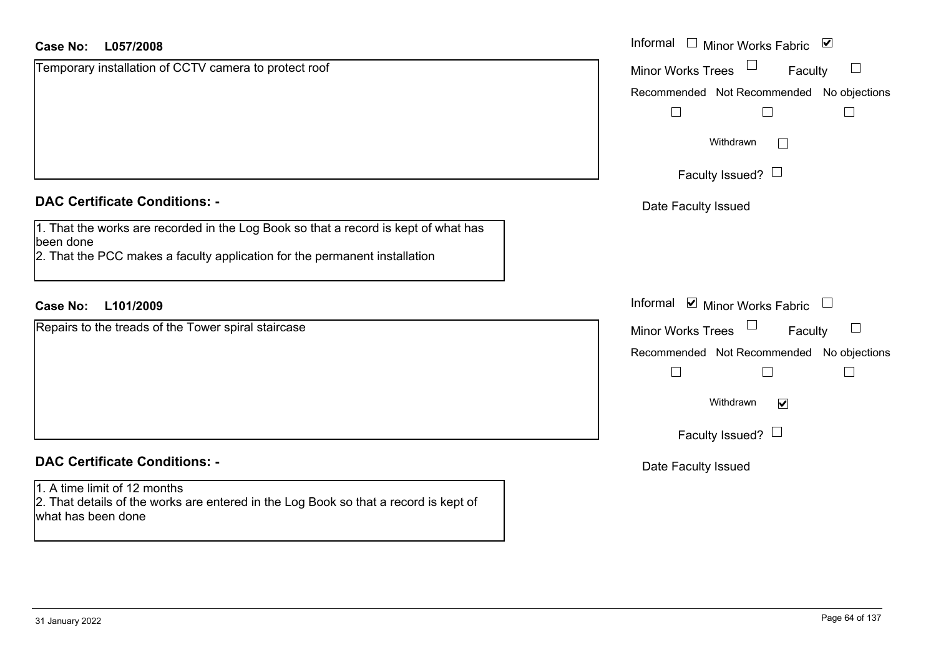#### **L057/2008Case No:**

| <b>Case No:</b><br>L057/2008                                                                                                               | Informal □ Minor Works Fabric ⊠                |
|--------------------------------------------------------------------------------------------------------------------------------------------|------------------------------------------------|
| Temporary installation of CCTV camera to protect roof                                                                                      | Minor Works Trees<br>Faculty<br>$\Box$         |
|                                                                                                                                            | Recommended Not Recommended No objections      |
|                                                                                                                                            |                                                |
|                                                                                                                                            | Withdrawn<br>$\Box$                            |
|                                                                                                                                            | Faculty Issued? $\Box$                         |
| <b>DAC Certificate Conditions: -</b>                                                                                                       | Date Faculty Issued                            |
| 1. That the works are recorded in the Log Book so that a record is kept of what has<br>been done                                           |                                                |
| 2. That the PCC makes a faculty application for the permanent installation                                                                 |                                                |
| L101/2009<br><b>Case No:</b>                                                                                                               | Informal <b>v</b> Minor Works Fabric<br>$\Box$ |
| Repairs to the treads of the Tower spiral staircase                                                                                        | Minor Works Trees<br>Faculty                   |
|                                                                                                                                            | Recommended Not Recommended No objections      |
|                                                                                                                                            |                                                |
|                                                                                                                                            | Withdrawn<br>$\blacktriangledown$              |
|                                                                                                                                            | Faculty Issued? $\Box$                         |
| <b>DAC Certificate Conditions: -</b>                                                                                                       | Date Faculty Issued                            |
| 1. A time limit of 12 months<br>2. That details of the works are entered in the Log Book so that a record is kept of<br>what has been done |                                                |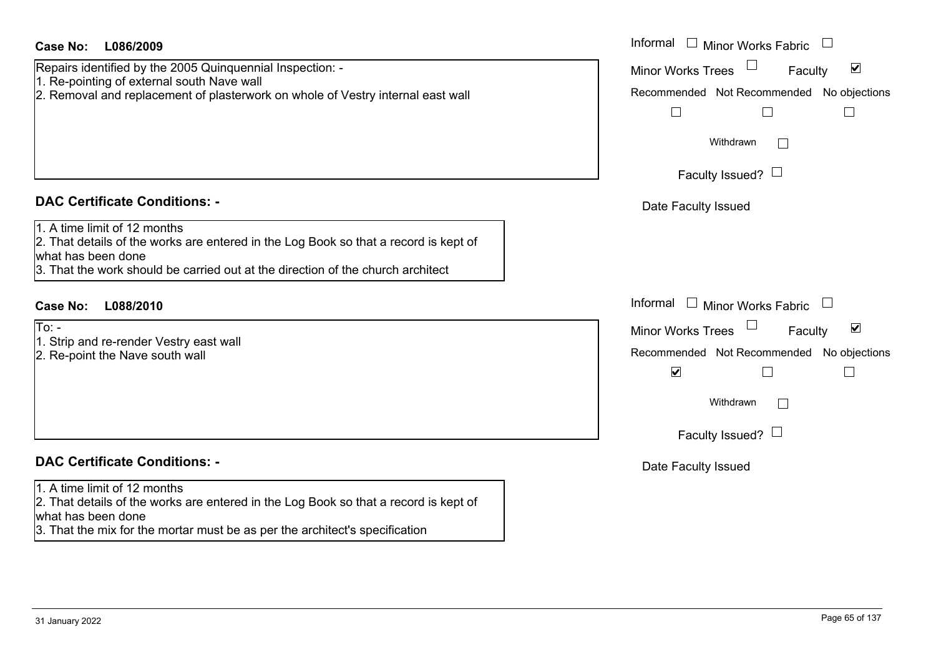| Case No:<br>L086/2009 |  |
|-----------------------|--|
|-----------------------|--|

Repairs identified by the 2005 Quinquennial Inspection: - 1. Re-pointing of external south Nave wall 2. Removal and replacement of plasterwork on whole of Vestry internal east wall

#### **DAC Certificate Conditions: -**

1. A time limit of 12 months

2. That details of the works are entered in the Log Book so that a record is kept of what has been done

3. That the work should be carried out at the direction of the church architect

### **L088/2010Case No:** Informal

 $To: -$ 

- 1. Strip and re-render Vestry east wall
- 2. Re-point the Nave south wall

#### **DAC Certificate Conditions: -**

#### 1. A time limit of 12 months

2. That details of the works are entered in the Log Book so that a record is kept of what has been done

3. That the mix for the mortar must be as per the architect's specification

| L086/2009                                                                                                                                                                               | Informal $\Box$ Minor Works Fabric                                                                                                                               |
|-----------------------------------------------------------------------------------------------------------------------------------------------------------------------------------------|------------------------------------------------------------------------------------------------------------------------------------------------------------------|
| dentified by the 2005 Quinquennial Inspection: -<br>inting of external south Nave wall<br>val and replacement of plasterwork on whole of Vestry internal east wall                      | $\blacktriangledown$<br>Minor Works Trees<br>Faculty<br>Recommended Not Recommended No objections<br>$\mathbf{L}$                                                |
|                                                                                                                                                                                         | Withdrawn                                                                                                                                                        |
|                                                                                                                                                                                         | Faculty Issued? $\Box$                                                                                                                                           |
| rtificate Conditions: -                                                                                                                                                                 | Date Faculty Issued                                                                                                                                              |
| limit of 12 months<br>etails of the works are entered in the Log Book so that a record is kept of<br>been done<br>e work should be carried out at the direction of the church architect |                                                                                                                                                                  |
| L088/2010                                                                                                                                                                               | Informal $\Box$ Minor Works Fabric                                                                                                                               |
| nd re-render Vestry east wall<br>int the Nave south wall                                                                                                                                | $\blacktriangledown$<br>Minor Works Trees<br>Faculty<br>Recommended Not Recommended No objections<br>$\blacktriangledown$<br>Withdrawn<br>Faculty Issued? $\Box$ |
| rtificate Conditions: -                                                                                                                                                                 | Date Faculty Issued                                                                                                                                              |
| limit of 12 months<br>etails of the works are entered in the Log Book so that a record is kent of                                                                                       |                                                                                                                                                                  |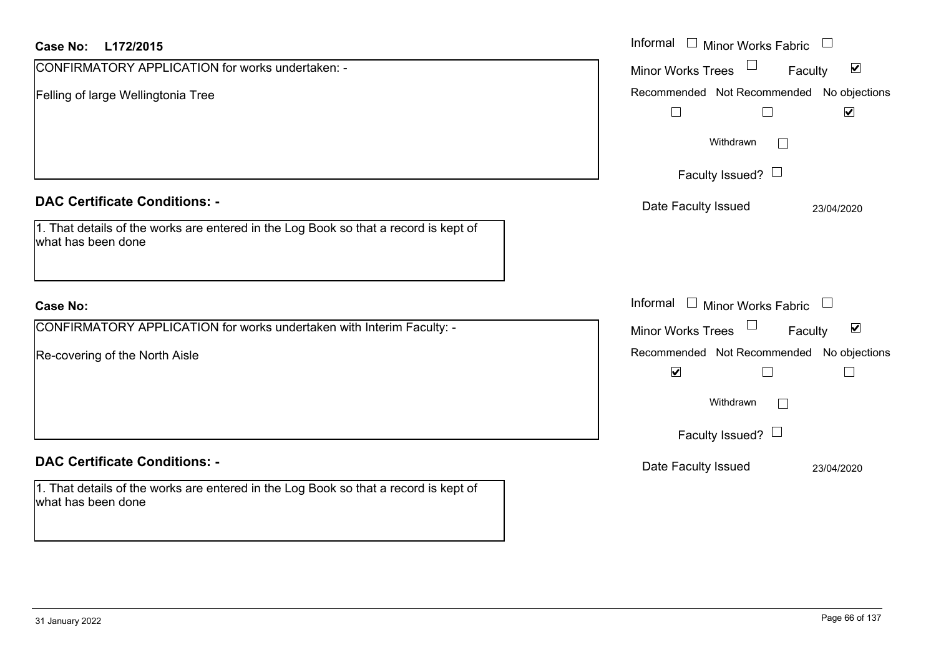| <b>Case No:</b><br>L172/2015                                                                                                 | Informal $\Box$ Minor Works Fabric $\Box$                                             |
|------------------------------------------------------------------------------------------------------------------------------|---------------------------------------------------------------------------------------|
| CONFIRMATORY APPLICATION for works undertaken: -                                                                             | $\blacktriangledown$<br><b>Minor Works Trees</b><br>Faculty                           |
| Felling of large Wellingtonia Tree                                                                                           | Recommended Not Recommended No objections                                             |
|                                                                                                                              | $\Box$<br>$\blacktriangledown$<br>$\Box$                                              |
|                                                                                                                              | Withdrawn                                                                             |
|                                                                                                                              | Faculty Issued? $\Box$                                                                |
| <b>DAC Certificate Conditions: -</b><br>1. That details of the works are entered in the Log Book so that a record is kept of | Date Faculty Issued<br>23/04/2020                                                     |
| what has been done                                                                                                           |                                                                                       |
| <b>Case No:</b>                                                                                                              | Informal $\Box$ Minor Works Fabric                                                    |
| CONFIRMATORY APPLICATION for works undertaken with Interim Faculty: -                                                        | $\blacktriangledown$<br>$\Box$<br>Minor Works Trees<br>Faculty                        |
| Re-covering of the North Aisle                                                                                               | Recommended Not Recommended No objections<br>$\blacktriangledown$<br>$\Box$<br>$\Box$ |
|                                                                                                                              | Withdrawn                                                                             |
|                                                                                                                              | Faculty Issued? $\Box$                                                                |
| <b>DAC Certificate Conditions: -</b>                                                                                         | Date Faculty Issued                                                                   |
|                                                                                                                              | 23/04/2020                                                                            |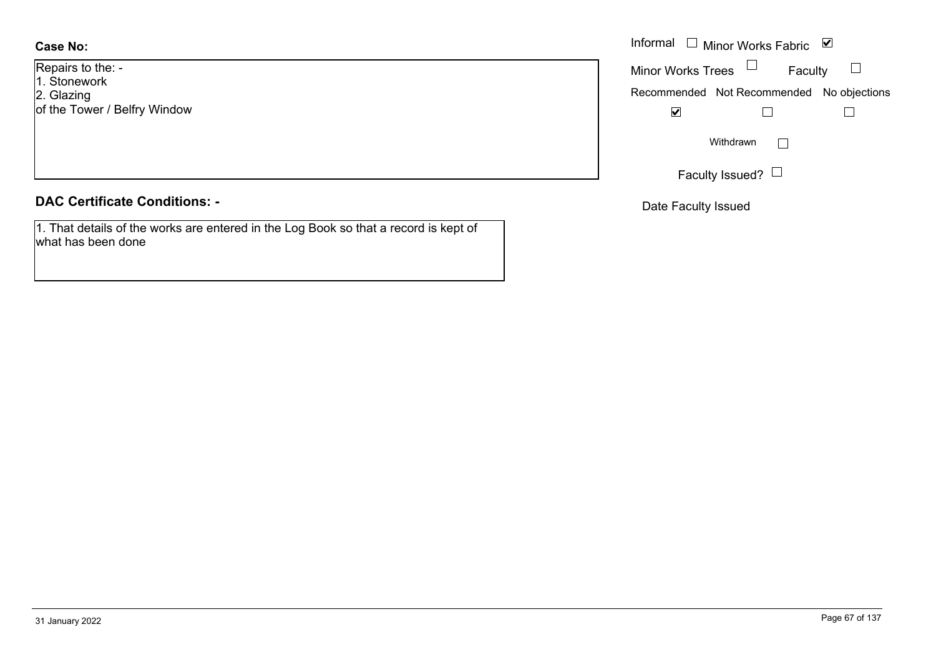**Case No:**

Repairs to the: - 1. Stonework 2. Glazing of the Tower / Belfry Window

#### **DAC Certificate Conditions: -**

1. That details of the works are entered in the Log Book so that a record is kept of what has been done

|                     | Informal $\Box$ Minor Works Fabric $\Box$      |
|---------------------|------------------------------------------------|
| o the: -<br>vork    | Minor Works Trees $\Box$<br>Faculty            |
| wer / Belfry Window | Recommended Not Recommended No objections<br>⊻ |
|                     | Withdrawn<br>$\mathbf{L}$                      |
|                     | Faculty Issued? $L$                            |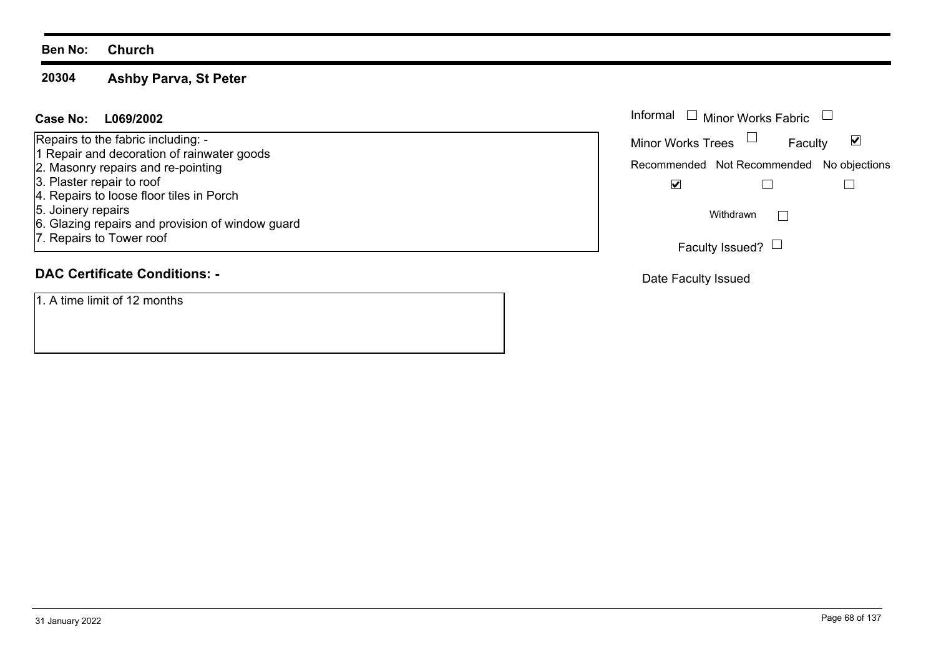#### **20304Ashby Parva, St Peter**

#### **L069/2002Case No:** Informal

Repairs to the fabric including: -

- 1 Repair and decoration of rainwater goods
- 2. Masonry repairs and re-pointing
- 3. Plaster repair to roof
- 4. Repairs to loose floor tiles in Porch
- 5. Joinery repairs
- 6. Glazing repairs and provision of window guard
- 7. Repairs to Tower roof

## **DAC Certificate Conditions: -**

1. A time limit of 12 months

| Informal<br>$\Box$ Minor Works Fabric |                                           |   |
|---------------------------------------|-------------------------------------------|---|
| <b>Minor Works Trees</b>              | Faculty                                   | V |
|                                       | Recommended Not Recommended No objections |   |
|                                       |                                           |   |
| Withdrawn                             |                                           |   |
|                                       | Faculty Issued?                           |   |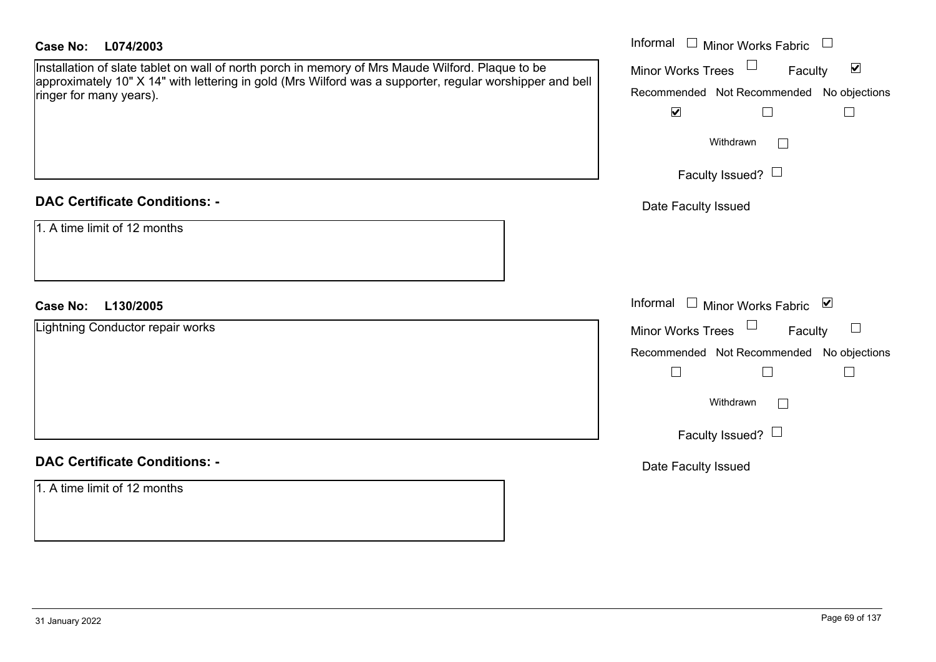| <b>Case No:</b><br>L074/2003                                                                                                        | Informal $\Box$ Minor Works Fabric $\Box$                             |
|-------------------------------------------------------------------------------------------------------------------------------------|-----------------------------------------------------------------------|
| Installation of slate tablet on wall of north porch in memory of Mrs Maude Wilford. Plaque to be                                    | $\Box$<br>$\blacktriangledown$<br><b>Minor Works Trees</b><br>Faculty |
| approximately 10" X 14" with lettering in gold (Mrs Wilford was a supporter, regular worshipper and bell<br>ringer for many years). | Recommended Not Recommended No objections                             |
|                                                                                                                                     | $\blacktriangledown$<br>$\Box$<br>$\Box$                              |
|                                                                                                                                     | Withdrawn<br>$\overline{\phantom{a}}$                                 |
|                                                                                                                                     | Faculty Issued? $\Box$                                                |
| <b>DAC Certificate Conditions: -</b>                                                                                                | Date Faculty Issued                                                   |
| 1. A time limit of 12 months                                                                                                        |                                                                       |
| L130/2005<br><b>Case No:</b>                                                                                                        | Informal<br>$\Box$ Minor Works Fabric $\Box$                          |
| Lightning Conductor repair works                                                                                                    | Minor Works Trees<br>$\sqcup$<br>Faculty                              |
|                                                                                                                                     | Recommended Not Recommended No objections                             |
|                                                                                                                                     | $\Box$<br>$\Box$                                                      |
|                                                                                                                                     | Withdrawn<br>$\mathbb{R}^n$                                           |
|                                                                                                                                     | Faculty Issued? $\Box$                                                |
| <b>DAC Certificate Conditions: -</b>                                                                                                | Date Faculty Issued                                                   |
| 1. A time limit of 12 months                                                                                                        |                                                                       |
|                                                                                                                                     |                                                                       |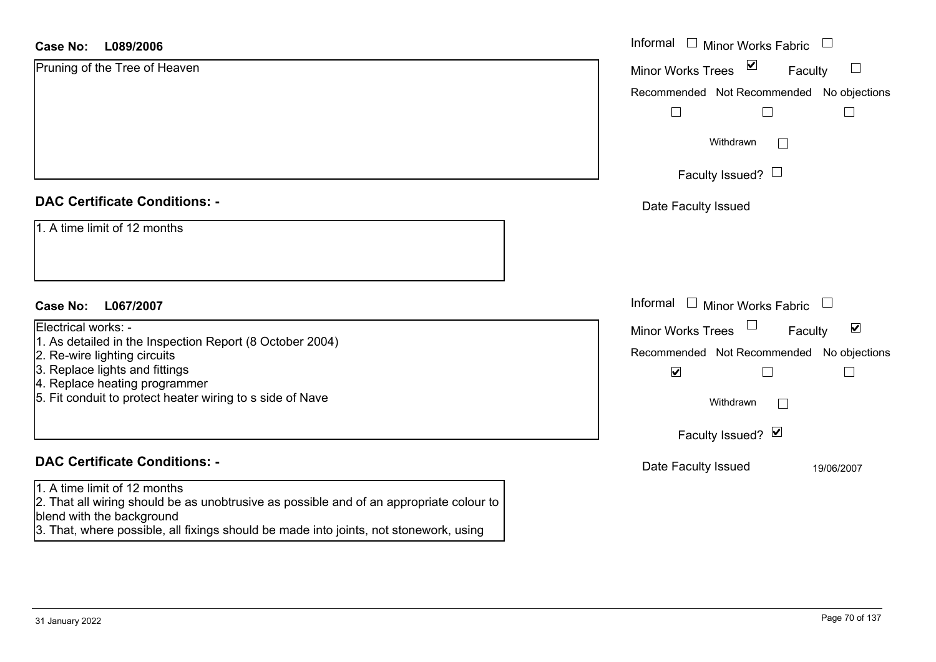#### **L089/2006 Case No:** Informal

| L089/2006<br>Case No:                                                                                                                                | Informal $\Box$ Minor Works Fabric $\Box$                              |
|------------------------------------------------------------------------------------------------------------------------------------------------------|------------------------------------------------------------------------|
| Pruning of the Tree of Heaven                                                                                                                        | $\blacktriangledown$<br>$\Box$<br><b>Minor Works Trees</b><br>Faculty  |
|                                                                                                                                                      | Recommended Not Recommended No objections                              |
|                                                                                                                                                      |                                                                        |
|                                                                                                                                                      | Withdrawn<br>$\mathcal{L}^{\mathcal{A}}$                               |
|                                                                                                                                                      | Faculty Issued? $\Box$                                                 |
| <b>DAC Certificate Conditions: -</b>                                                                                                                 | Date Faculty Issued                                                    |
| 1. A time limit of 12 months                                                                                                                         |                                                                        |
| <b>Case No:</b><br>L067/2007                                                                                                                         | Informal<br>$\mathrel{\boxdot}$ Minor Works Fabric $\mathrel{\boxdot}$ |
| Electrical works: -                                                                                                                                  | $\blacktriangledown$<br>Minor Works Trees<br>Faculty                   |
| 1. As detailed in the Inspection Report (8 October 2004)<br>2. Re-wire lighting circuits                                                             | Recommended Not Recommended No objections                              |
| 3. Replace lights and fittings                                                                                                                       | $\blacktriangledown$                                                   |
| 4. Replace heating programmer<br>5. Fit conduit to protect heater wiring to s side of Nave                                                           | Withdrawn<br>$\Box$                                                    |
|                                                                                                                                                      | Faculty Issued? $\blacksquare$                                         |
| <b>DAC Certificate Conditions: -</b>                                                                                                                 | Date Faculty Issued<br>19/06/2007                                      |
| 1. A time limit of 12 months<br>2. That all wiring should be as unobtrusive as possible and of an appropriate colour to<br>blend with the background |                                                                        |

3. That, where possible, all fixings should be made into joints, not stonework, using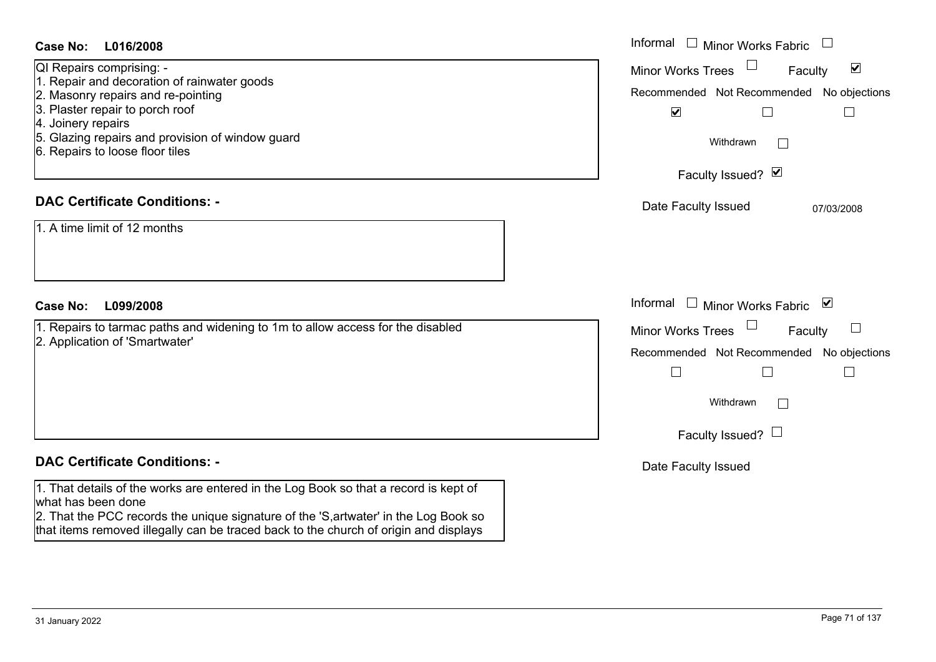| <b>Case No:</b><br>L016/2008                                                                                                                                                                                                                                                                          | Informal $\square$<br><b>Minor Works Fabric</b>                                                                                                                                        |
|-------------------------------------------------------------------------------------------------------------------------------------------------------------------------------------------------------------------------------------------------------------------------------------------------------|----------------------------------------------------------------------------------------------------------------------------------------------------------------------------------------|
| QI Repairs comprising: -<br>1. Repair and decoration of rainwater goods<br>2. Masonry repairs and re-pointing<br>3. Plaster repair to porch roof<br>4. Joinery repairs<br>5. Glazing repairs and provision of window guard<br>6. Repairs to loose floor tiles<br><b>DAC Certificate Conditions: -</b> | $\blacktriangledown$<br><b>Minor Works Trees</b><br>Faculty<br>Recommended Not Recommended No objections<br>$\blacktriangledown$<br>$\Box$<br>Withdrawn<br>$\sim$<br>Faculty Issued? Ø |
| 1. A time limit of 12 months                                                                                                                                                                                                                                                                          | Date Faculty Issued<br>07/03/2008                                                                                                                                                      |
| L099/2008<br><b>Case No:</b>                                                                                                                                                                                                                                                                          | Informal<br>⊻<br>$\overline{\phantom{a}}$<br><b>Minor Works Fabric</b>                                                                                                                 |
| 1. Repairs to tarmac paths and widening to 1m to allow access for the disabled<br>2. Application of 'Smartwater'                                                                                                                                                                                      | <b>Minor Works Trees</b><br>ப<br>Faculty<br>Recommended Not Recommended No objections<br>$\perp$<br>Withdrawn<br>Faculty Issued? $\Box$                                                |
| <b>DAC Certificate Conditions: -</b>                                                                                                                                                                                                                                                                  | Date Faculty Issued                                                                                                                                                                    |
| 1. That details of the works are entered in the Log Book so that a record is kept of<br>what has been done<br>2. That the PCC records the unique signature of the 'S, artwater' in the Log Book so<br>that items removed illegally can be traced back to the church of origin and displays            |                                                                                                                                                                                        |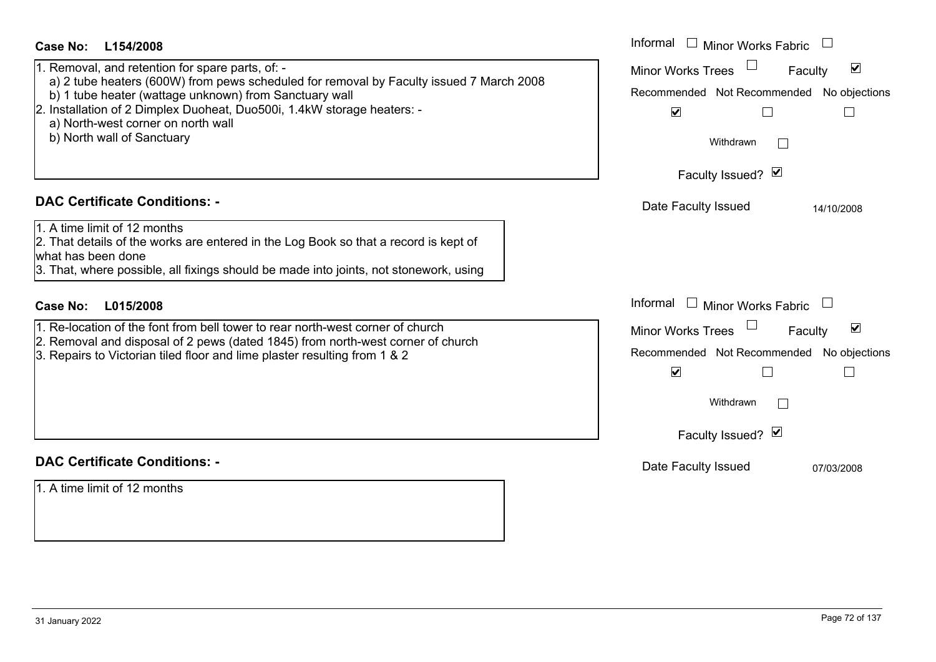| Case No:<br>L154/2008<br>1. Removal, and retention for spare parts, of: -<br>a) 2 tube heaters (600W) from pews scheduled for removal by Faculty issued 7 March 2008<br>b) 1 tube heater (wattage unknown) from Sanctuary wall<br>2. Installation of 2 Dimplex Duoheat, Duo500i, 1.4kW storage heaters: -<br>a) North-west corner on north wall<br>b) North wall of Sanctuary | Informal<br><b>Minor Works Fabric</b><br>$\blacktriangledown$<br><b>Minor Works Trees</b><br>Faculty<br>Recommended Not Recommended No objections<br>$\blacktriangledown$<br>$\Box$<br>$\mathbf{I}$<br>Withdrawn |
|-------------------------------------------------------------------------------------------------------------------------------------------------------------------------------------------------------------------------------------------------------------------------------------------------------------------------------------------------------------------------------|------------------------------------------------------------------------------------------------------------------------------------------------------------------------------------------------------------------|
| <b>DAC Certificate Conditions: -</b><br>1. A time limit of 12 months<br>2. That details of the works are entered in the Log Book so that a record is kept of<br>what has been done<br>3. That, where possible, all fixings should be made into joints, not stonework, using                                                                                                   | Faculty Issued? Ø<br>Date Faculty Issued<br>14/10/2008                                                                                                                                                           |
| <b>Case No:</b><br>L015/2008<br>1. Re-location of the font from bell tower to rear north-west corner of church<br>2. Removal and disposal of 2 pews (dated 1845) from north-west corner of church<br>3. Repairs to Victorian tiled floor and lime plaster resulting from 1 & 2                                                                                                | Informal<br>$\Box$ Minor Works Fabric<br>$\blacktriangledown$<br><b>Minor Works Trees</b><br>Faculty<br>Recommended Not Recommended No objections<br>$\blacktriangledown$<br>Withdrawn<br>Faculty Issued? Ø      |
| <b>DAC Certificate Conditions: -</b><br>1. A time limit of 12 months                                                                                                                                                                                                                                                                                                          | Date Faculty Issued<br>07/03/2008                                                                                                                                                                                |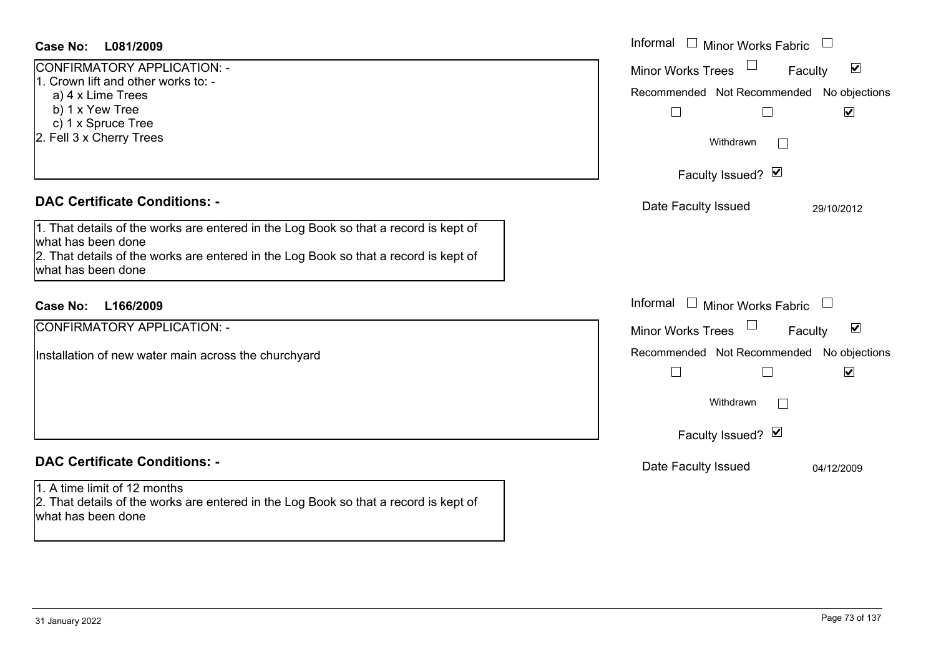| <b>Case No:</b><br>L081/2009                                                                                                               | Informal $\Box$ Minor Works Fabric $\Box$                   |
|--------------------------------------------------------------------------------------------------------------------------------------------|-------------------------------------------------------------|
| CONFIRMATORY APPLICATION: -<br>1. Crown lift and other works to: -                                                                         | $\blacktriangledown$<br><b>Minor Works Trees</b><br>Faculty |
| a) 4 x Lime Trees                                                                                                                          | Recommended Not Recommended No objections                   |
| b) 1 x Yew Tree                                                                                                                            | $\blacktriangledown$<br>$\Box$<br>$\Box$                    |
| c) 1 x Spruce Tree<br>2. Fell 3 x Cherry Trees                                                                                             | Withdrawn                                                   |
|                                                                                                                                            | Faculty Issued? Ø                                           |
| <b>DAC Certificate Conditions: -</b>                                                                                                       | Date Faculty Issued<br>29/10/2012                           |
| 1. That details of the works are entered in the Log Book so that a record is kept of                                                       |                                                             |
| what has been done<br>2. That details of the works are entered in the Log Book so that a record is kept of                                 |                                                             |
| what has been done                                                                                                                         |                                                             |
| Case No:<br>L166/2009                                                                                                                      | Informal $\square$<br>Minor Works Fabric $\Box$             |
| CONFIRMATORY APPLICATION: -                                                                                                                | Minor Works Trees<br>$\blacktriangledown$<br>Faculty        |
| Installation of new water main across the churchyard                                                                                       | Recommended Not Recommended No objections                   |
|                                                                                                                                            | $\Box$<br>$\Box$<br>$\blacktriangledown$                    |
|                                                                                                                                            | Withdrawn<br>$\overline{\phantom{0}}$                       |
|                                                                                                                                            | Faculty Issued? Ø                                           |
| <b>DAC Certificate Conditions: -</b>                                                                                                       | Date Faculty Issued<br>04/12/2009                           |
| 1. A time limit of 12 months<br>2. That details of the works are entered in the Log Book so that a record is kept of<br>what has been done |                                                             |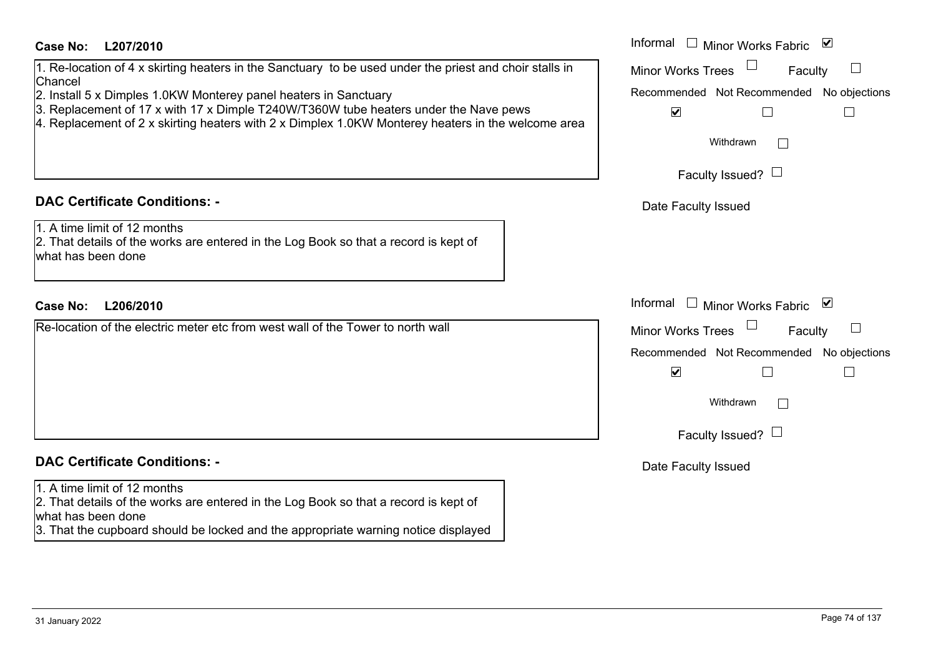| <b>Case No:</b><br>L207/2010                                                                                                               | Informal<br>$\Box$<br>⊻<br><b>Minor Works Fabric</b> |
|--------------------------------------------------------------------------------------------------------------------------------------------|------------------------------------------------------|
| 1. Re-location of 4 x skirting heaters in the Sanctuary to be used under the priest and choir stalls in<br>Chancel                         | <b>Minor Works Trees</b><br>Faculty                  |
| 2. Install 5 x Dimples 1.0KW Monterey panel heaters in Sanctuary                                                                           | Recommended Not Recommended No objections            |
| 3. Replacement of 17 x with 17 x Dimple T240W/T360W tube heaters under the Nave pews                                                       | $\blacktriangledown$                                 |
| 4. Replacement of 2 x skirting heaters with 2 x Dimplex 1.0KW Monterey heaters in the welcome area                                         |                                                      |
|                                                                                                                                            | Withdrawn<br>$\perp$                                 |
|                                                                                                                                            | Faculty Issued? $\Box$                               |
| <b>DAC Certificate Conditions: -</b>                                                                                                       | Date Faculty Issued                                  |
| 1. A time limit of 12 months<br>2. That details of the works are entered in the Log Book so that a record is kept of<br>what has been done |                                                      |
|                                                                                                                                            |                                                      |
| L206/2010<br><b>Case No:</b>                                                                                                               | Informal<br>⊻<br>$\Box$<br>Minor Works Fabric        |
| Re-location of the electric meter etc from west wall of the Tower to north wall                                                            | <b>Minor Works Trees</b><br>Faculty                  |
|                                                                                                                                            | Recommended Not Recommended No objections            |
|                                                                                                                                            | $\blacktriangledown$                                 |
|                                                                                                                                            | Withdrawn                                            |
|                                                                                                                                            | Faculty Issued? $\Box$                               |
| <b>DAC Certificate Conditions: -</b>                                                                                                       | Date Faculty Issued                                  |
| 1. A time limit of 12 months                                                                                                               |                                                      |
| 2. That details of the works are entered in the Log Book so that a record is kept of                                                       |                                                      |
| what has been done<br>3. That the cupboard should be locked and the appropriate warning notice displayed                                   |                                                      |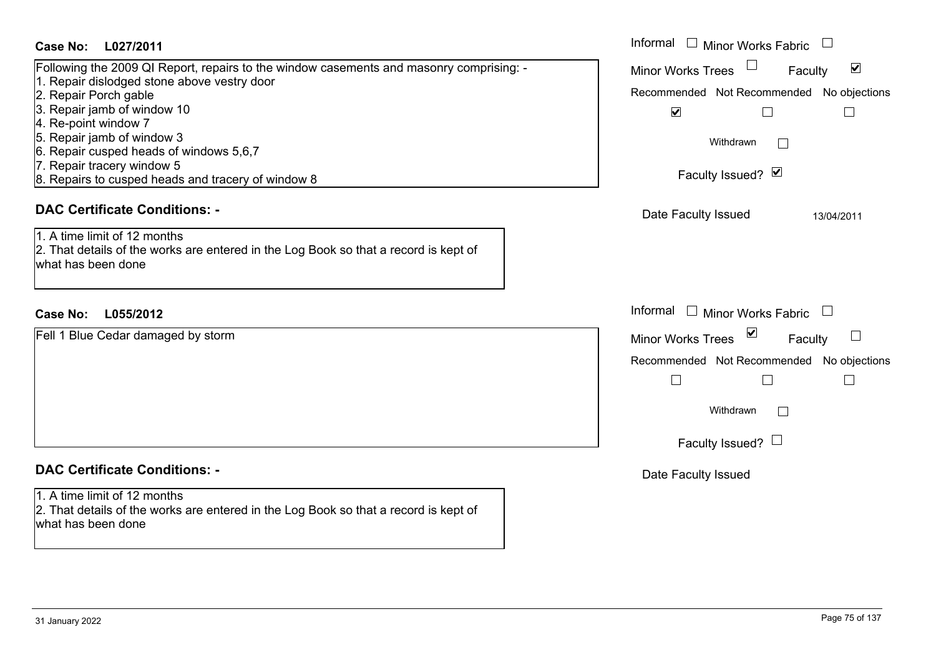### **L027/2011Case No:** Informal

| Following the 2009 QI Report, repairs to the window casements and masonry comprising: - |
|-----------------------------------------------------------------------------------------|
| 1. Repair dislodged stone above vestry door                                             |
| 2. Repair Porch gable                                                                   |
| 3. Repair jamb of window 10                                                             |
| 4. Re-point window 7                                                                    |
| 5. Repair jamb of window 3                                                              |
| 6. Repair cusped heads of windows 5,6,7                                                 |
| 7. Repair tracery window 5                                                              |
| 8. Repairs to cusped heads and tracery of window 8                                      |
|                                                                                         |

### **DAC Certificate Conditions: -**

1. A time limit of 12 months 2. That details of the works are entered in the Log Book so that a record is kept of what has been done

### **L055/2012Case No:** Informal

Fell 1 Blue Cedar damaged by storm

### **DAC Certificate Conditions: -**

1. A time limit of 12 months

2. That details of the works are entered in the Log Book so that a record is kept of what has been done

| Informal<br><b>Minor Works Fabric</b>     |
|-------------------------------------------|
| ⊻<br><b>Minor Works Trees</b><br>Faculty  |
| Recommended Not Recommended No objections |
| V                                         |
| Withdrawn                                 |
| Faculty Issued? Ø                         |
| Date Faculty Issued<br>13/04/2011         |
|                                           |
|                                           |
|                                           |
| Informal<br>Minor Works Fabric $\Box$     |
| ⊻<br><b>Minor Works Trees</b><br>Faculty  |
| Recommended Not Recommended No objections |
|                                           |
| Withdrawn                                 |
| Faculty Issued? $\Box$                    |
| Date Faculty Issued                       |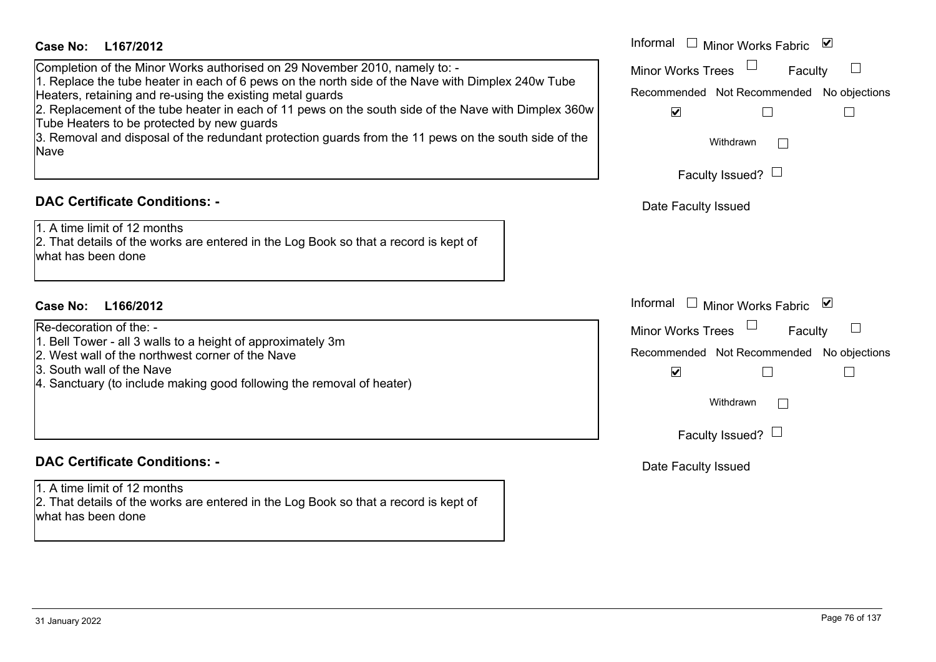| <b>Case No:</b><br>L167/2012<br>Completion of the Minor Works authorised on 29 November 2010, namely to: -<br>1. Replace the tube heater in each of 6 pews on the north side of the Nave with Dimplex 240w Tube<br>Heaters, retaining and re-using the existing metal guards<br>2. Replacement of the tube heater in each of 11 pews on the south side of the Nave with Dimplex 360w<br>Tube Heaters to be protected by new guards<br>3. Removal and disposal of the redundant protection guards from the 11 pews on the south side of the<br><b>Nave</b> | Informal $\square$<br>Minor Works Fabric<br>⊻<br><b>Minor Works Trees</b><br>Faculty<br>Recommended Not Recommended No objections<br>$\blacktriangledown$<br>Withdrawn<br>Faculty Issued? $\Box$  |
|-----------------------------------------------------------------------------------------------------------------------------------------------------------------------------------------------------------------------------------------------------------------------------------------------------------------------------------------------------------------------------------------------------------------------------------------------------------------------------------------------------------------------------------------------------------|---------------------------------------------------------------------------------------------------------------------------------------------------------------------------------------------------|
| <b>DAC Certificate Conditions: -</b><br>1. A time limit of 12 months<br>2. That details of the works are entered in the Log Book so that a record is kept of<br>what has been done                                                                                                                                                                                                                                                                                                                                                                        | Date Faculty Issued                                                                                                                                                                               |
| <b>Case No:</b><br>L166/2012<br>Re-decoration of the: -<br>1. Bell Tower - all 3 walls to a height of approximately 3m<br>2. West wall of the northwest corner of the Nave<br>3. South wall of the Nave<br>4. Sanctuary (to include making good following the removal of heater)                                                                                                                                                                                                                                                                          | Informal<br>$\perp$<br>Minor Works Fabric<br>⊻<br><b>Minor Works Trees</b><br>Faculty<br>Recommended Not Recommended No objections<br>$\blacktriangledown$<br>Withdrawn<br>Faculty Issued? $\Box$ |
| <b>DAC Certificate Conditions: -</b><br>1. A time limit of 12 months<br>2. That details of the works are entered in the Log Book so that a record is kept of<br>what has been done                                                                                                                                                                                                                                                                                                                                                                        | Date Faculty Issued                                                                                                                                                                               |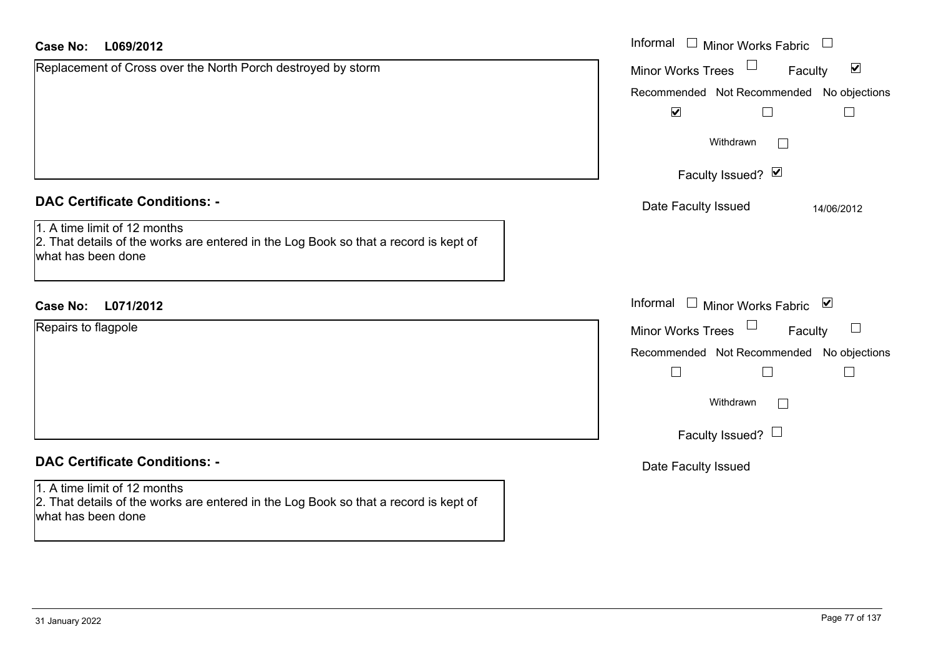| <b>Case No:</b><br>L069/2012                                                                                                               | Informal □ Minor Works Fabric                               |
|--------------------------------------------------------------------------------------------------------------------------------------------|-------------------------------------------------------------|
| Replacement of Cross over the North Porch destroyed by storm                                                                               | $\blacktriangledown$<br>Faculty<br><b>Minor Works Trees</b> |
|                                                                                                                                            | Recommended Not Recommended No objections                   |
|                                                                                                                                            | $\blacktriangledown$<br>$\Box$<br>$\Box$                    |
|                                                                                                                                            | Withdrawn<br>$\perp$                                        |
|                                                                                                                                            | Faculty Issued? Ø                                           |
| <b>DAC Certificate Conditions: -</b>                                                                                                       | Date Faculty Issued<br>14/06/2012                           |
| 1. A time limit of 12 months<br>2. That details of the works are entered in the Log Book so that a record is kept of<br>what has been done |                                                             |
| <b>Case No:</b><br>L071/2012                                                                                                               | Informal □ Minor Works Fabric 凶                             |
| Repairs to flagpole                                                                                                                        | Faculty<br>Minor Works Trees                                |
|                                                                                                                                            | Recommended Not Recommended No objections                   |
|                                                                                                                                            | $\Box$<br>$\Box$<br>$\Box$                                  |
|                                                                                                                                            | Withdrawn                                                   |
|                                                                                                                                            | Faculty Issued? $\Box$                                      |
| <b>DAC Certificate Conditions: -</b>                                                                                                       | Date Faculty Issued                                         |
| 1. A time limit of 12 months<br>2. That details of the works are entered in the Log Book so that a record is kept of<br>what has been done |                                                             |
|                                                                                                                                            |                                                             |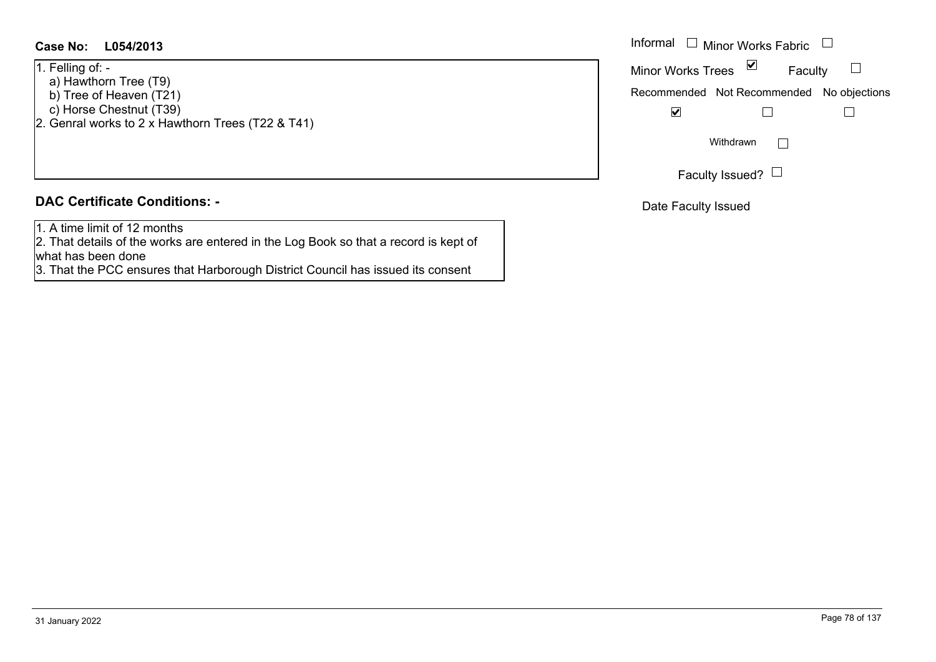### **L054/2013Case No:** Informal

1. Felling of: -

- a) Hawthorn Tree (T9)
- b) Tree of Heaven  $(T21)$
- c) Horse Chestnut (T39)
- 2. Genral works to 2 x Hawthorn Trees (T22 & T41)

### **DAC Certificate Conditions: -**

1. A time limit of 12 months

2. That details of the works are entered in the Log Book so that a record is kept of what has been done

3. That the PCC ensures that Harborough District Council has issued its consent

| Informal<br>$\Box$ Minor Works Fabric     |   |         |  |
|-------------------------------------------|---|---------|--|
| <b>Minor Works Trees</b>                  | ⊻ | Faculty |  |
| Recommended Not Recommended No objections |   |         |  |
|                                           |   |         |  |
| Withdrawn                                 |   |         |  |
| Faculty Issued?                           |   |         |  |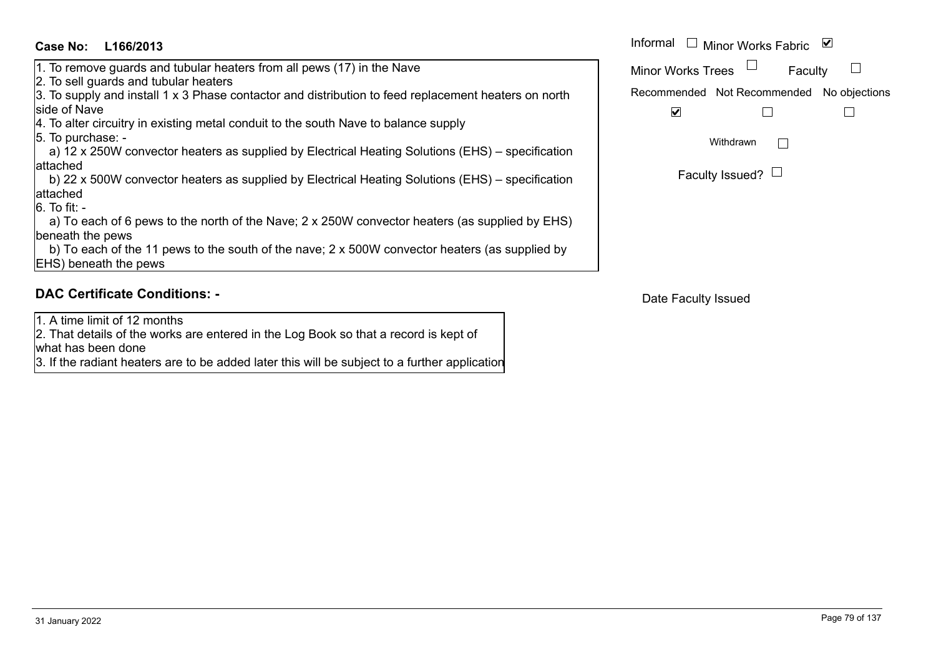### **L166/2013Case No:** Informal

- 1. To remove guards and tubular heaters from all pews (17) in the Nave
- 2. To sell guards and tubular heaters

3. To supply and install 1 x 3 Phase contactor and distribution to feed replacement heaters on north side of Nave

4. To alter circuitry in existing metal conduit to the south Nave to balance supply

5. To purchase: -

 a) 12 x 250W convector heaters as supplied by Electrical Heating Solutions (EHS) – specification attached

 b) 22 x 500W convector heaters as supplied by Electrical Heating Solutions (EHS) – specification attached

6. To fit: -

 a) To each of 6 pews to the north of the Nave; 2 x 250W convector heaters (as supplied by EHS) beneath the pews

 b) To each of the 11 pews to the south of the nave; 2 x 500W convector heaters (as supplied by EHS) beneath the pews

### **DAC Certificate Conditions: -**

1. A time limit of 12 months

2. That details of the works are entered in the Log Book so that a record is kept of what has been done

3. If the radiant heaters are to be added later this will be subject to a further application

| Informal<br>⊻<br>□ Minor Works Fabric     |  |  |  |
|-------------------------------------------|--|--|--|
| <b>Minor Works Trees</b><br>Faculty       |  |  |  |
| Recommended Not Recommended No objections |  |  |  |
|                                           |  |  |  |
| Withdrawn                                 |  |  |  |
| Faculty Issued?                           |  |  |  |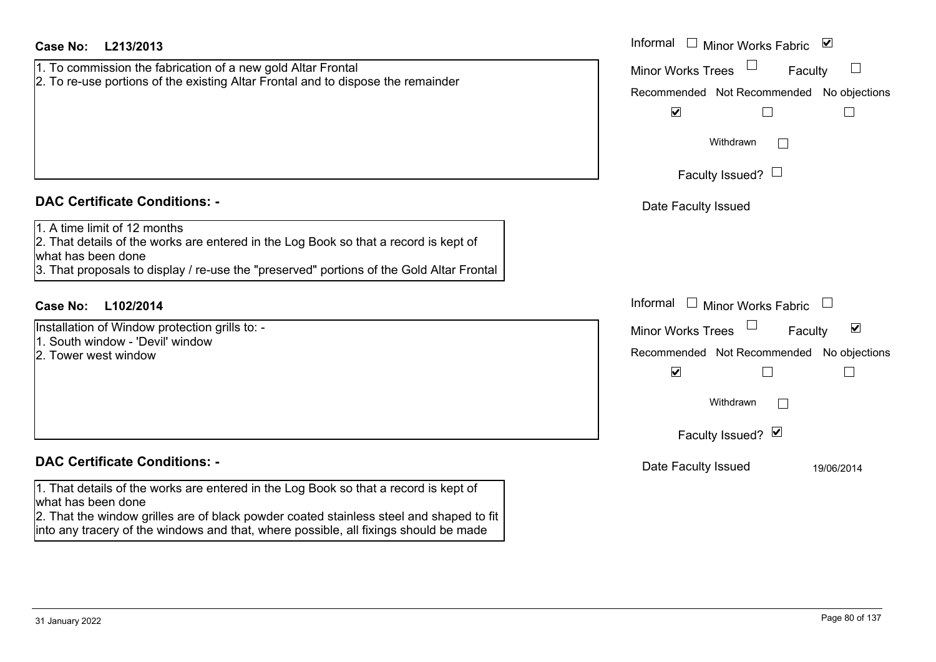| <b>Case No:</b><br>L213/2013                                                                                                                                                                                                                                                                   | Informal $\Box$ Minor Works Fabric $\Box$                                                                                                     |
|------------------------------------------------------------------------------------------------------------------------------------------------------------------------------------------------------------------------------------------------------------------------------------------------|-----------------------------------------------------------------------------------------------------------------------------------------------|
| 1. To commission the fabrication of a new gold Altar Frontal<br>2. To re-use portions of the existing Altar Frontal and to dispose the remainder                                                                                                                                               | $\Box$<br><b>Minor Works Trees</b><br>Faculty<br>Recommended Not Recommended No objections<br>$\blacktriangledown$<br>$\mathbf{I}$            |
|                                                                                                                                                                                                                                                                                                | Withdrawn<br>$\mathbb{R}^n$                                                                                                                   |
|                                                                                                                                                                                                                                                                                                | Faculty Issued? $\Box$                                                                                                                        |
| <b>DAC Certificate Conditions: -</b>                                                                                                                                                                                                                                                           | Date Faculty Issued                                                                                                                           |
| 1. A time limit of 12 months<br>2. That details of the works are entered in the Log Book so that a record is kept of<br>what has been done<br>3. That proposals to display / re-use the "preserved" portions of the Gold Altar Frontal                                                         |                                                                                                                                               |
| <b>Case No:</b><br>L102/2014                                                                                                                                                                                                                                                                   | Informal<br>$\Box$ Minor Works Fabric                                                                                                         |
| Installation of Window protection grills to: -<br>1. South window - 'Devil' window<br>2. Tower west window                                                                                                                                                                                     | $\blacktriangledown$<br><b>Minor Works Trees</b><br>Faculty<br>Recommended Not Recommended<br>No objections<br>$\blacktriangledown$<br>$\Box$ |
|                                                                                                                                                                                                                                                                                                | Withdrawn                                                                                                                                     |
|                                                                                                                                                                                                                                                                                                | Faculty Issued? Ø                                                                                                                             |
| <b>DAC Certificate Conditions: -</b>                                                                                                                                                                                                                                                           | Date Faculty Issued<br>19/06/2014                                                                                                             |
| 1. That details of the works are entered in the Log Book so that a record is kept of<br>what has been done<br>2. That the window grilles are of black powder coated stainless steel and shaped to fit<br>linto any tracery of the windows and that, where possible, all fixings should be made |                                                                                                                                               |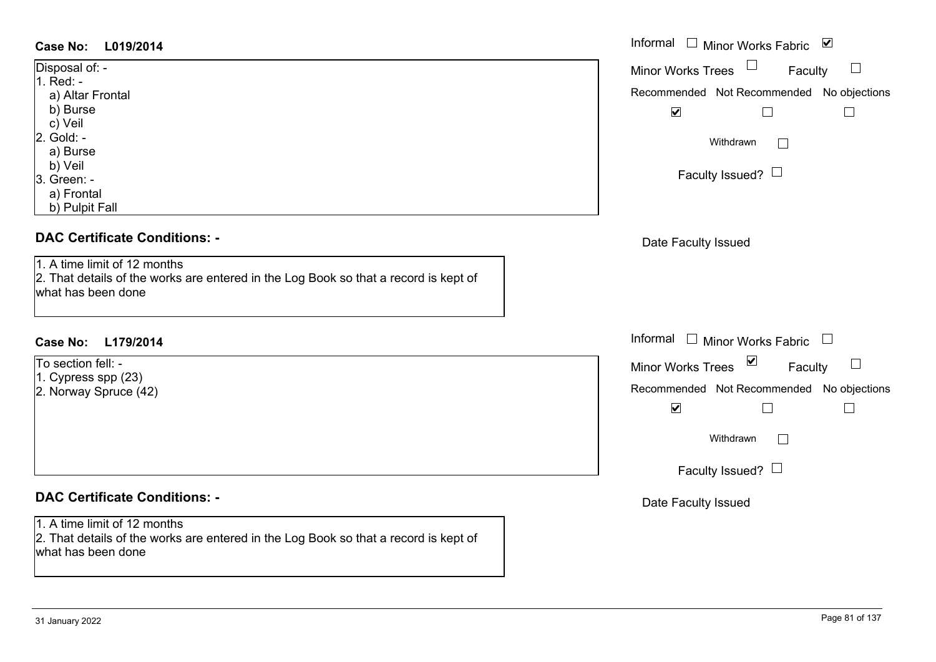### **L019/2014Case No:** Informal

| Disposal of: -   |
|------------------|
| 1. Red: -        |
| a) Altar Frontal |
| b) Burse         |
| c) Veil          |
| 2. Gold: -       |
| a) Burse         |
| b) Veil          |
| 3. Green: -      |
| a) Frontal       |

b) Pulpit Fall

### **DAC Certificate Conditions: -**

1. A time limit of 12 months

2. That details of the works are entered in the Log Book so that a record is kept of what has been done

### **L179/2014Case No:** Informal

To section fell: -

1. Cypress spp (23)

2. Norway Spruce (42)

## **DAC Certificate Conditions: -**

1. A time limit of 12 months

2. That details of the works are entered in the Log Book so that a record is kept of what has been done

| Informal $\square$<br>Minor Works Fabric ⊠<br><b>Minor Works Trees</b><br>Faculty<br>Recommended Not Recommended No objections<br>☑ |
|-------------------------------------------------------------------------------------------------------------------------------------|
| Withdrawn                                                                                                                           |
| Faculty Issued?                                                                                                                     |
| Date Faculty Issued                                                                                                                 |
|                                                                                                                                     |
| Informal<br>Minor Works Fabric $\Box$                                                                                               |
| $\triangleright$<br><b>Minor Works Trees</b><br>Faculty                                                                             |
| Recommended Not Recommended No objections                                                                                           |
| $\blacktriangledown$                                                                                                                |
| Withdrawn                                                                                                                           |
| Faculty Issued?                                                                                                                     |
| .                                                                                                                                   |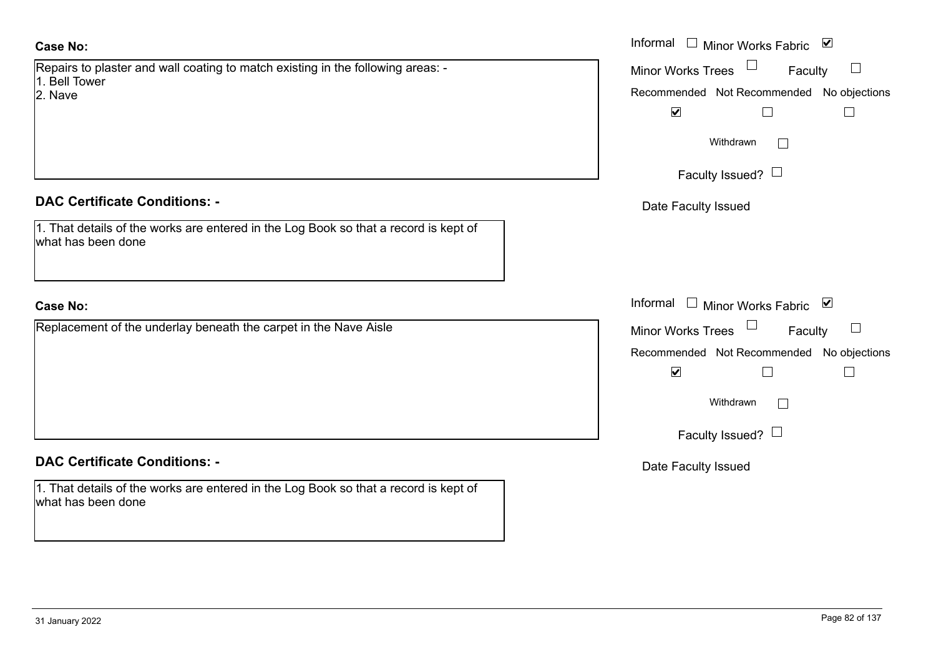Repairs to plaster and wall coating to match existing in the following areas: - 1. Bell Tower

2. Nave

### **DAC Certificate Conditions: -**

1. That details of the works are entered in the Log Book so that a record is kept of what has been done

### **Case No:**

Replacement of the underlay beneath the carpet in the Nave Aisle

### **DAC Certificate Conditions: -**

1. That details of the works are entered in the Log Book so that a record is kept of what has been done

|                                                                                          | Informal □ Minor Works Fabric ☑                     |
|------------------------------------------------------------------------------------------|-----------------------------------------------------|
| o plaster and wall coating to match existing in the following areas: -<br>wer            | Minor Works Trees <sup>1</sup><br>Faculty<br>$\Box$ |
|                                                                                          | Recommended Not Recommended No objections           |
|                                                                                          | $\blacktriangledown$                                |
|                                                                                          | Withdrawn                                           |
|                                                                                          | Faculty Issued? $\Box$                              |
| rtificate Conditions: -                                                                  | Date Faculty Issued                                 |
| etails of the works are entered in the Log Book so that a record is kept of<br>been done |                                                     |
|                                                                                          | Informal □ Minor Works Fabric ⊠                     |
| ment of the underlay beneath the carpet in the Nave Aisle                                | Minor Works Trees $\Box$ Faculty<br>$\Box$          |
|                                                                                          | Recommended Not Recommended No objections           |
|                                                                                          | $\blacktriangledown$<br>$\mathbb{L}$                |
|                                                                                          | Withdrawn                                           |
|                                                                                          | Faculty Issued? $\Box$                              |
| rtificate Conditions: -                                                                  | Date Faculty Issued                                 |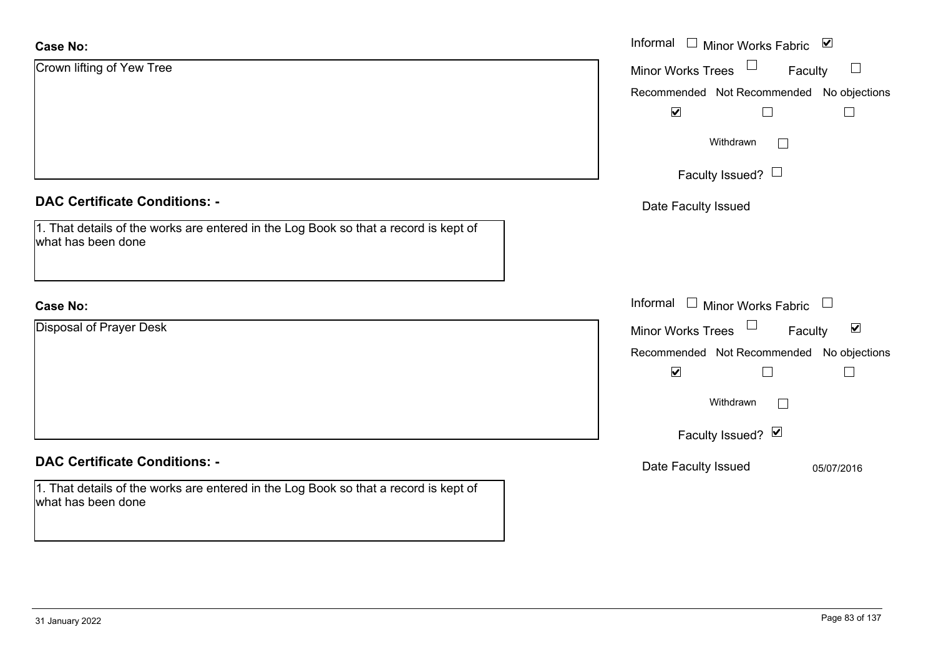| <b>Case No:</b>                                                                                            | Informal $\Box$ Minor Works Fabric $\Box$                   |
|------------------------------------------------------------------------------------------------------------|-------------------------------------------------------------|
| Crown lifting of Yew Tree                                                                                  | Minor Works Trees<br>Faculty                                |
|                                                                                                            | Recommended Not Recommended No objections                   |
|                                                                                                            | $\blacktriangledown$                                        |
|                                                                                                            | Withdrawn                                                   |
|                                                                                                            | Faculty Issued?                                             |
| <b>DAC Certificate Conditions: -</b>                                                                       | Date Faculty Issued                                         |
| 1. That details of the works are entered in the Log Book so that a record is kept of<br>what has been done |                                                             |
| <b>Case No:</b>                                                                                            | Informal<br>$\perp$<br>Minor Works Fabric $\Box$            |
| <b>Disposal of Prayer Desk</b>                                                                             | $\blacktriangledown$<br><b>Minor Works Trees</b><br>Faculty |
|                                                                                                            | Recommended Not Recommended No objections                   |
|                                                                                                            | $\blacktriangledown$<br>$\Box$                              |
|                                                                                                            | Withdrawn                                                   |
|                                                                                                            | Faculty Issued? Ø                                           |
| <b>DAC Certificate Conditions: -</b>                                                                       | Date Faculty Issued<br>05/07/2016                           |
| 1. That details of the works are entered in the Log Book so that a record is kept of<br>what has been done |                                                             |

 $\sim$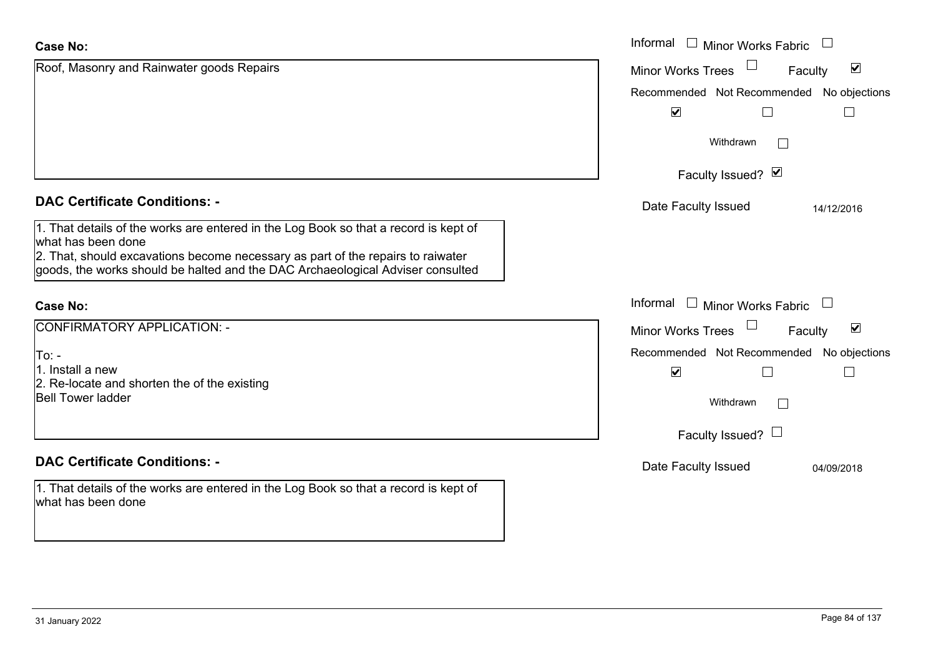| <b>Case No:</b>                                                                                                                                                                                                                                                                 | Informal □ Minor Works Fabric                                                                  |
|---------------------------------------------------------------------------------------------------------------------------------------------------------------------------------------------------------------------------------------------------------------------------------|------------------------------------------------------------------------------------------------|
| Roof, Masonry and Rainwater goods Repairs                                                                                                                                                                                                                                       | $\blacktriangledown$<br><b>Minor Works Trees</b><br>Faculty                                    |
|                                                                                                                                                                                                                                                                                 | Recommended Not Recommended No objections<br>$\blacktriangledown$                              |
|                                                                                                                                                                                                                                                                                 | Withdrawn<br>$\perp$                                                                           |
|                                                                                                                                                                                                                                                                                 | Faculty Issued? Ø                                                                              |
| <b>DAC Certificate Conditions: -</b>                                                                                                                                                                                                                                            | Date Faculty Issued<br>14/12/2016                                                              |
| 1. That details of the works are entered in the Log Book so that a record is kept of<br>what has been done<br>2. That, should excavations become necessary as part of the repairs to raiwater<br>goods, the works should be halted and the DAC Archaeological Adviser consulted |                                                                                                |
| Case No:                                                                                                                                                                                                                                                                        | Informal $\Box$ Minor Works Fabric                                                             |
| CONFIRMATORY APPLICATION: -                                                                                                                                                                                                                                                     | $\blacktriangledown$<br><b>Minor Works Trees</b><br>Faculty                                    |
| To:  -<br>1. Install a new<br>2. Re-locate and shorten the of the existing<br><b>Bell Tower ladder</b>                                                                                                                                                                          | Recommended Not Recommended No objections<br>$\blacktriangledown$<br>Withdrawn<br>$\mathbf{I}$ |
|                                                                                                                                                                                                                                                                                 | Faculty Issued? $\Box$                                                                         |
| <b>DAC Certificate Conditions: -</b>                                                                                                                                                                                                                                            | Date Faculty Issued<br>04/09/2018                                                              |
| 1. That details of the works are entered in the Log Book so that a record is kept of<br>what has been done                                                                                                                                                                      |                                                                                                |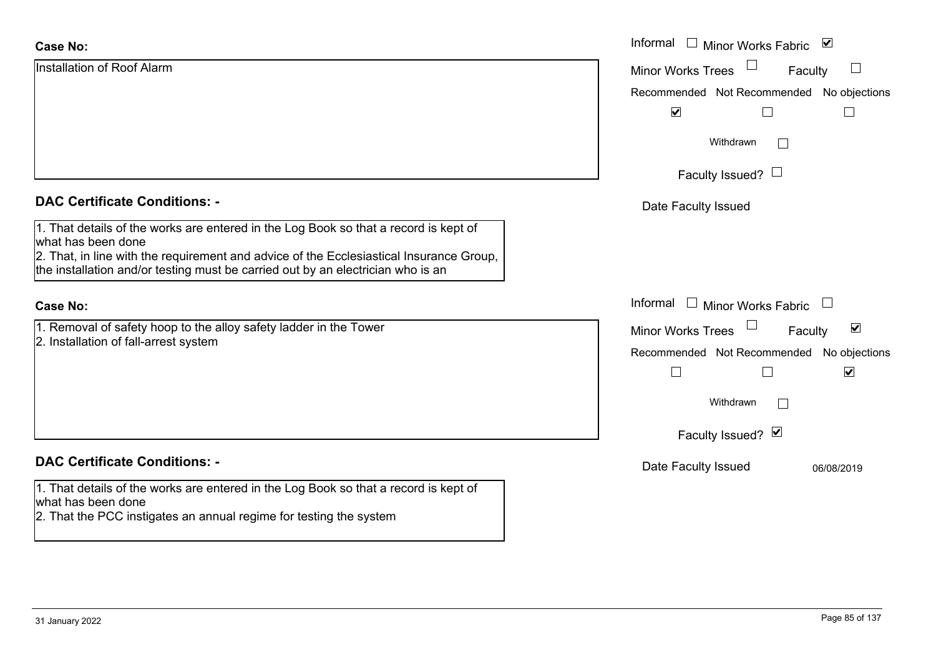| <b>Case No:</b>                                                                                                                                                                  | Informal <u>I</u> Minor Works Fabric <b>⊻</b>        |
|----------------------------------------------------------------------------------------------------------------------------------------------------------------------------------|------------------------------------------------------|
| Installation of Roof Alarm                                                                                                                                                       | $\Box$<br><b>Minor Works Trees</b><br>Faculty        |
|                                                                                                                                                                                  | Recommended Not Recommended No objections            |
|                                                                                                                                                                                  | $\blacktriangledown$                                 |
|                                                                                                                                                                                  | Withdrawn<br>$\vert \ \ \vert$                       |
|                                                                                                                                                                                  | Faculty Issued? $\Box$                               |
| <b>DAC Certificate Conditions: -</b>                                                                                                                                             | Date Faculty Issued                                  |
| 1. That details of the works are entered in the Log Book so that a record is kept of<br>what has been done                                                                       |                                                      |
| 2. That, in line with the requirement and advice of the Ecclesiastical Insurance Group,<br>the installation and/or testing must be carried out by an electrician who is an       |                                                      |
| <b>Case No:</b>                                                                                                                                                                  | Informal<br>$\Box$ Minor Works Fabric                |
| 1. Removal of safety hoop to the alloy safety ladder in the Tower<br>2. Installation of fall-arrest system                                                                       | $\blacktriangledown$<br>Minor Works Trees<br>Faculty |
|                                                                                                                                                                                  | Recommended Not Recommended No objections            |
|                                                                                                                                                                                  | $\blacktriangledown$<br>$\Box$                       |
|                                                                                                                                                                                  | Withdrawn                                            |
|                                                                                                                                                                                  | Faculty Issued? Ø                                    |
| <b>DAC Certificate Conditions: -</b>                                                                                                                                             | Date Faculty Issued<br>06/08/2019                    |
| 1. That details of the works are entered in the Log Book so that a record is kept of<br>what has been done<br>2. That the PCC instigates an annual regime for testing the system |                                                      |
|                                                                                                                                                                                  |                                                      |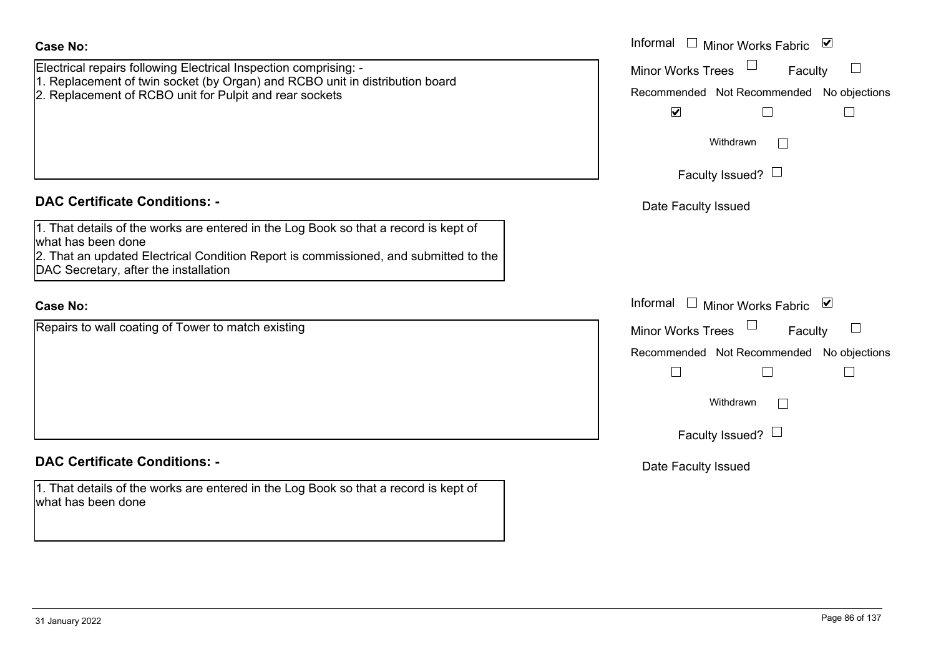| <b>Case No:</b>                                                                                                                         | Informal $\Box$ Minor Works Fabric $\Box$ |
|-----------------------------------------------------------------------------------------------------------------------------------------|-------------------------------------------|
| Electrical repairs following Electrical Inspection comprising: -                                                                        | $\Box$<br>Minor Works Trees<br>Faculty    |
| 1. Replacement of twin socket (by Organ) and RCBO unit in distribution board<br>2. Replacement of RCBO unit for Pulpit and rear sockets | Recommended Not Recommended No objections |
|                                                                                                                                         | $\blacktriangledown$<br>$\Box$            |
|                                                                                                                                         | Withdrawn                                 |
|                                                                                                                                         |                                           |
|                                                                                                                                         | Faculty Issued? $\Box$                    |
| <b>DAC Certificate Conditions: -</b>                                                                                                    | Date Faculty Issued                       |
| 1. That details of the works are entered in the Log Book so that a record is kept of<br>what has been done                              |                                           |
| 2. That an updated Electrical Condition Report is commissioned, and submitted to the<br>DAC Secretary, after the installation           |                                           |
| <b>Case No:</b>                                                                                                                         | Informal<br>□ Minor Works Fabric          |
| Repairs to wall coating of Tower to match existing                                                                                      | <b>Minor Works Trees</b><br>Faculty       |
|                                                                                                                                         | Recommended Not Recommended No objections |
|                                                                                                                                         | $\Box$<br>$\Box$                          |
|                                                                                                                                         | Withdrawn                                 |
|                                                                                                                                         | Faculty Issued? $\Box$                    |
| <b>DAC Certificate Conditions: -</b>                                                                                                    | Date Faculty Issued                       |
| 1. That details of the works are entered in the Log Book so that a record is kept of<br>what has been done                              |                                           |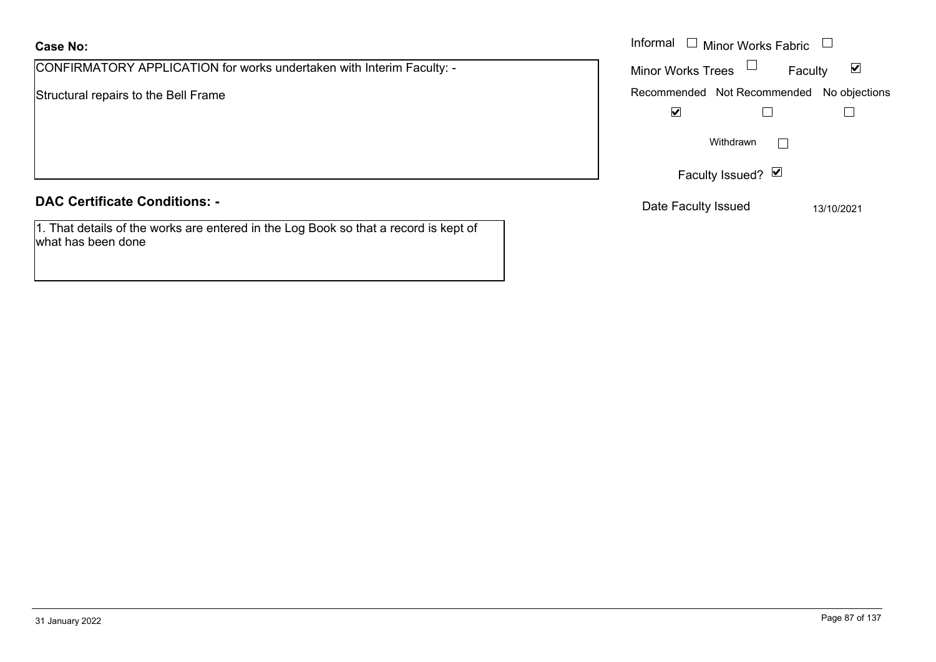CONFIRMATORY APPLICATION for works undertaken with Interim Faculty: -

Structural repairs to the Bell Frame

### **DAC Certificate Conditions: -**

1. That details of the works are entered in the Log Book so that a record is kept of what has been done

|                                                                 | Informal [<br>$\Box$ Minor Works Fabric $\Box$       |  |
|-----------------------------------------------------------------|------------------------------------------------------|--|
| MATORY APPLICATION for works undertaken with Interim Faculty: - | Minor Works Trees<br>$\blacktriangledown$<br>Faculty |  |
| I repairs to the Bell Frame                                     | Recommended Not Recommended No objections            |  |
|                                                                 | $\blacktriangledown$                                 |  |
|                                                                 | Withdrawn                                            |  |
|                                                                 | Faculty Issued? Ø                                    |  |
| rtificate Conditions: -                                         | Date Faculty Issued<br>13/10/2021                    |  |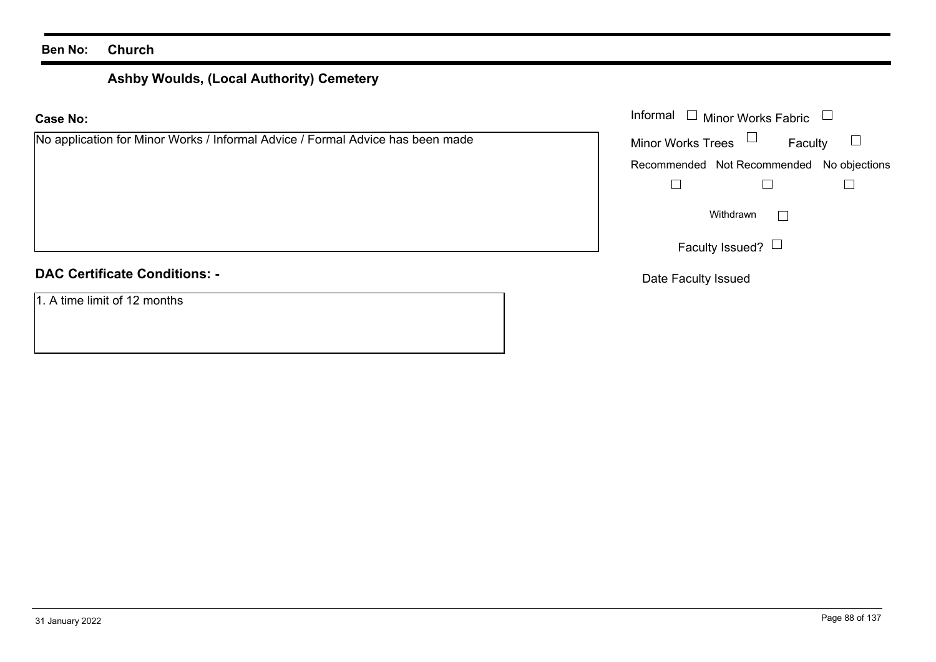# **Ashby Woulds, (Local Authority) Cemetery**

| Informal $\Box$<br>Minor Works Fabric $\Box$<br><b>Case No:</b>                |                                           |
|--------------------------------------------------------------------------------|-------------------------------------------|
| No application for Minor Works / Informal Advice / Formal Advice has been made | Minor Works Trees $\Box$<br>Faculty       |
|                                                                                | Recommended Not Recommended No objections |
|                                                                                |                                           |
|                                                                                | Withdrawn<br>$\vert \ \ \vert$            |
|                                                                                | Faculty Issued? $\Box$                    |
| <b>DAC Certificate Conditions: -</b>                                           | Date Faculty Issued                       |
| 1. A time limit of 12 months                                                   |                                           |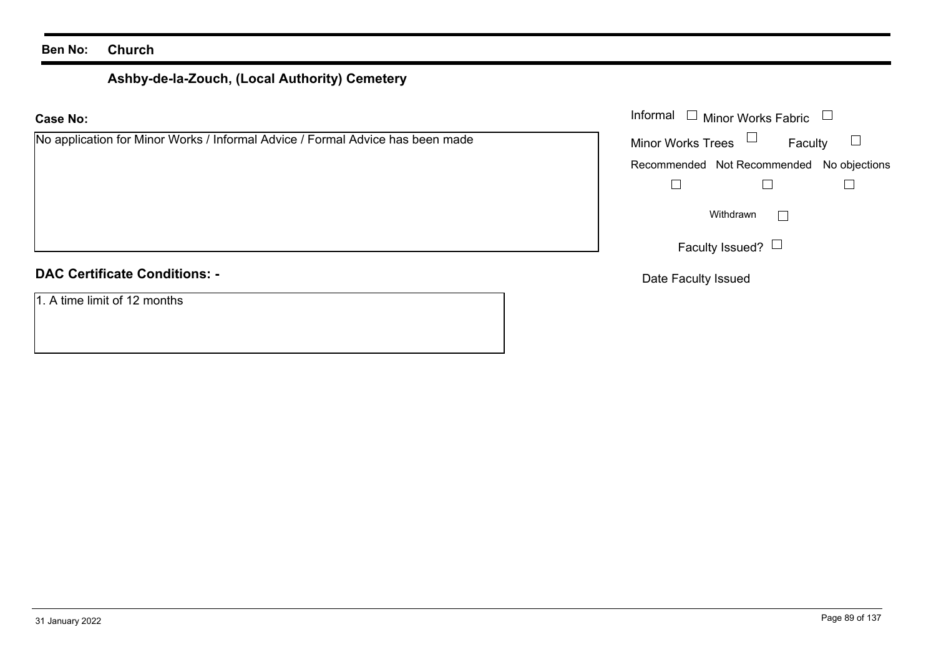# **Ashby-de-la-Zouch, (Local Authority) Cemetery**

| <b>Case No:</b>                                                                | Informal $\Box$ Minor Works Fabric $\Box$     |
|--------------------------------------------------------------------------------|-----------------------------------------------|
| No application for Minor Works / Informal Advice / Formal Advice has been made | Minor Works Trees $\Box$<br>$\Box$<br>Faculty |
|                                                                                | Recommended Not Recommended No objections     |
|                                                                                |                                               |
|                                                                                | Withdrawn                                     |
|                                                                                | Faculty Issued? $\Box$                        |
| <b>DAC Certificate Conditions: -</b>                                           | Date Faculty Issued                           |
| 1. A time limit of 12 months                                                   |                                               |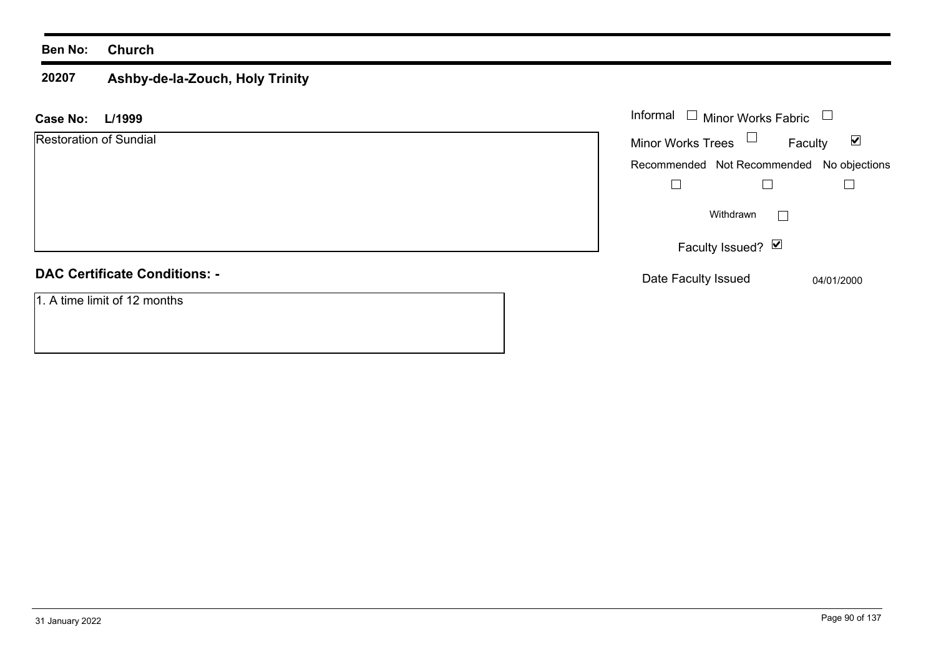### **20207 Ashby-de-la-Zouch, Holy Trinity**

| L/1999<br><b>Case No:</b>            | Informal $\Box$ Minor Works Fabric        | $\Box$                          |
|--------------------------------------|-------------------------------------------|---------------------------------|
| <b>Restoration of Sundial</b>        | Minor Works Trees $\Box$                  | $\blacktriangledown$<br>Faculty |
|                                      | Recommended Not Recommended No objections |                                 |
|                                      |                                           |                                 |
|                                      | Withdrawn                                 |                                 |
|                                      | Faculty Issued? Ø                         |                                 |
| <b>DAC Certificate Conditions: -</b> | Date Faculty Issued                       | 04/01/2000                      |
| 1. A time limit of 12 months         |                                           |                                 |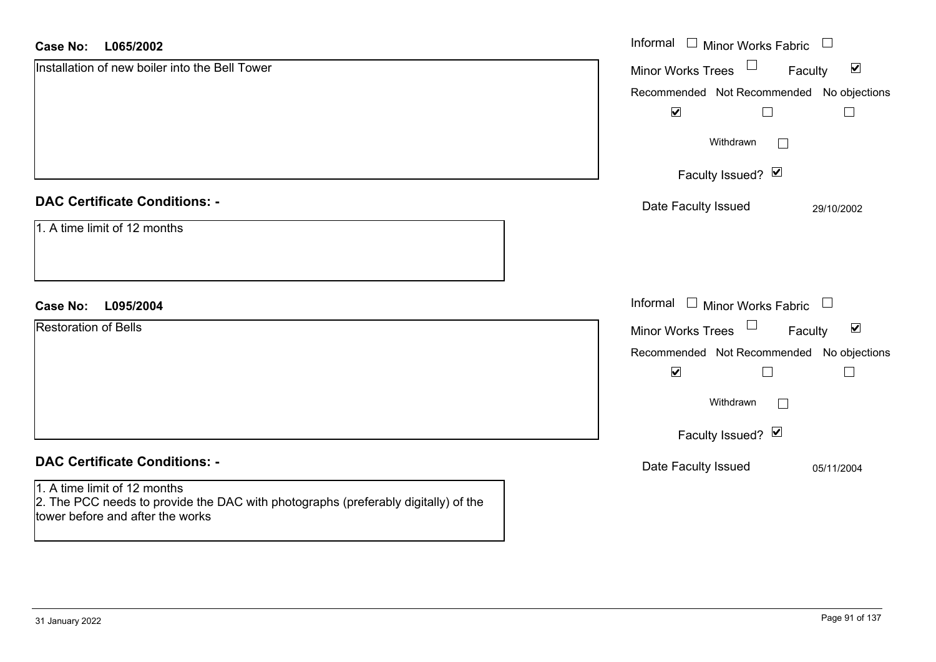| <b>Case No:</b><br>L065/2002                                                                                                                           | Informal □ Minor Works Fabric                                         |
|--------------------------------------------------------------------------------------------------------------------------------------------------------|-----------------------------------------------------------------------|
| Installation of new boiler into the Bell Tower                                                                                                         | $\Box$<br>$\blacktriangledown$<br><b>Minor Works Trees</b><br>Faculty |
|                                                                                                                                                        | Recommended Not Recommended No objections                             |
|                                                                                                                                                        | $\blacktriangledown$                                                  |
|                                                                                                                                                        | Withdrawn<br>$\Box$                                                   |
|                                                                                                                                                        | Faculty Issued? Ø                                                     |
| <b>DAC Certificate Conditions: -</b>                                                                                                                   | Date Faculty Issued<br>29/10/2002                                     |
| 1. A time limit of 12 months                                                                                                                           |                                                                       |
|                                                                                                                                                        |                                                                       |
|                                                                                                                                                        |                                                                       |
| <b>Case No:</b><br>L095/2004                                                                                                                           | Informal $\Box$ Minor Works Fabric $\Box$                             |
| <b>Restoration of Bells</b>                                                                                                                            | $\Box$<br>$\blacktriangledown$<br>Minor Works Trees<br>Faculty        |
|                                                                                                                                                        | Recommended Not Recommended No objections                             |
|                                                                                                                                                        | $\blacktriangledown$<br>$\Box$<br>$\Box$                              |
|                                                                                                                                                        | Withdrawn<br>$\Box$                                                   |
|                                                                                                                                                        | Faculty Issued? Ø                                                     |
| <b>DAC Certificate Conditions: -</b>                                                                                                                   | Date Faculty Issued<br>05/11/2004                                     |
| 1. A time limit of 12 months<br>2. The PCC needs to provide the DAC with photographs (preferably digitally) of the<br>tower before and after the works |                                                                       |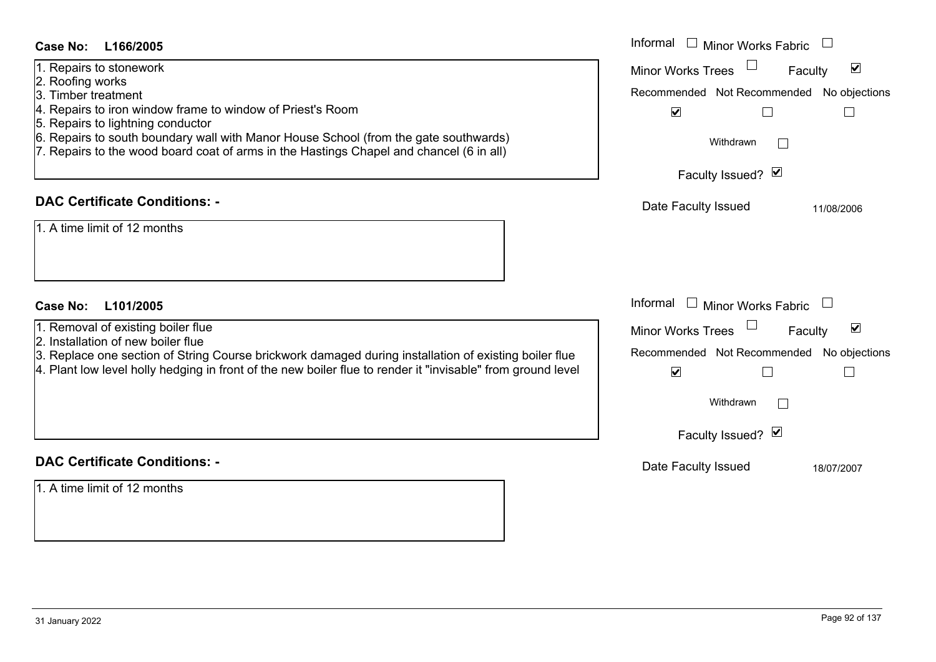- 1. Repairs to stonework
- 2. Roofing works
- 3. Timber treatment
- 4. Repairs to iron window frame to window of Priest's Room
- 5. Repairs to lightning conductor
- 6. Repairs to south boundary wall with Manor House School (from the gate southwa
- 7. Repairs to the wood board coat of arms in the Hastings Chapel and chancel (6 in

### **DAC Certificate Conditions: -**

- 1. Removal of existing boiler flue
- 2. Installation of new boiler flue

## **DAC Certificate Conditions: -**

1. A time limit of 12 months

| <b>Case No:</b><br>L166/2005                                                                                                                                                                                                                                                                                                                             | Informal I Minor Works Fabric                                                                                                                                                                        |
|----------------------------------------------------------------------------------------------------------------------------------------------------------------------------------------------------------------------------------------------------------------------------------------------------------------------------------------------------------|------------------------------------------------------------------------------------------------------------------------------------------------------------------------------------------------------|
| 1. Repairs to stonework<br>2. Roofing works<br>3. Timber treatment<br>4. Repairs to iron window frame to window of Priest's Room<br>5. Repairs to lightning conductor<br>6. Repairs to south boundary wall with Manor House School (from the gate southwards)<br>7. Repairs to the wood board coat of arms in the Hastings Chapel and chancel (6 in all) | $\blacktriangledown$<br><b>Minor Works Trees</b><br>Faculty<br>Recommended Not Recommended No objections<br>$\blacktriangledown$<br>Withdrawn<br>Faculty Issued? Ø                                   |
| <b>DAC Certificate Conditions: -</b><br>1. A time limit of 12 months                                                                                                                                                                                                                                                                                     | Date Faculty Issued<br>11/08/2006                                                                                                                                                                    |
| <b>Case No:</b><br>L101/2005<br>1. Removal of existing boiler flue<br>2. Installation of new boiler flue<br>3. Replace one section of String Course brickwork damaged during installation of existing boiler flue<br>4. Plant low level holly hedging in front of the new boiler flue to render it "invisable" from ground level                         | Informal $\Box$ Minor Works Fabric<br>$\blacktriangledown$<br>Minor Works Trees<br>Faculty<br>Recommended Not Recommended<br>No objections<br>$\blacktriangledown$<br>Withdrawn<br>Faculty Issued? Ø |
| <b>DAC Certificate Conditions: -</b>                                                                                                                                                                                                                                                                                                                     | Date Faculty Issued<br>18/07/2007                                                                                                                                                                    |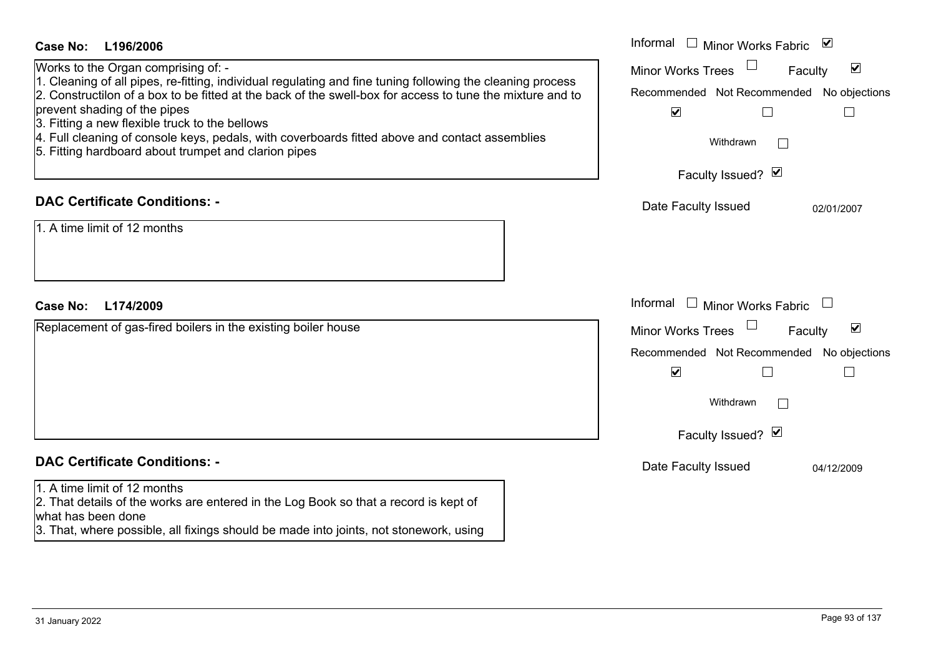| <b>Case No:</b><br>L196/2006                                                                                                                                                                                                                                                                                                                                                                                                                                                                               | Informal $\Box$ Minor Works Fabric $\Box$                                                                                                                                                      |
|------------------------------------------------------------------------------------------------------------------------------------------------------------------------------------------------------------------------------------------------------------------------------------------------------------------------------------------------------------------------------------------------------------------------------------------------------------------------------------------------------------|------------------------------------------------------------------------------------------------------------------------------------------------------------------------------------------------|
| Works to the Organ comprising of: -<br>1. Cleaning of all pipes, re-fitting, individual regulating and fine tuning following the cleaning process<br>2. Constructilon of a box to be fitted at the back of the swell-box for access to tune the mixture and to<br>prevent shading of the pipes<br>3. Fitting a new flexible truck to the bellows<br>4. Full cleaning of console keys, pedals, with coverboards fitted above and contact assemblies<br>5. Fitting hardboard about trumpet and clarion pipes | $\blacktriangledown$<br><b>Minor Works Trees</b><br>Faculty<br>Recommended Not Recommended No objections<br>$\blacktriangledown$<br>$\Box$<br>$\mathbb{R}^n$<br>Withdrawn<br>Faculty Issued? Ø |
| <b>DAC Certificate Conditions: -</b><br>1. A time limit of 12 months                                                                                                                                                                                                                                                                                                                                                                                                                                       | Date Faculty Issued<br>02/01/2007                                                                                                                                                              |
| Case No:<br>L174/2009                                                                                                                                                                                                                                                                                                                                                                                                                                                                                      | Informal<br>$\Box$<br><b>Minor Works Fabric</b>                                                                                                                                                |
| Replacement of gas-fired boilers in the existing boiler house                                                                                                                                                                                                                                                                                                                                                                                                                                              | $\blacktriangledown$<br><b>Minor Works Trees</b><br>Faculty<br>Recommended Not Recommended No objections<br>$\blacktriangledown$<br>$\Box$<br>$\mathbb{R}^n$<br>Withdrawn<br>Faculty Issued? Ø |
| <b>DAC Certificate Conditions: -</b>                                                                                                                                                                                                                                                                                                                                                                                                                                                                       | Date Faculty Issued<br>04/12/2009                                                                                                                                                              |
| 1. A time limit of 12 months<br>2. That details of the works are entered in the Log Book so that a record is kept of<br>what has been done<br>3. That, where possible, all fixings should be made into joints, not stonework, using                                                                                                                                                                                                                                                                        |                                                                                                                                                                                                |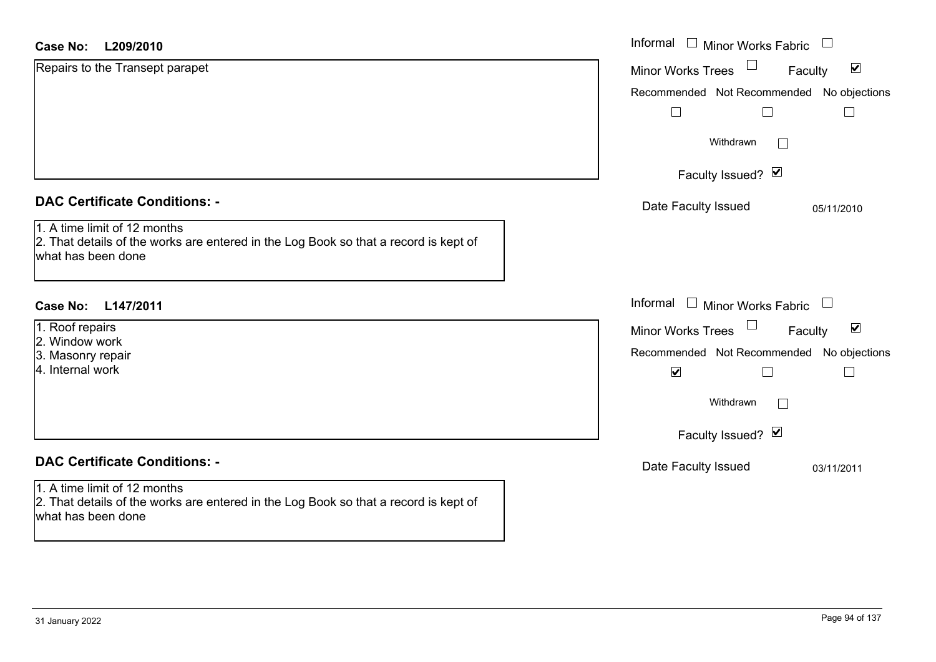| <b>Case No:</b><br>L209/2010                                                                                                               | Informal □ Minor Works Fabric                               |
|--------------------------------------------------------------------------------------------------------------------------------------------|-------------------------------------------------------------|
| Repairs to the Transept parapet                                                                                                            | $\blacktriangledown$<br><b>Minor Works Trees</b><br>Faculty |
|                                                                                                                                            | Recommended Not Recommended No objections                   |
|                                                                                                                                            |                                                             |
|                                                                                                                                            | Withdrawn<br>$\Box$                                         |
|                                                                                                                                            | Faculty Issued? Ø                                           |
| <b>DAC Certificate Conditions: -</b>                                                                                                       | Date Faculty Issued<br>05/11/2010                           |
| 1. A time limit of 12 months<br>2. That details of the works are entered in the Log Book so that a record is kept of<br>what has been done |                                                             |
| <b>Case No:</b><br>L147/2011                                                                                                               | Informal □ Minor Works Fabric<br>$\Box$                     |
| 1. Roof repairs                                                                                                                            | Minor Works Trees<br>$\blacktriangledown$<br>Faculty        |
| 2. Window work<br>3. Masonry repair                                                                                                        | Recommended Not Recommended No objections                   |
| 4. Internal work                                                                                                                           | $\blacktriangledown$<br>$\Box$<br>Ш                         |
|                                                                                                                                            | Withdrawn<br>$\overline{\phantom{a}}$                       |
|                                                                                                                                            | Faculty Issued? Ø                                           |
| <b>DAC Certificate Conditions: -</b>                                                                                                       | Date Faculty Issued<br>03/11/2011                           |
| 1. A time limit of 12 months<br>2. That details of the works are entered in the Log Book so that a record is kept of<br>what has been done |                                                             |
|                                                                                                                                            |                                                             |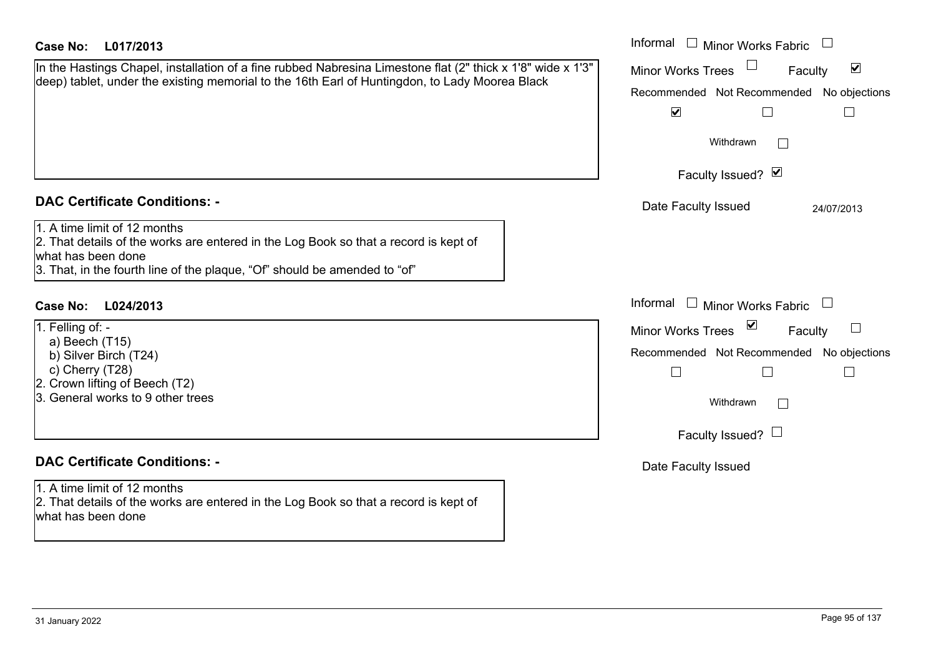| Case No:<br>L017/2013                                                                                                                                                                                                   | Informal □ Minor Works Fabric                                                                                                                                                                              |
|-------------------------------------------------------------------------------------------------------------------------------------------------------------------------------------------------------------------------|------------------------------------------------------------------------------------------------------------------------------------------------------------------------------------------------------------|
| In the Hastings Chapel, installation of a fine rubbed Nabresina Limestone flat (2" thick x 1'8" wide x 1'3"<br>deep) tablet, under the existing memorial to the 16th Earl of Huntingdon, to Lady Moorea Black           | $\blacktriangledown$<br><b>Minor Works Trees</b><br>Faculty<br>Recommended Not Recommended No objections<br>$\blacktriangledown$<br>$\Box$<br>Withdrawn<br>$\mathbb{R}$                                    |
|                                                                                                                                                                                                                         | Faculty Issued? Ø                                                                                                                                                                                          |
| <b>DAC Certificate Conditions: -</b>                                                                                                                                                                                    | Date Faculty Issued<br>24/07/2013                                                                                                                                                                          |
| 1. A time limit of 12 months<br>2. That details of the works are entered in the Log Book so that a record is kept of<br>what has been done<br>3. That, in the fourth line of the plaque, "Of" should be amended to "of" |                                                                                                                                                                                                            |
| Case No:<br>L024/2013                                                                                                                                                                                                   | Informal $\Box$ Minor Works Fabric                                                                                                                                                                         |
| 1. Felling of: -<br>a) Beech (T15)<br>b) Silver Birch (T24)<br>c) Cherry (T28)<br>2. Crown lifting of Beech (T2)<br>3. General works to 9 other trees                                                                   | $\overline{\mathbf{v}}$<br><b>Minor Works Trees</b><br>Faculty<br>Recommended Not Recommended No objections<br>$\overline{\phantom{a}}$<br>$\overline{\phantom{a}}$<br>Withdrawn<br>Faculty Issued? $\Box$ |
| <b>DAC Certificate Conditions: -</b>                                                                                                                                                                                    | Date Faculty Issued                                                                                                                                                                                        |
| 1. A time limit of 12 months<br>2. That details of the works are entered in the Log Book so that a record is kept of<br>what has been done                                                                              |                                                                                                                                                                                                            |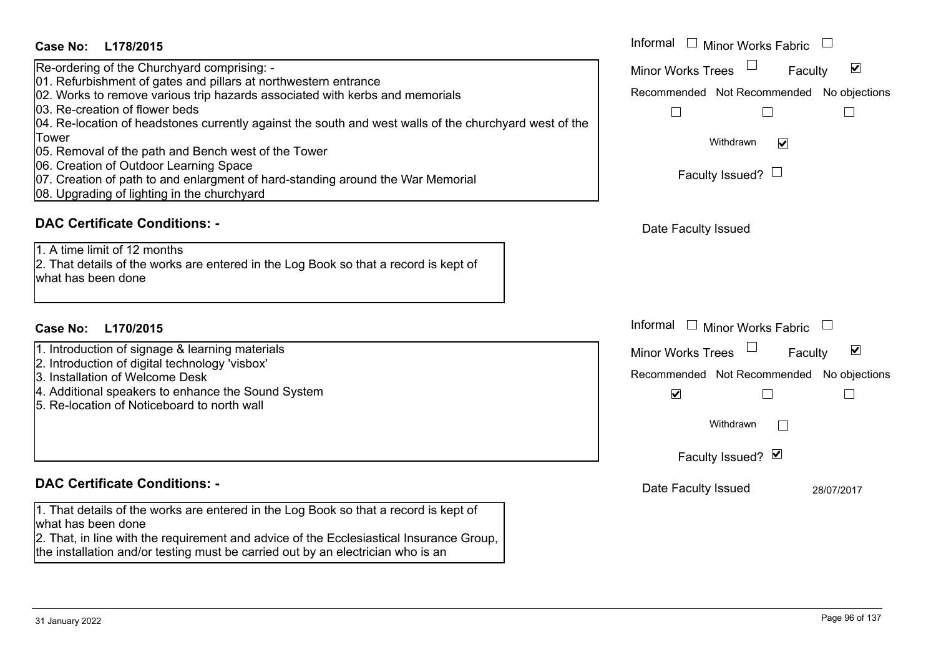| <b>Case No:</b><br>L178/2015                                                                           | Informal<br>$\Box$<br><b>Minor Works Fabric</b>             |
|--------------------------------------------------------------------------------------------------------|-------------------------------------------------------------|
| Re-ordering of the Churchyard comprising: -                                                            | $\blacktriangledown$<br><b>Minor Works Trees</b><br>Faculty |
| 01. Refurbishment of gates and pillars at northwestern entrance                                        |                                                             |
| 02. Works to remove various trip hazards associated with kerbs and memorials                           | Recommended Not Recommended No objections                   |
| 03. Re-creation of flower beds                                                                         |                                                             |
| 04. Re-location of headstones currently against the south and west walls of the churchyard west of the |                                                             |
| Tower                                                                                                  | Withdrawn<br>$\blacktriangledown$                           |
| 05. Removal of the path and Bench west of the Tower<br>06. Creation of Outdoor Learning Space          |                                                             |
| 07. Creation of path to and enlargment of hard-standing around the War Memorial                        | Faculty Issued? $\Box$                                      |
| 08. Upgrading of lighting in the churchyard                                                            |                                                             |
|                                                                                                        |                                                             |
| <b>DAC Certificate Conditions: -</b>                                                                   | Date Faculty Issued                                         |
| 1. A time limit of 12 months                                                                           |                                                             |
| 2. That details of the works are entered in the Log Book so that a record is kept of                   |                                                             |
| what has been done                                                                                     |                                                             |
|                                                                                                        |                                                             |
|                                                                                                        | Informal □ Minor Works Fabric                               |
| L170/2015<br><b>Case No:</b>                                                                           |                                                             |
| 1. Introduction of signage & learning materials                                                        | $\blacktriangledown$<br><b>Minor Works Trees</b><br>Faculty |
| 2. Introduction of digital technology 'visbox'<br>3. Installation of Welcome Desk                      | Recommended Not Recommended No objections                   |
| 4. Additional speakers to enhance the Sound System                                                     |                                                             |
| 5. Re-location of Noticeboard to north wall                                                            | $\blacktriangledown$                                        |
|                                                                                                        | Withdrawn<br>$\Box$                                         |
|                                                                                                        |                                                             |
|                                                                                                        | Faculty Issued? Ø                                           |
| <b>DAC Certificate Conditions: -</b>                                                                   | Date Faculty Issued<br>28/07/2017                           |
| 1. That details of the works are entered in the Log Book so that a record is kept of                   |                                                             |
| what has been done                                                                                     |                                                             |
| 2. That, in line with the requirement and advice of the Ecclesiastical Insurance Group,                |                                                             |
| the installation and/or testing must be carried out by an electrician who is an                        |                                                             |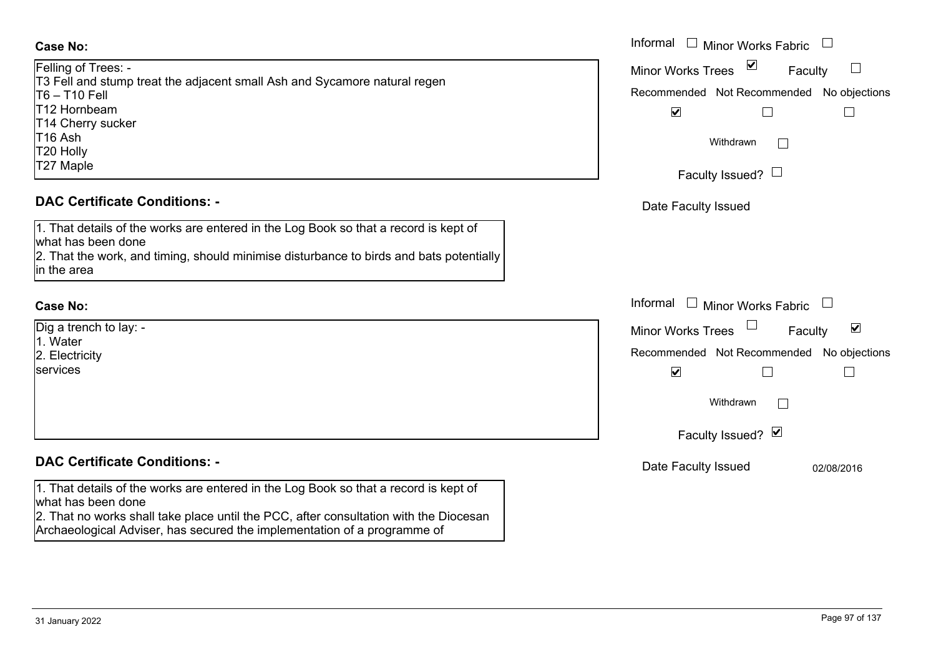| Felling of Trees: -                                                       |  |
|---------------------------------------------------------------------------|--|
| T3 Fell and stump treat the adjacent small Ash and Sycamore natural regen |  |
| $T6 - T10$ Fell                                                           |  |
| T12 Hornbeam                                                              |  |
| T14 Cherry sucker                                                         |  |
| T <sub>16</sub> Ash                                                       |  |
| T20 Holly                                                                 |  |
| T27 Maple                                                                 |  |

### **DAC Certificate Conditions: -**

1. That details of the works are entered in the Log Book so that a record is kept of what has been done 2. That the work, and timing, should minimise disturbance to birds and bats potentially in the area

### **Case No:**

| Dig a trench to lay: - |
|------------------------|
| 1. Water               |
| 2. Electricity         |
| services               |
|                        |

### **DAC Certificate Conditions: -**

1. That details of the works are entered in the Log Book so that a record is kept of what has been done

2. That no works shall take place until the PCC, after consultation with the Diocesan Archaeological Adviser, has secured the implementation of a programme of

|                                                                                                                                                                                | Informal □ Minor Works Fabric                                                                                                              |
|--------------------------------------------------------------------------------------------------------------------------------------------------------------------------------|--------------------------------------------------------------------------------------------------------------------------------------------|
| Trees: -<br>nd stump treat the adjacent small Ash and Sycamore natural regen<br>Fell<br>ıbeam<br>rry sucker                                                                    | $\boxed{\mathbf{v}}$<br><b>Minor Works Trees</b><br>$\Box$<br>Faculty<br>Recommended Not Recommended No objections<br>$\blacktriangledown$ |
| le                                                                                                                                                                             | Withdrawn<br>Faculty Issued? $\Box$                                                                                                        |
| rtificate Conditions: -                                                                                                                                                        | Date Faculty Issued                                                                                                                        |
| etails of the works are entered in the Log Book so that a record is kept of<br>been done<br>e work, and timing, should minimise disturbance to birds and bats potentially<br>æ |                                                                                                                                            |
|                                                                                                                                                                                | Informal $\Box$ Minor Works Fabric $\Box$                                                                                                  |
| - nch to lay:                                                                                                                                                                  | $\blacktriangledown$<br>Minor Works Trees<br>Faculty                                                                                       |
| city                                                                                                                                                                           | Recommended Not Recommended No objections<br>$\blacktriangledown$<br>Withdrawn<br>Faculty Issued? Ø                                        |
| rtificate Conditions: -                                                                                                                                                        | Date Faculty Issued<br>02/08/2016                                                                                                          |
| etails of the works are entered in the Log Book so that a record is kept of                                                                                                    |                                                                                                                                            |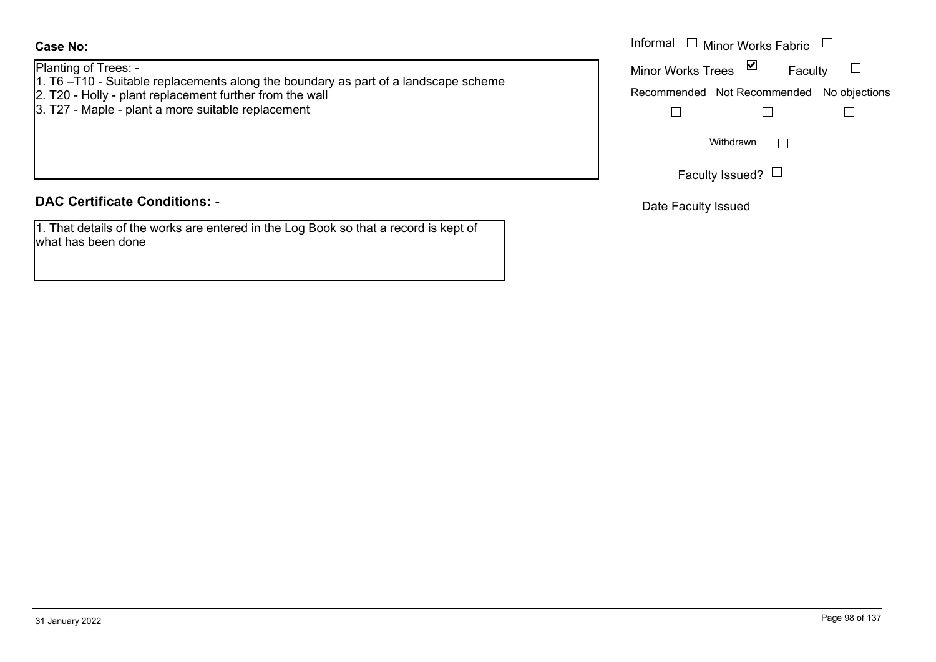### Planting of Trees: -

- 1. T6 –T10 Suitable replacements along the boundary as part of a landscape scheme
- 2. T20 Holly plant replacement further from the wall
- 3. T27 Maple plant a more suitable replacement

### **DAC Certificate Conditions: -**

1. That details of the works are entered in the Log Book so that a record is kept of what has been done

|                                                                                            | Informal $\Box$ Minor Works Fabric $\Box$ |
|--------------------------------------------------------------------------------------------|-------------------------------------------|
| of Trees: -<br>10 - Suitable replacements along the boundary as part of a landscape scheme | ⊻<br><b>Minor Works Trees</b><br>Faculty  |
| Holly - plant replacement further from the wall                                            | Recommended Not Recommended No objections |
| Maple - plant a more suitable replacement                                                  |                                           |
|                                                                                            | Withdrawn                                 |
|                                                                                            | Faculty Issued?                           |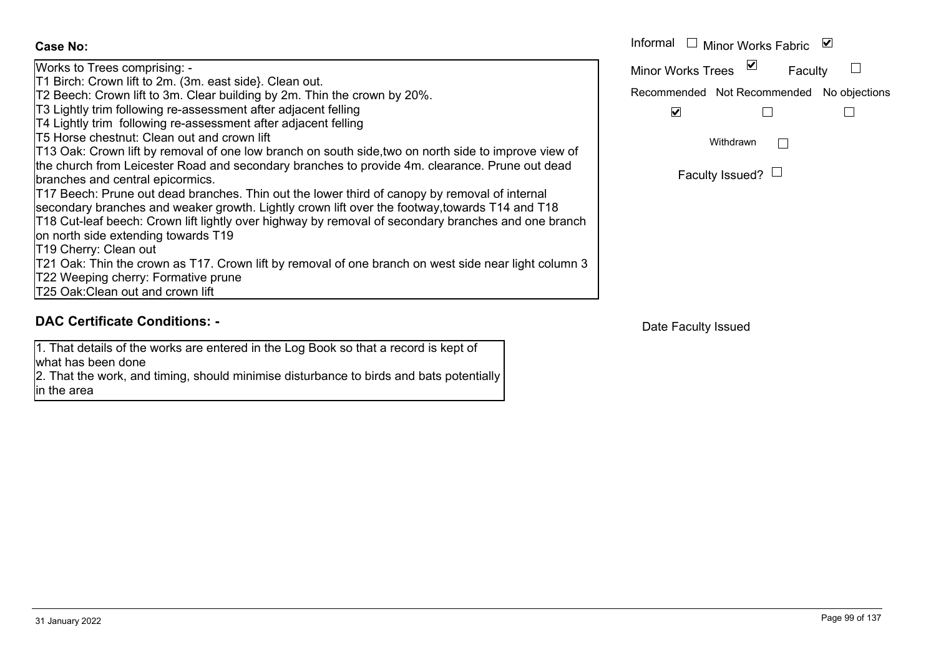Works to Trees comprising: - T1 Birch: Crown lift to 2m. (3m. east side}. Clean out. T2 Beech: Crown lift to 3m. Clear building by 2m. Thin the crown by 20%. T3 Lightly trim following re-assessment after adjacent felling T4 Lightly trim following re-assessment after adjacent felling T5 Horse chestnut: Clean out and crown liftT13 Oak: Crown lift by removal of one low branch on south side,two on north side to improve view of the church from Leicester Road and secondary branches to provide 4m. clearance. Prune out dead branches and central epicormics. T17 Beech: Prune out dead branches. Thin out the lower third of canopy by removal of internal secondary branches and weaker growth. Lightly crown lift over the footway,towards T14 and T18 T18 Cut-leaf beech: Crown lift lightly over highway by removal of secondary branches and one branch on north side extending towards T19 T19 Cherry: Clean out T21 Oak: Thin the crown as T17. Crown lift by removal of one branch on west side near light column 3 T22 Weeping cherry: Formative prune T25 Oak:Clean out and crown liftFaculty Issued?  $\vdash$ RecommendedFaculty **Case No:** Informal WithdrawnMinor Works FabricMinor Works Trees

### **DAC Certificate Conditions: -**

1. That details of the works are entered in the Log Book so that a record is kept of what has been done

2. That the work, and timing, should minimise disturbance to birds and bats potentially in the area

31 January 2022 Page 99 of 137

| Informal                                  | □ Minor Works Fabric           | M       |  |
|-------------------------------------------|--------------------------------|---------|--|
| <b>Minor Works Trees</b>                  | ⊻                              | Faculty |  |
| Recommended Not Recommended No objections |                                |         |  |
|                                           |                                |         |  |
|                                           | Withdrawn                      |         |  |
|                                           | $\Gamma$ aauku laauaa $\Omega$ |         |  |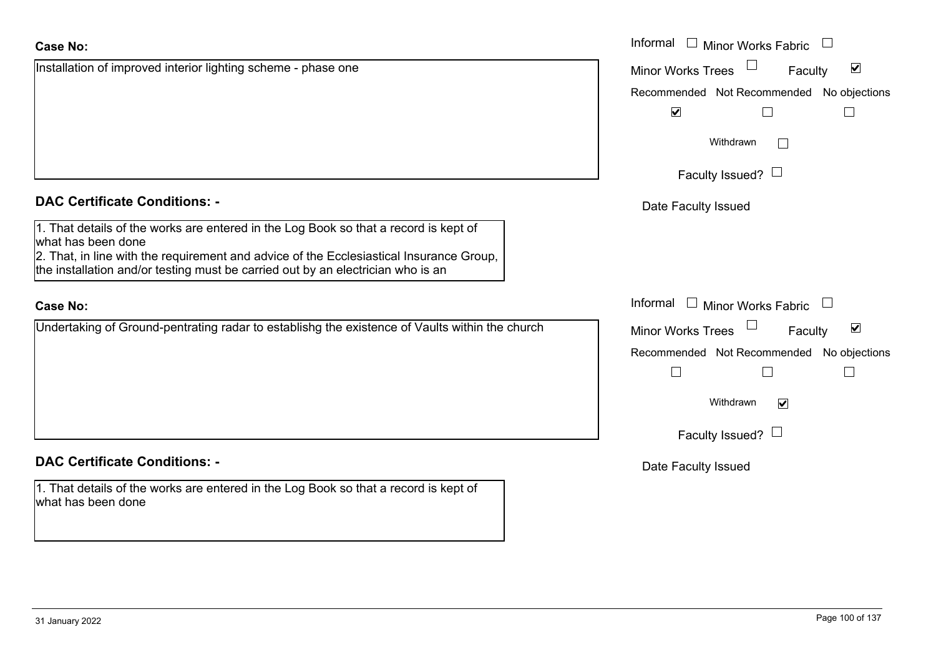Installation of improved interior lighting scheme - phase one

### **DAC Certificate Conditions: -**

1. That details of the works are entered in the Log Book so that a record is kept of what has been done

2. That, in line with the requirement and advice of the Ecclesiastical Insurance Group, the installation and/or testing must be carried out by an electrician who is an

### **Case No:**

Undertaking of Ground-pentrating radar to establishg the existence of Vaults within the church

## **DAC Certificate Conditions: -**

1. That details of the works are entered in the Log Book so that a record is kept of what has been done

|                                                                                                                                                        | Informal □ Minor Works Fabric                               |
|--------------------------------------------------------------------------------------------------------------------------------------------------------|-------------------------------------------------------------|
| on of improved interior lighting scheme - phase one                                                                                                    | $\blacktriangledown$<br><b>Minor Works Trees</b><br>Faculty |
|                                                                                                                                                        | Recommended Not Recommended No objections                   |
|                                                                                                                                                        | $\blacktriangledown$                                        |
|                                                                                                                                                        | Withdrawn                                                   |
|                                                                                                                                                        | Faculty Issued? $\Box$                                      |
| rtificate Conditions: -                                                                                                                                | Date Faculty Issued                                         |
| etails of the works are entered in the Log Book so that a record is kept of<br>been done                                                               |                                                             |
| n line with the requirement and advice of the Ecclesiastical Insurance Group,<br>lation and/or testing must be carried out by an electrician who is an |                                                             |
|                                                                                                                                                        | Informal $\Box$ Minor Works Fabric                          |
| ing of Ground-pentrating radar to establishg the existence of Vaults within the church                                                                 | $\blacktriangledown$<br>Faculty<br><b>Minor Works Trees</b> |
|                                                                                                                                                        | Recommended Not Recommended No objections                   |
|                                                                                                                                                        | $\mathbf{I}$                                                |
|                                                                                                                                                        | Withdrawn<br>$\overline{\mathsf{v}}$                        |
|                                                                                                                                                        | Faculty Issued? $\Box$                                      |
| rtificate Conditions: -                                                                                                                                | Date Faculty Issued                                         |
| etails of the works are entered in the Log Book so that a record is kept of<br>heen done                                                               |                                                             |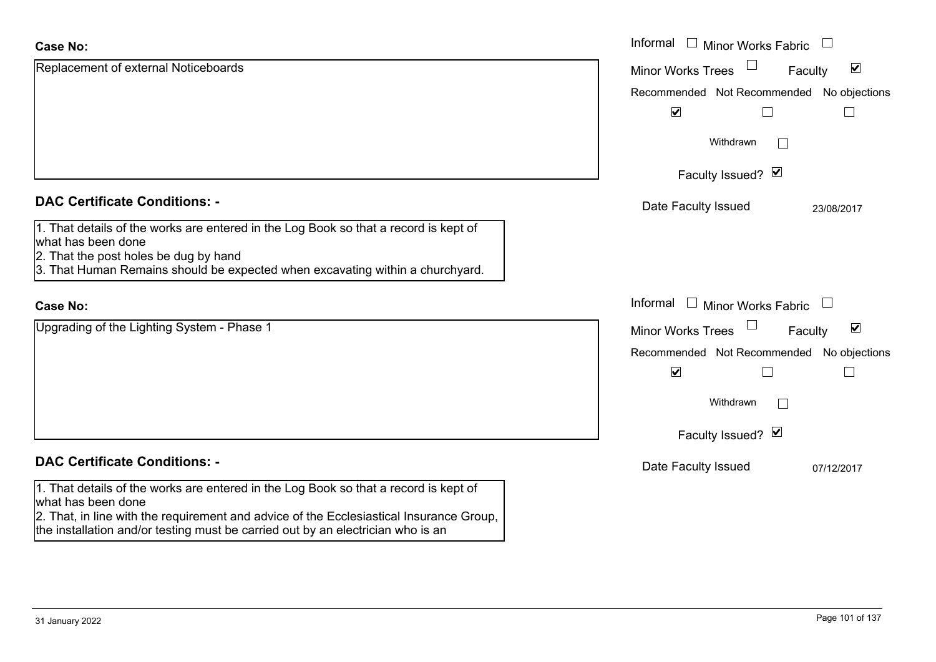| <b>Case No:</b>                                                                                                                                                            | Informal $\Box$ Minor Works Fabric $\Box$                   |
|----------------------------------------------------------------------------------------------------------------------------------------------------------------------------|-------------------------------------------------------------|
| Replacement of external Noticeboards                                                                                                                                       | $\blacktriangledown$<br><b>Minor Works Trees</b><br>Faculty |
|                                                                                                                                                                            | Recommended Not Recommended No objections                   |
|                                                                                                                                                                            | $\blacktriangledown$                                        |
|                                                                                                                                                                            | Withdrawn                                                   |
|                                                                                                                                                                            | Faculty Issued? Ø                                           |
| <b>DAC Certificate Conditions: -</b>                                                                                                                                       | Date Faculty Issued<br>23/08/2017                           |
| 1. That details of the works are entered in the Log Book so that a record is kept of<br>what has been done<br>2. That the post holes be dug by hand                        |                                                             |
| 3. That Human Remains should be expected when excavating within a churchyard.                                                                                              |                                                             |
| <b>Case No:</b>                                                                                                                                                            | Informal<br>$\Box$ Minor Works Fabric                       |
| Upgrading of the Lighting System - Phase 1                                                                                                                                 | $\blacktriangledown$<br><b>Minor Works Trees</b><br>Faculty |
|                                                                                                                                                                            | Recommended Not Recommended No objections                   |
|                                                                                                                                                                            | $\blacktriangledown$                                        |
|                                                                                                                                                                            | Withdrawn                                                   |
|                                                                                                                                                                            | Faculty Issued? Ø                                           |
| <b>DAC Certificate Conditions: -</b>                                                                                                                                       | Date Faculty Issued<br>07/12/2017                           |
| 1. That details of the works are entered in the Log Book so that a record is kept of<br>what has been done                                                                 |                                                             |
| 2. That, in line with the requirement and advice of the Ecclesiastical Insurance Group,<br>the installation and/or testing must be carried out by an electrician who is an |                                                             |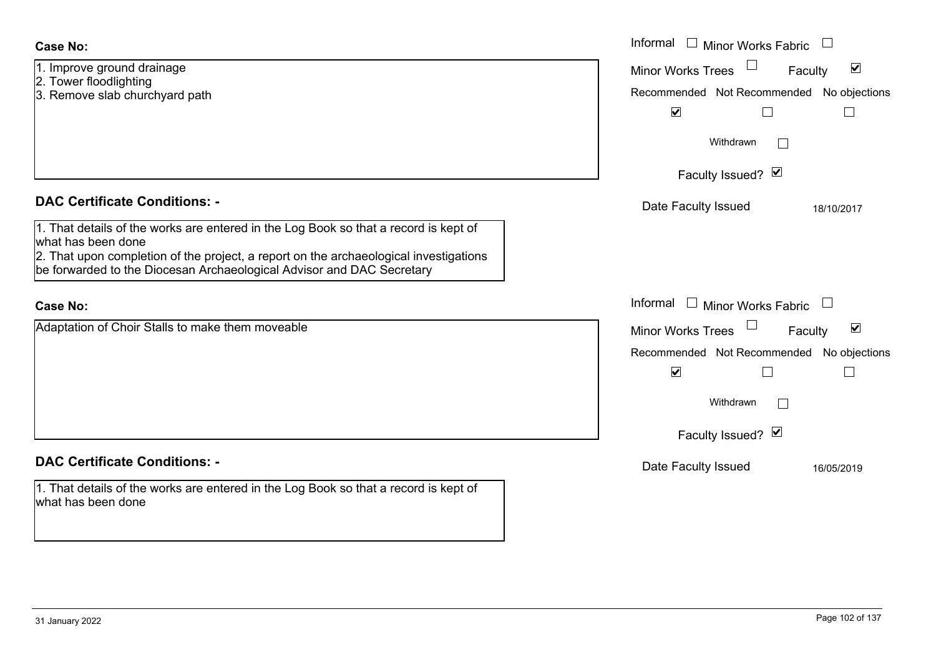| <b>Case No:</b>                                                                                                                                                                                                                                                                                                       | Informal<br>$\Box$<br>Minor Works Fabric                                                                                                                                             |
|-----------------------------------------------------------------------------------------------------------------------------------------------------------------------------------------------------------------------------------------------------------------------------------------------------------------------|--------------------------------------------------------------------------------------------------------------------------------------------------------------------------------------|
| 1. Improve ground drainage<br>2. Tower floodlighting<br>3. Remove slab churchyard path                                                                                                                                                                                                                                | $\blacktriangledown$<br><b>Minor Works Trees</b><br>Faculty<br>Recommended Not Recommended No objections<br>$\blacktriangledown$                                                     |
|                                                                                                                                                                                                                                                                                                                       | Withdrawn<br>$\sim$<br>Faculty Issued? Ø                                                                                                                                             |
| <b>DAC Certificate Conditions: -</b><br>1. That details of the works are entered in the Log Book so that a record is kept of<br>lwhat has been done<br>2. That upon completion of the project, a report on the archaeological investigations<br>be forwarded to the Diocesan Archaeological Advisor and DAC Secretary | Date Faculty Issued<br>18/10/2017                                                                                                                                                    |
| <b>Case No:</b>                                                                                                                                                                                                                                                                                                       | Informal<br>□ Minor Works Fabric □                                                                                                                                                   |
| Adaptation of Choir Stalls to make them moveable                                                                                                                                                                                                                                                                      | $\blacktriangledown$<br><b>Minor Works Trees</b><br>Faculty<br>Recommended Not Recommended No objections<br>$\blacktriangledown$<br>Withdrawn<br>$\mathbb{R}^n$<br>Faculty Issued? Ø |
| <b>DAC Certificate Conditions: -</b><br>1. That details of the works are entered in the Log Book so that a record is kept of<br>what has been done                                                                                                                                                                    | Date Faculty Issued<br>16/05/2019                                                                                                                                                    |

 $\sim$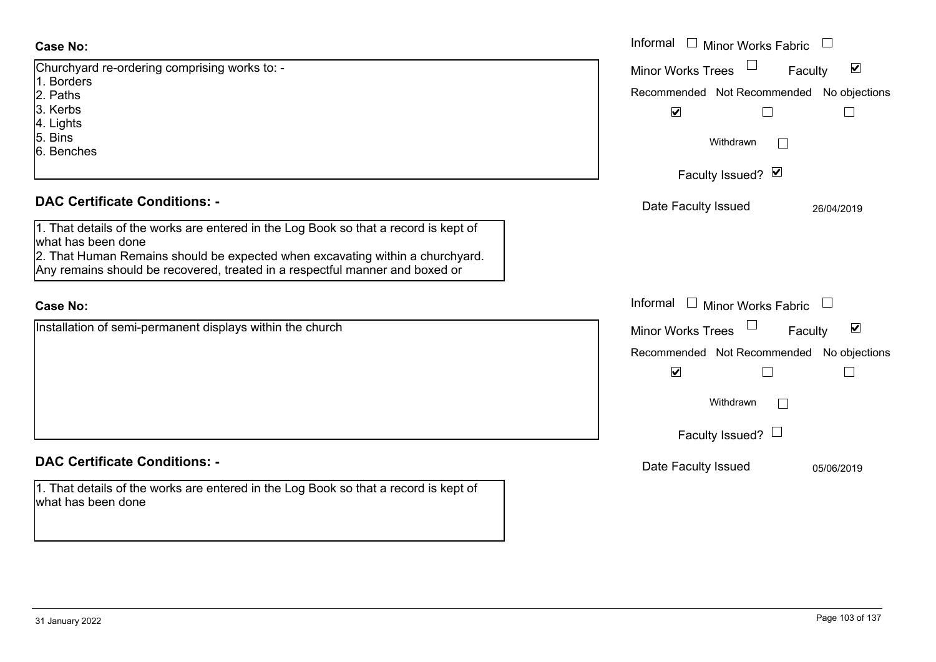| <b>Case No:</b>                                                                                            | Informal □ Minor Works Fabric                               |
|------------------------------------------------------------------------------------------------------------|-------------------------------------------------------------|
| Churchyard re-ordering comprising works to: -                                                              | $\blacktriangledown$<br>Minor Works Trees<br>Faculty        |
| 1. Borders<br>2. Paths                                                                                     | Recommended Not Recommended<br>No objections                |
| 3. Kerbs                                                                                                   | $\blacktriangledown$<br>$\Box$<br>$\overline{\phantom{a}}$  |
| 4. Lights                                                                                                  |                                                             |
| 5. Bins                                                                                                    | Withdrawn                                                   |
| 6. Benches                                                                                                 |                                                             |
|                                                                                                            | Faculty Issued? Ø                                           |
| <b>DAC Certificate Conditions: -</b>                                                                       | Date Faculty Issued<br>26/04/2019                           |
| 1. That details of the works are entered in the Log Book so that a record is kept of                       |                                                             |
| what has been done<br>2. That Human Remains should be expected when excavating within a churchyard.        |                                                             |
| Any remains should be recovered, treated in a respectful manner and boxed or                               |                                                             |
|                                                                                                            |                                                             |
| <b>Case No:</b>                                                                                            | Informal $\Box$ Minor Works Fabric $\Box$                   |
| Installation of semi-permanent displays within the church                                                  | $\blacktriangledown$<br><b>Minor Works Trees</b><br>Faculty |
|                                                                                                            | No objections<br>Recommended Not Recommended                |
|                                                                                                            | $\blacktriangledown$                                        |
|                                                                                                            | Withdrawn                                                   |
|                                                                                                            | Faculty Issued? $\Box$                                      |
| <b>DAC Certificate Conditions: -</b>                                                                       | Date Faculty Issued<br>05/06/2019                           |
| 1. That details of the works are entered in the Log Book so that a record is kept of<br>what has been done |                                                             |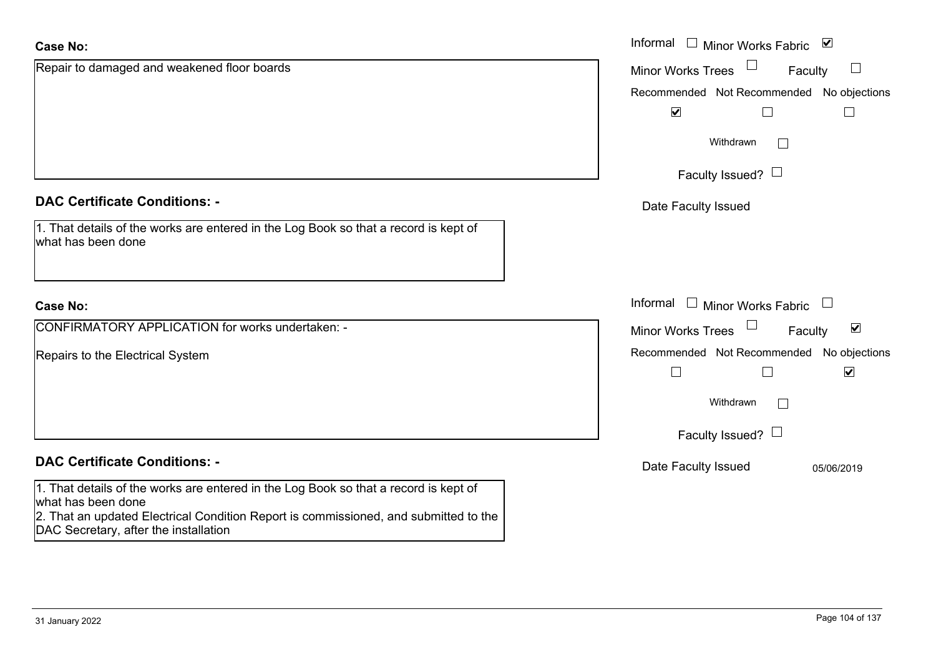| <b>Case No:</b>                                                                                                                                                                                                                             | Informal □ Minor Works Fabric ⊠                                             |
|---------------------------------------------------------------------------------------------------------------------------------------------------------------------------------------------------------------------------------------------|-----------------------------------------------------------------------------|
| Repair to damaged and weakened floor boards                                                                                                                                                                                                 | <b>Minor Works Trees</b><br>$\Box$<br>Faculty                               |
|                                                                                                                                                                                                                                             | Recommended Not Recommended No objections<br>$\blacktriangledown$           |
|                                                                                                                                                                                                                                             | Withdrawn<br>$\overline{\phantom{a}}$                                       |
|                                                                                                                                                                                                                                             | Faculty Issued? $\Box$                                                      |
| <b>DAC Certificate Conditions: -</b>                                                                                                                                                                                                        | Date Faculty Issued                                                         |
| 1. That details of the works are entered in the Log Book so that a record is kept of<br>what has been done                                                                                                                                  |                                                                             |
| <b>Case No:</b>                                                                                                                                                                                                                             | Informal $\Box$ Minor Works Fabric $\Box$                                   |
| CONFIRMATORY APPLICATION for works undertaken: -                                                                                                                                                                                            | $\blacktriangledown$<br><b>Minor Works Trees</b><br>Faculty                 |
| Repairs to the Electrical System                                                                                                                                                                                                            | Recommended Not Recommended No objections<br>$\blacktriangledown$<br>$\Box$ |
|                                                                                                                                                                                                                                             | Withdrawn                                                                   |
|                                                                                                                                                                                                                                             | Faculty Issued? $\Box$                                                      |
| <b>DAC Certificate Conditions: -</b>                                                                                                                                                                                                        | Date Faculty Issued<br>05/06/2019                                           |
| 1. That details of the works are entered in the Log Book so that a record is kept of<br>what has been done<br>2. That an updated Electrical Condition Report is commissioned, and submitted to the<br>DAC Secretary, after the installation |                                                                             |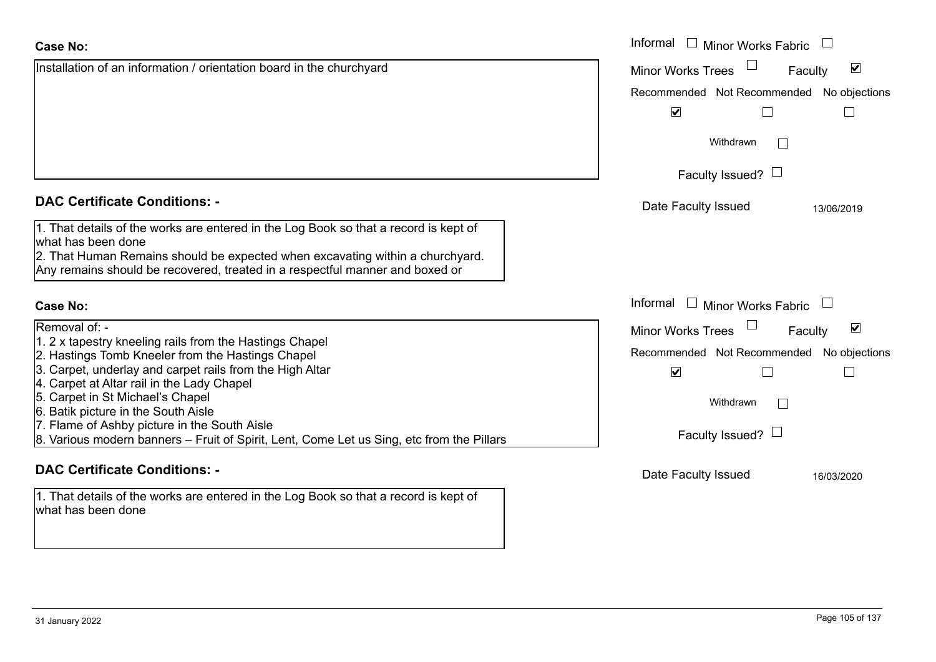|                                                                                                                                                                                                                                                                                                                                                                    | Withdrawn                                                                                                                                     |  |
|--------------------------------------------------------------------------------------------------------------------------------------------------------------------------------------------------------------------------------------------------------------------------------------------------------------------------------------------------------------------|-----------------------------------------------------------------------------------------------------------------------------------------------|--|
|                                                                                                                                                                                                                                                                                                                                                                    | Faculty Issued? $\Box$                                                                                                                        |  |
| <b>DAC Certificate Conditions: -</b>                                                                                                                                                                                                                                                                                                                               | Date Faculty Issued<br>13/06/2019                                                                                                             |  |
| 1. That details of the works are entered in the Log Book so that a record is kept of<br>what has been done<br>2. That Human Remains should be expected when excavating within a churchyard.<br>Any remains should be recovered, treated in a respectful manner and boxed or                                                                                        |                                                                                                                                               |  |
| Case No:                                                                                                                                                                                                                                                                                                                                                           | Informal $\Box$ Minor Works Fabric $\Box$                                                                                                     |  |
| Removal of: -<br>1. 2 x tapestry kneeling rails from the Hastings Chapel<br>2. Hastings Tomb Kneeler from the Hastings Chapel<br>3. Carpet, underlay and carpet rails from the High Altar<br>4. Carpet at Altar rail in the Lady Chapel<br>5. Carpet in St Michael's Chapel<br>6. Batik picture in the South Aisle<br>7. Flame of Ashby picture in the South Aisle | $\blacktriangledown$<br><b>Minor Works Trees</b><br>Faculty<br>Recommended Not Recommended No objections<br>$\blacktriangledown$<br>Withdrawn |  |
| 8. Various modern banners – Fruit of Spirit, Lent, Come Let us Sing, etc from the Pillars                                                                                                                                                                                                                                                                          | Faculty Issued? $\Box$                                                                                                                        |  |

### **DAC Certificate Conditions: -**

1. That details of the works are entered in the Log Book so that a record is kept of what has been done

Date Faculty Issued 16/03/2020

Faculty

 $\blacktriangledown$ 

 $\Box$ 

Recommended Not Recommended No objections

 $\Box$ 

Minor Works Fabric

Minor Works Trees

 $\blacktriangledown$ 

Installation of an information / orientation board in the churchyard Informal

### **Case No:**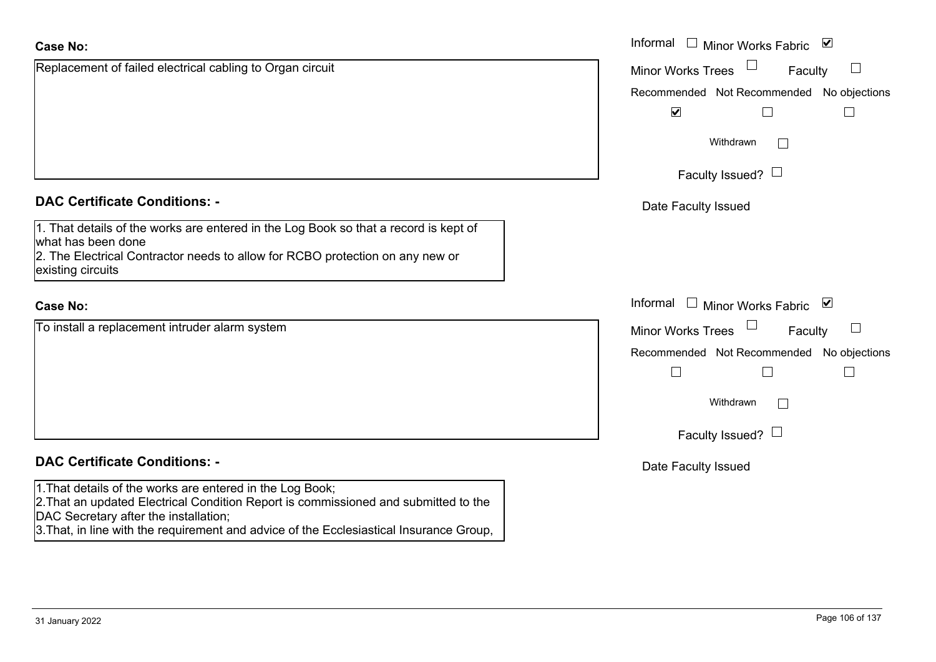| <b>Case No:</b>                                                                                                                                                                                                                                                                      | Informal $\Box$ Minor Works Fabric<br>⊻      |
|--------------------------------------------------------------------------------------------------------------------------------------------------------------------------------------------------------------------------------------------------------------------------------------|----------------------------------------------|
| Replacement of failed electrical cabling to Organ circuit                                                                                                                                                                                                                            | Minor Works Trees<br>Faculty                 |
|                                                                                                                                                                                                                                                                                      | Recommended Not Recommended No objections    |
|                                                                                                                                                                                                                                                                                      | $\blacktriangledown$                         |
|                                                                                                                                                                                                                                                                                      | Withdrawn<br>$\perp$                         |
|                                                                                                                                                                                                                                                                                      | Faculty Issued? $\Box$                       |
| <b>DAC Certificate Conditions: -</b>                                                                                                                                                                                                                                                 | Date Faculty Issued                          |
| 1. That details of the works are entered in the Log Book so that a record is kept of<br>what has been done<br>2. The Electrical Contractor needs to allow for RCBO protection on any new or<br>existing circuits                                                                     |                                              |
| <b>Case No:</b>                                                                                                                                                                                                                                                                      | Informal<br>$\Box$ Minor Works Fabric $\Box$ |
| To install a replacement intruder alarm system                                                                                                                                                                                                                                       | <b>Minor Works Trees</b><br>Faculty          |
|                                                                                                                                                                                                                                                                                      | Recommended Not Recommended No objections    |
|                                                                                                                                                                                                                                                                                      | $\Box$                                       |
|                                                                                                                                                                                                                                                                                      | Withdrawn                                    |
|                                                                                                                                                                                                                                                                                      | Faculty Issued? $\Box$                       |
| <b>DAC Certificate Conditions: -</b>                                                                                                                                                                                                                                                 | Date Faculty Issued                          |
| 1. That details of the works are entered in the Log Book;<br>2. That an updated Electrical Condition Report is commissioned and submitted to the<br>DAC Secretary after the installation;<br>3. That, in line with the requirement and advice of the Ecclesiastical Insurance Group, |                                              |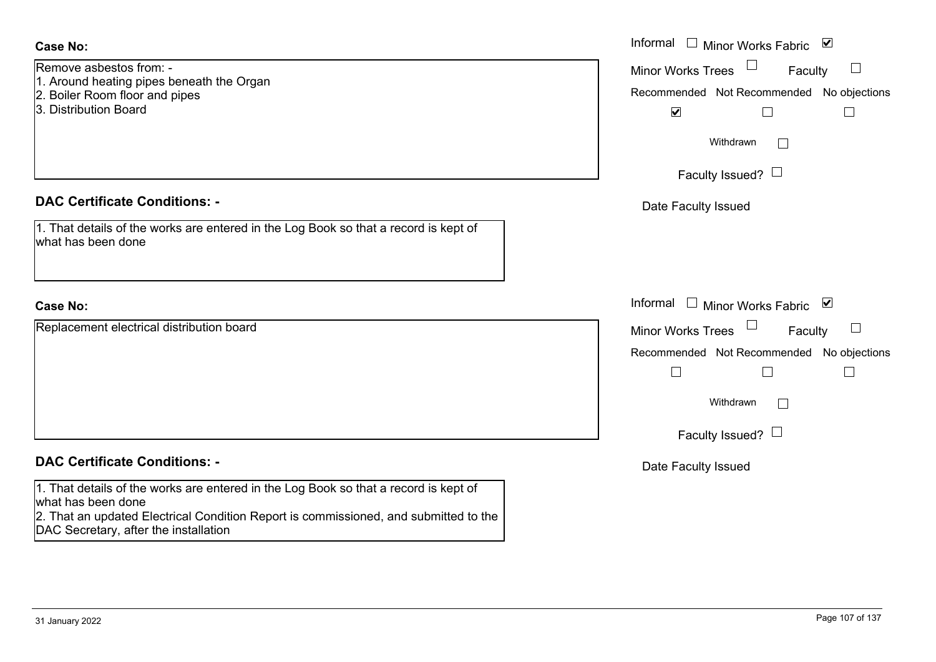| <b>Case No:</b>                                                                                                               | Informal □ Minor Works Fabric ⊠                         |
|-------------------------------------------------------------------------------------------------------------------------------|---------------------------------------------------------|
| Remove asbestos from: -                                                                                                       | $\Box$<br>$\Box$<br><b>Minor Works Trees</b><br>Faculty |
| 1. Around heating pipes beneath the Organ<br>2. Boiler Room floor and pipes                                                   | Recommended Not Recommended No objections               |
| 3. Distribution Board                                                                                                         | $\blacktriangledown$                                    |
|                                                                                                                               | Withdrawn<br>$\Box$                                     |
|                                                                                                                               | Faculty Issued? $\Box$                                  |
| <b>DAC Certificate Conditions: -</b>                                                                                          | Date Faculty Issued                                     |
| 1. That details of the works are entered in the Log Book so that a record is kept of<br>what has been done                    |                                                         |
| <b>Case No:</b>                                                                                                               | Informal □ Minor Works Fabric ⊠                         |
| Replacement electrical distribution board                                                                                     | Minor Works Trees<br>$\Box$<br>Faculty                  |
|                                                                                                                               | Recommended Not Recommended No objections               |
|                                                                                                                               |                                                         |
|                                                                                                                               | Withdrawn<br>$\vert \ \ \vert$                          |
|                                                                                                                               | Faculty Issued? $\Box$                                  |
| <b>DAC Certificate Conditions: -</b>                                                                                          | Date Faculty Issued                                     |
| 1. That details of the works are entered in the Log Book so that a record is kept of<br>what has been done                    |                                                         |
| 2. That an updated Electrical Condition Report is commissioned, and submitted to the<br>DAC Secretary, after the installation |                                                         |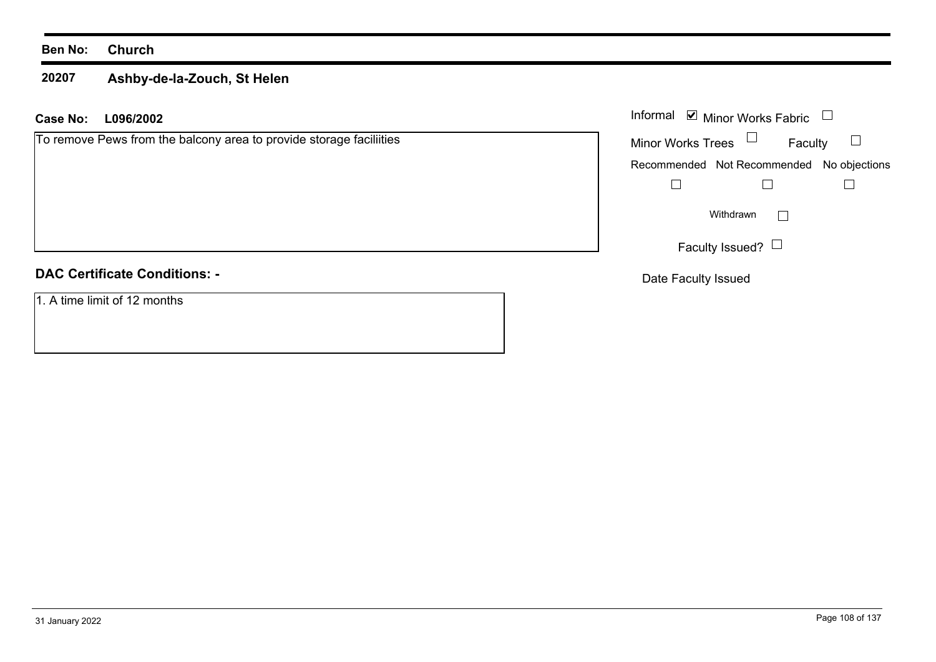### **20207 Ashby-de-la-Zouch, St Helen**

### **L096/2002 Case No:** Informal

To remove Pews from the balcony area to provide storage faciliities

## **DAC Certificate Conditions: -**

1. A time limit of 12 months

|                          | Informal ■ Minor Works Fabric             |  |  |
|--------------------------|-------------------------------------------|--|--|
| <b>Minor Works Trees</b> | Faculty                                   |  |  |
|                          | Recommended Not Recommended No objections |  |  |
|                          |                                           |  |  |
| Withdrawn                |                                           |  |  |
|                          | Faculty Issued?                           |  |  |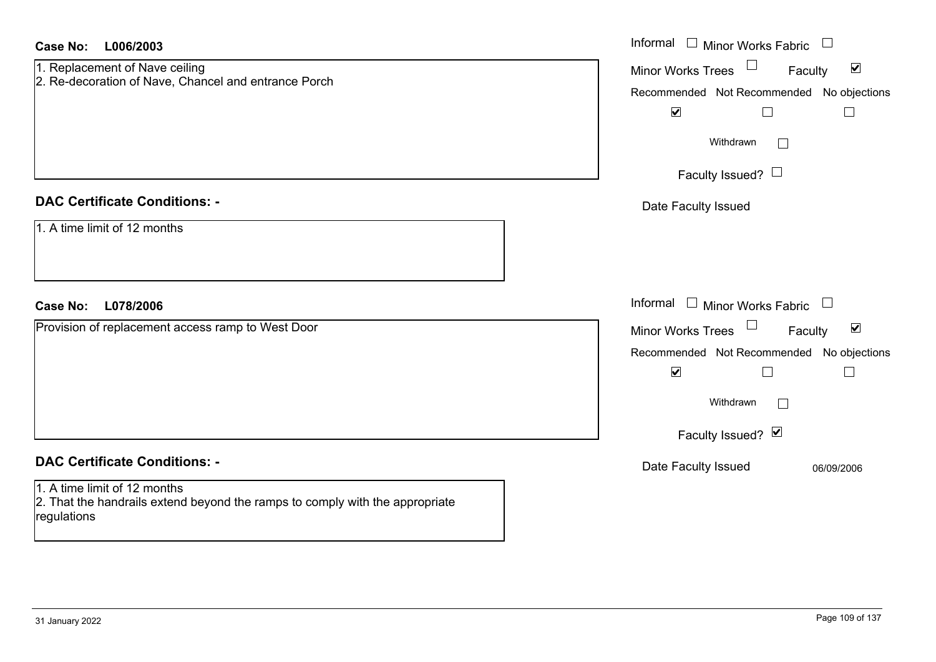| Case No:<br>L006/2003                                                                                                                                               | Informal □ Minor Works Fabric<br>$\begin{array}{c} \hline \end{array}$                                                                                                                                                                       |
|---------------------------------------------------------------------------------------------------------------------------------------------------------------------|----------------------------------------------------------------------------------------------------------------------------------------------------------------------------------------------------------------------------------------------|
| 1. Replacement of Nave ceiling<br>2. Re-decoration of Nave, Chancel and entrance Porch                                                                              | Minor Works Trees<br>$\blacktriangledown$<br>Faculty<br>Recommended Not Recommended No objections<br>$\blacktriangledown$<br>$\Box$<br>$\overline{\phantom{a}}$<br>Withdrawn<br>$\Box$<br>Faculty Issued? $\Box$                             |
| <b>DAC Certificate Conditions: -</b><br>1. A time limit of 12 months                                                                                                | Date Faculty Issued                                                                                                                                                                                                                          |
| L078/2006<br><b>Case No:</b><br>Provision of replacement access ramp to West Door                                                                                   | Informal<br>$\Box$<br><b>Minor Works Fabric</b><br>$\Box$<br>$\blacktriangledown$<br>Minor Works Trees<br>Faculty<br>Recommended Not Recommended No objections<br>$\blacktriangledown$<br>$\Box$<br>$\Box$<br>Withdrawn<br>Faculty Issued? Ø |
| <b>DAC Certificate Conditions: -</b><br>1. A time limit of 12 months<br>2. That the handrails extend beyond the ramps to comply with the appropriate<br>regulations | Date Faculty Issued<br>06/09/2006                                                                                                                                                                                                            |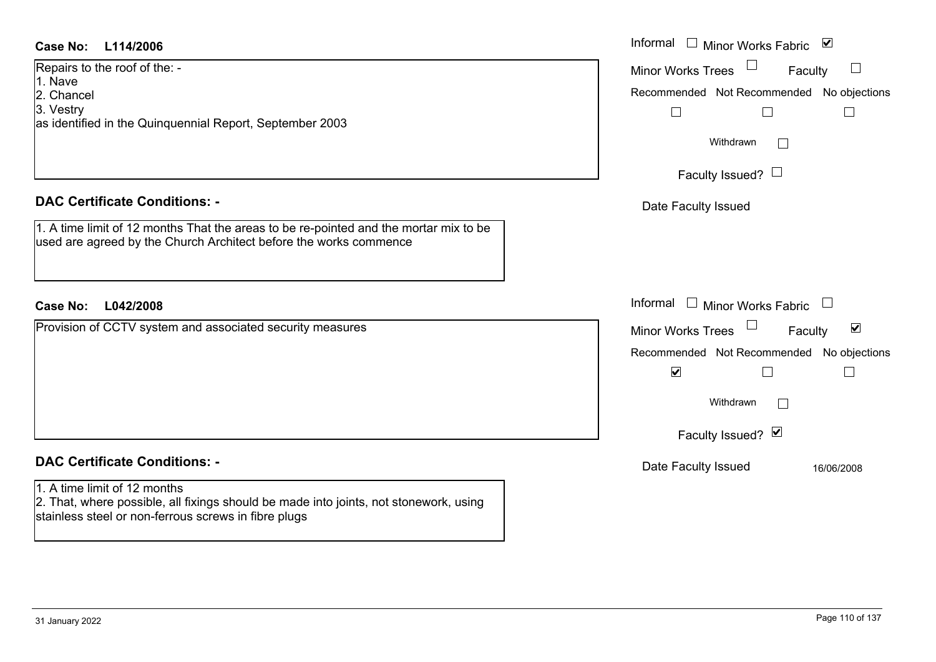Repairs to the roof of the: - 1. Nave2. Chancel

3. Vestry

as identified in the Quinquennial Report, September 2003

# **DAC Certificate Conditions: -**

1. A time limit of 12 months That the areas to be re-pointed and the mortar mix to be used are agreed by the Church Architect before the works commence

# **L042/2008Case No:** Informal

Provision of CCTV system and associated security measures

# **DAC Certificate Conditions: -**

# 1. A time limit of 12 months

2. That, where possible, all fixings should be made into joints, not stonework, using stainless steel or non-ferrous screws in fibre plugs

| L114/2006                                                                                                                               | Informal<br>$\Box$ Minor Works Fabric $\Box$                                 |  |  |
|-----------------------------------------------------------------------------------------------------------------------------------------|------------------------------------------------------------------------------|--|--|
| o the roof of the: -                                                                                                                    | <b>Minor Works Trees</b><br>$\begin{array}{c} \hline \end{array}$<br>Faculty |  |  |
| el                                                                                                                                      | Recommended Not Recommended No objections                                    |  |  |
| ied in the Quinquennial Report, September 2003                                                                                          | Withdrawn                                                                    |  |  |
|                                                                                                                                         | Faculty Issued? $\Box$                                                       |  |  |
| rtificate Conditions: -                                                                                                                 | Date Faculty Issued                                                          |  |  |
| limit of 12 months That the areas to be re-pointed and the mortar mix to be<br>agreed by the Church Architect before the works commence |                                                                              |  |  |
| L042/2008                                                                                                                               | Informal $\Box$ Minor Works Fabric $\Box$                                    |  |  |
| of CCTV system and associated security measures                                                                                         | Minor Works Trees<br>$\blacktriangledown$<br>Faculty                         |  |  |
|                                                                                                                                         | Recommended Not Recommended No objections<br>$\blacktriangledown$            |  |  |
|                                                                                                                                         | Withdrawn                                                                    |  |  |
|                                                                                                                                         | Faculty Issued? Ø                                                            |  |  |
| rtificate Conditions: -                                                                                                                 | Date Faculty Issued<br>16/06/2008                                            |  |  |
| limit of 12 months<br>where nossible all fivings should be made into joints not stonework using                                         |                                                                              |  |  |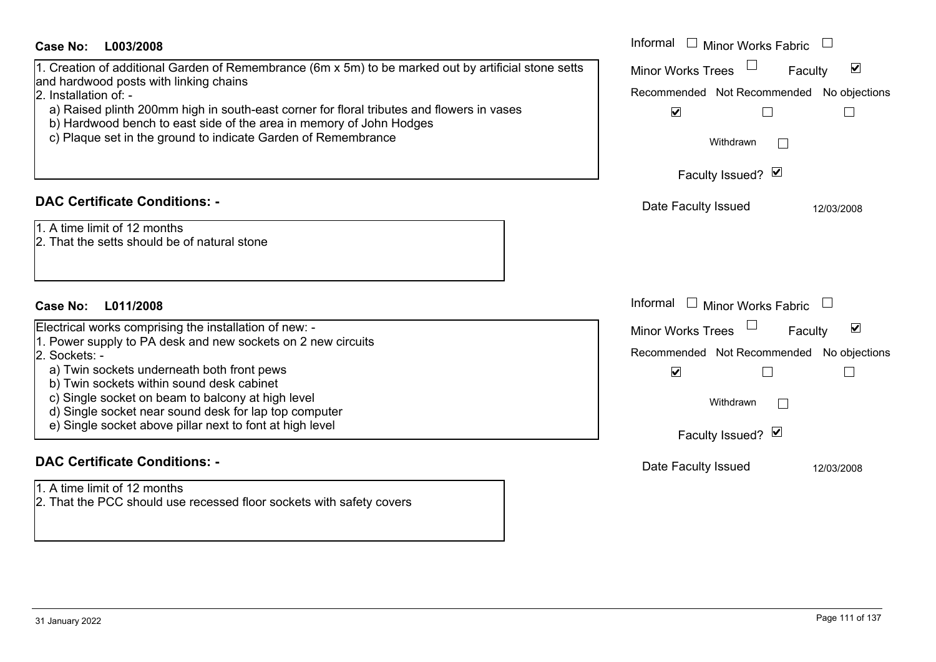| Case No:<br>L003/2008                                                                                                                                                                                                                                                                                                                                                                                        | Informal □ Minor Works Fabric                                                                                                                                      |
|--------------------------------------------------------------------------------------------------------------------------------------------------------------------------------------------------------------------------------------------------------------------------------------------------------------------------------------------------------------------------------------------------------------|--------------------------------------------------------------------------------------------------------------------------------------------------------------------|
| 1. Creation of additional Garden of Remembrance (6m x 5m) to be marked out by artificial stone setts<br>and hardwood posts with linking chains<br>2. Installation of: -<br>a) Raised plinth 200mm high in south-east corner for floral tributes and flowers in vases<br>b) Hardwood bench to east side of the area in memory of John Hodges<br>c) Plaque set in the ground to indicate Garden of Remembrance | $\blacktriangledown$<br><b>Minor Works Trees</b><br>Faculty<br>Recommended Not Recommended No objections<br>$\blacktriangledown$<br>Withdrawn<br>Faculty Issued? Ø |
| <b>DAC Certificate Conditions: -</b><br>1. A time limit of 12 months<br>2. That the setts should be of natural stone                                                                                                                                                                                                                                                                                         | Date Faculty Issued<br>12/03/2008                                                                                                                                  |
| <b>Case No:</b><br>L011/2008                                                                                                                                                                                                                                                                                                                                                                                 | Informal<br><b>Minor Works Fabric</b>                                                                                                                              |
| Electrical works comprising the installation of new: -<br>1. Power supply to PA desk and new sockets on 2 new circuits<br>2. Sockets: -<br>a) Twin sockets underneath both front pews<br>b) Twin sockets within sound desk cabinet<br>c) Single socket on beam to balcony at high level<br>d) Single socket near sound desk for lap top computer<br>e) Single socket above pillar next to font at high level | $\blacktriangledown$<br>Minor Works Trees<br>Faculty<br>Recommended Not Recommended No objections<br>$\blacktriangledown$<br>П<br>Withdrawn<br>Faculty Issued? Ø   |
| <b>DAC Certificate Conditions: -</b><br>1. A time limit of 12 months<br>2. That the PCC should use recessed floor sockets with safety covers                                                                                                                                                                                                                                                                 | Date Faculty Issued<br>12/03/2008                                                                                                                                  |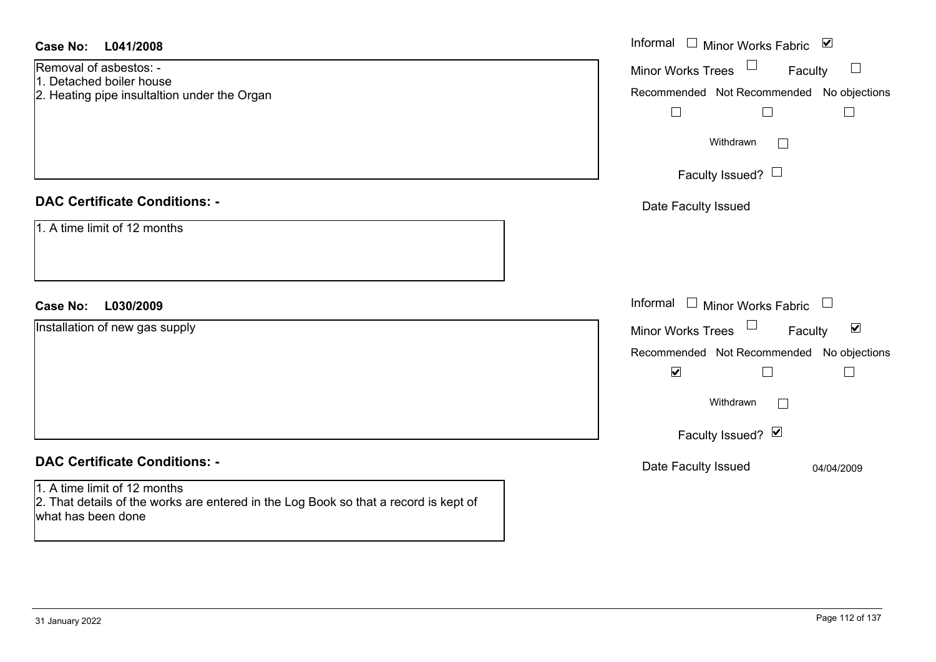| Case No: L041/2008                                                                                                                         | Informal □ Minor Works Fabric ☑                           |
|--------------------------------------------------------------------------------------------------------------------------------------------|-----------------------------------------------------------|
| Removal of asbestos: -<br>1. Detached boiler house                                                                                         | Minor Works Trees<br>Faculty<br>$\Box$                    |
| 2. Heating pipe insultaltion under the Organ                                                                                               | Recommended Not Recommended No objections                 |
|                                                                                                                                            | $\Box$<br>⊔<br>$\overline{\phantom{a}}$                   |
|                                                                                                                                            | Withdrawn<br>$\perp$                                      |
|                                                                                                                                            | Faculty Issued? $\Box$                                    |
| <b>DAC Certificate Conditions: -</b>                                                                                                       | Date Faculty Issued                                       |
| 1. A time limit of 12 months                                                                                                               |                                                           |
|                                                                                                                                            |                                                           |
|                                                                                                                                            |                                                           |
| L030/2009<br><b>Case No:</b>                                                                                                               | Informal $\square$<br><b>Minor Works Fabric</b><br>$\Box$ |
| Installation of new gas supply                                                                                                             | Minor Works Trees<br>$\blacktriangledown$<br>Faculty      |
|                                                                                                                                            | Recommended Not Recommended No objections                 |
|                                                                                                                                            | $\blacktriangledown$<br>П<br>$\Box$                       |
|                                                                                                                                            | Withdrawn                                                 |
|                                                                                                                                            | Faculty Issued? Ø                                         |
| <b>DAC Certificate Conditions: -</b>                                                                                                       | Date Faculty Issued<br>04/04/2009                         |
| 1. A time limit of 12 months<br>2. That details of the works are entered in the Log Book so that a record is kept of<br>what has been done |                                                           |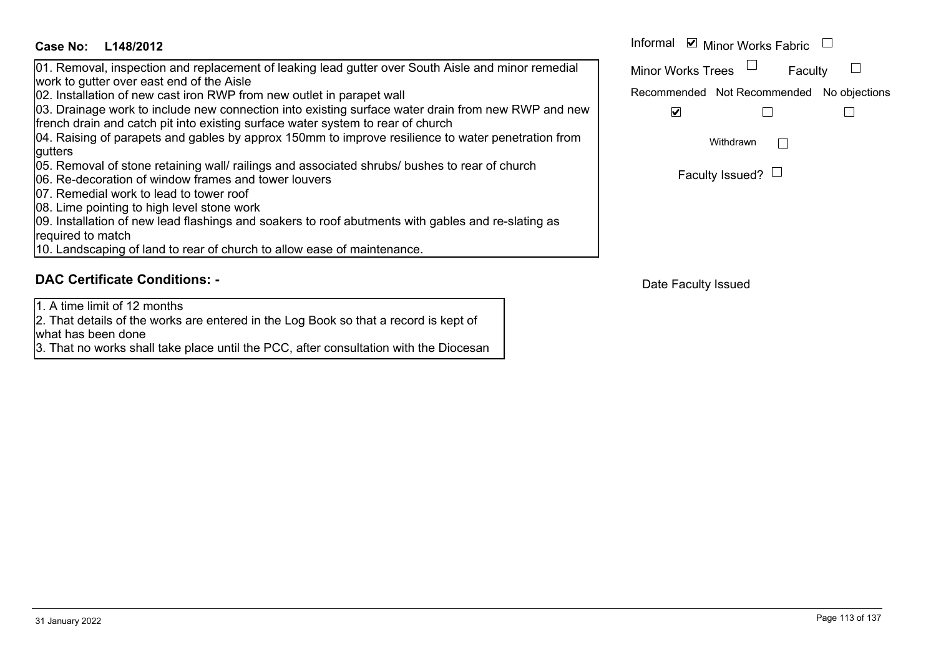| Case No:<br>L148/2012                                                                                                                                                                 | Informal <b>☑</b> Minor Works Fabric      |                        |  |
|---------------------------------------------------------------------------------------------------------------------------------------------------------------------------------------|-------------------------------------------|------------------------|--|
| 01. Removal, inspection and replacement of leaking lead gutter over South Aisle and minor remedial<br>work to gutter over east end of the Aisle                                       | Minor Works Trees                         | Faculty                |  |
| 02. Installation of new cast iron RWP from new outlet in parapet wall                                                                                                                 | Recommended Not Recommended No objections |                        |  |
| 03. Drainage work to include new connection into existing surface water drain from new RWP and new<br>french drain and catch pit into existing surface water system to rear of church | ✓                                         |                        |  |
| 04. Raising of parapets and gables by approx 150mm to improve resilience to water penetration from                                                                                    |                                           | Withdrawn              |  |
| gutters                                                                                                                                                                               |                                           |                        |  |
| 05. Removal of stone retaining wall/ railings and associated shrubs/ bushes to rear of church<br>06. Re-decoration of window frames and tower louvers                                 |                                           | Faculty Issued? $\Box$ |  |
| <b>07.</b> Remedial work to lead to tower roof                                                                                                                                        |                                           |                        |  |
| 08. Lime pointing to high level stone work                                                                                                                                            |                                           |                        |  |
| 09. Installation of new lead flashings and soakers to roof abutments with gables and re-slating as                                                                                    |                                           |                        |  |
| required to match                                                                                                                                                                     |                                           |                        |  |
| 10. Landscaping of land to rear of church to allow ease of maintenance.                                                                                                               |                                           |                        |  |

# **DAC Certificate Conditions: -**

1. A time limit of 12 months

2. That details of the works are entered in the Log Book so that a record is kept of what has been done

3. That no works shall take place until the PCC, after consultation with the Diocesan

|  | Faculty Issued? $\Box$ |
|--|------------------------|
|--|------------------------|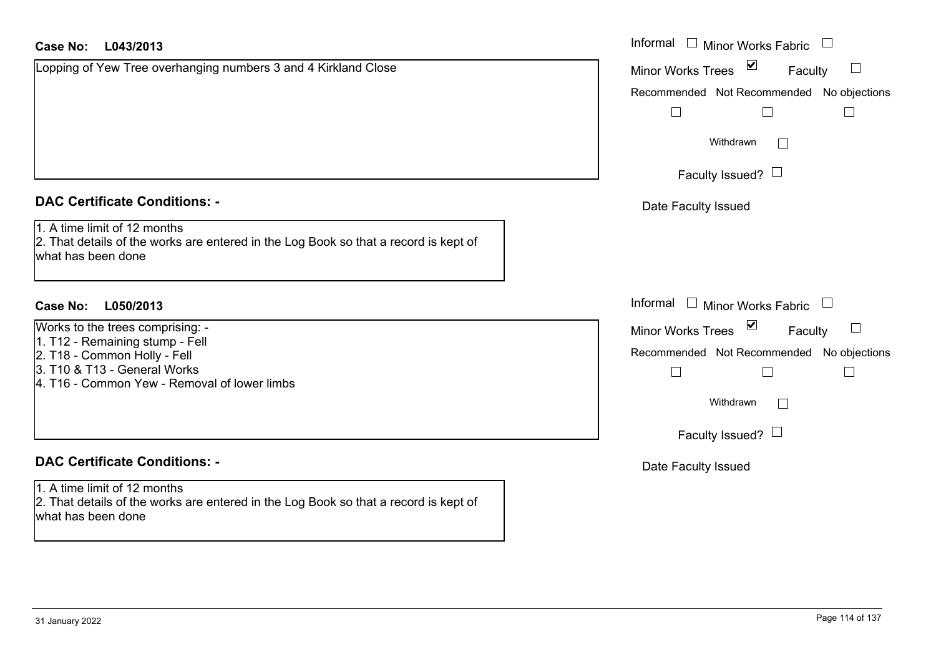| <b>Case No:</b><br>L043/2013                                                                                                                                                        | Informal □ Minor Works Fabric                                                                                                                      |
|-------------------------------------------------------------------------------------------------------------------------------------------------------------------------------------|----------------------------------------------------------------------------------------------------------------------------------------------------|
| Lopping of Yew Tree overhanging numbers 3 and 4 Kirkland Close                                                                                                                      | $\overline{\mathbf{v}}$<br><b>Minor Works Trees</b><br>Faculty                                                                                     |
|                                                                                                                                                                                     | Recommended Not Recommended No objections<br>$\Box$<br>$\Box$<br>Withdrawn<br>Faculty Issued? $\Box$                                               |
| <b>DAC Certificate Conditions: -</b>                                                                                                                                                | Date Faculty Issued                                                                                                                                |
| 1. A time limit of 12 months<br>2. That details of the works are entered in the Log Book so that a record is kept of<br>what has been done                                          |                                                                                                                                                    |
| Case No:<br>L050/2013                                                                                                                                                               | Informal $\Box$ Minor Works Fabric                                                                                                                 |
| Works to the trees comprising: -<br>1. T12 - Remaining stump - Fell<br>2. T18 - Common Holly - Fell<br>3. T10 & T13 - General Works<br>4. T16 - Common Yew - Removal of lower limbs | Minor Works Trees ⊠<br>$\sqcup$<br>Faculty<br>Recommended Not Recommended No objections<br>$\Box$<br>$\Box$<br>Withdrawn<br>Faculty Issued? $\Box$ |
| <b>DAC Certificate Conditions: -</b>                                                                                                                                                | Date Faculty Issued                                                                                                                                |
| 1. A time limit of 12 months<br>2. That details of the works are entered in the Log Book so that a record is kept of<br>what has been done                                          |                                                                                                                                                    |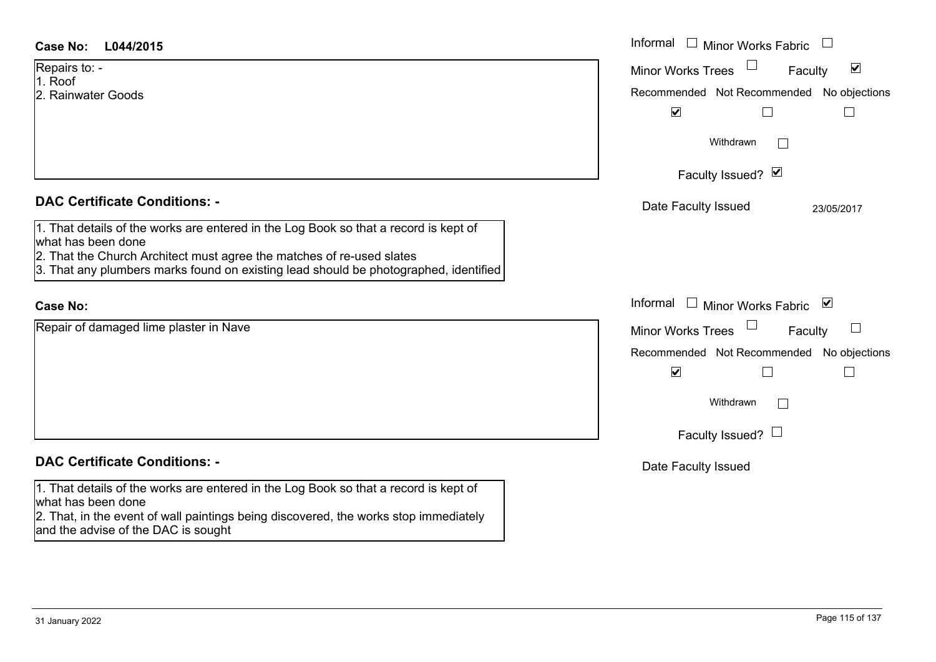| Case No:<br>L044/2015                                                                                                                                                                                                                                                       | Informal $\Box$ Minor Works Fabric $\Box$                                                                                        |
|-----------------------------------------------------------------------------------------------------------------------------------------------------------------------------------------------------------------------------------------------------------------------------|----------------------------------------------------------------------------------------------------------------------------------|
| Repairs to: -<br>1. Roof<br>2. Rainwater Goods                                                                                                                                                                                                                              | $\blacktriangledown$<br><b>Minor Works Trees</b><br>Faculty<br>Recommended Not Recommended No objections<br>$\blacktriangledown$ |
|                                                                                                                                                                                                                                                                             | Withdrawn                                                                                                                        |
|                                                                                                                                                                                                                                                                             | Faculty Issued? Ø                                                                                                                |
| <b>DAC Certificate Conditions: -</b>                                                                                                                                                                                                                                        | Date Faculty Issued<br>23/05/2017                                                                                                |
| 1. That details of the works are entered in the Log Book so that a record is kept of<br>what has been done<br>2. That the Church Architect must agree the matches of re-used slates<br>3. That any plumbers marks found on existing lead should be photographed, identified |                                                                                                                                  |
| <b>Case No:</b>                                                                                                                                                                                                                                                             | Informal<br>□ Minor Works Fabric $\vert \mathbf{v} \vert$                                                                        |
| Repair of damaged lime plaster in Nave                                                                                                                                                                                                                                      | <b>Minor Works Trees</b><br>$\Box$<br>Faculty                                                                                    |
|                                                                                                                                                                                                                                                                             | Recommended Not Recommended No objections                                                                                        |
|                                                                                                                                                                                                                                                                             | $\blacktriangledown$                                                                                                             |
|                                                                                                                                                                                                                                                                             | Withdrawn                                                                                                                        |
|                                                                                                                                                                                                                                                                             | Faculty Issued? $\Box$                                                                                                           |
| <b>DAC Certificate Conditions: -</b>                                                                                                                                                                                                                                        | Date Faculty Issued                                                                                                              |
| 1. That details of the works are entered in the Log Book so that a record is kept of<br>what has been done<br>2. That, in the event of wall paintings being discovered, the works stop immediately                                                                          |                                                                                                                                  |

and the advise of the DAC is sought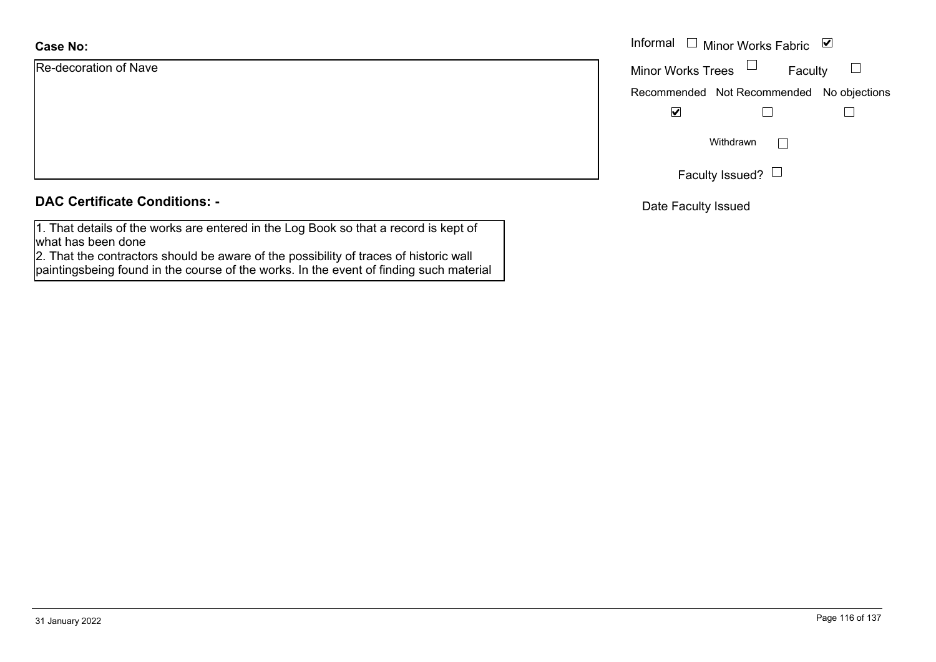| <b>Case No:</b>       | Informal |
|-----------------------|----------|
| Re-decoration of Nave | Minor W  |
|                       | Recomm   |
|                       |          |
|                       |          |
|                       |          |
|                       |          |

# **DAC Certificate Conditions: -**

1. That details of the works are entered in the Log Book so that a record is kept of what has been done

 2. That the contractors should be aware of the possibility of traces of historic wall paintingsbeing found in the course of the works. In the event of finding such material

| Informal                 | Minor Works Fabric                        | $\blacktriangledown$ |
|--------------------------|-------------------------------------------|----------------------|
| <b>Minor Works Trees</b> | Faculty                                   |                      |
|                          | Recommended Not Recommended No objections |                      |
|                          |                                           |                      |
|                          | Withdrawn                                 |                      |
|                          | Faculty Issued?                           |                      |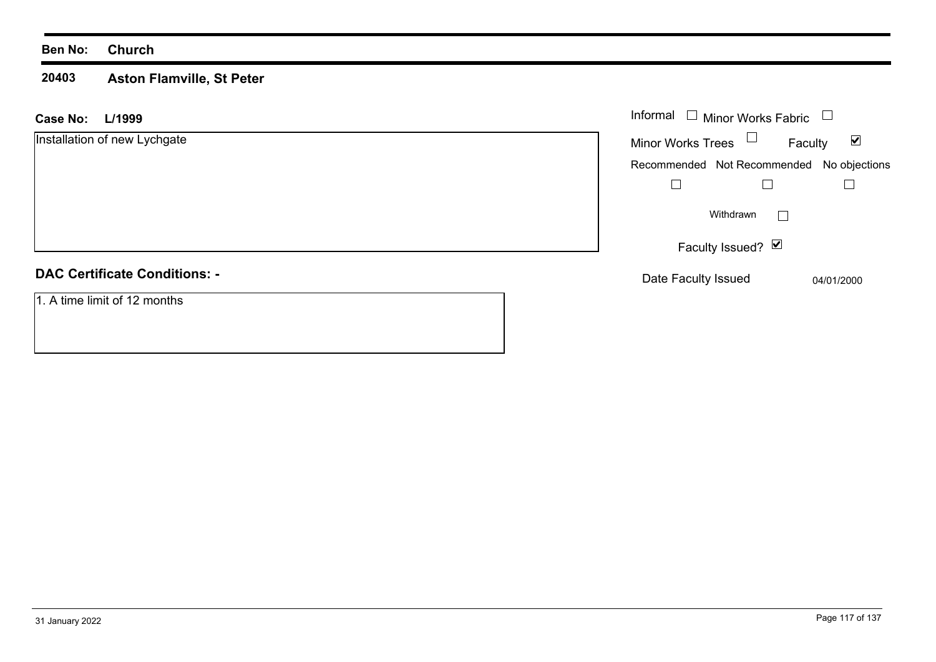## **Ben No: Church**

### **20403 Aston Flamville, St Peter**

| L/1999<br><b>Case No:</b>            | Informal $\Box$ Minor Works Fabric<br>$\Box$ |                                 |
|--------------------------------------|----------------------------------------------|---------------------------------|
| Installation of new Lychgate         | Minor Works Trees $\Box$                     | $\blacktriangledown$<br>Faculty |
|                                      | Recommended Not Recommended No objections    |                                 |
|                                      |                                              |                                 |
|                                      | Withdrawn                                    | $\mathbf{I}$                    |
|                                      | Faculty Issued? Ø                            |                                 |
| <b>DAC Certificate Conditions: -</b> | Date Faculty Issued                          | 04/01/2000                      |
| 1. A time limit of 12 months         |                                              |                                 |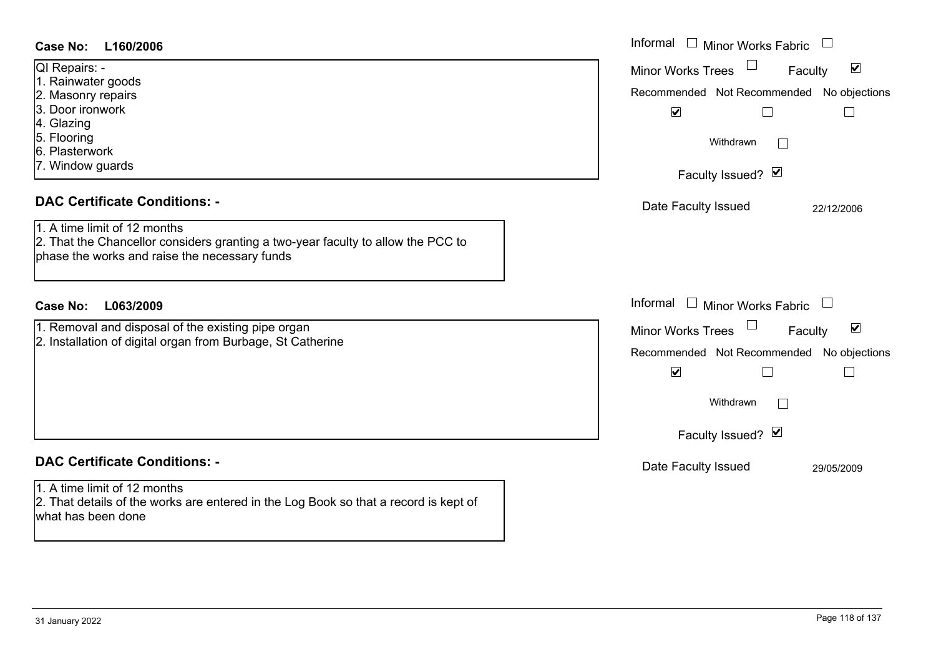| Case No:<br>L160/2006                                                                                                                                                                                                    | Informal $\Box$ Minor Works Fabric<br>$\Box$                                                                                                                                                                      |
|--------------------------------------------------------------------------------------------------------------------------------------------------------------------------------------------------------------------------|-------------------------------------------------------------------------------------------------------------------------------------------------------------------------------------------------------------------|
| QI Repairs: -<br>1. Rainwater goods<br>2. Masonry repairs<br>3. Door ironwork<br>4. Glazing<br>5. Flooring<br>6. Plasterwork<br>7. Window guards<br><b>DAC Certificate Conditions: -</b><br>1. A time limit of 12 months | $\blacktriangledown$<br><b>Minor Works Trees</b><br>Faculty<br>Recommended Not Recommended No objections<br>$\blacktriangledown$<br>$\Box$<br>Withdrawn<br>Faculty Issued? Ø<br>Date Faculty Issued<br>22/12/2006 |
| 2. That the Chancellor considers granting a two-year faculty to allow the PCC to<br>phase the works and raise the necessary funds<br><b>Case No:</b><br>L063/2009                                                        | Informal $\Box$ Minor Works Fabric $\Box$                                                                                                                                                                         |
| 1. Removal and disposal of the existing pipe organ<br>2. Installation of digital organ from Burbage, St Catherine                                                                                                        | $\blacktriangledown$<br><b>Minor Works Trees</b><br>Faculty<br>Recommended Not Recommended No objections<br>$\blacktriangledown$<br>Г<br>Withdrawn<br>Faculty Issued? Ø                                           |
| <b>DAC Certificate Conditions: -</b><br>1. A time limit of 12 months<br>2. That details of the works are entered in the Log Book so that a record is kept of<br>what has been done                                       | Date Faculty Issued<br>29/05/2009                                                                                                                                                                                 |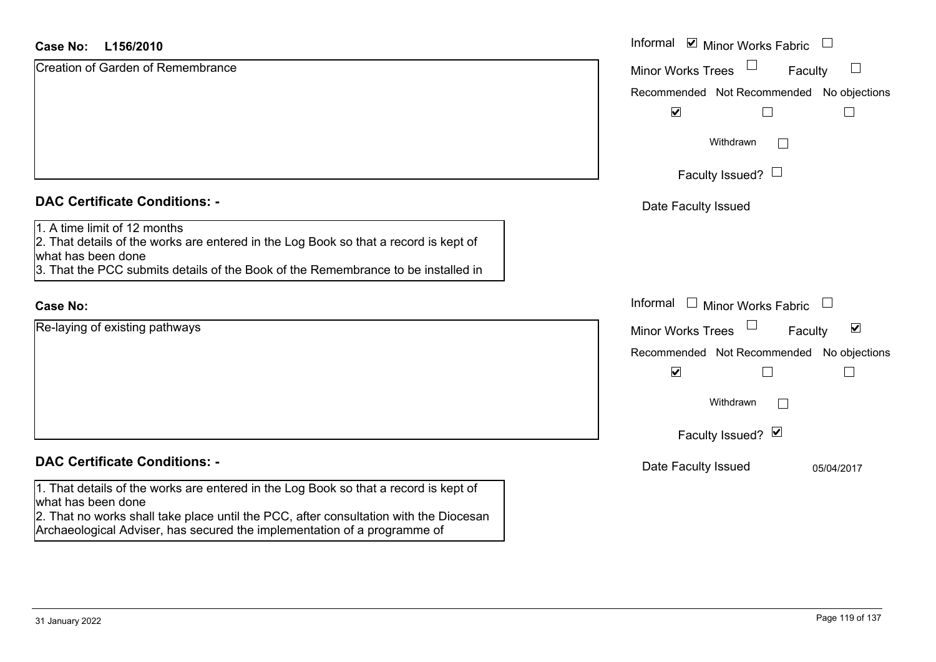| <b>Case No:</b><br>L156/2010                                                                                                                                                                                                                                                    | Informal ⊠ Minor Works Fabric                                          |
|---------------------------------------------------------------------------------------------------------------------------------------------------------------------------------------------------------------------------------------------------------------------------------|------------------------------------------------------------------------|
| <b>Creation of Garden of Remembrance</b>                                                                                                                                                                                                                                        | $\sqcup$<br><b>Minor Works Trees</b><br>Faculty                        |
|                                                                                                                                                                                                                                                                                 | Recommended Not Recommended No objections                              |
|                                                                                                                                                                                                                                                                                 | $\blacktriangledown$                                                   |
|                                                                                                                                                                                                                                                                                 | Withdrawn<br>$\vert \ \ \vert$                                         |
|                                                                                                                                                                                                                                                                                 | Faculty Issued? $\Box$                                                 |
| <b>DAC Certificate Conditions: -</b>                                                                                                                                                                                                                                            | Date Faculty Issued                                                    |
| 1. A time limit of 12 months<br>2. That details of the works are entered in the Log Book so that a record is kept of<br>what has been done<br>3. That the PCC submits details of the Book of the Remembrance to be installed in                                                 |                                                                        |
| <b>Case No:</b>                                                                                                                                                                                                                                                                 | Informal □ Minor Works Fabric<br>$\begin{array}{c} \hline \end{array}$ |
| Re-laying of existing pathways                                                                                                                                                                                                                                                  | $\blacktriangledown$<br><b>Minor Works Trees</b><br>Faculty            |
|                                                                                                                                                                                                                                                                                 | Recommended Not Recommended No objections                              |
|                                                                                                                                                                                                                                                                                 | $\blacktriangledown$<br>$\Box$                                         |
|                                                                                                                                                                                                                                                                                 | Withdrawn<br>$\vert \hspace{.06cm} \vert$                              |
|                                                                                                                                                                                                                                                                                 | Faculty Issued? Ø                                                      |
| <b>DAC Certificate Conditions: -</b>                                                                                                                                                                                                                                            | Date Faculty Issued<br>05/04/2017                                      |
| 1. That details of the works are entered in the Log Book so that a record is kept of<br>what has been done<br>2. That no works shall take place until the PCC, after consultation with the Diocesan<br>Archaeological Adviser, has secured the implementation of a programme of |                                                                        |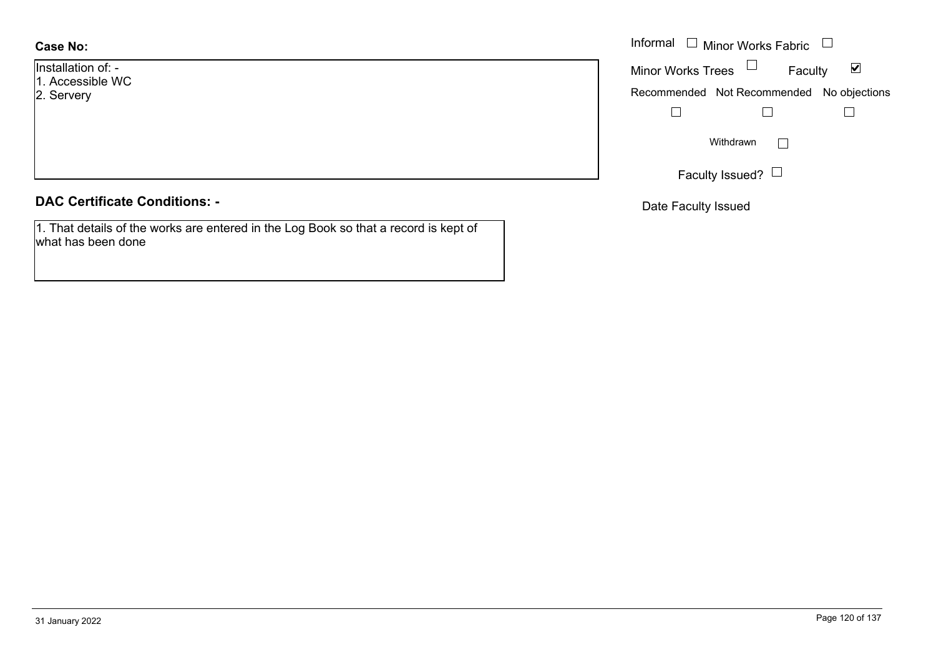- Installation of: -
- 1. Accessible WC
- 2. Servery

# **DAC Certificate Conditions: -**

1. That details of the works are entered in the Log Book so that a record is kept of what has been done

|                                 | Informal $\Box$ Minor Works Fabric $\Box$                   |
|---------------------------------|-------------------------------------------------------------|
| $\mathsf{on}$ of: -<br>sible WC | Minor Works Trees $\Box$<br>$\blacktriangledown$<br>Faculty |
| y.                              | Recommended Not Recommended No objections                   |
|                                 |                                                             |
|                                 | Withdrawn                                                   |
|                                 | Faculty Issued? $\Box$                                      |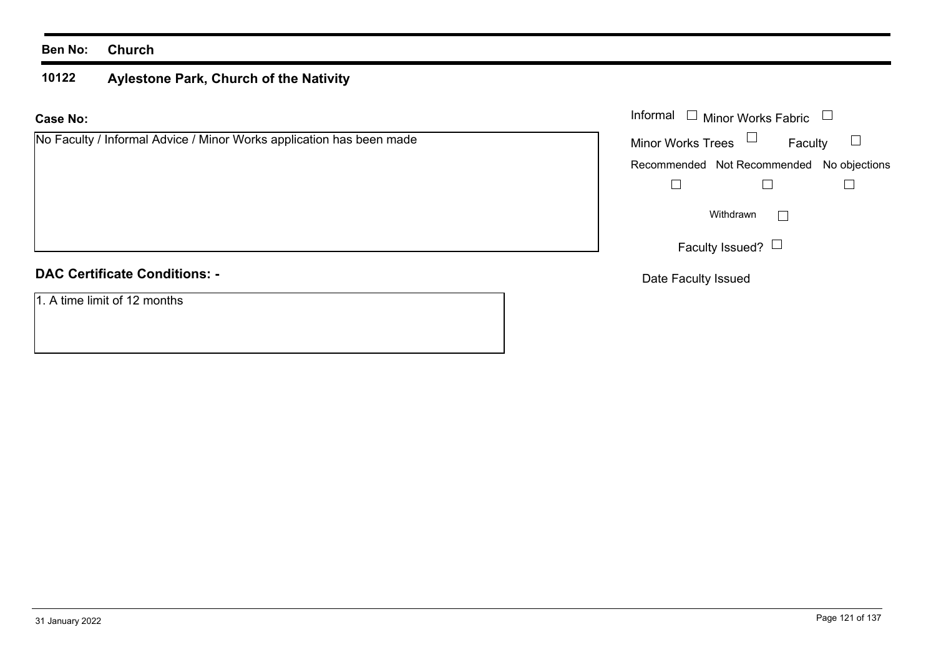## **Ben No: Church**

### **10122 Aylestone Park, Church of the Nativity**

### **Case No:**Informal

| No Faculty / Informal Advice / Minor Works application has been made | <b>Minor Works Trees</b><br>Faculty       |
|----------------------------------------------------------------------|-------------------------------------------|
|                                                                      | Recommended Not Recommended No objections |
|                                                                      |                                           |
|                                                                      | Withdrawn                                 |
|                                                                      | Faculty Issued? $\Box$                    |
| <b>DAC Certificate Conditions: -</b>                                 | Date Faculty Issued                       |

## 1. A time limit of 12 months

Minor Works Fabric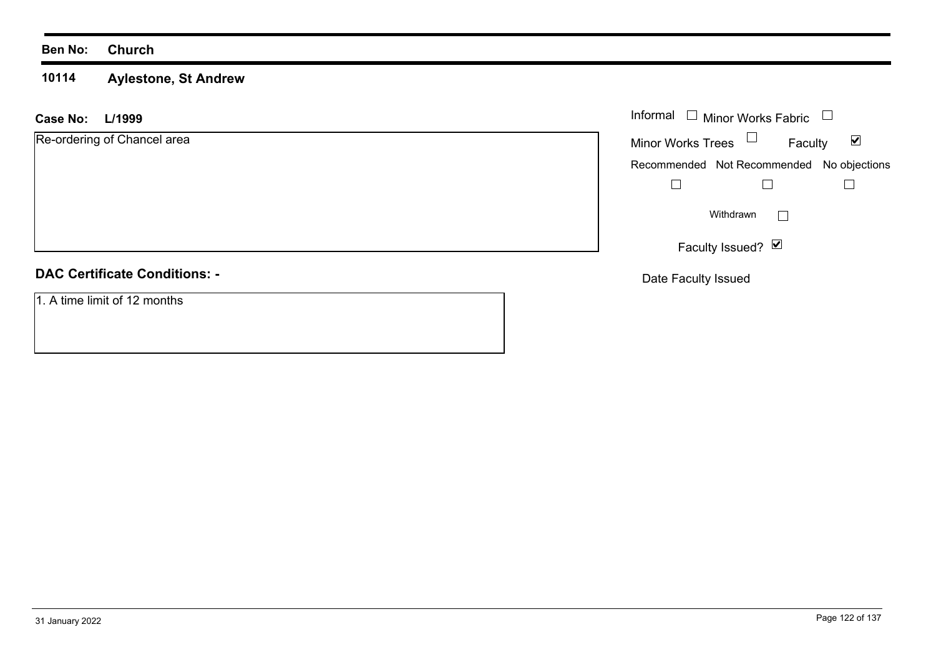### **Ben No: Church**

### **10114 Aylestone, St Andrew**

| L/1999<br><b>Case No:</b>            | Informal $\Box$ Minor Works Fabric                          |
|--------------------------------------|-------------------------------------------------------------|
| Re-ordering of Chancel area          | Minor Works Trees $\Box$<br>$\blacktriangledown$<br>Faculty |
|                                      | Recommended Not Recommended No objections                   |
|                                      |                                                             |
|                                      | Withdrawn                                                   |
|                                      | Faculty Issued? $\boxed{\triangleright}$                    |
| <b>DAC Certificate Conditions: -</b> | Date Faculty Issued                                         |
| 1. A time limit of 12 months         |                                                             |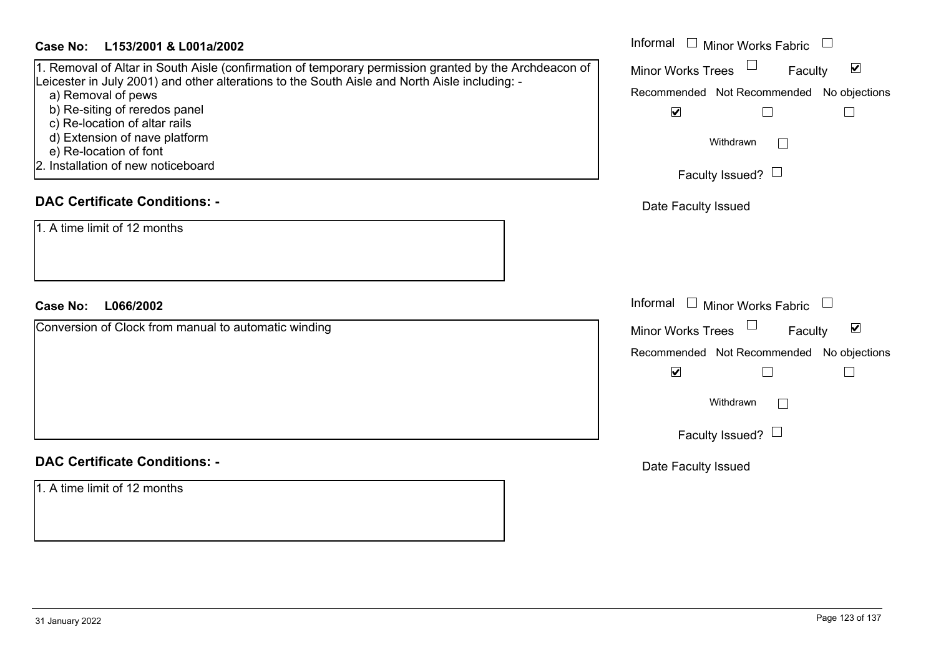| Case No: L153/2001 & L001a/2002 | Informal |
|---------------------------------|----------|
|---------------------------------|----------|

# 1. Removal of Altar in South Aisle (confirmation of temporary permission granted by the Archde Leicester in July 2001) and other alterations to the South Aisle and North Aisle including: -

- a) Removal of pews
- b) Re-siting of reredos panel
- c) Re-location of altar rails
	- d) Extension of nave platform
- e) Re-location of font
- 2. Installation of new noticeboard

# **DAC Certificate Conditions: -**

# **DAC Certificate Conditions: -**

1. A time limit of 12 months

| Case No:<br>L153/2001 & L001a/2002                                                                                                                                                                                                                                                                                                                                                              | Informal<br>$\Box$<br>Minor Works Fabric                                                                                                                                                   |
|-------------------------------------------------------------------------------------------------------------------------------------------------------------------------------------------------------------------------------------------------------------------------------------------------------------------------------------------------------------------------------------------------|--------------------------------------------------------------------------------------------------------------------------------------------------------------------------------------------|
| 1. Removal of Altar in South Aisle (confirmation of temporary permission granted by the Archdeacon of<br>Leicester in July 2001) and other alterations to the South Aisle and North Aisle including: -<br>a) Removal of pews<br>b) Re-siting of reredos panel<br>c) Re-location of altar rails<br>d) Extension of nave platform<br>e) Re-location of font<br>2. Installation of new noticeboard | $\blacktriangledown$<br><b>Minor Works Trees</b><br>Faculty<br>Recommended Not Recommended No objections<br>$\blacktriangledown$<br>Withdrawn<br>$\vert$ $\vert$<br>Faculty Issued? $\Box$ |
| <b>DAC Certificate Conditions: -</b>                                                                                                                                                                                                                                                                                                                                                            | Date Faculty Issued                                                                                                                                                                        |
| 1. A time limit of 12 months<br>L066/2002<br><b>Case No:</b>                                                                                                                                                                                                                                                                                                                                    | Informal<br><b>Minor Works Fabric</b>                                                                                                                                                      |
| Conversion of Clock from manual to automatic winding                                                                                                                                                                                                                                                                                                                                            | $\Box$<br>$\blacktriangledown$<br><b>Minor Works Trees</b><br>Faculty                                                                                                                      |
|                                                                                                                                                                                                                                                                                                                                                                                                 | Recommended Not Recommended No objections<br>$\blacktriangledown$                                                                                                                          |
|                                                                                                                                                                                                                                                                                                                                                                                                 | Withdrawn<br>$\vert \ \ \vert$                                                                                                                                                             |
|                                                                                                                                                                                                                                                                                                                                                                                                 | Faculty Issued? $\Box$                                                                                                                                                                     |
| <b>DAC Certificate Conditions: -</b>                                                                                                                                                                                                                                                                                                                                                            | Date Faculty Issued                                                                                                                                                                        |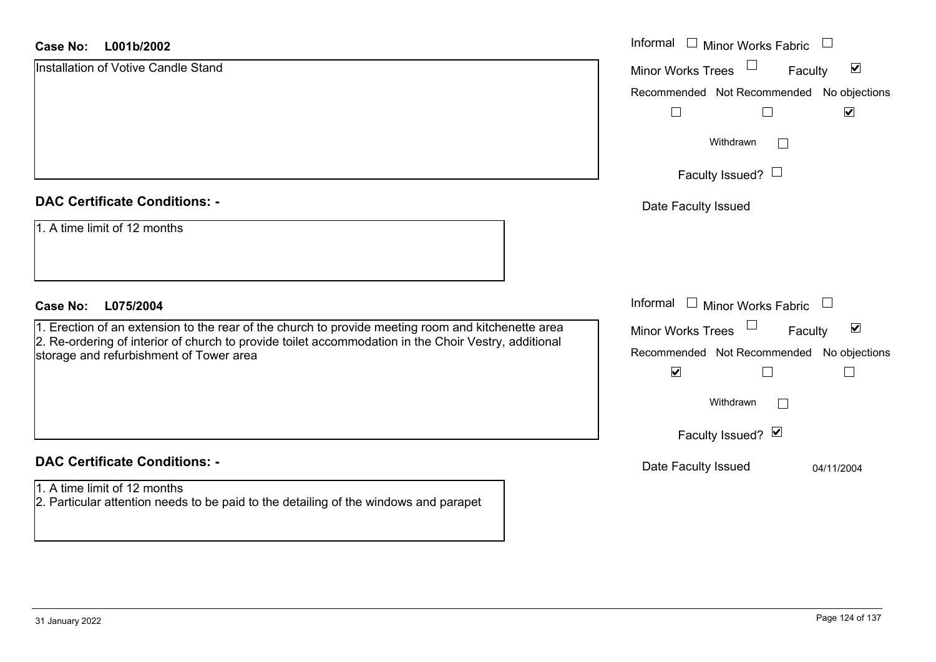| <b>Case No:</b><br>L001b/2002                                                                                                                   | Informal □ Minor Works Fabric                               |
|-------------------------------------------------------------------------------------------------------------------------------------------------|-------------------------------------------------------------|
| Installation of Votive Candle Stand                                                                                                             | $\blacktriangledown$<br><b>Minor Works Trees</b><br>Faculty |
|                                                                                                                                                 | Recommended Not Recommended No objections                   |
|                                                                                                                                                 | $\Box$<br>$\blacktriangledown$                              |
|                                                                                                                                                 | Withdrawn<br>$\perp$                                        |
|                                                                                                                                                 | Faculty Issued? $\Box$                                      |
| <b>DAC Certificate Conditions: -</b>                                                                                                            | Date Faculty Issued                                         |
| 1. A time limit of 12 months                                                                                                                    |                                                             |
| <b>Case No:</b><br>L075/2004                                                                                                                    | Informal $\Box$ Minor Works Fabric $\Box$                   |
| 1. Erection of an extension to the rear of the church to provide meeting room and kitchenette area                                              | $\blacktriangledown$<br><b>Minor Works Trees</b><br>Faculty |
| 2. Re-ordering of interior of church to provide toilet accommodation in the Choir Vestry, additional<br>storage and refurbishment of Tower area | Recommended Not Recommended<br>No objections                |
|                                                                                                                                                 | $\blacktriangledown$<br>$\Box$                              |
|                                                                                                                                                 | Withdrawn<br>$\mathbf{L}$                                   |
|                                                                                                                                                 | Faculty Issued? Ø                                           |
| <b>DAC Certificate Conditions: -</b>                                                                                                            | Date Faculty Issued<br>04/11/2004                           |
| 1. A time limit of 12 months<br>2. Particular attention needs to be paid to the detailing of the windows and parapet                            |                                                             |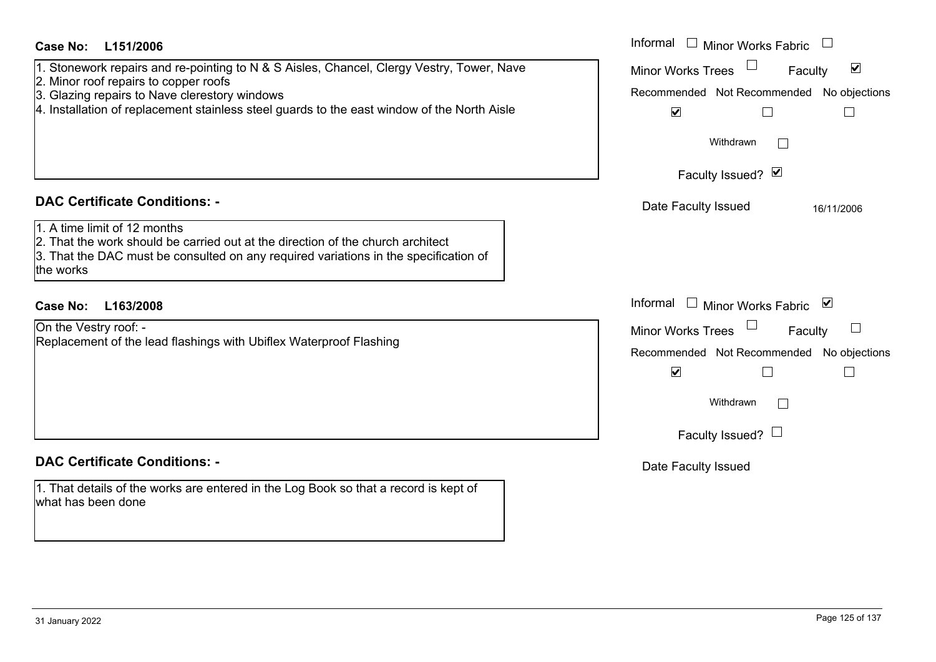| Case No:<br>L151/2006                                                                                                                                                                                                                                                              | Informal<br><b>Minor Works Fabric</b>                                                                                                                                     |
|------------------------------------------------------------------------------------------------------------------------------------------------------------------------------------------------------------------------------------------------------------------------------------|---------------------------------------------------------------------------------------------------------------------------------------------------------------------------|
| 1. Stonework repairs and re-pointing to N & S Aisles, Chancel, Clergy Vestry, Tower, Nave<br>2. Minor roof repairs to copper roofs<br>3. Glazing repairs to Nave clerestory windows<br>4. Installation of replacement stainless steel guards to the east window of the North Aisle | $\blacktriangledown$<br>Minor Works Trees<br>Faculty<br>Recommended Not Recommended No objections<br>$\blacktriangledown$<br>П                                            |
|                                                                                                                                                                                                                                                                                    | Withdrawn<br>Faculty Issued? Ø                                                                                                                                            |
| <b>DAC Certificate Conditions: -</b>                                                                                                                                                                                                                                               | Date Faculty Issued<br>16/11/2006                                                                                                                                         |
| 1. A time limit of 12 months<br>2. That the work should be carried out at the direction of the church architect<br>3. That the DAC must be consulted on any required variations in the specification of<br>the works                                                               |                                                                                                                                                                           |
| Case No:<br>L163/2008                                                                                                                                                                                                                                                              | Informal $\Box$<br>Minor Works Fabric ⊠                                                                                                                                   |
| On the Vestry roof: -<br>Replacement of the lead flashings with Ubiflex Waterproof Flashing                                                                                                                                                                                        | $\Box$<br><b>Minor Works Trees</b><br>Faculty<br>Recommended Not Recommended No objections<br>$\blacktriangledown$<br>Withdrawn<br>$\mathbf{I}$<br>Faculty Issued? $\Box$ |
| <b>DAC Certificate Conditions: -</b>                                                                                                                                                                                                                                               | Date Faculty Issued                                                                                                                                                       |
| 1. That details of the works are entered in the Log Book so that a record is kept of<br>what has been done                                                                                                                                                                         |                                                                                                                                                                           |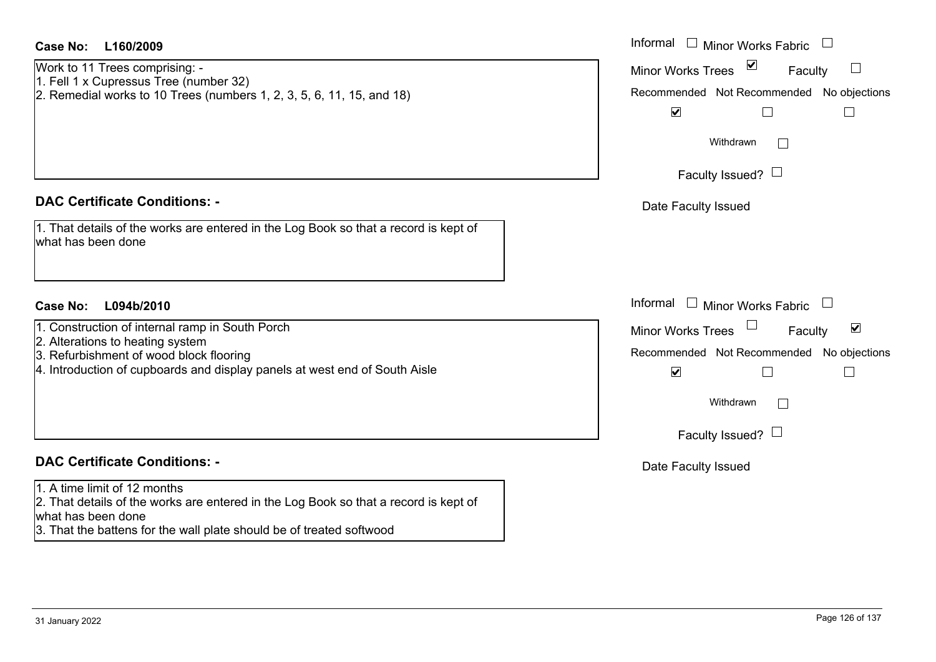| <b>Case No:</b><br>L160/2009                                                                                                                                                                                       | Informal $\Box$ Minor Works Fabric                                                                       |
|--------------------------------------------------------------------------------------------------------------------------------------------------------------------------------------------------------------------|----------------------------------------------------------------------------------------------------------|
| Work to 11 Trees comprising: -<br>1. Fell 1 x Cupressus Tree (number 32)<br>2. Remedial works to 10 Trees (numbers 1, 2, 3, 5, 6, 11, 15, and 18)                                                                  | $\blacktriangledown$<br><b>Minor Works Trees</b><br>Faculty<br>Recommended Not Recommended No objections |
|                                                                                                                                                                                                                    | $\blacktriangledown$<br>Withdrawn<br>Faculty Issued? $\Box$                                              |
| <b>DAC Certificate Conditions: -</b>                                                                                                                                                                               | Date Faculty Issued                                                                                      |
| 1. That details of the works are entered in the Log Book so that a record is kept of<br>what has been done                                                                                                         |                                                                                                          |
| <b>Case No:</b><br>L094b/2010                                                                                                                                                                                      | Informal<br>$\Box$ Minor Works Fabric                                                                    |
| 1. Construction of internal ramp in South Porch<br>2. Alterations to heating system                                                                                                                                | $\blacktriangledown$<br><b>Minor Works Trees</b><br>Faculty                                              |
| 3. Refurbishment of wood block flooring                                                                                                                                                                            | Recommended Not Recommended No objections                                                                |
| 4. Introduction of cupboards and display panels at west end of South Aisle                                                                                                                                         | $\blacktriangledown$<br>$\Box$<br>$\Box$                                                                 |
|                                                                                                                                                                                                                    | Withdrawn<br>$\Box$                                                                                      |
|                                                                                                                                                                                                                    | Faculty Issued? $\Box$                                                                                   |
| <b>DAC Certificate Conditions: -</b>                                                                                                                                                                               | Date Faculty Issued                                                                                      |
| 1. A time limit of 12 months<br>2. That details of the works are entered in the Log Book so that a record is kept of<br>what has been done<br>3. That the battens for the wall plate should be of treated softwood |                                                                                                          |
|                                                                                                                                                                                                                    |                                                                                                          |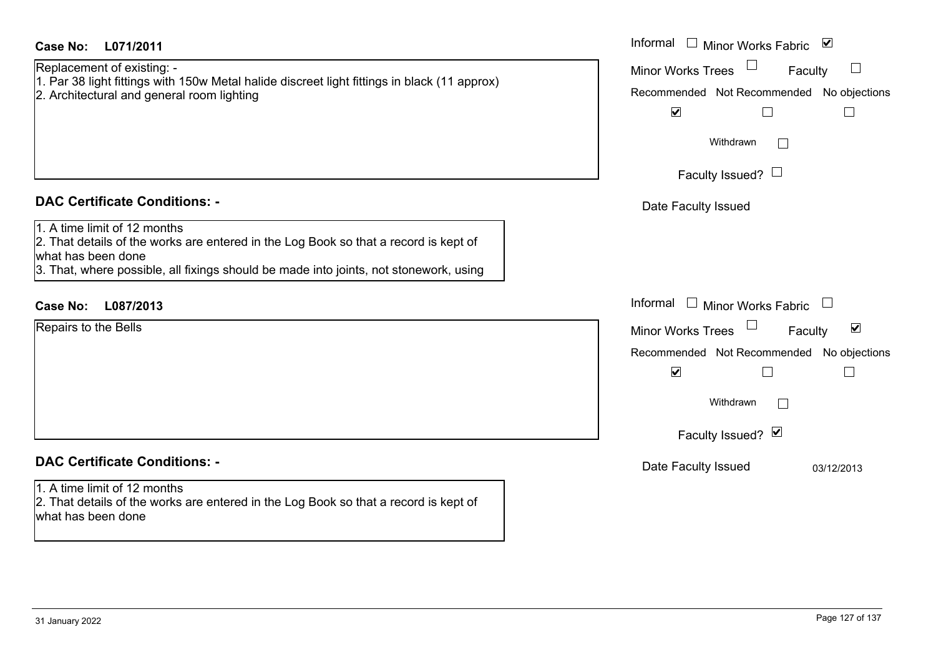| <b>Case No:</b><br>L071/2011                                                                                                                                                                                                        | Informal $\Box$ Minor Works Fabric $\Box$                                                                                                                                                 |
|-------------------------------------------------------------------------------------------------------------------------------------------------------------------------------------------------------------------------------------|-------------------------------------------------------------------------------------------------------------------------------------------------------------------------------------------|
| Replacement of existing: -<br>1. Par 38 light fittings with 150w Metal halide discreet light fittings in black (11 approx)<br>2. Architectural and general room lighting                                                            | $\Box$<br><b>Minor Works Trees</b><br>$\mathcal{L}$<br>Faculty<br>Recommended Not Recommended No objections<br>$\blacktriangledown$<br>$\Box$                                             |
|                                                                                                                                                                                                                                     | Withdrawn<br>$\mathbf{I}$<br>Faculty Issued? $\Box$                                                                                                                                       |
| <b>DAC Certificate Conditions: -</b>                                                                                                                                                                                                | Date Faculty Issued                                                                                                                                                                       |
| 1. A time limit of 12 months<br>2. That details of the works are entered in the Log Book so that a record is kept of<br>what has been done<br>3. That, where possible, all fixings should be made into joints, not stonework, using |                                                                                                                                                                                           |
| L087/2013<br><b>Case No:</b>                                                                                                                                                                                                        | Informal $\Box$ Minor Works Fabric $\Box$                                                                                                                                                 |
| Repairs to the Bells                                                                                                                                                                                                                | $\blacktriangledown$<br><b>Minor Works Trees</b><br>Faculty<br>Recommended Not Recommended No objections<br>$\blacktriangledown$<br>П<br>Withdrawn<br>$\mathbb{R}^n$<br>Faculty Issued? Ø |
| <b>DAC Certificate Conditions: -</b>                                                                                                                                                                                                | Date Faculty Issued<br>03/12/2013                                                                                                                                                         |
| 1. A time limit of 12 months<br>2. That details of the works are entered in the Log Book so that a record is kept of<br>what has been done                                                                                          |                                                                                                                                                                                           |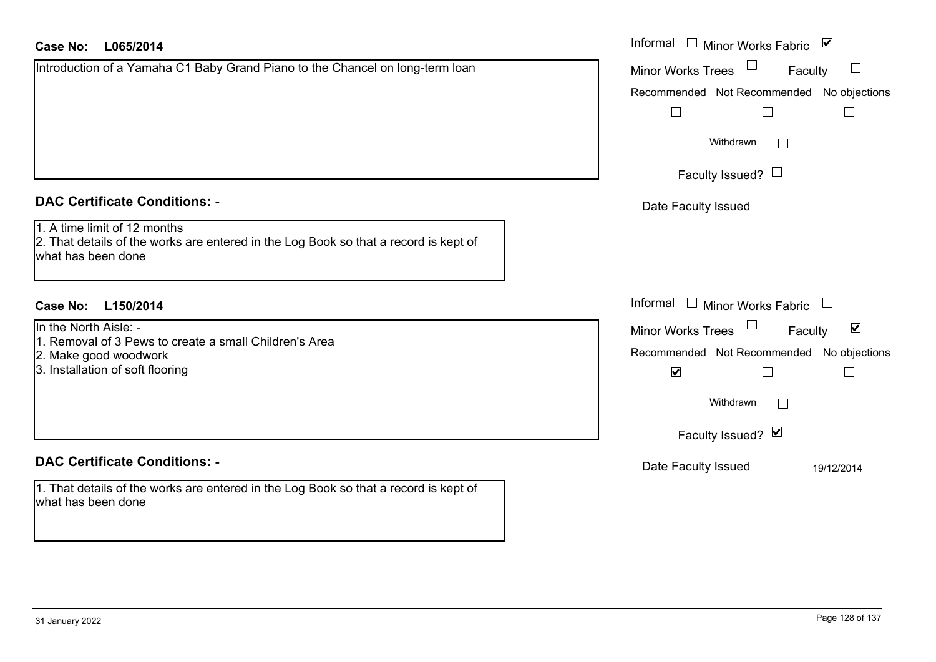# **L065/2014Case No:** Informal

| Introduction of a Yamaha C1 Baby Grand Piano to the Chancel on long-term loan |
|-------------------------------------------------------------------------------|
|                                                                               |
|                                                                               |
|                                                                               |
|                                                                               |
|                                                                               |

## **DAC Certificate Conditions: -**

|  |  |  | 1. A time limit of 12 months |
|--|--|--|------------------------------|
|  |  |  |                              |

2. That details of the works are entered in the Log Book so that a record is kept of what has been done

# **L150/2014Case No:** Informal

- In the North Aisle: -
- 1. Removal of 3 Pews to create a small Children's Area
- 2. Make good woodwork
- 3. Installation of soft flooring

# **DAC Certificate Conditions: -**

1. That details of the works are entered in the Log Book so that a record is kept of what has been done

| Informal<br>⊻<br>Minor Works Fabric                                |
|--------------------------------------------------------------------|
| <b>Minor Works Trees</b><br>Faculty                                |
| Recommended Not Recommended No objections                          |
|                                                                    |
| Withdrawn                                                          |
| Faculty Issued? $\Box$                                             |
| Date Faculty Issued                                                |
|                                                                    |
|                                                                    |
|                                                                    |
| Informal<br><b>Minor Works Fabric</b>                              |
| $\vert\bm{\mathsf{v}}\vert$<br><b>Minor Works Trees</b><br>Faculty |
| Recommended Not Recommended No objections                          |
| $\blacktriangledown$                                               |
| Withdrawn                                                          |
| Faculty Issued? Ø                                                  |
| Date Faculty Issued<br>19/12/2014                                  |
|                                                                    |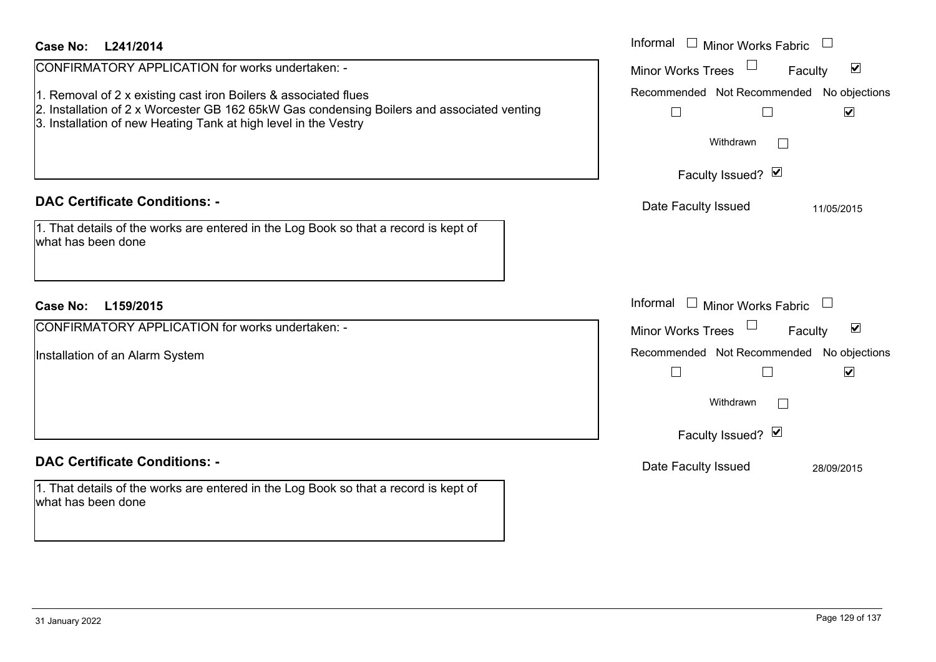| <b>Case No:</b><br>L241/2014<br>CONFIRMATORY APPLICATION for works undertaken: -<br>1. Removal of 2 x existing cast iron Boilers & associated flues<br>2. Installation of 2 x Worcester GB 162 65kW Gas condensing Boilers and associated venting<br>3. Installation of new Heating Tank at high level in the Vestry | Informal<br>$\Box$ Minor Works Fabric $\Box$<br>$\blacktriangledown$<br><b>Minor Works Trees</b><br>Faculty<br>Recommended Not Recommended No objections<br>$\blacktriangledown$<br>$\Box$<br>$\Box$<br>Withdrawn<br>$\vert \ \ \vert$ |
|----------------------------------------------------------------------------------------------------------------------------------------------------------------------------------------------------------------------------------------------------------------------------------------------------------------------|----------------------------------------------------------------------------------------------------------------------------------------------------------------------------------------------------------------------------------------|
|                                                                                                                                                                                                                                                                                                                      | Faculty Issued? Ø                                                                                                                                                                                                                      |
| <b>DAC Certificate Conditions: -</b><br>1. That details of the works are entered in the Log Book so that a record is kept of<br>what has been done                                                                                                                                                                   | Date Faculty Issued<br>11/05/2015                                                                                                                                                                                                      |
| L159/2015<br>Case No:                                                                                                                                                                                                                                                                                                | Informal<br>$\Box$ Minor Works Fabric $\Box$                                                                                                                                                                                           |
| CONFIRMATORY APPLICATION for works undertaken: -                                                                                                                                                                                                                                                                     | Minor Works Trees<br>$\blacktriangledown$<br>Faculty                                                                                                                                                                                   |
| Installation of an Alarm System                                                                                                                                                                                                                                                                                      | Recommended Not Recommended No objections<br>$\Box$<br>$\blacktriangledown$<br>$\Box$<br>Withdrawn<br>Faculty Issued? Ø                                                                                                                |
| <b>DAC Certificate Conditions: -</b>                                                                                                                                                                                                                                                                                 | Date Faculty Issued<br>28/09/2015                                                                                                                                                                                                      |
| 1. That details of the works are entered in the Log Book so that a record is kept of<br>what has been done                                                                                                                                                                                                           |                                                                                                                                                                                                                                        |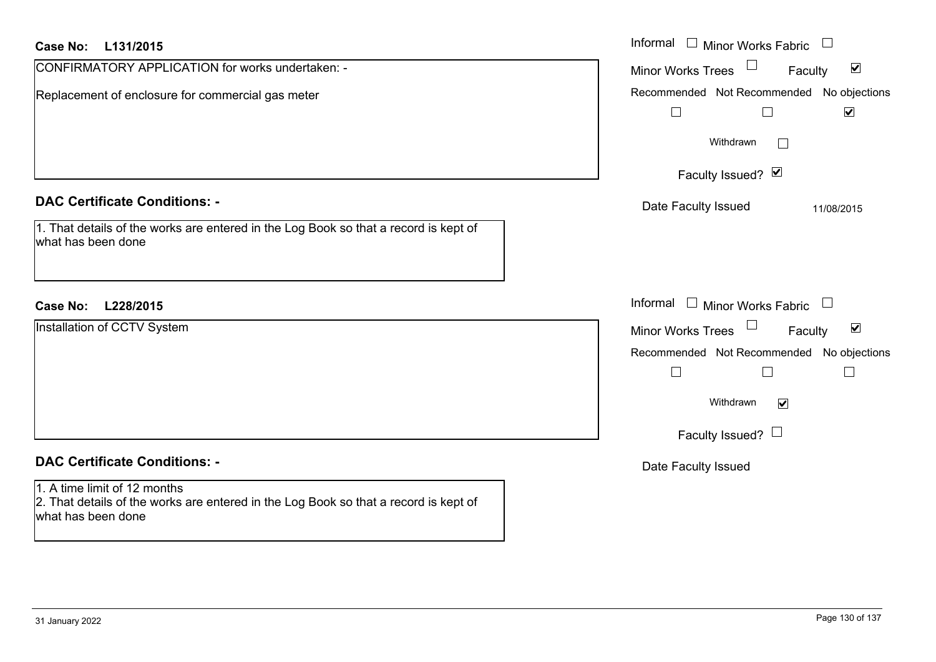| <b>Case No:</b><br>L131/2015                                                                                                               | Informal<br>$\Box$ Minor Works Fabric                                                 |
|--------------------------------------------------------------------------------------------------------------------------------------------|---------------------------------------------------------------------------------------|
| CONFIRMATORY APPLICATION for works undertaken: -                                                                                           | $\blacktriangledown$<br><b>Minor Works Trees</b><br>Faculty                           |
| Replacement of enclosure for commercial gas meter                                                                                          | Recommended Not Recommended No objections<br>$\blacktriangledown$<br>$\Box$<br>$\Box$ |
|                                                                                                                                            | Withdrawn<br>$\perp$                                                                  |
|                                                                                                                                            | Faculty Issued? Ø                                                                     |
| <b>DAC Certificate Conditions: -</b>                                                                                                       | Date Faculty Issued<br>11/08/2015                                                     |
| 1. That details of the works are entered in the Log Book so that a record is kept of<br>what has been done                                 |                                                                                       |
| <b>Case No:</b><br>L228/2015                                                                                                               | Informal<br>$\Box$ Minor Works Fabric                                                 |
| Installation of CCTV System                                                                                                                | $\blacktriangledown$<br>Faculty<br><b>Minor Works Trees</b>                           |
|                                                                                                                                            | Recommended Not Recommended No objections                                             |
|                                                                                                                                            | $\Box$<br>$\Box$<br>$\Box$                                                            |
|                                                                                                                                            | Withdrawn<br>$\blacktriangledown$                                                     |
|                                                                                                                                            | Faculty Issued? $\Box$                                                                |
| <b>DAC Certificate Conditions: -</b>                                                                                                       | Date Faculty Issued                                                                   |
| 1. A time limit of 12 months<br>2. That details of the works are entered in the Log Book so that a record is kept of<br>what has been done |                                                                                       |
|                                                                                                                                            |                                                                                       |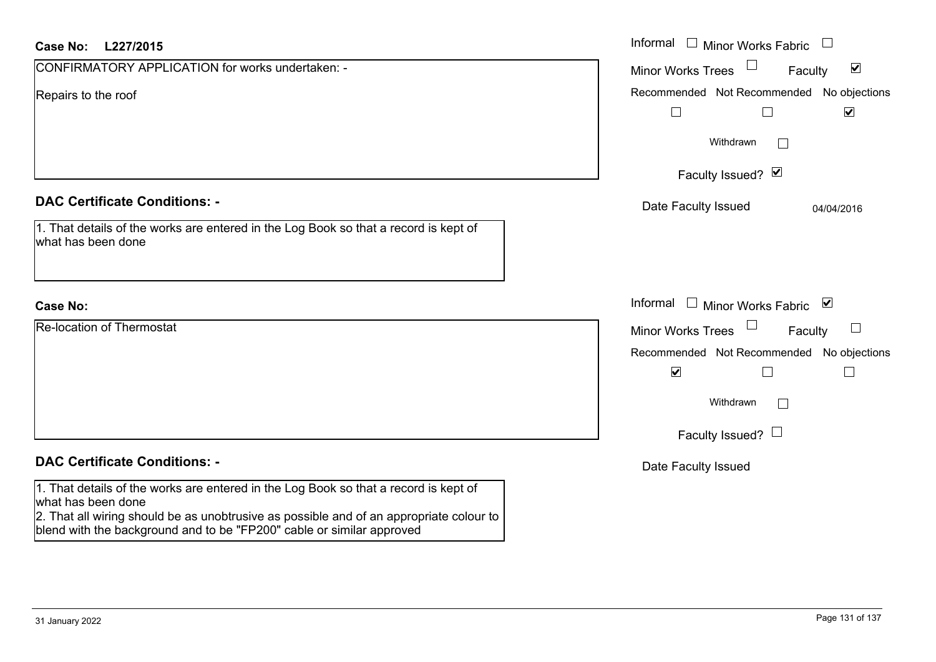| <b>Case No:</b><br>L227/2015                                                                                                                                                                                                                                                   | Informal $\Box$ Minor Works Fabric                                                            |
|--------------------------------------------------------------------------------------------------------------------------------------------------------------------------------------------------------------------------------------------------------------------------------|-----------------------------------------------------------------------------------------------|
| CONFIRMATORY APPLICATION for works undertaken: -                                                                                                                                                                                                                               | $\blacktriangledown$<br><b>Minor Works Trees</b><br>Faculty                                   |
| Repairs to the roof                                                                                                                                                                                                                                                            | Recommended Not Recommended No objections<br>$\blacktriangledown$<br>$\Box$<br>$\Box$         |
|                                                                                                                                                                                                                                                                                | Withdrawn<br>$\mathbb{R}^n$<br>Faculty Issued? Ø                                              |
| <b>DAC Certificate Conditions: -</b>                                                                                                                                                                                                                                           | Date Faculty Issued<br>04/04/2016                                                             |
| 1. That details of the works are entered in the Log Book so that a record is kept of<br>what has been done                                                                                                                                                                     |                                                                                               |
| <b>Case No:</b>                                                                                                                                                                                                                                                                | Informal<br>$\Box$ Minor Works Fabric $\boxtimes$                                             |
| <b>Re-location of Thermostat</b>                                                                                                                                                                                                                                               | $\sqcup$<br><b>Minor Works Trees</b><br>Faculty                                               |
|                                                                                                                                                                                                                                                                                | Recommended Not Recommended No objections<br>$\blacktriangledown$<br>$\Box$<br>$\mathbb{R}^n$ |
|                                                                                                                                                                                                                                                                                | Withdrawn<br>$\perp$                                                                          |
|                                                                                                                                                                                                                                                                                | Faculty Issued? $\Box$                                                                        |
| <b>DAC Certificate Conditions: -</b>                                                                                                                                                                                                                                           | Date Faculty Issued                                                                           |
| 1. That details of the works are entered in the Log Book so that a record is kept of<br>what has been done<br>2. That all wiring should be as unobtrusive as possible and of an appropriate colour to<br>blend with the background and to be "FP200" cable or similar approved |                                                                                               |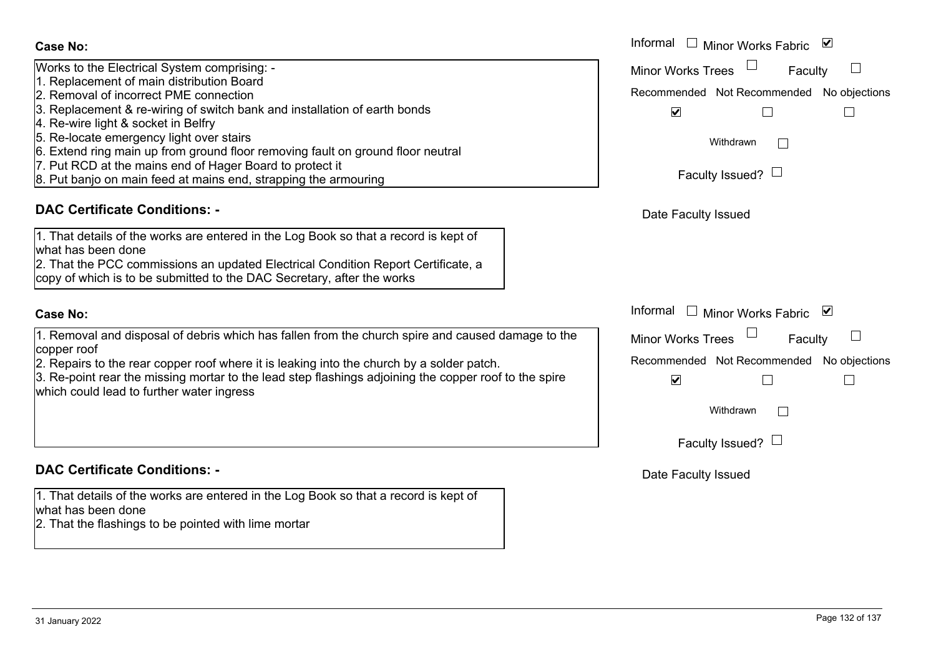- Works to the Electrical System comprising: -
- 1. Replacement of main distribution Board
- 2. Removal of incorrect PME connection
- 3. Replacement & re-wiring of switch bank and installation of earth bonds
- 4. Re-wire light & socket in Belfry
- 5. Re-locate emergency light over stairs
- 6. Extend ring main up from ground floor removing fault on ground floor neutral
- 7. Put RCD at the mains end of Hager Board to protect it
- 8. Put banjo on main feed at mains end, strapping the armouring

# **DAC Certificate Conditions: -**

|                    |  | 1. That details of the works are entered in the Log Book so that a record is kept of |
|--------------------|--|--------------------------------------------------------------------------------------|
| what has been done |  |                                                                                      |

2. That the PCC commissions an updated Electrical Condition Report Certificate, a copy of which is to be submitted to the DAC Secretary, after the works

# **Case No:**

1. Removal and disposal of debris which has fallen from the church spire and caused damage to the copper roof

2. Repairs to the rear copper roof where it is leaking into the church by a solder patch.

3. Re-point rear the missing mortar to the lead step flashings adjoining the copper roof to the spire which could lead to further water ingress

# **DAC Certificate Conditions: -**

1. That details of the works are entered in the Log Book so that a record is kept of what has been done

2. That the flashings to be pointed with lime mortar

|                                                                                                                                                                                                                                                                                                                                                                                                                                            | Informal $\Box$ Minor Works Fabric $\Box$                                                                                                                       |
|--------------------------------------------------------------------------------------------------------------------------------------------------------------------------------------------------------------------------------------------------------------------------------------------------------------------------------------------------------------------------------------------------------------------------------------------|-----------------------------------------------------------------------------------------------------------------------------------------------------------------|
| the Electrical System comprising: -<br>cement of main distribution Board<br>val of incorrect PME connection<br>cement & re-wiring of switch bank and installation of earth bonds<br>e light & socket in Belfry<br>ate emergency light over stairs<br>I ring main up from ground floor removing fault on ground floor neutral<br>CD at the mains end of Hager Board to protect it<br>njo on main feed at mains end, strapping the armouring | <b>Minor Works Trees</b><br>Faculty<br>Recommended Not Recommended No objections<br>$\blacktriangledown$<br>$\mathbb{L}$<br>Withdrawn<br>Faculty Issued? $\Box$ |
| rtificate Conditions: -                                                                                                                                                                                                                                                                                                                                                                                                                    | Date Faculty Issued                                                                                                                                             |
| etails of the works are entered in the Log Book so that a record is kept of<br>been done<br>ne PCC commissions an updated Electrical Condition Report Certificate, a<br>which is to be submitted to the DAC Secretary, after the works                                                                                                                                                                                                     |                                                                                                                                                                 |
|                                                                                                                                                                                                                                                                                                                                                                                                                                            | Informal $\Box$ Minor Works Fabric $\Box$                                                                                                                       |
| val and disposal of debris which has fallen from the church spire and caused damage to the<br>1OC<br>s to the rear copper roof where it is leaking into the church by a solder patch.<br>int rear the missing mortar to the lead step flashings adjoining the copper roof to the spire<br>uld lead to further water ingress                                                                                                                | Minor Works Trees<br>Faculty<br>Recommended Not Recommended No objections<br>$\blacktriangledown$<br>Withdrawn<br>Faculty Issued? $\Box$                        |
| rtificate Conditions: -                                                                                                                                                                                                                                                                                                                                                                                                                    | Date Faculty Issued                                                                                                                                             |
| etails of the works are entered in the Log Book so that a record is kept of<br>been done                                                                                                                                                                                                                                                                                                                                                   |                                                                                                                                                                 |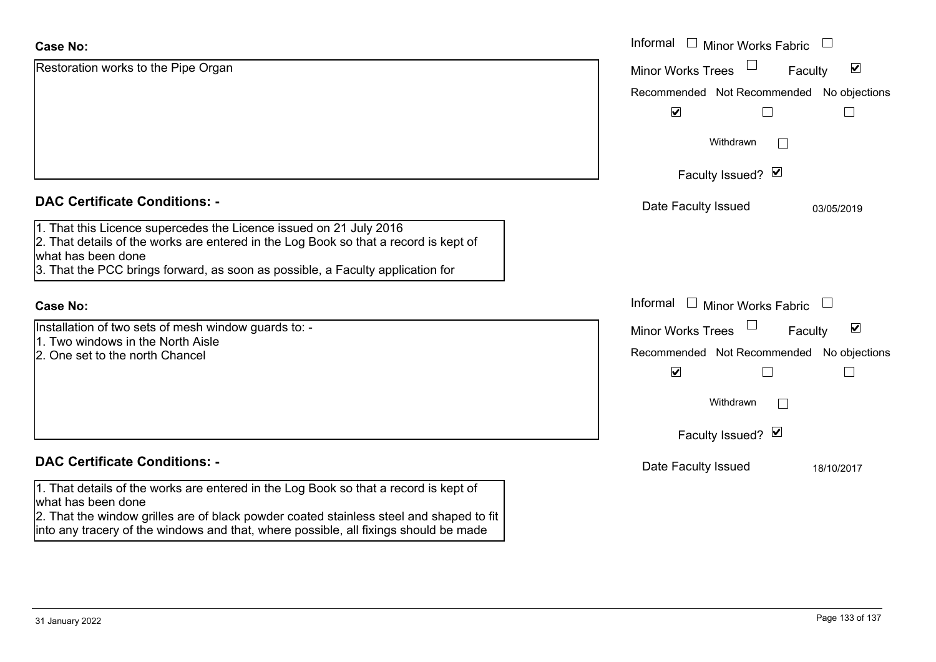| <b>Case No:</b>                                                                                                                                                                                                                                                                               | Informal<br>$\Box$ Minor Works Fabric                                                                                                      |
|-----------------------------------------------------------------------------------------------------------------------------------------------------------------------------------------------------------------------------------------------------------------------------------------------|--------------------------------------------------------------------------------------------------------------------------------------------|
| Restoration works to the Pipe Organ                                                                                                                                                                                                                                                           | $\blacktriangledown$<br><b>Minor Works Trees</b><br>Faculty                                                                                |
|                                                                                                                                                                                                                                                                                               | Recommended Not Recommended No objections<br>$\blacktriangledown$                                                                          |
|                                                                                                                                                                                                                                                                                               | Withdrawn<br>$\mathbf{L}$                                                                                                                  |
|                                                                                                                                                                                                                                                                                               | Faculty Issued? Ø                                                                                                                          |
| <b>DAC Certificate Conditions: -</b>                                                                                                                                                                                                                                                          | Date Faculty Issued<br>03/05/2019                                                                                                          |
| 1. That this Licence supercedes the Licence issued on 21 July 2016<br>2. That details of the works are entered in the Log Book so that a record is kept of<br>what has been done<br>3. That the PCC brings forward, as soon as possible, a Faculty application for                            |                                                                                                                                            |
| <b>Case No:</b>                                                                                                                                                                                                                                                                               | Informal<br>$\mathbf{L}$<br>Minor Works Fabric                                                                                             |
| Installation of two sets of mesh window guards to: -<br>11. Two windows in the North Aisle<br>2. One set to the north Chancel                                                                                                                                                                 | $\blacktriangledown$<br><b>Minor Works Trees</b><br>Faculty<br>Recommended Not Recommended No objections<br>$\blacktriangledown$<br>$\sim$ |
|                                                                                                                                                                                                                                                                                               | Withdrawn                                                                                                                                  |
|                                                                                                                                                                                                                                                                                               | Faculty Issued? Ø                                                                                                                          |
| <b>DAC Certificate Conditions: -</b>                                                                                                                                                                                                                                                          | Date Faculty Issued<br>18/10/2017                                                                                                          |
| 1. That details of the works are entered in the Log Book so that a record is kept of<br>what has been done<br>2. That the window grilles are of black powder coated stainless steel and shaped to fit<br>into any tracery of the windows and that, where possible, all fixings should be made |                                                                                                                                            |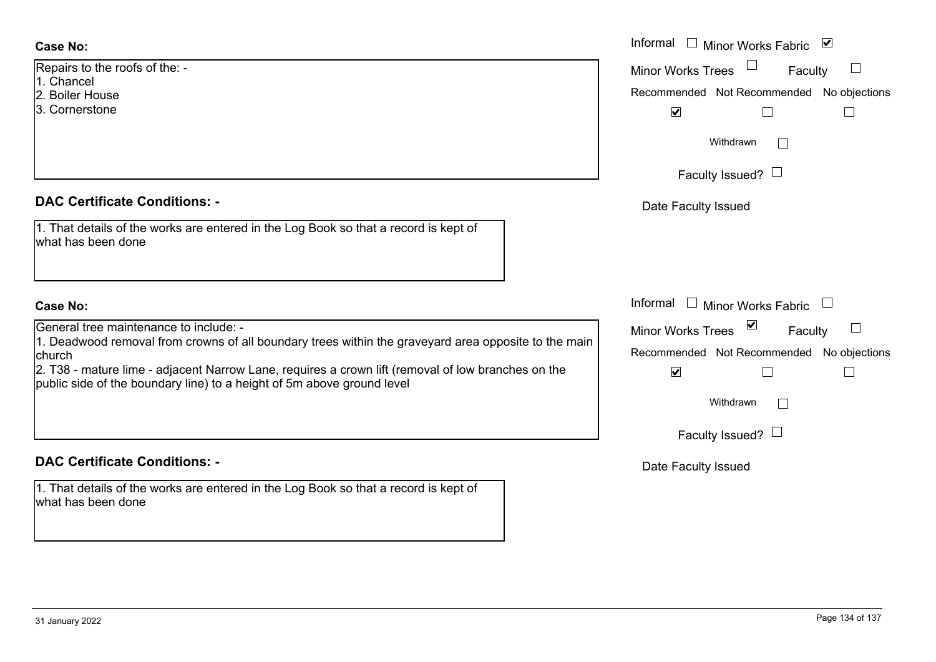Repairs to the roofs of the: -

- 1. Chancel
- 2. Boiler House
- 3. Cornerstone

# **DAC Certificate Conditions: -**

| 1. That details of the works are entered in the Log Book so that a record is kept of |  |
|--------------------------------------------------------------------------------------|--|
| what has been done                                                                   |  |

# **Case No:**

General tree maintenance to include: -

1. Deadwood removal from crowns of all boundary trees within the graveyard area opposite to the n church

2. T38 - mature lime - adjacent Narrow Lane, requires a crown lift (removal of low branches on the public side of the boundary line) to a height of 5m above ground level

# **DAC Certificate Conditions: -**

1. That details of the works are entered in the Log Book so that a record is kept of what has been done

|                                                                                                                                                                                                                                                                                              | Informal<br>Minor Works Fabric ⊠<br>$\mathbb{R}^n$                                                                                                   |
|----------------------------------------------------------------------------------------------------------------------------------------------------------------------------------------------------------------------------------------------------------------------------------------------|------------------------------------------------------------------------------------------------------------------------------------------------------|
| o the roofs of the: -<br>el<br>House<br>r <b>stone</b>                                                                                                                                                                                                                                       | <b>Minor Works Trees</b><br>Faculty<br>Recommended Not Recommended No objections<br>$\blacktriangledown$                                             |
|                                                                                                                                                                                                                                                                                              | Withdrawn<br>Faculty Issued? $\Box$                                                                                                                  |
| rtificate Conditions: -                                                                                                                                                                                                                                                                      | Date Faculty Issued                                                                                                                                  |
| etails of the works are entered in the Log Book so that a record is kept of<br>been done                                                                                                                                                                                                     |                                                                                                                                                      |
|                                                                                                                                                                                                                                                                                              | Informal<br>Minor Works Fabric<br>$\mathbf{1}$<br>$\begin{array}{c} \hline \end{array}$                                                              |
| tree maintenance to include: -<br>ood removal from crowns of all boundary trees within the graveyard area opposite to the main<br>nature lime - adjacent Narrow Lane, requires a crown lift (removal of low branches on the<br>le of the boundary line) to a height of 5m above ground level | <b>Minor Works Trees</b><br>Faculty<br>Recommended Not Recommended No objections<br>$\blacktriangledown$<br>L<br>Withdrawn<br>Faculty Issued? $\Box$ |
| rtificate Conditions: -                                                                                                                                                                                                                                                                      | Date Faculty Issued                                                                                                                                  |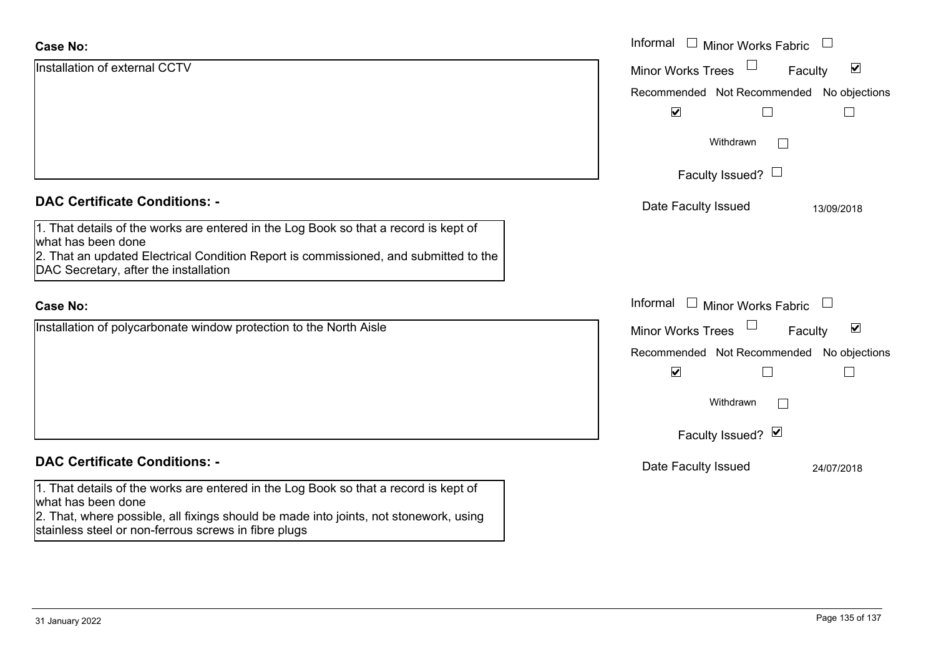| <b>Case No:</b>                                                                                                                               | Informal □ Minor Works Fabric                               |
|-----------------------------------------------------------------------------------------------------------------------------------------------|-------------------------------------------------------------|
| Installation of external CCTV                                                                                                                 | $\blacktriangledown$<br><b>Minor Works Trees</b><br>Faculty |
|                                                                                                                                               | Recommended Not Recommended No objections                   |
|                                                                                                                                               | $\blacktriangledown$                                        |
|                                                                                                                                               | Withdrawn<br>$\overline{\phantom{0}}$                       |
|                                                                                                                                               | Faculty Issued? $\Box$                                      |
| <b>DAC Certificate Conditions: -</b>                                                                                                          | Date Faculty Issued<br>13/09/2018                           |
| 1. That details of the works are entered in the Log Book so that a record is kept of<br>what has been done                                    |                                                             |
| 2. That an updated Electrical Condition Report is commissioned, and submitted to the<br>DAC Secretary, after the installation                 |                                                             |
| <b>Case No:</b>                                                                                                                               | Informal<br>$\mathbf{1}$<br><b>Minor Works Fabric</b>       |
| Installation of polycarbonate window protection to the North Aisle                                                                            | $\blacktriangledown$<br><b>Minor Works Trees</b><br>Faculty |
|                                                                                                                                               | Recommended Not Recommended No objections                   |
|                                                                                                                                               | $\blacktriangledown$                                        |
|                                                                                                                                               | Withdrawn                                                   |
|                                                                                                                                               | Faculty Issued? Ø                                           |
| <b>DAC Certificate Conditions: -</b>                                                                                                          | Date Faculty Issued<br>24/07/2018                           |
| 1. That details of the works are entered in the Log Book so that a record is kept of<br>what has been done                                    |                                                             |
| 2. That, where possible, all fixings should be made into joints, not stonework, using<br>stainless steel or non-ferrous screws in fibre plugs |                                                             |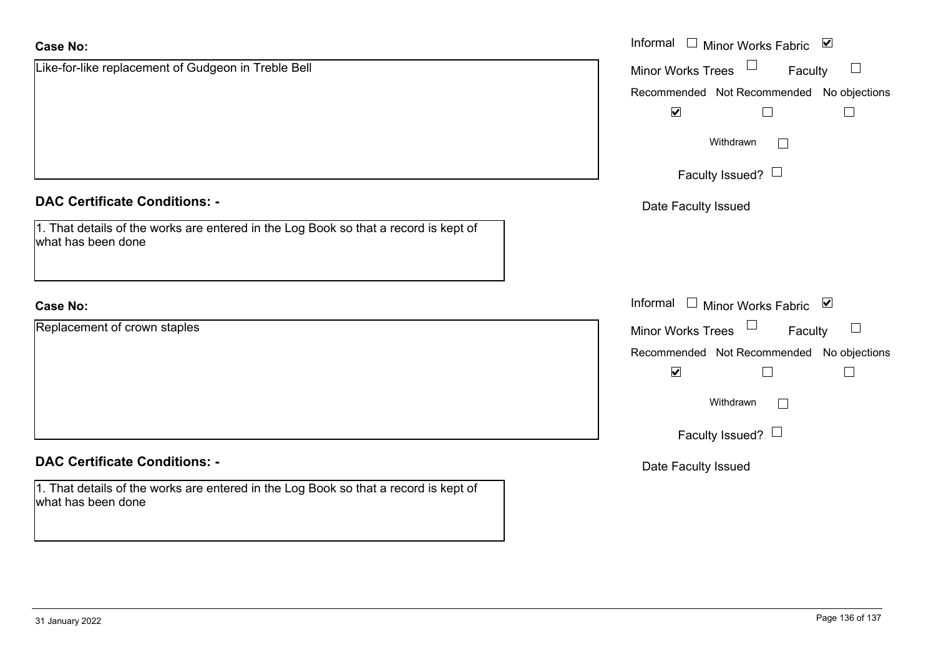| <b>Case No:</b>                                                                                            | Informal $\Box$ Minor Works Fabric $\Box$ |
|------------------------------------------------------------------------------------------------------------|-------------------------------------------|
| Like-for-like replacement of Gudgeon in Treble Bell                                                        | $\Box$<br>Minor Works Trees<br>Faculty    |
|                                                                                                            | Recommended Not Recommended No objections |
|                                                                                                            | $\blacktriangledown$                      |
|                                                                                                            | Withdrawn                                 |
|                                                                                                            | Faculty Issued? $\Box$                    |
| <b>DAC Certificate Conditions: -</b>                                                                       | Date Faculty Issued                       |
| 1. That details of the works are entered in the Log Book so that a record is kept of<br>what has been done |                                           |
| <b>Case No:</b>                                                                                            | Informal □ Minor Works Fabric ⊠           |
| Replacement of crown staples                                                                               | Minor Works Trees<br>Faculty<br>$\Box$    |
|                                                                                                            | Recommended Not Recommended No objections |
|                                                                                                            | $\blacktriangledown$<br>П                 |
|                                                                                                            | Withdrawn                                 |
|                                                                                                            | Faculty Issued? $\Box$                    |
| <b>DAC Certificate Conditions: -</b>                                                                       | Date Faculty Issued                       |
| 1. That details of the works are entered in the Log Book so that a record is kept of<br>what has been done |                                           |